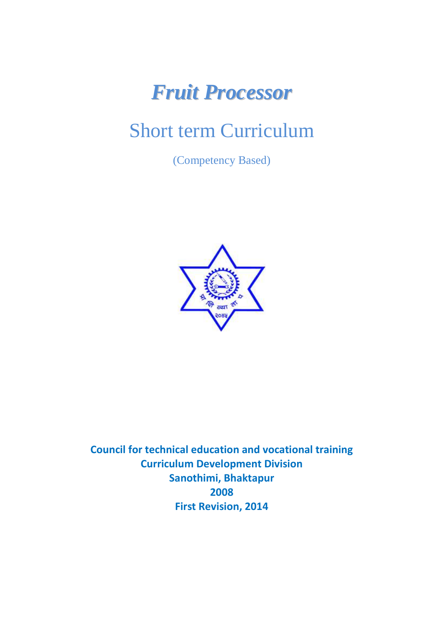# *Fruit Processor*

# Short term Curriculum

(Competency Based)



**Council for technical education and vocational training Curriculum Development Division Sanothimi, Bhaktapur 2008 First Revision, 2014**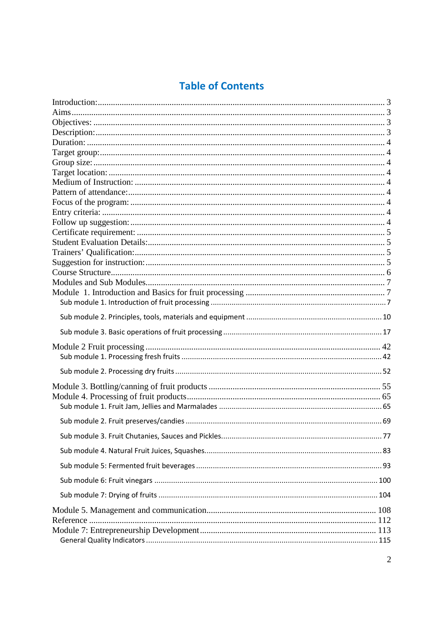# **Table of Contents**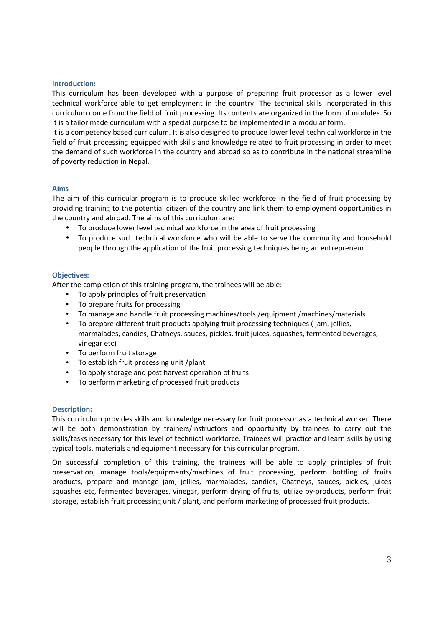#### **Introduction:**

This curriculum has been developed with a purpose of preparing fruit processor as a lower level technical workforce able to get employment in the country. The technical skills incorporated in this curriculum come from the field of fruit processing. Its contents are organized in the form of modules. So it is a tailor made curriculum with a special purpose to be implemented in a modular form.

It is a competency based curriculum. It is also designed to produce lower level technical workforce in the field of fruit processing equipped with skills and knowledge related to fruit processing in order to meet the demand of such workforce in the country and abroad so as to contribute in the national streamline of poverty reduction in Nepal.

#### **Aims**

The aim of this curricular program is to produce skilled workforce in the field of fruit processing by providing training to the potential citizen of the country and link them to employment opportunities in the country and abroad. The aims of this curriculum are:

- To produce lower level technical workforce in the area of fruit processing
- To produce such technical workforce who will be able to serve the community and household people through the application of the fruit processing techniques being an entrepreneur

#### **Objectives:**

After the completion of this training program, the trainees will be able:

- To apply principles of fruit preservation
- To prepare fruits for processing
- To manage and handle fruit processing machines/tools /equipment /machines/materials
- To prepare different fruit products applying fruit processing techniques ( jam, jellies, marmalades, candies, Chatneys, sauces, pickles, fruit juices, squashes, fermented beverages, vinegar etc)
- To perform fruit storage
- To establish fruit processing unit /plant
- To apply storage and post harvest operation of fruits
- To perform marketing of processed fruit products

#### **Description:**

This curriculum provides skills and knowledge necessary for fruit processor as a technical worker. There will be both demonstration by trainers/instructors and opportunity by trainees to carry out the skills/tasks necessary for this level of technical workforce. Trainees will practice and learn skills by using typical tools, materials and equipment necessary for this curricular program.

On successful completion of this training, the trainees will be able to apply principles of fruit preservation, manage tools/equipments/machines of fruit processing, perform bottling of fruits products, prepare and manage jam, jellies, marmalades, candies, Chatneys, sauces, pickles, juices squashes etc, fermented beverages, vinegar, perform drying of fruits, utilize by-products, perform fruit storage, establish fruit processing unit / plant, and perform marketing of processed fruit products.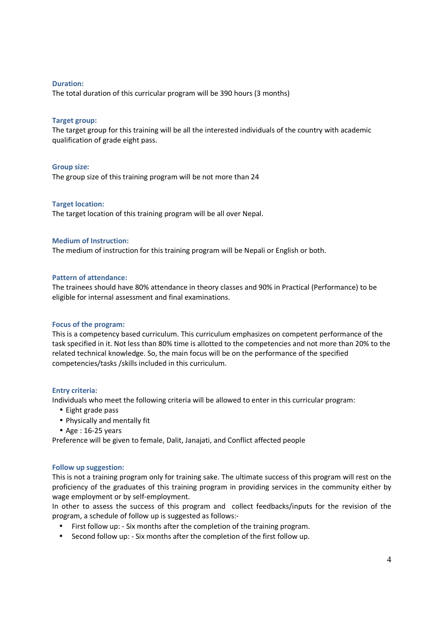#### **Duration:**

The total duration of this curricular program will be 390 hours (3 months)

#### **Target group:**

The target group for this training will be all the interested individuals of the country with academic qualification of grade eight pass.

#### **Group size:**

The group size of this training program will be not more than 24

#### **Target location:**

The target location of this training program will be all over Nepal.

#### **Medium of Instruction:**

The medium of instruction for this training program will be Nepali or English or both.

#### **Pattern of attendance:**

The trainees should have 80% attendance in theory classes and 90% in Practical (Performance) to be eligible for internal assessment and final examinations.

#### **Focus of the program:**

This is a competency based curriculum. This curriculum emphasizes on competent performance of the task specified in it. Not less than 80% time is allotted to the competencies and not more than 20% to the related technical knowledge. So, the main focus will be on the performance of the specified competencies/tasks /skills included in this curriculum.

#### **Entry criteria:**

Individuals who meet the following criteria will be allowed to enter in this curricular program:

- Eight grade pass
- Physically and mentally fit
- $\bullet$  Age : 16-25 years

Preference will be given to female, Dalit, Janajati, and Conflict affected people

#### **Follow up suggestion:**

This is not a training program only for training sake. The ultimate success of this program will rest on the proficiency of the graduates of this training program in providing services in the community either by wage employment or by self-employment.

In other to assess the success of this program and collect feedbacks/inputs for the revision of the program, a schedule of follow up is suggested as follows:-

- First follow up: Six months after the completion of the training program.
- Second follow up: Six months after the completion of the first follow up.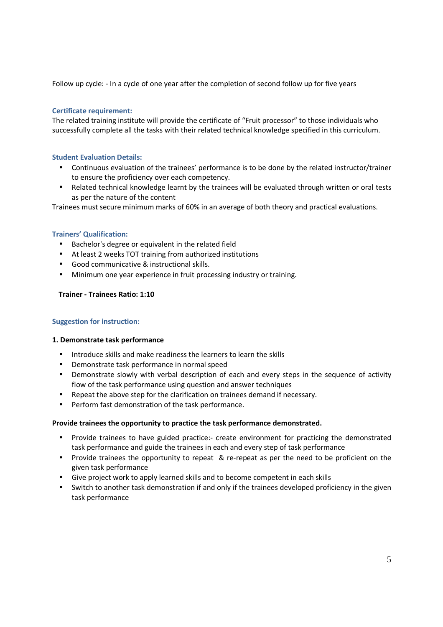Follow up cycle: - In a cycle of one year after the completion of second follow up for five years

#### **Certificate requirement:**

The related training institute will provide the certificate of "Fruit processor" to those individuals who successfully complete all the tasks with their related technical knowledge specified in this curriculum.

#### **Student Evaluation Details:**

- Continuous evaluation of the trainees' performance is to be done by the related instructor/trainer to ensure the proficiency over each competency.
- Related technical knowledge learnt by the trainees will be evaluated through written or oral tests as per the nature of the content

Trainees must secure minimum marks of 60% in an average of both theory and practical evaluations.

#### **Trainers' Qualification:**

- Bachelor's degree or equivalent in the related field
- At least 2 weeks TOT training from authorized institutions
- Good communicative & instructional skills.
- Minimum one year experience in fruit processing industry or training.

#### **Trainer - Trainees Ratio: 1:10**

#### **Suggestion for instruction:**

#### **1. Demonstrate task performance**

- Introduce skills and make readiness the learners to learn the skills
- Demonstrate task performance in normal speed
- Demonstrate slowly with verbal description of each and every steps in the sequence of activity flow of the task performance using question and answer techniques
- Repeat the above step for the clarification on trainees demand if necessary.
- Perform fast demonstration of the task performance.

#### **Provide trainees the opportunity to practice the task performance demonstrated.**

- Provide trainees to have guided practice:- create environment for practicing the demonstrated task performance and guide the trainees in each and every step of task performance
- Provide trainees the opportunity to repeat & re-repeat as per the need to be proficient on the given task performance
- Give project work to apply learned skills and to become competent in each skills
- Switch to another task demonstration if and only if the trainees developed proficiency in the given task performance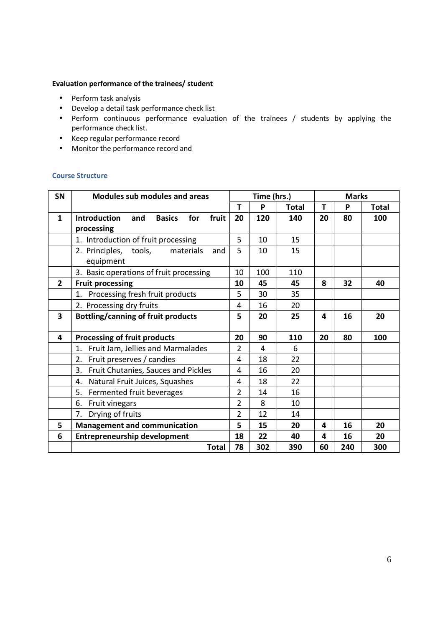#### **Evaluation performance of the trainees/ student**

- Perform task analysis
- Develop a detail task performance check list
- Perform continuous performance evaluation of the trainees / students by applying the performance check list.
- Keep regular performance record
- Monitor the performance record and

#### **Course Structure**

| <b>SN</b>               | <b>Modules sub modules and areas</b>                        | Time (hrs.)    |     |       | <b>Marks</b> |     |       |  |
|-------------------------|-------------------------------------------------------------|----------------|-----|-------|--------------|-----|-------|--|
|                         |                                                             | T              | Ρ   | Total | T            | P   | Total |  |
| $\mathbf{1}$            | fruit<br><b>Introduction</b><br><b>Basics</b><br>for<br>and | 20             | 120 | 140   | 20           | 80  | 100   |  |
|                         | processing                                                  |                |     |       |              |     |       |  |
|                         | 1. Introduction of fruit processing                         | 5              | 10  | 15    |              |     |       |  |
|                         | 2. Principles, tools,<br>materials<br>and                   | 5              | 10  | 15    |              |     |       |  |
|                         | equipment                                                   |                |     |       |              |     |       |  |
|                         | 3. Basic operations of fruit processing                     | 10             | 100 | 110   |              |     |       |  |
| $\overline{2}$          | <b>Fruit processing</b>                                     | 10             | 45  | 45    | 8            | 32  | 40    |  |
|                         | 1. Processing fresh fruit products                          | 5              | 30  | 35    |              |     |       |  |
|                         | 2. Processing dry fruits                                    | 4              | 16  | 20    |              |     |       |  |
| $\overline{\mathbf{3}}$ | <b>Bottling/canning of fruit products</b>                   | 5              | 20  | 25    | 4            | 16  | 20    |  |
|                         |                                                             |                |     |       |              |     |       |  |
| 4                       | Processing of fruit products                                | 20             | 90  | 110   | 20           | 80  | 100   |  |
|                         | 1.<br>Fruit Jam, Jellies and Marmalades                     | $\overline{2}$ | 4   | 6     |              |     |       |  |
|                         | 2.<br>Fruit preserves / candies                             | 4              | 18  | 22    |              |     |       |  |
|                         | 3.<br>Fruit Chutanies, Sauces and Pickles                   | 4              | 16  | 20    |              |     |       |  |
|                         | Natural Fruit Juices, Squashes<br>4.                        | 4              | 18  | 22    |              |     |       |  |
|                         | 5.<br>Fermented fruit beverages                             | $\overline{2}$ | 14  | 16    |              |     |       |  |
|                         | 6.<br>Fruit vinegars                                        | $\overline{2}$ | 8   | 10    |              |     |       |  |
|                         | Drying of fruits<br>7.                                      | $\overline{2}$ | 12  | 14    |              |     |       |  |
| 5                       | <b>Management and communication</b>                         | 5              | 15  | 20    | 4            | 16  | 20    |  |
| 6                       | <b>Entrepreneurship development</b>                         | 18             | 22  | 40    | 4            | 16  | 20    |  |
|                         | <b>Total</b>                                                | 78             | 302 | 390   | 60           | 240 | 300   |  |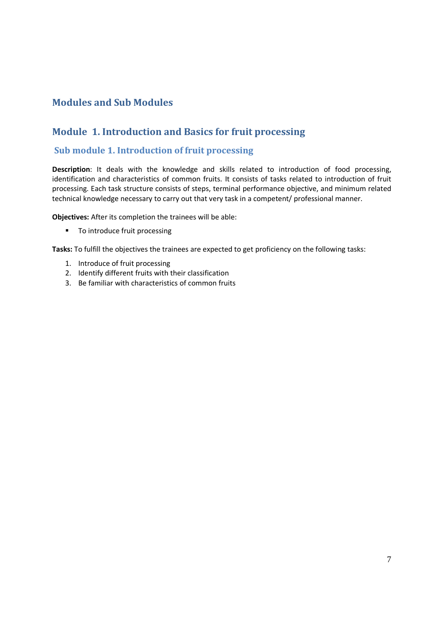# **Modules and Sub Modules**

# **Module 1. Introduction and Basics for fruit processing**

### **Sub module 1. Introduction of fruit processing**

**Description**: It deals with the knowledge and skills related to introduction of food processing, identification and characteristics of common fruits. It consists of tasks related to introduction of fruit processing. Each task structure consists of steps, terminal performance objective, and minimum related technical knowledge necessary to carry out that very task in a competent/ professional manner.

**Objectives:** After its completion the trainees will be able:

**To introduce fruit processing** 

**Tasks:** To fulfill the objectives the trainees are expected to get proficiency on the following tasks:

- 1. Introduce of fruit processing
- 2. Identify different fruits with their classification
- 3. Be familiar with characteristics of common fruits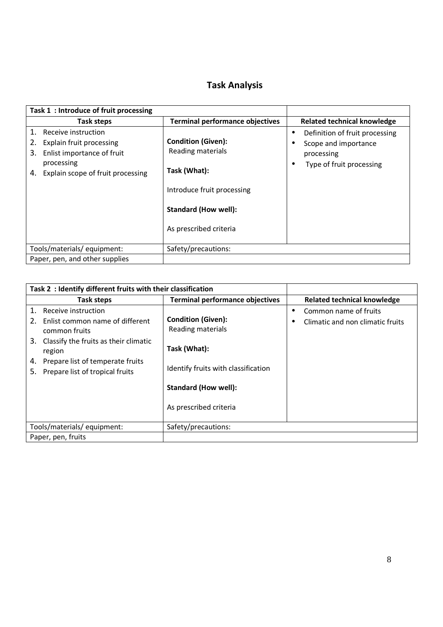# **Task Analysis**

| Task 1: Introduce of fruit processing                                                                                                              |                                                                                                                                                       |                                                                                                               |
|----------------------------------------------------------------------------------------------------------------------------------------------------|-------------------------------------------------------------------------------------------------------------------------------------------------------|---------------------------------------------------------------------------------------------------------------|
| Task steps                                                                                                                                         | <b>Terminal performance objectives</b>                                                                                                                | Related technical knowledge                                                                                   |
| 1.<br>Receive instruction<br>Explain fruit processing<br>Enlist importance of fruit<br>3.<br>processing<br>Explain scope of fruit processing<br>4. | <b>Condition (Given):</b><br>Reading materials<br>Task (What):<br>Introduce fruit processing<br><b>Standard (How well):</b><br>As prescribed criteria | Definition of fruit processing<br>$\bullet$<br>Scope and importance<br>processing<br>Type of fruit processing |
| Tools/materials/equipment:                                                                                                                         | Safety/precautions:                                                                                                                                   |                                                                                                               |
| Paper, pen, and other supplies                                                                                                                     |                                                                                                                                                       |                                                                                                               |

| Task 2: Identify different fruits with their classification                                                                                                                                                                  |                                                                                                                                                                |           |                                                           |
|------------------------------------------------------------------------------------------------------------------------------------------------------------------------------------------------------------------------------|----------------------------------------------------------------------------------------------------------------------------------------------------------------|-----------|-----------------------------------------------------------|
| Task steps                                                                                                                                                                                                                   | <b>Terminal performance objectives</b>                                                                                                                         |           | <b>Related technical knowledge</b>                        |
| 1.<br>Receive instruction<br>Enlist common name of different<br>2.<br>common fruits<br>3. Classify the fruits as their climatic<br>region<br>Prepare list of temperate fruits<br>4.<br>Prepare list of tropical fruits<br>5. | <b>Condition (Given):</b><br>Reading materials<br>Task (What):<br>Identify fruits with classification<br><b>Standard (How well):</b><br>As prescribed criteria | $\bullet$ | Common name of fruits<br>Climatic and non climatic fruits |
| Tools/materials/equipment:                                                                                                                                                                                                   | Safety/precautions:                                                                                                                                            |           |                                                           |
| Paper, pen, fruits                                                                                                                                                                                                           |                                                                                                                                                                |           |                                                           |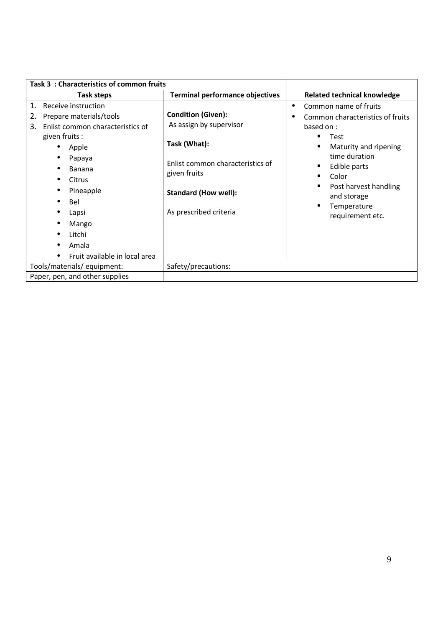| Task 3: Characteristics of common fruits                                                                                                                                                                                                                |                                                                                                                                                                                   |                                                                                                                                                                                                                                            |
|---------------------------------------------------------------------------------------------------------------------------------------------------------------------------------------------------------------------------------------------------------|-----------------------------------------------------------------------------------------------------------------------------------------------------------------------------------|--------------------------------------------------------------------------------------------------------------------------------------------------------------------------------------------------------------------------------------------|
| Task steps                                                                                                                                                                                                                                              | <b>Terminal performance objectives</b>                                                                                                                                            | <b>Related technical knowledge</b>                                                                                                                                                                                                         |
| Receive instruction<br>1.<br>Prepare materials/tools<br>2.<br>Enlist common characteristics of<br>3.<br>given fruits :<br>Apple<br>Papaya<br>Banana<br>Citrus<br>Pineapple<br>Bel<br>Lapsi<br>Mango<br>Litchi<br>Amala<br>Fruit available in local area | <b>Condition (Given):</b><br>As assign by supervisor<br>Task (What):<br>Enlist common characteristics of<br>given fruits<br><b>Standard (How well):</b><br>As prescribed criteria | Common name of fruits<br>$\bullet$<br>Common characteristics of fruits<br>based on :<br>Test<br>Maturity and ripening<br>time duration<br>Edible parts<br>Color<br>Post harvest handling<br>and storage<br>Temperature<br>requirement etc. |
| Tools/materials/equipment:                                                                                                                                                                                                                              | Safety/precautions:                                                                                                                                                               |                                                                                                                                                                                                                                            |
| Paper, pen, and other supplies                                                                                                                                                                                                                          |                                                                                                                                                                                   |                                                                                                                                                                                                                                            |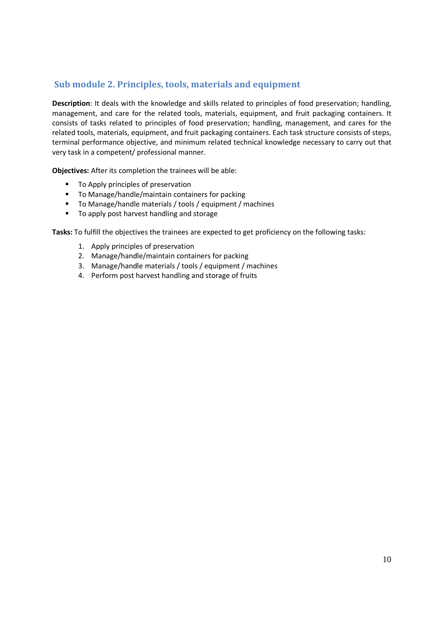## **Sub module 2. Principles, tools, materials and equipment**

**Description**: It deals with the knowledge and skills related to principles of food preservation; handling, management, and care for the related tools, materials, equipment, and fruit packaging containers. It consists of tasks related to principles of food preservation; handling, management, and cares for the related tools, materials, equipment, and fruit packaging containers. Each task structure consists of steps, terminal performance objective, and minimum related technical knowledge necessary to carry out that very task in a competent/ professional manner.

**Objectives:** After its completion the trainees will be able:

- To Apply principles of preservation
- To Manage/handle/maintain containers for packing
- To Manage/handle materials / tools / equipment / machines
- To apply post harvest handling and storage

**Tasks:** To fulfill the objectives the trainees are expected to get proficiency on the following tasks:

- 1. Apply principles of preservation
- 2. Manage/handle/maintain containers for packing
- 3. Manage/handle materials / tools / equipment / machines
- 4. Perform post harvest handling and storage of fruits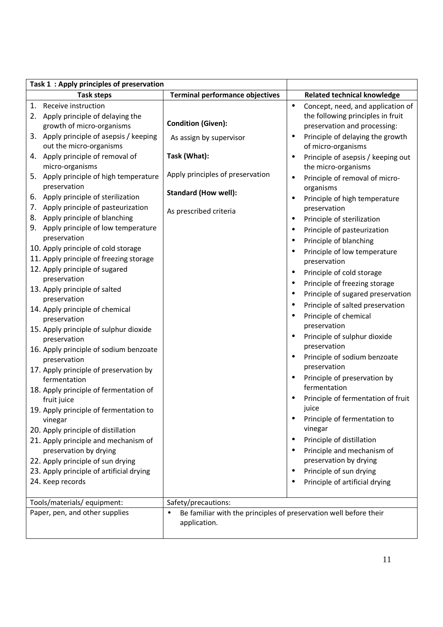| Task 1: Apply principles of preservation                                    |                                                                                                |           |                                                           |
|-----------------------------------------------------------------------------|------------------------------------------------------------------------------------------------|-----------|-----------------------------------------------------------|
| <b>Task steps</b>                                                           | <b>Terminal performance objectives</b>                                                         |           | <b>Related technical knowledge</b>                        |
| 1. Receive instruction                                                      |                                                                                                | $\bullet$ | Concept, need, and application of                         |
| 2. Apply principle of delaying the                                          |                                                                                                |           | the following principles in fruit                         |
| growth of micro-organisms                                                   | <b>Condition (Given):</b>                                                                      |           | preservation and processing:                              |
| 3. Apply principle of asepsis / keeping<br>out the micro-organisms          | As assign by supervisor                                                                        |           | Principle of delaying the growth<br>of micro-organisms    |
| 4. Apply principle of removal of<br>micro-organisms                         | Task (What):                                                                                   | $\bullet$ | Principle of asepsis / keeping out<br>the micro-organisms |
| 5. Apply principle of high temperature<br>preservation                      | Apply principles of preservation                                                               | ٠         | Principle of removal of micro-<br>organisms               |
| 6. Apply principle of sterilization                                         | <b>Standard (How well):</b>                                                                    | $\bullet$ | Principle of high temperature                             |
| 7. Apply principle of pasteurization                                        | As prescribed criteria                                                                         |           | preservation                                              |
| 8. Apply principle of blanching                                             |                                                                                                | $\bullet$ | Principle of sterilization                                |
| 9. Apply principle of low temperature                                       |                                                                                                |           | Principle of pasteurization                               |
| preservation                                                                |                                                                                                |           | Principle of blanching                                    |
| 10. Apply principle of cold storage                                         |                                                                                                |           | Principle of low temperature                              |
| 11. Apply principle of freezing storage                                     |                                                                                                |           | preservation                                              |
| 12. Apply principle of sugared                                              |                                                                                                |           | Principle of cold storage                                 |
| preservation<br>13. Apply principle of salted                               |                                                                                                |           | Principle of freezing storage                             |
| preservation                                                                |                                                                                                |           | Principle of sugared preservation                         |
| 14. Apply principle of chemical                                             |                                                                                                |           | Principle of salted preservation                          |
| preservation                                                                |                                                                                                |           | Principle of chemical                                     |
| 15. Apply principle of sulphur dioxide                                      |                                                                                                |           | preservation                                              |
| preservation                                                                |                                                                                                |           | Principle of sulphur dioxide                              |
| 16. Apply principle of sodium benzoate                                      |                                                                                                | $\bullet$ | preservation<br>Principle of sodium benzoate              |
| preservation                                                                |                                                                                                |           | preservation                                              |
| 17. Apply principle of preservation by<br>fermentation                      |                                                                                                |           | Principle of preservation by                              |
| 18. Apply principle of fermentation of<br>fruit juice                       |                                                                                                |           | fermentation<br>Principle of fermentation of fruit        |
| 19. Apply principle of fermentation to                                      |                                                                                                |           | juice                                                     |
| vinegar                                                                     |                                                                                                |           | Principle of fermentation to<br>vinegar                   |
| 20. Apply principle of distillation<br>21. Apply principle and mechanism of |                                                                                                |           | Principle of distillation                                 |
| preservation by drying                                                      |                                                                                                |           | Principle and mechanism of                                |
| 22. Apply principle of sun drying                                           |                                                                                                |           | preservation by drying                                    |
| 23. Apply principle of artificial drying                                    |                                                                                                |           | Principle of sun drying                                   |
| 24. Keep records                                                            |                                                                                                |           | Principle of artificial drying                            |
|                                                                             |                                                                                                |           |                                                           |
| Tools/materials/ equipment:                                                 | Safety/precautions:                                                                            |           |                                                           |
| Paper, pen, and other supplies                                              | Be familiar with the principles of preservation well before their<br>$\bullet$<br>application. |           |                                                           |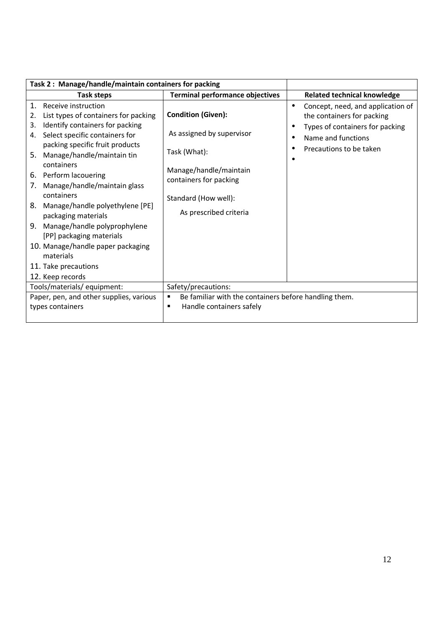| Task 2: Manage/handle/maintain containers for packing                                                                                                                                                                                                                                                                                                                                                                                                                                                                                  |                                                                                                                                                                              |                                                                                                                                                          |
|----------------------------------------------------------------------------------------------------------------------------------------------------------------------------------------------------------------------------------------------------------------------------------------------------------------------------------------------------------------------------------------------------------------------------------------------------------------------------------------------------------------------------------------|------------------------------------------------------------------------------------------------------------------------------------------------------------------------------|----------------------------------------------------------------------------------------------------------------------------------------------------------|
| Task steps                                                                                                                                                                                                                                                                                                                                                                                                                                                                                                                             | <b>Terminal performance objectives</b>                                                                                                                                       | <b>Related technical knowledge</b>                                                                                                                       |
| Receive instruction<br>1.<br>List types of containers for packing<br>2.<br>Identify containers for packing<br>3.<br>Select specific containers for<br>4.<br>packing specific fruit products<br>Manage/handle/maintain tin<br>5.<br>containers<br>6. Perform lacouering<br>Manage/handle/maintain glass<br>7.<br>containers<br>Manage/handle polyethylene [PE]<br>8.<br>packaging materials<br>Manage/handle polyprophylene<br>9.<br>[PP] packaging materials<br>10. Manage/handle paper packaging<br>materials<br>11. Take precautions | <b>Condition (Given):</b><br>As assigned by supervisor<br>Task (What):<br>Manage/handle/maintain<br>containers for packing<br>Standard (How well):<br>As prescribed criteria | Concept, need, and application of<br>٠<br>the containers for packing<br>Types of containers for packing<br>Name and functions<br>Precautions to be taken |
| 12. Keep records                                                                                                                                                                                                                                                                                                                                                                                                                                                                                                                       |                                                                                                                                                                              |                                                                                                                                                          |
| Tools/materials/ equipment:                                                                                                                                                                                                                                                                                                                                                                                                                                                                                                            | Safety/precautions:                                                                                                                                                          |                                                                                                                                                          |
| Paper, pen, and other supplies, various<br>types containers                                                                                                                                                                                                                                                                                                                                                                                                                                                                            | Be familiar with the containers before handling them.<br>Handle containers safely<br>г                                                                                       |                                                                                                                                                          |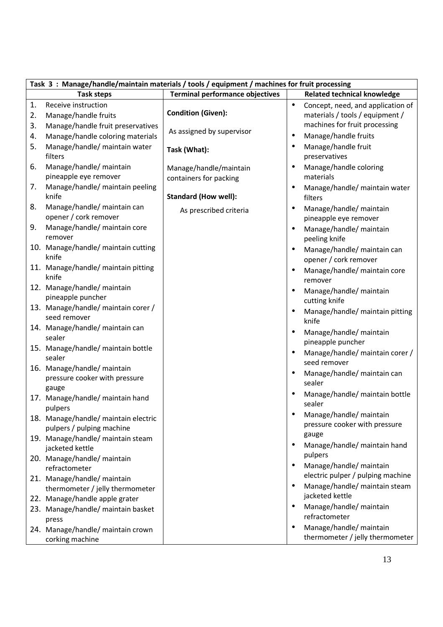| Task 3: Manage/handle/maintain materials / tools / equipment / machines for fruit processing |                                                                       |                                                  |           |                                                                    |
|----------------------------------------------------------------------------------------------|-----------------------------------------------------------------------|--------------------------------------------------|-----------|--------------------------------------------------------------------|
|                                                                                              | <b>Task steps</b>                                                     | <b>Terminal performance objectives</b>           |           | <b>Related technical knowledge</b>                                 |
| 1.                                                                                           | Receive instruction                                                   |                                                  | $\bullet$ | Concept, need, and application of                                  |
| 2.                                                                                           | Manage/handle fruits                                                  | <b>Condition (Given):</b>                        |           | materials / tools / equipment /                                    |
| 3.                                                                                           | Manage/handle fruit preservatives                                     |                                                  |           | machines for fruit processing                                      |
| 4.                                                                                           | Manage/handle coloring materials                                      | As assigned by supervisor                        |           | Manage/handle fruits                                               |
| 5.                                                                                           | Manage/handle/ maintain water<br>filters                              | Task (What):                                     |           | Manage/handle fruit<br>preservatives                               |
| 6.                                                                                           | Manage/handle/ maintain<br>pineapple eye remover                      | Manage/handle/maintain<br>containers for packing |           | Manage/handle coloring<br>materials                                |
| 7.                                                                                           | Manage/handle/ maintain peeling<br>knife                              | <b>Standard (How well):</b>                      |           | Manage/handle/ maintain water<br>filters                           |
| 8.                                                                                           | Manage/handle/ maintain can<br>opener / cork remover                  | As prescribed criteria                           |           | Manage/handle/ maintain<br>pineapple eye remover                   |
| 9.                                                                                           | Manage/handle/ maintain core<br>remover                               |                                                  |           | Manage/handle/ maintain<br>peeling knife                           |
|                                                                                              | 10. Manage/handle/ maintain cutting<br>knife                          |                                                  |           | Manage/handle/ maintain can<br>opener / cork remover               |
|                                                                                              | 11. Manage/handle/ maintain pitting<br>knife                          |                                                  |           | Manage/handle/ maintain core                                       |
|                                                                                              | 12. Manage/handle/ maintain<br>pineapple puncher                      |                                                  |           | remover<br>Manage/handle/ maintain                                 |
|                                                                                              | 13. Manage/handle/ maintain corer /                                   |                                                  |           | cutting knife<br>Manage/handle/ maintain pitting                   |
|                                                                                              | seed remover                                                          |                                                  |           | knife                                                              |
|                                                                                              | 14. Manage/handle/ maintain can<br>sealer                             |                                                  |           | Manage/handle/ maintain<br>pineapple puncher                       |
|                                                                                              | 15. Manage/handle/ maintain bottle<br>sealer                          |                                                  |           | Manage/handle/ maintain corer /<br>seed remover                    |
|                                                                                              | 16. Manage/handle/ maintain<br>pressure cooker with pressure<br>gauge |                                                  |           | Manage/handle/ maintain can<br>sealer                              |
|                                                                                              | 17. Manage/handle/ maintain hand<br>pulpers                           |                                                  |           | Manage/handle/ maintain bottle<br>sealer                           |
|                                                                                              | 18. Manage/handle/ maintain electric<br>pulpers / pulping machine     |                                                  |           | Manage/handle/ maintain<br>pressure cooker with pressure           |
|                                                                                              | 19. Manage/handle/ maintain steam<br>jacketed kettle                  |                                                  |           | gauge<br>Manage/handle/ maintain hand                              |
|                                                                                              | 20. Manage/handle/ maintain<br>refractometer                          |                                                  |           | pulpers<br>Manage/handle/ maintain                                 |
|                                                                                              | 21. Manage/handle/ maintain<br>thermometer / jelly thermometer        |                                                  |           | electric pulper / pulping machine<br>Manage/handle/ maintain steam |
|                                                                                              | 22. Manage/handle apple grater                                        |                                                  |           | jacketed kettle                                                    |
|                                                                                              | 23. Manage/handle/ maintain basket<br>press                           |                                                  |           | Manage/handle/ maintain<br>refractometer                           |
|                                                                                              | 24. Manage/handle/ maintain crown<br>corking machine                  |                                                  |           | Manage/handle/ maintain<br>thermometer / jelly thermometer         |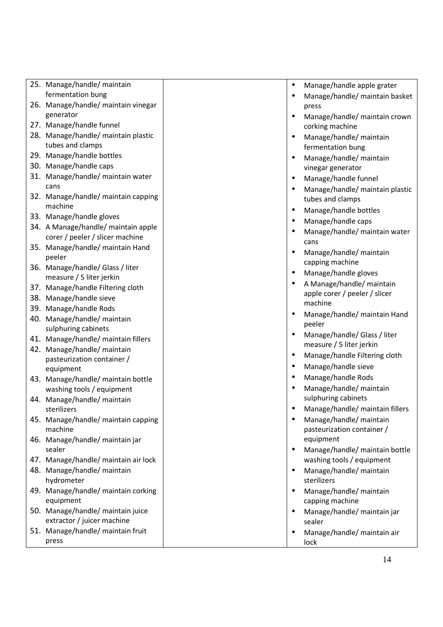| 25. Manage/handle/ maintain<br>fermentation bung                       | $\bullet$ | Manage/handle apple grater                               |
|------------------------------------------------------------------------|-----------|----------------------------------------------------------|
| 26. Manage/handle/ maintain vinegar                                    |           | Manage/handle/ maintain basket<br>press                  |
| generator<br>27. Manage/handle funnel                                  | $\bullet$ | Manage/handle/ maintain crown                            |
| 28. Manage/handle/ maintain plastic                                    |           | corking machine<br>Manage/handle/ maintain               |
| tubes and clamps                                                       |           | fermentation bung                                        |
| 29. Manage/handle bottles<br>30. Manage/handle caps                    | $\bullet$ | Manage/handle/ maintain                                  |
| 31. Manage/handle/ maintain water                                      |           | vinegar generator                                        |
| cans                                                                   | $\bullet$ | Manage/handle funnel<br>Manage/handle/ maintain plastic  |
| 32. Manage/handle/ maintain capping                                    |           | tubes and clamps                                         |
| machine                                                                |           | Manage/handle bottles                                    |
| 33. Manage/handle gloves                                               |           | Manage/handle caps                                       |
| 34. A Manage/handle/ maintain apple<br>corer / peeler / slicer machine |           | Manage/handle/ maintain water                            |
| 35. Manage/handle/ maintain Hand                                       |           | cans                                                     |
| peeler                                                                 |           | Manage/handle/ maintain<br>capping machine               |
| 36. Manage/handle/ Glass / liter                                       | $\bullet$ | Manage/handle gloves                                     |
| measure / 5 liter jerkin                                               |           | A Manage/handle/ maintain                                |
| 37. Manage/handle Filtering cloth                                      |           | apple corer / peeler / slicer                            |
| 38. Manage/handle sieve                                                |           | machine                                                  |
| 39. Manage/handle Rods<br>40. Manage/handle/ maintain                  | $\bullet$ | Manage/handle/ maintain Hand                             |
| sulphuring cabinets                                                    |           | peeler                                                   |
| 41. Manage/handle/ maintain fillers                                    |           | Manage/handle/ Glass / liter<br>measure / 5 liter jerkin |
| 42. Manage/handle/ maintain                                            |           | Manage/handle Filtering cloth                            |
| pasteurization container /                                             |           | Manage/handle sieve                                      |
| equipment                                                              |           | Manage/handle Rods                                       |
| 43. Manage/handle/ maintain bottle<br>washing tools / equipment        |           | Manage/handle/ maintain                                  |
| 44. Manage/handle/ maintain                                            |           | sulphuring cabinets                                      |
| sterilizers                                                            |           | Manage/handle/ maintain fillers                          |
| 45. Manage/handle/ maintain capping                                    |           | Manage/handle/ maintain                                  |
| machine                                                                |           | pasteurization container /                               |
| 46. Manage/handle/ maintain jar<br>sealer                              |           | equipment<br>Manage/handle/ maintain bottle              |
| 47. Manage/handle/ maintain air lock                                   |           | washing tools / equipment                                |
| 48. Manage/handle/ maintain                                            | $\bullet$ | Manage/handle/ maintain                                  |
| hydrometer                                                             |           | sterilizers                                              |
| 49. Manage/handle/ maintain corking<br>equipment                       |           | Manage/handle/ maintain<br>capping machine               |
| 50. Manage/handle/ maintain juice                                      |           | Manage/handle/ maintain jar                              |
| extractor / juicer machine                                             |           | sealer                                                   |
| 51. Manage/handle/ maintain fruit                                      | $\bullet$ | Manage/handle/ maintain air                              |
| press                                                                  |           | lock                                                     |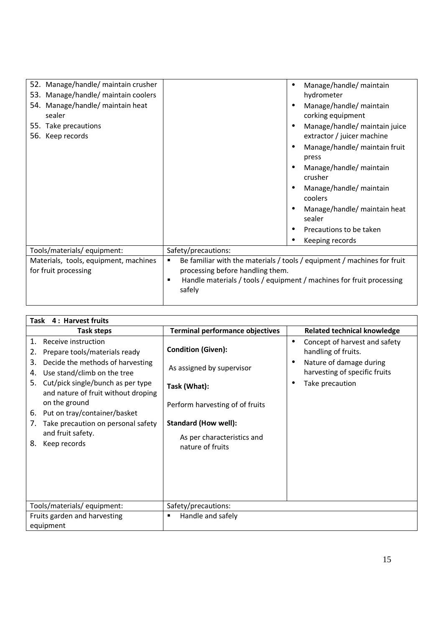| 52. Manage/handle/ maintain crusher<br>53. Manage/handle/ maintain coolers |                                                                                                                                                                                                         | Manage/handle/ maintain<br>hydrometer                       |  |
|----------------------------------------------------------------------------|---------------------------------------------------------------------------------------------------------------------------------------------------------------------------------------------------------|-------------------------------------------------------------|--|
| 54. Manage/handle/ maintain heat<br>sealer                                 |                                                                                                                                                                                                         | Manage/handle/ maintain<br>corking equipment                |  |
| 55. Take precautions<br>56. Keep records                                   |                                                                                                                                                                                                         | Manage/handle/ maintain juice<br>extractor / juicer machine |  |
|                                                                            |                                                                                                                                                                                                         | Manage/handle/ maintain fruit<br>press                      |  |
|                                                                            |                                                                                                                                                                                                         | Manage/handle/ maintain<br>crusher                          |  |
|                                                                            |                                                                                                                                                                                                         | Manage/handle/ maintain<br>coolers                          |  |
|                                                                            |                                                                                                                                                                                                         | Manage/handle/ maintain heat<br>sealer                      |  |
|                                                                            |                                                                                                                                                                                                         | Precautions to be taken                                     |  |
|                                                                            |                                                                                                                                                                                                         | Keeping records                                             |  |
| Tools/materials/ equipment:                                                | Safety/precautions:                                                                                                                                                                                     |                                                             |  |
| Materials, tools, equipment, machines<br>for fruit processing              | Be familiar with the materials / tools / equipment / machines for fruit<br>٠<br>processing before handling them.<br>Handle materials / tools / equipment / machines for fruit processing<br>п<br>safely |                                                             |  |

 $\mathsf{l}$ 

| Task 4: Harvest fruits                                                                                                                                                                                                                                                                                                                                                          |                                                                                                                                                                                            |                                                                                                                                                  |  |
|---------------------------------------------------------------------------------------------------------------------------------------------------------------------------------------------------------------------------------------------------------------------------------------------------------------------------------------------------------------------------------|--------------------------------------------------------------------------------------------------------------------------------------------------------------------------------------------|--------------------------------------------------------------------------------------------------------------------------------------------------|--|
| Task steps                                                                                                                                                                                                                                                                                                                                                                      | <b>Terminal performance objectives</b>                                                                                                                                                     | <b>Related technical knowledge</b>                                                                                                               |  |
| Receive instruction<br>1.<br>Prepare tools/materials ready<br>2.<br>Decide the methods of harvesting<br>3.<br>Use stand/climb on the tree<br>4.<br>Cut/pick single/bunch as per type<br>5.<br>and nature of fruit without droping<br>on the ground<br>Put on tray/container/basket<br>6.<br>Take precaution on personal safety<br>7.<br>and fruit safety.<br>Keep records<br>8. | <b>Condition (Given):</b><br>As assigned by supervisor<br>Task (What):<br>Perform harvesting of of fruits<br><b>Standard (How well):</b><br>As per characteristics and<br>nature of fruits | Concept of harvest and safety<br>$\bullet$<br>handling of fruits.<br>Nature of damage during<br>harvesting of specific fruits<br>Take precaution |  |
| Tools/materials/equipment:                                                                                                                                                                                                                                                                                                                                                      | Safety/precautions:                                                                                                                                                                        |                                                                                                                                                  |  |
| Fruits garden and harvesting<br>equipment                                                                                                                                                                                                                                                                                                                                       | Handle and safely<br>٠                                                                                                                                                                     |                                                                                                                                                  |  |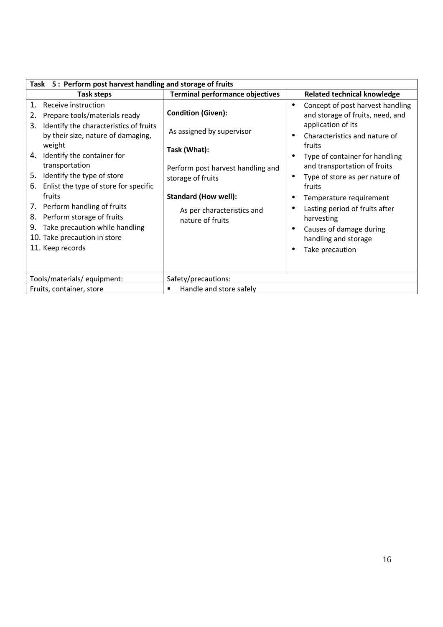| Task 5: Perform post harvest handling and storage of fruits                                                                                                                                  |                                                                                                                                    |                                                                                                                                                                                  |  |  |  |
|----------------------------------------------------------------------------------------------------------------------------------------------------------------------------------------------|------------------------------------------------------------------------------------------------------------------------------------|----------------------------------------------------------------------------------------------------------------------------------------------------------------------------------|--|--|--|
| Task steps                                                                                                                                                                                   | <b>Terminal performance objectives</b>                                                                                             | <b>Related technical knowledge</b>                                                                                                                                               |  |  |  |
| Receive instruction<br>1.<br>Prepare tools/materials ready<br>Identify the characteristics of fruits<br>3.                                                                                   | <b>Condition (Given):</b>                                                                                                          | Concept of post harvest handling<br>$\bullet$<br>and storage of fruits, need, and<br>application of its                                                                          |  |  |  |
| by their size, nature of damaging,<br>weight<br>4. Identify the container for<br>transportation<br>Identify the type of store<br>5.<br>Enlist the type of store for specific<br>6.<br>fruits | As assigned by supervisor<br>Task (What):<br>Perform post harvest handling and<br>storage of fruits<br><b>Standard (How well):</b> | Characteristics and nature of<br>fruits<br>Type of container for handling<br>and transportation of fruits<br>Type of store as per nature of<br>fruits<br>Temperature requirement |  |  |  |
| 7. Perform handling of fruits<br>Perform storage of fruits<br>8.<br>Take precaution while handling<br>9.<br>10. Take precaution in store<br>11. Keep records                                 | As per characteristics and<br>nature of fruits                                                                                     | Lasting period of fruits after<br>harvesting<br>Causes of damage during<br>handling and storage<br>Take precaution                                                               |  |  |  |
| Tools/materials/ equipment:                                                                                                                                                                  | Safety/precautions:                                                                                                                |                                                                                                                                                                                  |  |  |  |
| Fruits, container, store                                                                                                                                                                     | Handle and store safely<br>٠                                                                                                       |                                                                                                                                                                                  |  |  |  |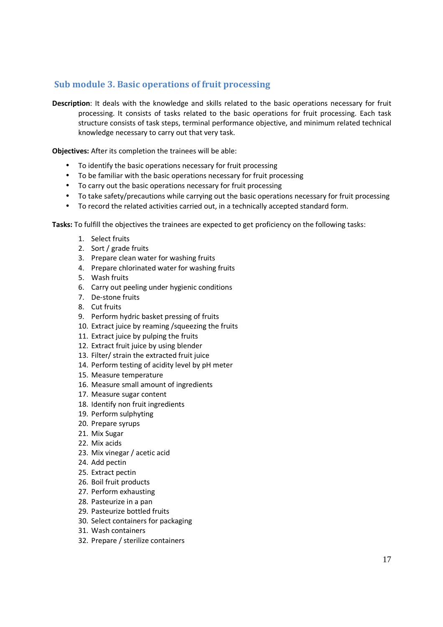### **Sub module 3. Basic operations of fruit processing**

**Description**: It deals with the knowledge and skills related to the basic operations necessary for fruit processing. It consists of tasks related to the basic operations for fruit processing. Each task structure consists of task steps, terminal performance objective, and minimum related technical knowledge necessary to carry out that very task.

**Objectives:** After its completion the trainees will be able:

- To identify the basic operations necessary for fruit processing
- To be familiar with the basic operations necessary for fruit processing
- To carry out the basic operations necessary for fruit processing
- To take safety/precautions while carrying out the basic operations necessary for fruit processing
- To record the related activities carried out, in a technically accepted standard form.

**Tasks:** To fulfill the objectives the trainees are expected to get proficiency on the following tasks:

- 1. Select fruits
- 2. Sort / grade fruits
- 3. Prepare clean water for washing fruits
- 4. Prepare chlorinated water for washing fruits
- 5. Wash fruits
- 6. Carry out peeling under hygienic conditions
- 7. De-stone fruits
- 8. Cut fruits
- 9. Perform hydric basket pressing of fruits
- 10. Extract juice by reaming /squeezing the fruits
- 11. Extract juice by pulping the fruits
- 12. Extract fruit juice by using blender
- 13. Filter/ strain the extracted fruit juice
- 14. Perform testing of acidity level by pH meter
- 15. Measure temperature
- 16. Measure small amount of ingredients
- 17. Measure sugar content
- 18. Identify non fruit ingredients
- 19. Perform sulphyting
- 20. Prepare syrups
- 21. Mix Sugar
- 22. Mix acids
- 23. Mix vinegar / acetic acid
- 24. Add pectin
- 25. Extract pectin
- 26. Boil fruit products
- 27. Perform exhausting
- 28. Pasteurize in a pan
- 29. Pasteurize bottled fruits
- 30. Select containers for packaging
- 31. Wash containers
- 32. Prepare / sterilize containers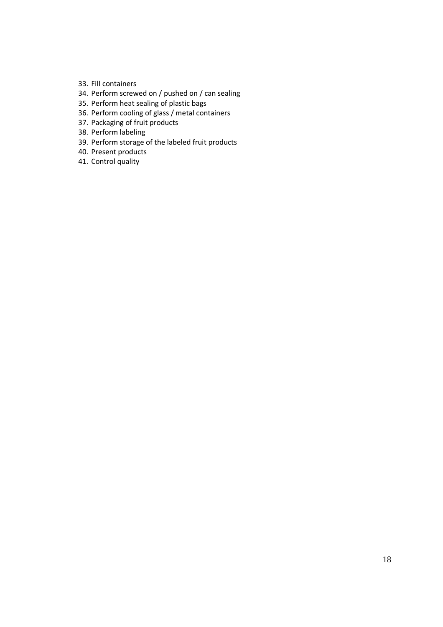- 33. Fill containers
- 34. Perform screwed on / pushed on / can sealing
- 35. Perform heat sealing of plastic bags
- 36. Perform cooling of glass / metal containers
- 37. Packaging of fruit products
- 38. Perform labeling
- 39. Perform storage of the labeled fruit products
- 40. Present products
- 41. Control quality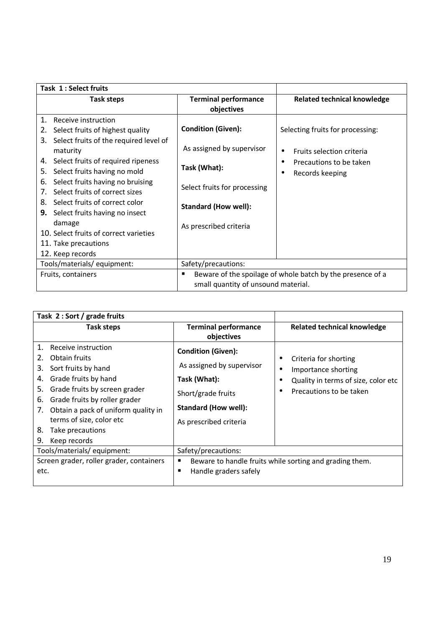| Task 1: Select fruits                                                                                                                                                                                                                                                                                                                                                                                                                                                               |                                                                                                                                                                 |                                                                                                                                            |
|-------------------------------------------------------------------------------------------------------------------------------------------------------------------------------------------------------------------------------------------------------------------------------------------------------------------------------------------------------------------------------------------------------------------------------------------------------------------------------------|-----------------------------------------------------------------------------------------------------------------------------------------------------------------|--------------------------------------------------------------------------------------------------------------------------------------------|
| Task steps                                                                                                                                                                                                                                                                                                                                                                                                                                                                          | <b>Terminal performance</b><br>objectives                                                                                                                       | <b>Related technical knowledge</b>                                                                                                         |
| 1.<br>Receive instruction<br>Select fruits of highest quality<br>2.<br>Select fruits of the required level of<br>3.<br>maturity<br>Select fruits of required ripeness<br>4.<br>Select fruits having no mold<br>5.<br>Select fruits having no bruising<br>6.<br>Select fruits of correct sizes<br>7.<br>Select fruits of correct color<br>8.<br>Select fruits having no insect<br>9.<br>damage<br>10. Select fruits of correct varieties<br>11. Take precautions<br>12. Keep records | <b>Condition (Given):</b><br>As assigned by supervisor<br>Task (What):<br>Select fruits for processing<br><b>Standard (How well):</b><br>As prescribed criteria | Selecting fruits for processing:<br>Fruits selection criteria<br>$\bullet$<br>Precautions to be taken<br>$\bullet$<br>Records keeping<br>٠ |
| Tools/materials/ equipment:                                                                                                                                                                                                                                                                                                                                                                                                                                                         | Safety/precautions:                                                                                                                                             |                                                                                                                                            |
| Fruits, containers                                                                                                                                                                                                                                                                                                                                                                                                                                                                  | Beware of the spoilage of whole batch by the presence of a<br>п<br>small quantity of unsound material.                                                          |                                                                                                                                            |

| Task 2 : Sort / grade fruits                                                                                                                                                                                                                                                                                       |                                                                                                                                                       |                                                                                                                |
|--------------------------------------------------------------------------------------------------------------------------------------------------------------------------------------------------------------------------------------------------------------------------------------------------------------------|-------------------------------------------------------------------------------------------------------------------------------------------------------|----------------------------------------------------------------------------------------------------------------|
| Task steps                                                                                                                                                                                                                                                                                                         | <b>Terminal performance</b><br>objectives                                                                                                             | <b>Related technical knowledge</b>                                                                             |
| 1.<br>Receive instruction<br>Obtain fruits<br>2.<br>Sort fruits by hand<br>3.<br>Grade fruits by hand<br>4.<br>Grade fruits by screen grader<br>5.<br>Grade fruits by roller grader<br>6.<br>Obtain a pack of uniform quality in<br>7.<br>terms of size, color etc<br>Take precautions<br>8.<br>9.<br>Keep records | <b>Condition (Given):</b><br>As assigned by supervisor<br>Task (What):<br>Short/grade fruits<br><b>Standard (How well):</b><br>As prescribed criteria | Criteria for shorting<br>Importance shorting<br>Quality in terms of size, color etc<br>Precautions to be taken |
| Tools/materials/equipment:                                                                                                                                                                                                                                                                                         | Safety/precautions:                                                                                                                                   |                                                                                                                |
| Screen grader, roller grader, containers<br>etc.                                                                                                                                                                                                                                                                   | Beware to handle fruits while sorting and grading them.<br>п<br>Handle graders safely<br>٠                                                            |                                                                                                                |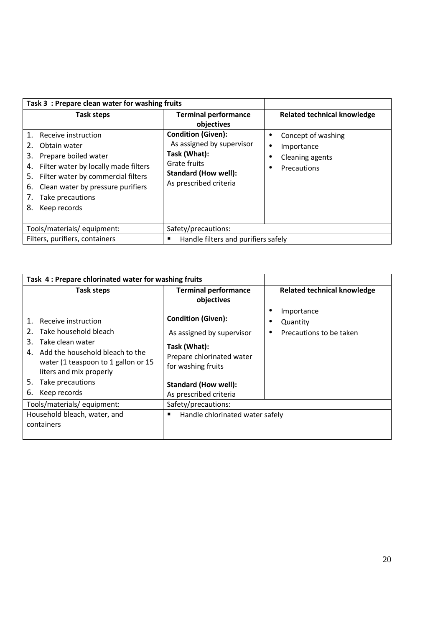| Task 3 : Prepare clean water for washing fruits                                                                                                                                                                                                           |                                                                                                                                                 |                                                                                 |
|-----------------------------------------------------------------------------------------------------------------------------------------------------------------------------------------------------------------------------------------------------------|-------------------------------------------------------------------------------------------------------------------------------------------------|---------------------------------------------------------------------------------|
| Task steps                                                                                                                                                                                                                                                | <b>Terminal performance</b><br>objectives                                                                                                       | <b>Related technical knowledge</b>                                              |
| 1. Receive instruction<br>Obtain water<br>Prepare boiled water<br>3.<br>Filter water by locally made filters<br>4.<br>Filter water by commercial filters<br>5.<br>Clean water by pressure purifiers<br>6.<br>Take precautions<br>7.<br>8.<br>Keep records | <b>Condition (Given):</b><br>As assigned by supervisor<br>Task (What):<br>Grate fruits<br><b>Standard (How well):</b><br>As prescribed criteria | Concept of washing<br>Importance<br>$\bullet$<br>Cleaning agents<br>Precautions |
| Tools/materials/equipment:                                                                                                                                                                                                                                | Safety/precautions:                                                                                                                             |                                                                                 |
| Filters, purifiers, containers                                                                                                                                                                                                                            | Handle filters and purifiers safely<br>■                                                                                                        |                                                                                 |

| Task 4: Prepare chlorinated water for washing fruits                                                                                                                                                                                                                                                  |                                                                                                                                                                                                                                                   |                                                   |
|-------------------------------------------------------------------------------------------------------------------------------------------------------------------------------------------------------------------------------------------------------------------------------------------------------|---------------------------------------------------------------------------------------------------------------------------------------------------------------------------------------------------------------------------------------------------|---------------------------------------------------|
| Task steps                                                                                                                                                                                                                                                                                            | <b>Terminal performance</b><br>objectives                                                                                                                                                                                                         | <b>Related technical knowledge</b>                |
| Receive instruction<br>Take household bleach<br>2.<br>Take clean water<br>З.<br>Add the household bleach to the<br>4.<br>water (1 teaspoon to 1 gallon or 15<br>liters and mix properly<br>5.<br>Take precautions<br>6.<br>Keep records<br>Tools/materials/equipment:<br>Household bleach, water, and | <b>Condition (Given):</b><br>As assigned by supervisor<br>Task (What):<br>Prepare chlorinated water<br>for washing fruits<br><b>Standard (How well):</b><br>As prescribed criteria<br>Safety/precautions:<br>Handle chlorinated water safely<br>п | Importance<br>Quantity<br>Precautions to be taken |
| containers                                                                                                                                                                                                                                                                                            |                                                                                                                                                                                                                                                   |                                                   |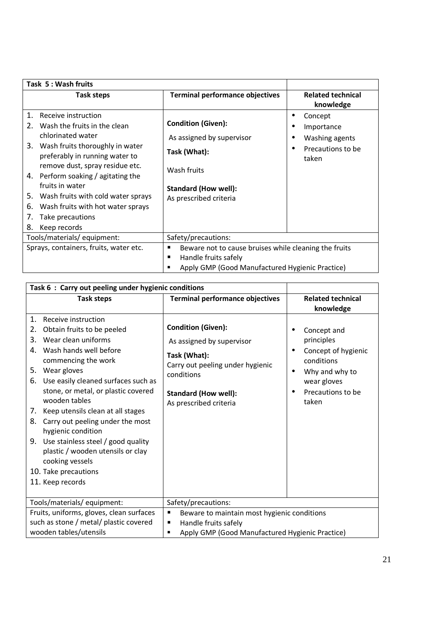| Task 5: Wash fruits                                                                                                                                                                                            |                                                                                                                                       |                                                                       |
|----------------------------------------------------------------------------------------------------------------------------------------------------------------------------------------------------------------|---------------------------------------------------------------------------------------------------------------------------------------|-----------------------------------------------------------------------|
| <b>Task steps</b>                                                                                                                                                                                              | <b>Terminal performance objectives</b>                                                                                                | <b>Related technical</b><br>knowledge                                 |
| 1.<br>Receive instruction<br>Wash the fruits in the clean<br>2 <sub>1</sub><br>chlorinated water<br>Wash fruits thoroughly in water<br>3.<br>preferably in running water to<br>remove dust, spray residue etc. | <b>Condition (Given):</b><br>As assigned by supervisor<br>Task (What):                                                                | Concept<br>Importance<br>Washing agents<br>Precautions to be<br>taken |
| 4. Perform soaking / agitating the<br>fruits in water<br>5.<br>Wash fruits with cold water sprays<br>Wash fruits with hot water sprays<br>6.<br>Take precautions<br>7.<br>Keep records<br>8.                   | Wash fruits<br><b>Standard (How well):</b><br>As prescribed criteria                                                                  |                                                                       |
| Tools/materials/ equipment:                                                                                                                                                                                    | Safety/precautions:                                                                                                                   |                                                                       |
| Sprays, containers, fruits, water etc.                                                                                                                                                                         | Beware not to cause bruises while cleaning the fruits<br>Handle fruits safely<br>ш<br>Apply GMP (Good Manufactured Hygienic Practice) |                                                                       |

| Task 6 : Carry out peeling under hygienic conditions                                                                                                                                                                                                                                                                                                                                                                                                                                                                                   |                                                                                                                                                                                   |                                                                                                                               |
|----------------------------------------------------------------------------------------------------------------------------------------------------------------------------------------------------------------------------------------------------------------------------------------------------------------------------------------------------------------------------------------------------------------------------------------------------------------------------------------------------------------------------------------|-----------------------------------------------------------------------------------------------------------------------------------------------------------------------------------|-------------------------------------------------------------------------------------------------------------------------------|
| <b>Task steps</b>                                                                                                                                                                                                                                                                                                                                                                                                                                                                                                                      | <b>Terminal performance objectives</b>                                                                                                                                            | <b>Related technical</b><br>knowledge                                                                                         |
| 1.<br>Receive instruction<br>Obtain fruits to be peeled<br>2.<br>Wear clean uniforms<br>3.<br>Wash hands well before<br>4.<br>commencing the work<br>Wear gloves<br>5.<br>Use easily cleaned surfaces such as<br>6.<br>stone, or metal, or plastic covered<br>wooden tables<br>Keep utensils clean at all stages<br>7.<br>8.<br>Carry out peeling under the most<br>hygienic condition<br>Use stainless steel / good quality<br>9.<br>plastic / wooden utensils or clay<br>cooking vessels<br>10. Take precautions<br>11. Keep records | <b>Condition (Given):</b><br>As assigned by supervisor<br>Task (What):<br>Carry out peeling under hygienic<br>conditions<br><b>Standard (How well):</b><br>As prescribed criteria | Concept and<br>principles<br>Concept of hygienic<br>conditions<br>Why and why to<br>wear gloves<br>Precautions to be<br>taken |
| Tools/materials/ equipment:                                                                                                                                                                                                                                                                                                                                                                                                                                                                                                            | Safety/precautions:                                                                                                                                                               |                                                                                                                               |
| Fruits, uniforms, gloves, clean surfaces                                                                                                                                                                                                                                                                                                                                                                                                                                                                                               | Beware to maintain most hygienic conditions<br>Е                                                                                                                                  |                                                                                                                               |
| such as stone / metal/ plastic covered                                                                                                                                                                                                                                                                                                                                                                                                                                                                                                 | Handle fruits safely<br>п                                                                                                                                                         |                                                                                                                               |
| wooden tables/utensils                                                                                                                                                                                                                                                                                                                                                                                                                                                                                                                 | Apply GMP (Good Manufactured Hygienic Practice)<br>٠                                                                                                                              |                                                                                                                               |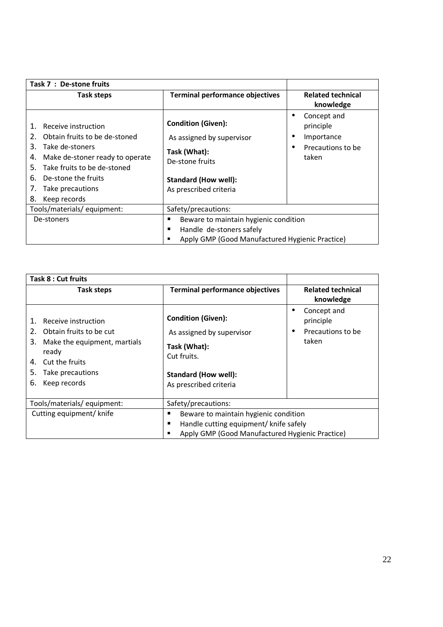| Task 7 : De-stone fruits                                                                                                                                                                                                                        |                                                                                                                                                    |                                                                                   |
|-------------------------------------------------------------------------------------------------------------------------------------------------------------------------------------------------------------------------------------------------|----------------------------------------------------------------------------------------------------------------------------------------------------|-----------------------------------------------------------------------------------|
| Task steps                                                                                                                                                                                                                                      | <b>Terminal performance objectives</b>                                                                                                             | <b>Related technical</b><br>knowledge                                             |
| Receive instruction<br>Obtain fruits to be de-stoned<br>2.<br>3.<br>Take de-stoners<br>Make de-stoner ready to operate<br>4.<br>Take fruits to be de-stoned<br>.5.<br>De-stone the fruits<br>6.<br>Take precautions<br>7.<br>Keep records<br>8. | <b>Condition (Given):</b><br>As assigned by supervisor<br>Task (What):<br>De-stone fruits<br><b>Standard (How well):</b><br>As prescribed criteria | Concept and<br>$\bullet$<br>principle<br>Importance<br>Precautions to be<br>taken |
| Tools/materials/equipment:                                                                                                                                                                                                                      | Safety/precautions:                                                                                                                                |                                                                                   |
| De-stoners                                                                                                                                                                                                                                      | Beware to maintain hygienic condition<br>п                                                                                                         |                                                                                   |
|                                                                                                                                                                                                                                                 | Handle de-stoners safely<br>п                                                                                                                      |                                                                                   |
|                                                                                                                                                                                                                                                 | Apply GMP (Good Manufactured Hygienic Practice)<br>■                                                                                               |                                                                                   |

| Task 8 : Cut fruits                                                                                                                                                         |                                                                                                                                                   |                                                                                  |
|-----------------------------------------------------------------------------------------------------------------------------------------------------------------------------|---------------------------------------------------------------------------------------------------------------------------------------------------|----------------------------------------------------------------------------------|
| Task steps                                                                                                                                                                  | <b>Terminal performance objectives</b>                                                                                                            | <b>Related technical</b><br>knowledge                                            |
| Receive instruction<br>Obtain fruits to be cut<br>2.<br>3.<br>Make the equipment, martials<br>ready<br>Cut the fruits<br>4.<br>5.<br>Take precautions<br>Keep records<br>6. | <b>Condition (Given):</b><br>As assigned by supervisor<br>Task (What):<br>Cut fruits.<br><b>Standard (How well):</b><br>As prescribed criteria    | Concept and<br>$\bullet$<br>principle<br>Precautions to be<br>$\bullet$<br>taken |
| Tools/materials/equipment:                                                                                                                                                  | Safety/precautions:                                                                                                                               |                                                                                  |
| Cutting equipment/ knife                                                                                                                                                    | Beware to maintain hygienic condition<br>٠<br>Handle cutting equipment/ knife safely<br>п<br>Apply GMP (Good Manufactured Hygienic Practice)<br>٠ |                                                                                  |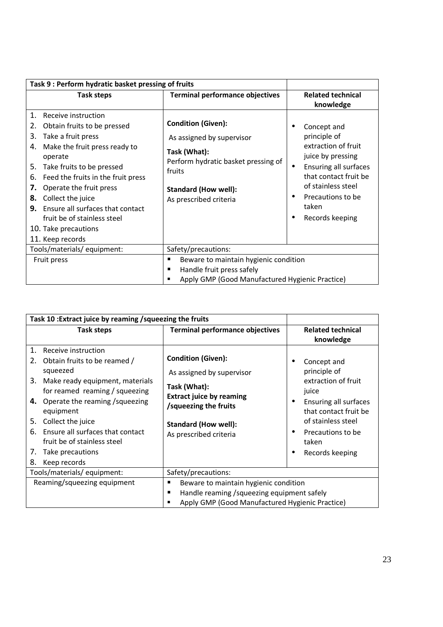| Task 9 : Perform hydratic basket pressing of fruits                                                                                                                                                                                                                                                                                                                                                          |                                                                                                                                                                                  |                                                                                                                                                                                                  |
|--------------------------------------------------------------------------------------------------------------------------------------------------------------------------------------------------------------------------------------------------------------------------------------------------------------------------------------------------------------------------------------------------------------|----------------------------------------------------------------------------------------------------------------------------------------------------------------------------------|--------------------------------------------------------------------------------------------------------------------------------------------------------------------------------------------------|
| <b>Task steps</b>                                                                                                                                                                                                                                                                                                                                                                                            | <b>Terminal performance objectives</b>                                                                                                                                           | <b>Related technical</b><br>knowledge                                                                                                                                                            |
| Receive instruction<br>1.<br>Obtain fruits to be pressed<br>2.<br>Take a fruit press<br>3.<br>Make the fruit press ready to<br>4.<br>operate<br>Take fruits to be pressed<br>5.<br>Feed the fruits in the fruit press<br>6.<br>Operate the fruit press<br>7.<br>Collect the juice<br>8.<br>Ensure all surfaces that contact<br>9.<br>fruit be of stainless steel<br>10. Take precautions<br>11. Keep records | <b>Condition (Given):</b><br>As assigned by supervisor<br>Task (What):<br>Perform hydratic basket pressing of<br>fruits<br><b>Standard (How well):</b><br>As prescribed criteria | Concept and<br>principle of<br>extraction of fruit<br>juice by pressing<br>Ensuring all surfaces<br>that contact fruit be<br>of stainless steel<br>Precautions to be<br>taken<br>Records keeping |
| Tools/materials/ equipment:                                                                                                                                                                                                                                                                                                                                                                                  | Safety/precautions:                                                                                                                                                              |                                                                                                                                                                                                  |
| Fruit press                                                                                                                                                                                                                                                                                                                                                                                                  | Beware to maintain hygienic condition<br>п<br>Handle fruit press safely<br>п<br>Apply GMP (Good Manufactured Hygienic Practice)<br>п                                             |                                                                                                                                                                                                  |

| Task 10 : Extract juice by reaming / squeezing the fruits                                                                                                                                                                                                                                                                                                     |                                                                                                                                                                                             |                                                                                                                                                                                                                    |
|---------------------------------------------------------------------------------------------------------------------------------------------------------------------------------------------------------------------------------------------------------------------------------------------------------------------------------------------------------------|---------------------------------------------------------------------------------------------------------------------------------------------------------------------------------------------|--------------------------------------------------------------------------------------------------------------------------------------------------------------------------------------------------------------------|
| Task steps                                                                                                                                                                                                                                                                                                                                                    | <b>Terminal performance objectives</b>                                                                                                                                                      | <b>Related technical</b><br>knowledge                                                                                                                                                                              |
| 1.<br>Receive instruction<br>Obtain fruits to be reamed /<br>2.<br>squeezed<br>3.<br>Make ready equipment, materials<br>for reamed reaming / squeezing<br>4. Operate the reaming / squeezing<br>equipment<br>5.<br>Collect the juice<br>Ensure all surfaces that contact<br>6.<br>fruit be of stainless steel<br>7.<br>Take precautions<br>8.<br>Keep records | <b>Condition (Given):</b><br>As assigned by supervisor<br>Task (What):<br><b>Extract juice by reaming</b><br>/squeezing the fruits<br><b>Standard (How well):</b><br>As prescribed criteria | Concept and<br>principle of<br>extraction of fruit<br>juice<br><b>Ensuring all surfaces</b><br>٠<br>that contact fruit be<br>of stainless steel<br>Precautions to be<br>$\bullet$<br>taken<br>Records keeping<br>٠ |
| Tools/materials/ equipment:                                                                                                                                                                                                                                                                                                                                   | Safety/precautions:                                                                                                                                                                         |                                                                                                                                                                                                                    |
| Reaming/squeezing equipment                                                                                                                                                                                                                                                                                                                                   | Beware to maintain hygienic condition<br>п<br>Handle reaming / squeezing equipment safely<br>п<br>Apply GMP (Good Manufactured Hygienic Practice)                                           |                                                                                                                                                                                                                    |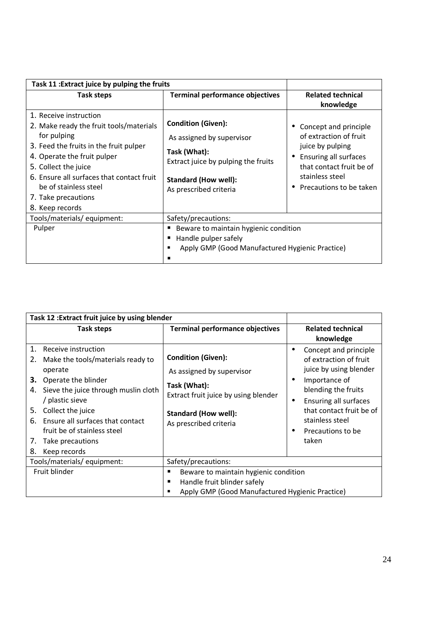| Task 11 : Extract juice by pulping the fruits                                                                                                                                                                                                                                                     |                                                                                                                                                                        |                                                                                                                                                                               |
|---------------------------------------------------------------------------------------------------------------------------------------------------------------------------------------------------------------------------------------------------------------------------------------------------|------------------------------------------------------------------------------------------------------------------------------------------------------------------------|-------------------------------------------------------------------------------------------------------------------------------------------------------------------------------|
| Task steps                                                                                                                                                                                                                                                                                        | <b>Terminal performance objectives</b>                                                                                                                                 | <b>Related technical</b><br>knowledge                                                                                                                                         |
| 1. Receive instruction<br>2. Make ready the fruit tools/materials<br>for pulping<br>3. Feed the fruits in the fruit pulper<br>4. Operate the fruit pulper<br>5. Collect the juice<br>6. Ensure all surfaces that contact fruit<br>be of stainless steel<br>7. Take precautions<br>8. Keep records | <b>Condition (Given):</b><br>As assigned by supervisor<br>Task (What):<br>Extract juice by pulping the fruits<br><b>Standard (How well):</b><br>As prescribed criteria | Concept and principle<br>of extraction of fruit<br>juice by pulping<br><b>Ensuring all surfaces</b><br>that contact fruit be of<br>stainless steel<br>Precautions to be taken |
| Tools/materials/equipment:                                                                                                                                                                                                                                                                        | Safety/precautions:                                                                                                                                                    |                                                                                                                                                                               |
| Pulper                                                                                                                                                                                                                                                                                            | Beware to maintain hygienic condition<br>Handle pulper safely<br>Apply GMP (Good Manufactured Hygienic Practice)                                                       |                                                                                                                                                                               |

| Task 12 : Extract fruit juice by using blender                                                                                                                                                                                                                                                                                    |                                                                                                                                                                         |                                                                                                                                                                                                                                           |
|-----------------------------------------------------------------------------------------------------------------------------------------------------------------------------------------------------------------------------------------------------------------------------------------------------------------------------------|-------------------------------------------------------------------------------------------------------------------------------------------------------------------------|-------------------------------------------------------------------------------------------------------------------------------------------------------------------------------------------------------------------------------------------|
| Task steps                                                                                                                                                                                                                                                                                                                        | <b>Terminal performance objectives</b>                                                                                                                                  | <b>Related technical</b><br>knowledge                                                                                                                                                                                                     |
| 1.<br>Receive instruction<br>Make the tools/materials ready to<br>2.<br>operate<br>3.<br>Operate the blinder<br>Sieve the juice through muslin cloth<br>4.<br>/ plastic sieve<br>Collect the juice<br>5.<br>Ensure all surfaces that contact<br>6.<br>fruit be of stainless steel<br>Take precautions<br>7.<br>8.<br>Keep records | <b>Condition (Given):</b><br>As assigned by supervisor<br>Task (What):<br>Extract fruit juice by using blender<br><b>Standard (How well):</b><br>As prescribed criteria | Concept and principle<br>of extraction of fruit<br>juice by using blender<br>Importance of<br>$\bullet$<br>blending the fruits<br>Ensuring all surfaces<br>٠<br>that contact fruit be of<br>stainless steel<br>Precautions to be<br>taken |
| Tools/materials/equipment:                                                                                                                                                                                                                                                                                                        | Safety/precautions:                                                                                                                                                     |                                                                                                                                                                                                                                           |
| Fruit blinder                                                                                                                                                                                                                                                                                                                     | Beware to maintain hygienic condition<br>п<br>Handle fruit blinder safely<br>Apply GMP (Good Manufactured Hygienic Practice)<br>٠                                       |                                                                                                                                                                                                                                           |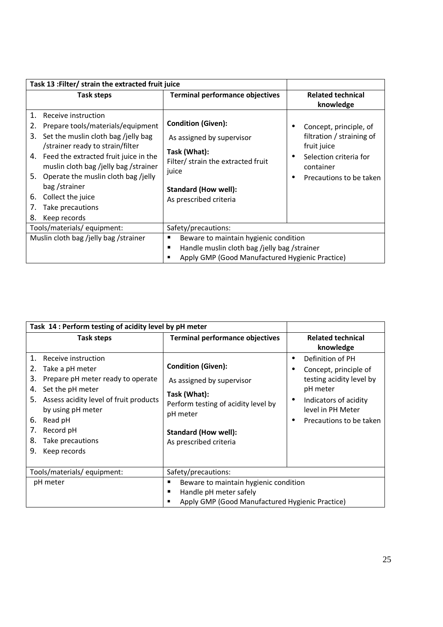| Task 13 : Filter/ strain the extracted fruit juice                                                                                                                                                                                                                                                                                                                              |                                                                                                                                                                                |                                                                                                                                      |
|---------------------------------------------------------------------------------------------------------------------------------------------------------------------------------------------------------------------------------------------------------------------------------------------------------------------------------------------------------------------------------|--------------------------------------------------------------------------------------------------------------------------------------------------------------------------------|--------------------------------------------------------------------------------------------------------------------------------------|
| Task steps                                                                                                                                                                                                                                                                                                                                                                      | <b>Terminal performance objectives</b>                                                                                                                                         | <b>Related technical</b><br>knowledge                                                                                                |
| 1.<br>Receive instruction<br>Prepare tools/materials/equipment<br>2.<br>Set the muslin cloth bag /jelly bag<br>3.<br>/strainer ready to strain/filter<br>4. Feed the extracted fruit juice in the<br>muslin cloth bag /jelly bag /strainer<br>5. Operate the muslin cloth bag /jelly<br>bag/strainer<br>Collect the juice<br>6.<br>Take precautions<br>7.<br>8.<br>Keep records | <b>Condition (Given):</b><br>As assigned by supervisor<br>Task (What):<br>Filter/ strain the extracted fruit<br>juice<br><b>Standard (How well):</b><br>As prescribed criteria | Concept, principle, of<br>filtration / straining of<br>fruit juice<br>Selection criteria for<br>container<br>Precautions to be taken |
| Tools/materials/ equipment:                                                                                                                                                                                                                                                                                                                                                     | Safety/precautions:                                                                                                                                                            |                                                                                                                                      |
| Muslin cloth bag /jelly bag /strainer                                                                                                                                                                                                                                                                                                                                           | Beware to maintain hygienic condition<br>٠<br>Handle muslin cloth bag /jelly bag /strainer<br>п<br>Apply GMP (Good Manufactured Hygienic Practice)                             |                                                                                                                                      |

| Task 14 : Perform testing of acidity level by pH meter                                                                                                                                                                                                                           |                                                                                                                                                                                    |                                                                                                                                                                              |
|----------------------------------------------------------------------------------------------------------------------------------------------------------------------------------------------------------------------------------------------------------------------------------|------------------------------------------------------------------------------------------------------------------------------------------------------------------------------------|------------------------------------------------------------------------------------------------------------------------------------------------------------------------------|
| Task steps                                                                                                                                                                                                                                                                       | <b>Terminal performance objectives</b>                                                                                                                                             | <b>Related technical</b><br>knowledge                                                                                                                                        |
| 1.<br>Receive instruction<br>Take a pH meter<br>2.<br>3.<br>Prepare pH meter ready to operate<br>Set the pH meter<br>4.<br>Assess acidity level of fruit products<br>5.<br>by using pH meter<br>Read pH<br>6.<br>Record pH<br>7.<br>8.<br>Take precautions<br>9.<br>Keep records | <b>Condition (Given):</b><br>As assigned by supervisor<br>Task (What):<br>Perform testing of acidity level by<br>pH meter<br><b>Standard (How well):</b><br>As prescribed criteria | Definition of PH<br>Concept, principle of<br>٠<br>testing acidity level by<br>pH meter<br>Indicators of acidity<br>$\bullet$<br>level in PH Meter<br>Precautions to be taken |
| Tools/materials/ equipment:                                                                                                                                                                                                                                                      | Safety/precautions:                                                                                                                                                                |                                                                                                                                                                              |
| pH meter                                                                                                                                                                                                                                                                         | Beware to maintain hygienic condition<br>Handle pH meter safely<br>Apply GMP (Good Manufactured Hygienic Practice)                                                                 |                                                                                                                                                                              |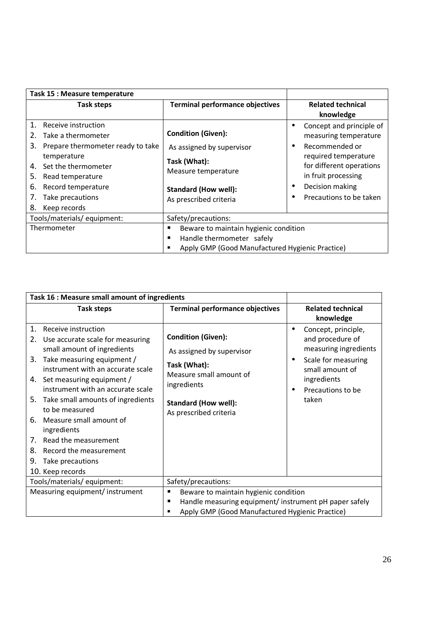| Task 15 : Measure temperature                                                                                                                                                                                                             |                                                                                                                                                        |                                                                                                                                                                                              |
|-------------------------------------------------------------------------------------------------------------------------------------------------------------------------------------------------------------------------------------------|--------------------------------------------------------------------------------------------------------------------------------------------------------|----------------------------------------------------------------------------------------------------------------------------------------------------------------------------------------------|
| <b>Task steps</b>                                                                                                                                                                                                                         | <b>Terminal performance objectives</b>                                                                                                                 | <b>Related technical</b><br>knowledge                                                                                                                                                        |
| 1. Receive instruction<br>Take a thermometer<br>2.<br>3.<br>Prepare thermometer ready to take<br>temperature<br>Set the thermometer<br>4.<br>Read temperature<br>5.<br>Record temperature<br>6.<br>Take precautions<br>8.<br>Keep records | <b>Condition (Given):</b><br>As assigned by supervisor<br>Task (What):<br>Measure temperature<br><b>Standard (How well):</b><br>As prescribed criteria | Concept and principle of<br>measuring temperature<br>Recommended or<br>required temperature<br>for different operations<br>in fruit processing<br>Decision making<br>Precautions to be taken |
| Tools/materials/equipment:                                                                                                                                                                                                                | Safety/precautions:                                                                                                                                    |                                                                                                                                                                                              |
| Thermometer                                                                                                                                                                                                                               | Beware to maintain hygienic condition<br>п<br>Handle thermometer safely<br>п<br>Apply GMP (Good Manufactured Hygienic Practice)<br>п                   |                                                                                                                                                                                              |

| Task 16 : Measure small amount of ingredients                                                                                                                                                                                                                                                                                                                                                                                                                                |                                                                                                                                                                           |                                                                                                                                                                                   |
|------------------------------------------------------------------------------------------------------------------------------------------------------------------------------------------------------------------------------------------------------------------------------------------------------------------------------------------------------------------------------------------------------------------------------------------------------------------------------|---------------------------------------------------------------------------------------------------------------------------------------------------------------------------|-----------------------------------------------------------------------------------------------------------------------------------------------------------------------------------|
| <b>Task steps</b>                                                                                                                                                                                                                                                                                                                                                                                                                                                            | <b>Terminal performance objectives</b>                                                                                                                                    | <b>Related technical</b><br>knowledge                                                                                                                                             |
| 1.<br>Receive instruction<br>2.<br>Use accurate scale for measuring<br>small amount of ingredients<br>Take measuring equipment /<br>3.<br>instrument with an accurate scale<br>Set measuring equipment /<br>4.<br>instrument with an accurate scale<br>Take small amounts of ingredients<br>5.<br>to be measured<br>Measure small amount of<br>6.<br>ingredients<br>Read the measurement<br>7.<br>8.<br>Record the measurement<br>9.<br>Take precautions<br>10. Keep records | <b>Condition (Given):</b><br>As assigned by supervisor<br>Task (What):<br>Measure small amount of<br>ingredients<br><b>Standard (How well):</b><br>As prescribed criteria | Concept, principle,<br>and procedure of<br>measuring ingredients<br>Scale for measuring<br>$\bullet$<br>small amount of<br>ingredients<br>Precautions to be<br>$\bullet$<br>taken |
| Tools/materials/equipment:                                                                                                                                                                                                                                                                                                                                                                                                                                                   | Safety/precautions:                                                                                                                                                       |                                                                                                                                                                                   |
| Measuring equipment/ instrument                                                                                                                                                                                                                                                                                                                                                                                                                                              | Beware to maintain hygienic condition<br>٠                                                                                                                                |                                                                                                                                                                                   |
|                                                                                                                                                                                                                                                                                                                                                                                                                                                                              | Handle measuring equipment/ instrument pH paper safely<br>п<br>Apply GMP (Good Manufactured Hygienic Practice)<br>■                                                       |                                                                                                                                                                                   |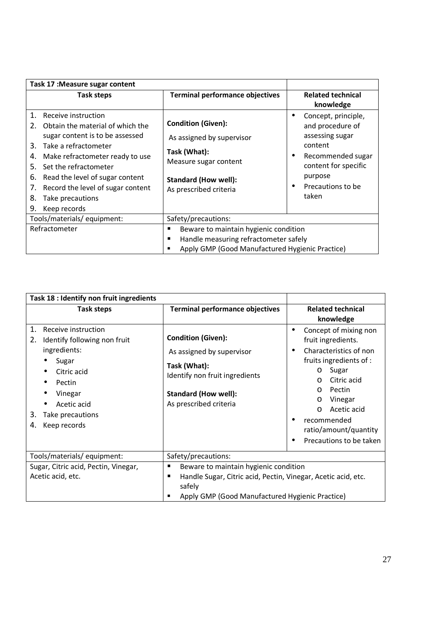| Task 17: Measure sugar content                                                                                                                                                                                                                                                                                                                   |                                                                                                                                                          |                                                                                                                                                                                            |
|--------------------------------------------------------------------------------------------------------------------------------------------------------------------------------------------------------------------------------------------------------------------------------------------------------------------------------------------------|----------------------------------------------------------------------------------------------------------------------------------------------------------|--------------------------------------------------------------------------------------------------------------------------------------------------------------------------------------------|
| <b>Task steps</b>                                                                                                                                                                                                                                                                                                                                | <b>Terminal performance objectives</b>                                                                                                                   | <b>Related technical</b><br>knowledge                                                                                                                                                      |
| 1.<br>Receive instruction<br>Obtain the material of which the<br>2.<br>sugar content is to be assessed<br>Take a refractometer<br>3.<br>Make refractometer ready to use<br>4.<br>Set the refractometer<br>5.<br>Read the level of sugar content<br>6.<br>Record the level of sugar content<br>7.<br>8.<br>Take precautions<br>9.<br>Keep records | <b>Condition (Given):</b><br>As assigned by supervisor<br>Task (What):<br>Measure sugar content<br><b>Standard (How well):</b><br>As prescribed criteria | Concept, principle,<br>$\bullet$<br>and procedure of<br>assessing sugar<br>content<br>Recommended sugar<br>٠<br>content for specific<br>purpose<br>Precautions to be<br>$\bullet$<br>taken |
| Tools/materials/equipment:                                                                                                                                                                                                                                                                                                                       | Safety/precautions:                                                                                                                                      |                                                                                                                                                                                            |
| Refractometer                                                                                                                                                                                                                                                                                                                                    | Beware to maintain hygienic condition<br>п<br>Handle measuring refractometer safely<br>п<br>Apply GMP (Good Manufactured Hygienic Practice)<br>■         |                                                                                                                                                                                            |

| Task 18 : Identify non fruit ingredients                                                                                                                                                    |                                                                                                                                                                                            |                                                                                                                                                                                                                                                                                                              |
|---------------------------------------------------------------------------------------------------------------------------------------------------------------------------------------------|--------------------------------------------------------------------------------------------------------------------------------------------------------------------------------------------|--------------------------------------------------------------------------------------------------------------------------------------------------------------------------------------------------------------------------------------------------------------------------------------------------------------|
| <b>Task steps</b>                                                                                                                                                                           | Terminal performance objectives                                                                                                                                                            | <b>Related technical</b><br>knowledge                                                                                                                                                                                                                                                                        |
| 1.<br>Receive instruction<br>2.<br>Identify following non fruit<br>ingredients:<br>Sugar<br>Citric acid<br>Pectin<br>Vinegar<br>Acetic acid<br>Take precautions<br>3.<br>Keep records<br>4. | <b>Condition (Given):</b><br>As assigned by supervisor<br>Task (What):<br>Identify non fruit ingredients<br><b>Standard (How well):</b><br>As prescribed criteria                          | Concept of mixing non<br>$\bullet$<br>fruit ingredients.<br>Characteristics of non<br>$\bullet$<br>fruits ingredients of :<br>Sugar<br>$\circ$<br>Citric acid<br>$\Omega$<br>Pectin<br>$\circ$<br>Vinegar<br>O<br>Acetic acid<br>$\Omega$<br>recommended<br>ratio/amount/quantity<br>Precautions to be taken |
| Tools/materials/equipment:                                                                                                                                                                  | Safety/precautions:                                                                                                                                                                        |                                                                                                                                                                                                                                                                                                              |
| Sugar, Citric acid, Pectin, Vinegar,<br>Acetic acid, etc.                                                                                                                                   | Beware to maintain hygienic condition<br>$\blacksquare$<br>Handle Sugar, Citric acid, Pectin, Vinegar, Acetic acid, etc.<br>п<br>safely<br>Apply GMP (Good Manufactured Hygienic Practice) |                                                                                                                                                                                                                                                                                                              |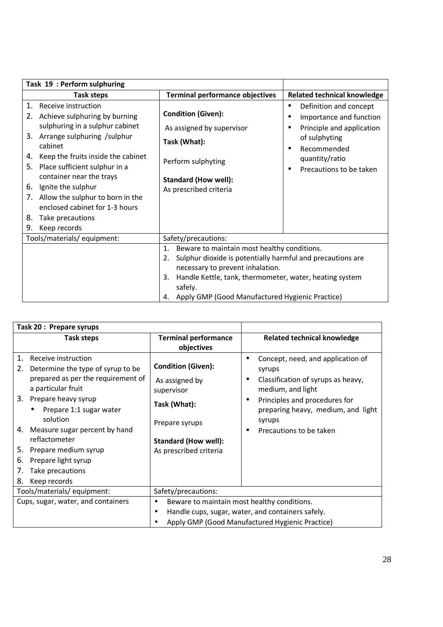| Task 19: Perform sulphuring                                                                                                                                                                                                                                                                                                                                                                                             |                                                                                                                                                                                                                                                                                             |                                                                                                                                                                                              |
|-------------------------------------------------------------------------------------------------------------------------------------------------------------------------------------------------------------------------------------------------------------------------------------------------------------------------------------------------------------------------------------------------------------------------|---------------------------------------------------------------------------------------------------------------------------------------------------------------------------------------------------------------------------------------------------------------------------------------------|----------------------------------------------------------------------------------------------------------------------------------------------------------------------------------------------|
| <b>Task steps</b>                                                                                                                                                                                                                                                                                                                                                                                                       | <b>Terminal performance objectives</b>                                                                                                                                                                                                                                                      | <b>Related technical knowledge</b>                                                                                                                                                           |
| 1.<br>Receive instruction<br>Achieve sulphuring by burning<br>2.<br>sulphuring in a sulphur cabinet<br>3. Arrange sulphuring /sulphur<br>cabinet<br>Keep the fruits inside the cabinet<br>4.<br>Place sufficient sulphur in a<br>5.<br>container near the trays<br>Ignite the sulphur<br>6.<br>Allow the sulphur to born in the<br>7.<br>enclosed cabinet for 1-3 hours<br>8.<br>Take precautions<br>Keep records<br>9. | <b>Condition (Given):</b><br>As assigned by supervisor<br>Task (What):<br>Perform sulphyting<br><b>Standard (How well):</b><br>As prescribed criteria                                                                                                                                       | Definition and concept<br>٠<br>Importance and function<br>٠<br>Principle and application<br>٠<br>of sulphyting<br>Recommended<br>٠<br>quantity/ratio<br>Precautions to be taken<br>$\bullet$ |
| Tools/materials/equipment:                                                                                                                                                                                                                                                                                                                                                                                              | Safety/precautions:                                                                                                                                                                                                                                                                         |                                                                                                                                                                                              |
|                                                                                                                                                                                                                                                                                                                                                                                                                         | Beware to maintain most healthy conditions.<br>1.<br>Sulphur dioxide is potentially harmful and precautions are<br>2.<br>necessary to prevent inhalation.<br>Handle Kettle, tank, thermometer, water, heating system<br>3.<br>safely.<br>4. Apply GMP (Good Manufactured Hygienic Practice) |                                                                                                                                                                                              |

| Task 20: Prepare syrups                                                                                                                                                                                                                                                                                                                                               |                                                                                                                                                      |                                                                                                                                                                                                                                      |
|-----------------------------------------------------------------------------------------------------------------------------------------------------------------------------------------------------------------------------------------------------------------------------------------------------------------------------------------------------------------------|------------------------------------------------------------------------------------------------------------------------------------------------------|--------------------------------------------------------------------------------------------------------------------------------------------------------------------------------------------------------------------------------------|
| Task steps                                                                                                                                                                                                                                                                                                                                                            | <b>Terminal performance</b><br>objectives                                                                                                            | <b>Related technical knowledge</b>                                                                                                                                                                                                   |
| Receive instruction<br>Determine the type of syrup to be<br>2.<br>prepared as per the requirement of<br>a particular fruit<br>3. Prepare heavy syrup<br>Prepare 1:1 sugar water<br>$\bullet$<br>solution<br>4. Measure sugar percent by hand<br>reflactometer<br>5. Prepare medium syrup<br>Prepare light syrup<br>6.<br>Take precautions<br>7.<br>Keep records<br>8. | <b>Condition (Given):</b><br>As assigned by<br>supervisor<br>Task (What):<br>Prepare syrups<br><b>Standard (How well):</b><br>As prescribed criteria | Concept, need, and application of<br>syrups<br>Classification of syrups as heavy,<br>٠<br>medium, and light<br>Principles and procedures for<br>$\bullet$<br>preparing heavy, medium, and light<br>syrups<br>Precautions to be taken |
| Tools/materials/ equipment:                                                                                                                                                                                                                                                                                                                                           | Safety/precautions:                                                                                                                                  |                                                                                                                                                                                                                                      |
| Cups, sugar, water, and containers                                                                                                                                                                                                                                                                                                                                    | Beware to maintain most healthy conditions.                                                                                                          |                                                                                                                                                                                                                                      |
|                                                                                                                                                                                                                                                                                                                                                                       | Handle cups, sugar, water, and containers safely.                                                                                                    |                                                                                                                                                                                                                                      |
|                                                                                                                                                                                                                                                                                                                                                                       |                                                                                                                                                      | Apply GMP (Good Manufactured Hygienic Practice)                                                                                                                                                                                      |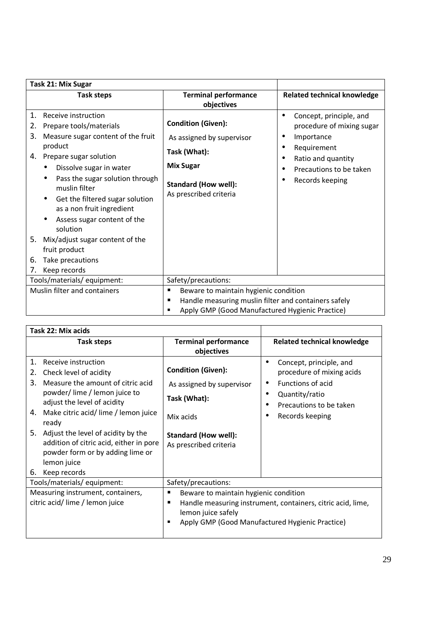| Task 21: Mix Sugar                                                 |                                                                                                                                                                                                                                                                                                                                                                                 |                                                                                                                                                            |                                                                                                                                                                         |
|--------------------------------------------------------------------|---------------------------------------------------------------------------------------------------------------------------------------------------------------------------------------------------------------------------------------------------------------------------------------------------------------------------------------------------------------------------------|------------------------------------------------------------------------------------------------------------------------------------------------------------|-------------------------------------------------------------------------------------------------------------------------------------------------------------------------|
|                                                                    | <b>Task steps</b>                                                                                                                                                                                                                                                                                                                                                               | <b>Terminal performance</b><br>objectives                                                                                                                  | <b>Related technical knowledge</b>                                                                                                                                      |
| 1.<br>2.<br>3.<br>product<br>4.<br>5.<br>fruit product<br>6.<br>7. | Receive instruction<br>Prepare tools/materials<br>Measure sugar content of the fruit<br>Prepare sugar solution<br>Dissolve sugar in water<br>Pass the sugar solution through<br>muslin filter<br>Get the filtered sugar solution<br>as a non fruit ingredient<br>Assess sugar content of the<br>solution<br>Mix/adjust sugar content of the<br>Take precautions<br>Keep records | <b>Condition (Given):</b><br>As assigned by supervisor<br>Task (What):<br><b>Mix Sugar</b><br><b>Standard (How well):</b><br>As prescribed criteria        | Concept, principle, and<br>$\bullet$<br>procedure of mixing sugar<br>Importance<br>٠<br>Requirement<br>Ratio and quantity<br>Precautions to be taken<br>Records keeping |
|                                                                    | Tools/materials/equipment:                                                                                                                                                                                                                                                                                                                                                      | Safety/precautions:                                                                                                                                        |                                                                                                                                                                         |
|                                                                    | Muslin filter and containers                                                                                                                                                                                                                                                                                                                                                    | Beware to maintain hygienic condition<br>п<br>Handle measuring muslin filter and containers safely<br>п<br>Apply GMP (Good Manufactured Hygienic Practice) |                                                                                                                                                                         |

| Task 22: Mix acids                                                                                                                                                                                                                                                                                                                                                                     |                                                                                                                                                                                              |                                                                                                                                                                               |
|----------------------------------------------------------------------------------------------------------------------------------------------------------------------------------------------------------------------------------------------------------------------------------------------------------------------------------------------------------------------------------------|----------------------------------------------------------------------------------------------------------------------------------------------------------------------------------------------|-------------------------------------------------------------------------------------------------------------------------------------------------------------------------------|
| <b>Task steps</b>                                                                                                                                                                                                                                                                                                                                                                      | <b>Terminal performance</b><br>objectives                                                                                                                                                    | <b>Related technical knowledge</b>                                                                                                                                            |
| 1.<br>Receive instruction<br>Check level of acidity<br>2.<br>Measure the amount of citric acid<br>3.<br>powder/lime / lemon juice to<br>adjust the level of acidity<br>Make citric acid/lime / lemon juice<br>4.<br>ready<br>5. Adjust the level of acidity by the<br>addition of citric acid, either in pore<br>powder form or by adding lime or<br>lemon juice<br>Keep records<br>6. | <b>Condition (Given):</b><br>As assigned by supervisor<br>Task (What):<br>Mix acids<br><b>Standard (How well):</b><br>As prescribed criteria                                                 | Concept, principle, and<br>$\bullet$<br>procedure of mixing acids<br>Functions of acid<br>Quantity/ratio<br>$\bullet$<br>Precautions to be taken<br>٠<br>Records keeping<br>٠ |
| Tools/materials/equipment:                                                                                                                                                                                                                                                                                                                                                             | Safety/precautions:                                                                                                                                                                          |                                                                                                                                                                               |
| Measuring instrument, containers,<br>citric acid/lime / lemon juice                                                                                                                                                                                                                                                                                                                    | Beware to maintain hygienic condition<br>٠<br>Handle measuring instrument, containers, citric acid, lime,<br>٠<br>lemon juice safely<br>Apply GMP (Good Manufactured Hygienic Practice)<br>п |                                                                                                                                                                               |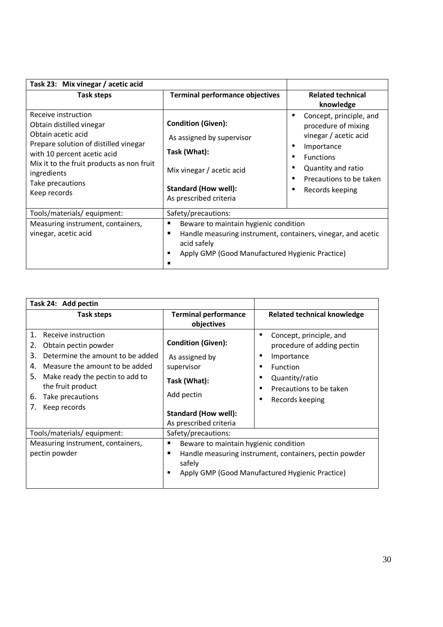| Task 23: Mix vinegar / acetic acid                                                                                                                                                                                                            |                                                                                                                                                                                        |                                                                                                                                                                               |
|-----------------------------------------------------------------------------------------------------------------------------------------------------------------------------------------------------------------------------------------------|----------------------------------------------------------------------------------------------------------------------------------------------------------------------------------------|-------------------------------------------------------------------------------------------------------------------------------------------------------------------------------|
| Task steps                                                                                                                                                                                                                                    | <b>Terminal performance objectives</b>                                                                                                                                                 | <b>Related technical</b><br>knowledge                                                                                                                                         |
| Receive instruction<br>Obtain distilled vinegar<br>Obtain acetic acid<br>Prepare solution of distilled vinegar<br>with 10 percent acetic acid<br>Mix it to the fruit products as non fruit<br>ingredients<br>Take precautions<br>Keep records | <b>Condition (Given):</b><br>As assigned by supervisor<br>Task (What):<br>Mix vinegar / acetic acid<br><b>Standard (How well):</b><br>As prescribed criteria                           | Concept, principle, and<br>procedure of mixing<br>vinegar / acetic acid<br>Importance<br><b>Functions</b><br>Quantity and ratio<br>Precautions to be taken<br>Records keeping |
| Tools/materials/ equipment:                                                                                                                                                                                                                   | Safety/precautions:                                                                                                                                                                    |                                                                                                                                                                               |
| Measuring instrument, containers,<br>vinegar, acetic acid                                                                                                                                                                                     | п<br>Beware to maintain hygienic condition<br>Handle measuring instrument, containers, vinegar, and acetic<br>п<br>acid safely<br>Apply GMP (Good Manufactured Hygienic Practice)<br>п |                                                                                                                                                                               |

| Task 24: Add pectin                                                                                                                                                                                                                                  |                                                                                                                                                  |                                                                                                                                                           |
|------------------------------------------------------------------------------------------------------------------------------------------------------------------------------------------------------------------------------------------------------|--------------------------------------------------------------------------------------------------------------------------------------------------|-----------------------------------------------------------------------------------------------------------------------------------------------------------|
| Task steps                                                                                                                                                                                                                                           | <b>Terminal performance</b><br>objectives                                                                                                        | <b>Related technical knowledge</b>                                                                                                                        |
| 1. Receive instruction<br>2.<br>Obtain pectin powder<br>3.<br>Determine the amount to be added<br>Measure the amount to be added<br>4.<br>5.<br>Make ready the pectin to add to<br>the fruit product<br>6.<br>Take precautions<br>7.<br>Keep records | <b>Condition (Given):</b><br>As assigned by<br>supervisor<br>Task (What):<br>Add pectin<br><b>Standard (How well):</b><br>As prescribed criteria | Concept, principle, and<br>٠<br>procedure of adding pectin<br>Importance<br>Function<br>Quantity/ratio<br>Precautions to be taken<br>Records keeping<br>٠ |
| Tools/materials/equipment:                                                                                                                                                                                                                           | Safety/precautions:                                                                                                                              |                                                                                                                                                           |
| Measuring instrument, containers,<br>pectin powder                                                                                                                                                                                                   | Beware to maintain hygienic condition<br>п<br>п<br>safely<br>п                                                                                   | Handle measuring instrument, containers, pectin powder<br>Apply GMP (Good Manufactured Hygienic Practice)                                                 |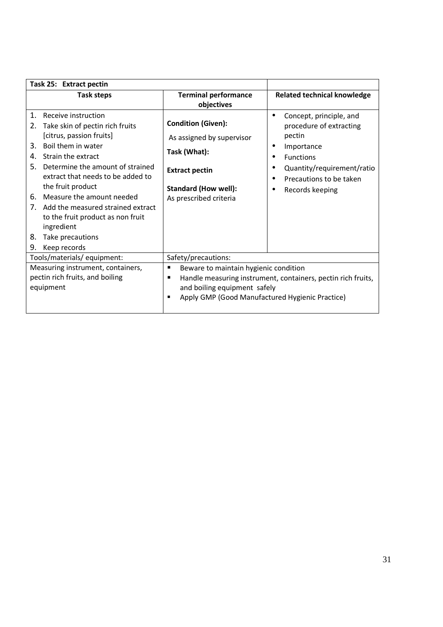| Task 25: Extract pectin                                                                                                                                                                                                                                                                                                                                                                                                                     |                                                                                                                                                                                                         |                                                                                                                                                                                                             |
|---------------------------------------------------------------------------------------------------------------------------------------------------------------------------------------------------------------------------------------------------------------------------------------------------------------------------------------------------------------------------------------------------------------------------------------------|---------------------------------------------------------------------------------------------------------------------------------------------------------------------------------------------------------|-------------------------------------------------------------------------------------------------------------------------------------------------------------------------------------------------------------|
| <b>Task steps</b>                                                                                                                                                                                                                                                                                                                                                                                                                           | <b>Terminal performance</b><br>objectives                                                                                                                                                               | <b>Related technical knowledge</b>                                                                                                                                                                          |
| 1.<br>Receive instruction<br>Take skin of pectin rich fruits<br>2.<br>[citrus, passion fruits]<br>Boil them in water<br>3.<br>Strain the extract<br>4.<br>5.<br>Determine the amount of strained<br>extract that needs to be added to<br>the fruit product<br>Measure the amount needed<br>6.<br>Add the measured strained extract<br>7.<br>to the fruit product as non fruit<br>ingredient<br>8.<br>Take precautions<br>Keep records<br>9. | <b>Condition (Given):</b><br>As assigned by supervisor<br>Task (What):<br><b>Extract pectin</b><br><b>Standard (How well):</b><br>As prescribed criteria                                                | Concept, principle, and<br>٠<br>procedure of extracting<br>pectin<br>Importance<br>٠<br><b>Functions</b><br>٠<br>Quantity/requirement/ratio<br>Precautions to be taken<br>٠<br>Records keeping<br>$\bullet$ |
| Tools/materials/equipment:                                                                                                                                                                                                                                                                                                                                                                                                                  | Safety/precautions:                                                                                                                                                                                     |                                                                                                                                                                                                             |
| Measuring instrument, containers,<br>pectin rich fruits, and boiling<br>equipment                                                                                                                                                                                                                                                                                                                                                           | Beware to maintain hygienic condition<br>п<br>Handle measuring instrument, containers, pectin rich fruits,<br>п<br>and boiling equipment safely<br>Apply GMP (Good Manufactured Hygienic Practice)<br>п |                                                                                                                                                                                                             |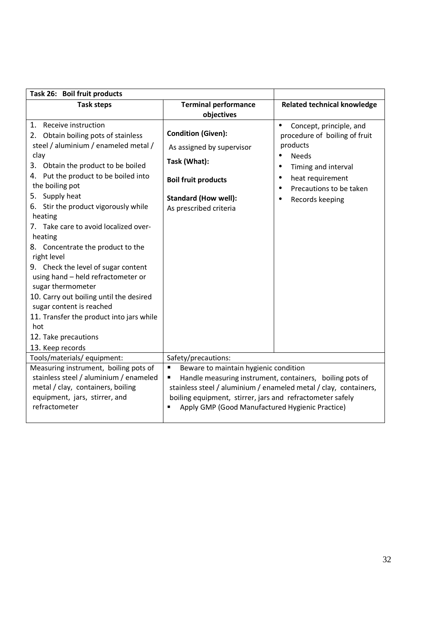| Task 26: Boil fruit products                                                                                                                                                                                                                                                                                                                                                                                                                                                                                                                                                                                                                                        |                                                                                                                                                                                                                                                                                                              |                                                                                                                                                                                                                           |
|---------------------------------------------------------------------------------------------------------------------------------------------------------------------------------------------------------------------------------------------------------------------------------------------------------------------------------------------------------------------------------------------------------------------------------------------------------------------------------------------------------------------------------------------------------------------------------------------------------------------------------------------------------------------|--------------------------------------------------------------------------------------------------------------------------------------------------------------------------------------------------------------------------------------------------------------------------------------------------------------|---------------------------------------------------------------------------------------------------------------------------------------------------------------------------------------------------------------------------|
| <b>Task steps</b>                                                                                                                                                                                                                                                                                                                                                                                                                                                                                                                                                                                                                                                   | <b>Terminal performance</b><br>objectives                                                                                                                                                                                                                                                                    | <b>Related technical knowledge</b>                                                                                                                                                                                        |
| 1. Receive instruction<br>2. Obtain boiling pots of stainless<br>steel / aluminium / enameled metal /<br>clay<br>3. Obtain the product to be boiled<br>4. Put the product to be boiled into<br>the boiling pot<br>5. Supply heat<br>6. Stir the product vigorously while<br>heating<br>7. Take care to avoid localized over-<br>heating<br>8. Concentrate the product to the<br>right level<br>9. Check the level of sugar content<br>using hand - held refractometer or<br>sugar thermometer<br>10. Carry out boiling until the desired<br>sugar content is reached<br>11. Transfer the product into jars while<br>hot<br>12. Take precautions<br>13. Keep records | <b>Condition (Given):</b><br>As assigned by supervisor<br>Task (What):<br><b>Boil fruit products</b><br><b>Standard (How well):</b><br>As prescribed criteria                                                                                                                                                | Concept, principle, and<br>$\bullet$<br>procedure of boiling of fruit<br>products<br><b>Needs</b><br>$\bullet$<br>Timing and interval<br>$\bullet$<br>heat requirement<br>٠<br>Precautions to be taken<br>Records keeping |
| Tools/materials/ equipment:                                                                                                                                                                                                                                                                                                                                                                                                                                                                                                                                                                                                                                         | Safety/precautions:                                                                                                                                                                                                                                                                                          |                                                                                                                                                                                                                           |
| Measuring instrument, boiling pots of<br>stainless steel / aluminium / enameled<br>metal / clay, containers, boiling<br>equipment, jars, stirrer, and<br>refractometer                                                                                                                                                                                                                                                                                                                                                                                                                                                                                              | $\blacksquare$<br>Beware to maintain hygienic condition<br>Handle measuring instrument, containers, boiling pots of<br>п<br>stainless steel / aluminium / enameled metal / clay, containers,<br>boiling equipment, stirrer, jars and refractometer safely<br>Apply GMP (Good Manufactured Hygienic Practice) |                                                                                                                                                                                                                           |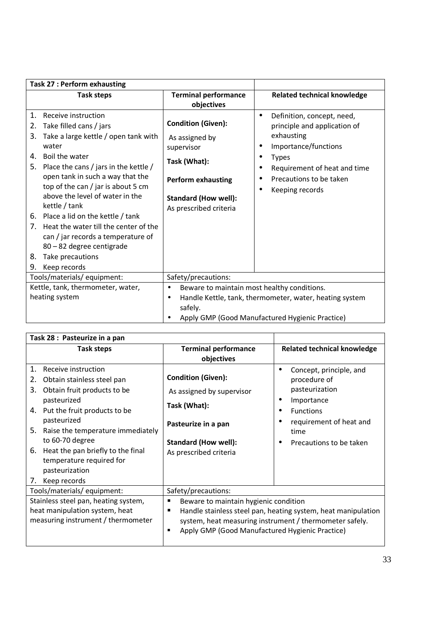| <b>Task 27: Perform exhausting</b>                                                                                                                                                                                                                                                                                                                                                                                                                                                                                                                                      |                                                                                                                                                                                                |                                                                                                                                                                                                |
|-------------------------------------------------------------------------------------------------------------------------------------------------------------------------------------------------------------------------------------------------------------------------------------------------------------------------------------------------------------------------------------------------------------------------------------------------------------------------------------------------------------------------------------------------------------------------|------------------------------------------------------------------------------------------------------------------------------------------------------------------------------------------------|------------------------------------------------------------------------------------------------------------------------------------------------------------------------------------------------|
| <b>Task steps</b>                                                                                                                                                                                                                                                                                                                                                                                                                                                                                                                                                       | <b>Terminal performance</b><br>objectives                                                                                                                                                      | <b>Related technical knowledge</b>                                                                                                                                                             |
| $\mathbf{1}$ .<br>Receive instruction<br>Take filled cans / jars<br>2.<br>Take a large kettle / open tank with<br>3.<br>water<br>Boil the water<br>4.<br>Place the cans / jars in the kettle /<br>5.<br>open tank in such a way that the<br>top of the can / jar is about 5 cm<br>above the level of water in the<br>kettle / tank<br>6. Place a lid on the kettle / tank<br>Heat the water till the center of the<br>$7_{\scriptscriptstyle{\sim}}$<br>can / jar records a temperature of<br>80 - 82 degree centigrade<br>Take precautions<br>8.<br>Keep records<br>9. | <b>Condition (Given):</b><br>As assigned by<br>supervisor<br>Task (What):<br><b>Perform exhausting</b><br><b>Standard (How well):</b><br>As prescribed criteria                                | Definition, concept, need,<br>principle and application of<br>exhausting<br>Importance/functions<br><b>Types</b><br>Requirement of heat and time<br>Precautions to be taken<br>Keeping records |
| Tools/materials/ equipment:                                                                                                                                                                                                                                                                                                                                                                                                                                                                                                                                             | Safety/precautions:                                                                                                                                                                            |                                                                                                                                                                                                |
| Kettle, tank, thermometer, water,<br>heating system                                                                                                                                                                                                                                                                                                                                                                                                                                                                                                                     | Beware to maintain most healthy conditions.<br>$\bullet$<br>Handle Kettle, tank, thermometer, water, heating system<br>$\bullet$<br>safely.<br>Apply GMP (Good Manufactured Hygienic Practice) |                                                                                                                                                                                                |

| Task 28: Pasteurize in a pan                                                                                                                                                                                                                                                                                                                        |                                                                                                                                                        |                                                                                                                                                                |
|-----------------------------------------------------------------------------------------------------------------------------------------------------------------------------------------------------------------------------------------------------------------------------------------------------------------------------------------------------|--------------------------------------------------------------------------------------------------------------------------------------------------------|----------------------------------------------------------------------------------------------------------------------------------------------------------------|
| <b>Task steps</b>                                                                                                                                                                                                                                                                                                                                   | <b>Terminal performance</b>                                                                                                                            | <b>Related technical knowledge</b>                                                                                                                             |
|                                                                                                                                                                                                                                                                                                                                                     | objectives                                                                                                                                             |                                                                                                                                                                |
| 1.<br>Receive instruction<br>Obtain stainless steel pan<br>2.<br>Obtain fruit products to be<br>3.<br>pasteurized<br>Put the fruit products to be<br>4.<br>pasteurized<br>5.<br>Raise the temperature immediately<br>to 60-70 degree<br>6.<br>Heat the pan briefly to the final<br>temperature required for<br>pasteurization<br>Keep records<br>7. | <b>Condition (Given):</b><br>As assigned by supervisor<br>Task (What):<br>Pasteurize in a pan<br><b>Standard (How well):</b><br>As prescribed criteria | Concept, principle, and<br>procedure of<br>pasteurization<br>Importance<br>٠<br><b>Functions</b><br>requirement of heat and<br>time<br>Precautions to be taken |
| Tools/materials/ equipment:                                                                                                                                                                                                                                                                                                                         | Safety/precautions:                                                                                                                                    |                                                                                                                                                                |
| Stainless steel pan, heating system,<br>heat manipulation system, heat<br>measuring instrument / thermometer                                                                                                                                                                                                                                        | Beware to maintain hygienic condition<br>$\blacksquare$<br>п<br>Apply GMP (Good Manufactured Hygienic Practice)<br>п                                   | Handle stainless steel pan, heating system, heat manipulation<br>system, heat measuring instrument / thermometer safely.                                       |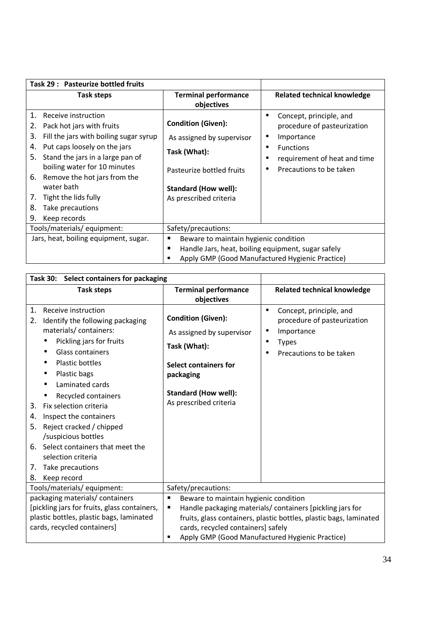| Task 29: Pasteurize bottled fruits                                                                                                                                                                                                                                                                                                                             |                                                                                                                                                              |                                                                                                                                                     |
|----------------------------------------------------------------------------------------------------------------------------------------------------------------------------------------------------------------------------------------------------------------------------------------------------------------------------------------------------------------|--------------------------------------------------------------------------------------------------------------------------------------------------------------|-----------------------------------------------------------------------------------------------------------------------------------------------------|
| <b>Task steps</b>                                                                                                                                                                                                                                                                                                                                              | <b>Terminal performance</b><br>objectives                                                                                                                    | <b>Related technical knowledge</b>                                                                                                                  |
| 1.<br>Receive instruction<br>Pack hot jars with fruits<br>2.<br>Fill the jars with boiling sugar syrup<br>3.<br>Put caps loosely on the jars<br>4.<br>5.<br>Stand the jars in a large pan of<br>boiling water for 10 minutes<br>Remove the hot jars from the<br>6.<br>water bath<br>Tight the lids fully<br>7.<br>8.<br>Take precautions<br>9.<br>Keep records | <b>Condition (Given):</b><br>As assigned by supervisor<br>Task (What):<br>Pasteurize bottled fruits<br><b>Standard (How well):</b><br>As prescribed criteria | Concept, principle, and<br>procedure of pasteurization<br>Importance<br><b>Functions</b><br>requirement of heat and time<br>Precautions to be taken |
| Tools/materials/ equipment:                                                                                                                                                                                                                                                                                                                                    | Safety/precautions:                                                                                                                                          |                                                                                                                                                     |
| Jars, heat, boiling equipment, sugar.                                                                                                                                                                                                                                                                                                                          | Beware to maintain hygienic condition<br>Handle Jars, heat, boiling equipment, sugar safely<br>п                                                             | Apply GMP (Good Manufactured Hygienic Practice)                                                                                                     |

| Task 30: Select containers for packaging                                                                                                                                                                                                                                                                                                                                                                                                                                      |                                                                                                                                                                                                                                                                             |                                                                                                                      |
|-------------------------------------------------------------------------------------------------------------------------------------------------------------------------------------------------------------------------------------------------------------------------------------------------------------------------------------------------------------------------------------------------------------------------------------------------------------------------------|-----------------------------------------------------------------------------------------------------------------------------------------------------------------------------------------------------------------------------------------------------------------------------|----------------------------------------------------------------------------------------------------------------------|
| <b>Task steps</b>                                                                                                                                                                                                                                                                                                                                                                                                                                                             | <b>Terminal performance</b><br>objectives                                                                                                                                                                                                                                   | <b>Related technical knowledge</b>                                                                                   |
| Receive instruction<br>1.<br>2.<br>Identify the following packaging<br>materials/containers:<br>Pickling jars for fruits<br>Glass containers<br>Plastic bottles<br>Plastic bags<br>Laminated cards<br>$\bullet$<br>Recycled containers<br>Fix selection criteria<br>3.<br>Inspect the containers<br>4.<br>Reject cracked / chipped<br>5.<br>/suspicious bottles<br>Select containers that meet the<br>6.<br>selection criteria<br>Take precautions<br>7.<br>8.<br>Keep record | <b>Condition (Given):</b><br>As assigned by supervisor<br>Task (What):<br><b>Select containers for</b><br>packaging<br><b>Standard (How well):</b><br>As prescribed criteria                                                                                                | Concept, principle, and<br>٠<br>procedure of pasteurization<br>Importance<br><b>Types</b><br>Precautions to be taken |
| Tools/materials/ equipment:                                                                                                                                                                                                                                                                                                                                                                                                                                                   | Safety/precautions:                                                                                                                                                                                                                                                         |                                                                                                                      |
| packaging materials/ containers<br>[pickling jars for fruits, glass containers,<br>plastic bottles, plastic bags, laminated<br>cards, recycled containers]                                                                                                                                                                                                                                                                                                                    | п<br>Beware to maintain hygienic condition<br>Handle packaging materials/ containers [pickling jars for<br>п<br>fruits, glass containers, plastic bottles, plastic bags, laminated<br>cards, recycled containers] safely<br>Apply GMP (Good Manufactured Hygienic Practice) |                                                                                                                      |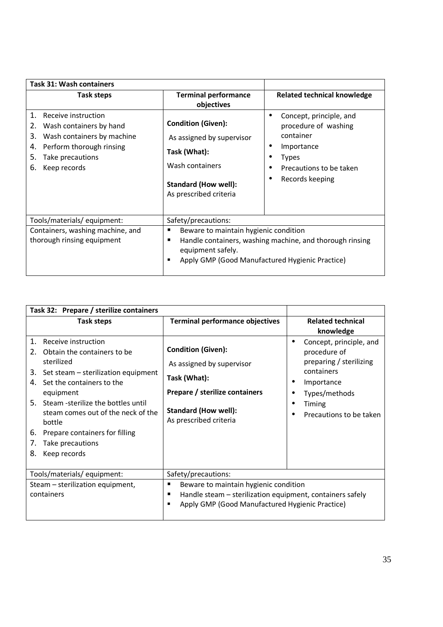| <b>Task 31: Wash containers</b>                                                                                                                                                  |                                                                                                                                                                                          |                                                                                                                                   |
|----------------------------------------------------------------------------------------------------------------------------------------------------------------------------------|------------------------------------------------------------------------------------------------------------------------------------------------------------------------------------------|-----------------------------------------------------------------------------------------------------------------------------------|
| Task steps                                                                                                                                                                       | <b>Terminal performance</b><br>objectives                                                                                                                                                | <b>Related technical knowledge</b>                                                                                                |
| 1.<br>Receive instruction<br>Wash containers by hand<br>2.<br>Wash containers by machine<br>3.<br>Perform thorough rinsing<br>4.<br>5.<br>Take precautions<br>Keep records<br>6. | <b>Condition (Given):</b><br>As assigned by supervisor<br>Task (What):<br>Wash containers<br><b>Standard (How well):</b><br>As prescribed criteria                                       | Concept, principle, and<br>procedure of washing<br>container<br>Importance<br>Types<br>Precautions to be taken<br>Records keeping |
| Tools/materials/ equipment:                                                                                                                                                      | Safety/precautions:                                                                                                                                                                      |                                                                                                                                   |
| Containers, washing machine, and<br>thorough rinsing equipment                                                                                                                   | Beware to maintain hygienic condition<br>п<br>Handle containers, washing machine, and thorough rinsing<br>п<br>equipment safely.<br>Apply GMP (Good Manufactured Hygienic Practice)<br>٠ |                                                                                                                                   |

| Task 32: Prepare / sterilize containers                                                                                                                                                                                                                                                                                                                       |                                                                                                                                                                   |                                                                                                                                                      |
|---------------------------------------------------------------------------------------------------------------------------------------------------------------------------------------------------------------------------------------------------------------------------------------------------------------------------------------------------------------|-------------------------------------------------------------------------------------------------------------------------------------------------------------------|------------------------------------------------------------------------------------------------------------------------------------------------------|
| Task steps                                                                                                                                                                                                                                                                                                                                                    | <b>Terminal performance objectives</b>                                                                                                                            | <b>Related technical</b><br>knowledge                                                                                                                |
| 1.<br>Receive instruction<br>Obtain the containers to be<br>2.<br>sterilized<br>Set steam - sterilization equipment<br>3.<br>Set the containers to the<br>4.<br>equipment<br>Steam -sterilize the bottles until<br>5.<br>steam comes out of the neck of the<br>bottle<br>Prepare containers for filling<br>6.<br>Take precautions<br>7.<br>8.<br>Keep records | <b>Condition (Given):</b><br>As assigned by supervisor<br>Task (What):<br>Prepare / sterilize containers<br><b>Standard (How well):</b><br>As prescribed criteria | Concept, principle, and<br>procedure of<br>preparing / sterilizing<br>containers<br>Importance<br>Types/methods<br>Timing<br>Precautions to be taken |
| Tools/materials/ equipment:                                                                                                                                                                                                                                                                                                                                   | Safety/precautions:                                                                                                                                               |                                                                                                                                                      |
| Steam - sterilization equipment,<br>containers                                                                                                                                                                                                                                                                                                                | Beware to maintain hygienic condition<br>Handle steam - sterilization equipment, containers safely<br>٠<br>Apply GMP (Good Manufactured Hygienic Practice)        |                                                                                                                                                      |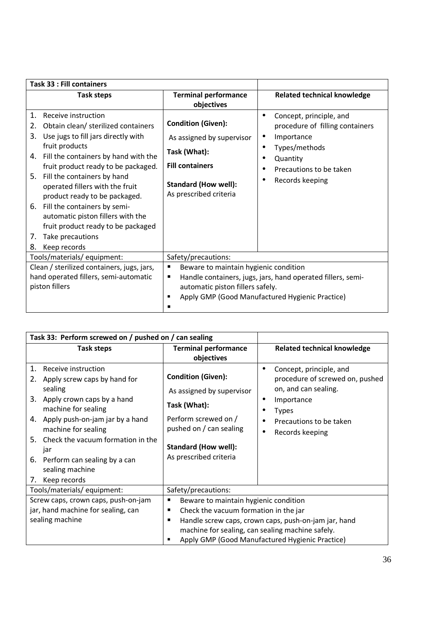| <b>Task 33 : Fill containers</b>                                                                                                                                                                                                                                                                                                                                                                                                                                                               |                                                                                                                                                                                                                    |                                                                                                                                                     |
|------------------------------------------------------------------------------------------------------------------------------------------------------------------------------------------------------------------------------------------------------------------------------------------------------------------------------------------------------------------------------------------------------------------------------------------------------------------------------------------------|--------------------------------------------------------------------------------------------------------------------------------------------------------------------------------------------------------------------|-----------------------------------------------------------------------------------------------------------------------------------------------------|
| Task steps                                                                                                                                                                                                                                                                                                                                                                                                                                                                                     | <b>Terminal performance</b><br>objectives                                                                                                                                                                          | <b>Related technical knowledge</b>                                                                                                                  |
| 1.<br>Receive instruction<br>Obtain clean/ sterilized containers<br>2.<br>3.<br>Use jugs to fill jars directly with<br>fruit products<br>Fill the containers by hand with the<br>4.<br>fruit product ready to be packaged.<br>5. Fill the containers by hand<br>operated fillers with the fruit<br>product ready to be packaged.<br>6. Fill the containers by semi-<br>automatic piston fillers with the<br>fruit product ready to be packaged<br>Take precautions<br>7.<br>Keep records<br>8. | <b>Condition (Given):</b><br>As assigned by supervisor<br>Task (What):<br><b>Fill containers</b><br><b>Standard (How well):</b><br>As prescribed criteria                                                          | Concept, principle, and<br>procedure of filling containers<br>Importance<br>Types/methods<br>Quantity<br>Precautions to be taken<br>Records keeping |
| Tools/materials/ equipment:                                                                                                                                                                                                                                                                                                                                                                                                                                                                    | Safety/precautions:                                                                                                                                                                                                |                                                                                                                                                     |
| Clean / sterilized containers, jugs, jars,<br>hand operated fillers, semi-automatic<br>piston fillers                                                                                                                                                                                                                                                                                                                                                                                          | $\blacksquare$<br>Beware to maintain hygienic condition<br>Handle containers, jugs, jars, hand operated fillers, semi-<br>п<br>automatic piston fillers safely.<br>Apply GMP (Good Manufactured Hygienic Practice) |                                                                                                                                                     |

|                                              | Task 33: Perform screwed on / pushed on / can sealing                                                                                                                                                                                                                            |                                                                                                                                                                                                                                                              |                                                                                                                                                                |
|----------------------------------------------|----------------------------------------------------------------------------------------------------------------------------------------------------------------------------------------------------------------------------------------------------------------------------------|--------------------------------------------------------------------------------------------------------------------------------------------------------------------------------------------------------------------------------------------------------------|----------------------------------------------------------------------------------------------------------------------------------------------------------------|
|                                              | Task steps                                                                                                                                                                                                                                                                       | <b>Terminal performance</b><br>objectives                                                                                                                                                                                                                    | <b>Related technical knowledge</b>                                                                                                                             |
| 1.<br>2.<br>sealing<br>5.<br>jar<br>6.<br>7. | Receive instruction<br>Apply screw caps by hand for<br>3. Apply crown caps by a hand<br>machine for sealing<br>4. Apply push-on-jam jar by a hand<br>machine for sealing<br>Check the vacuum formation in the<br>Perform can sealing by a can<br>sealing machine<br>Keep records | <b>Condition (Given):</b><br>As assigned by supervisor<br>Task (What):<br>Perform screwed on /<br>pushed on / can sealing<br><b>Standard (How well):</b><br>As prescribed criteria                                                                           | Concept, principle, and<br>procedure of screwed on, pushed<br>on, and can sealing.<br>Importance<br><b>Types</b><br>Precautions to be taken<br>Records keeping |
|                                              | Tools/materials/equipment:                                                                                                                                                                                                                                                       | Safety/precautions:                                                                                                                                                                                                                                          |                                                                                                                                                                |
|                                              | Screw caps, crown caps, push-on-jam<br>jar, hand machine for sealing, can<br>sealing machine                                                                                                                                                                                     | Beware to maintain hygienic condition<br>п<br>Check the vacuum formation in the jar<br>п<br>Handle screw caps, crown caps, push-on-jam jar, hand<br>п<br>machine for sealing, can sealing machine safely.<br>Apply GMP (Good Manufactured Hygienic Practice) |                                                                                                                                                                |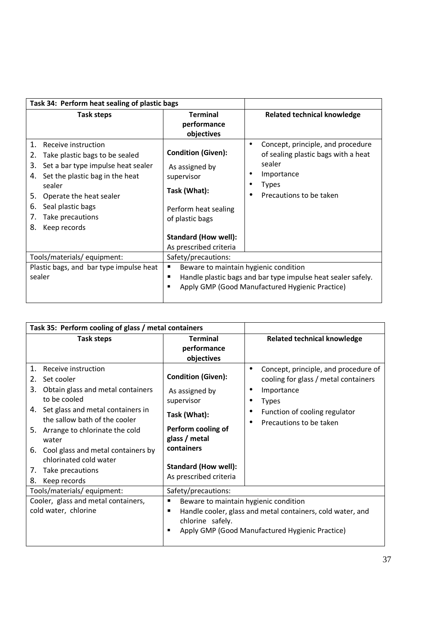| Task 34: Perform heat sealing of plastic bags                                                                                                                                                                                                                                |                                                                                                                                                                               |                                                                                                                                      |
|------------------------------------------------------------------------------------------------------------------------------------------------------------------------------------------------------------------------------------------------------------------------------|-------------------------------------------------------------------------------------------------------------------------------------------------------------------------------|--------------------------------------------------------------------------------------------------------------------------------------|
| Task steps                                                                                                                                                                                                                                                                   | <b>Terminal</b><br>performance<br>objectives                                                                                                                                  | <b>Related technical knowledge</b>                                                                                                   |
| 1.<br>Receive instruction<br>2.<br>Take plastic bags to be sealed<br>Set a bar type impulse heat sealer<br>3.<br>Set the plastic bag in the heat<br>4.<br>sealer<br>Operate the heat sealer<br>5.<br>Seal plastic bags<br>6.<br>7.<br>Take precautions<br>8.<br>Keep records | <b>Condition (Given):</b><br>As assigned by<br>supervisor<br>Task (What):<br>Perform heat sealing<br>of plastic bags<br><b>Standard (How well):</b><br>As prescribed criteria | Concept, principle, and procedure<br>of sealing plastic bags with a heat<br>sealer<br>Importance<br>Types<br>Precautions to be taken |
| Tools/materials/equipment:                                                                                                                                                                                                                                                   | Safety/precautions:                                                                                                                                                           |                                                                                                                                      |
| Plastic bags, and bar type impulse heat<br>sealer                                                                                                                                                                                                                            | Beware to maintain hygienic condition<br>п<br>Handle plastic bags and bar type impulse heat sealer safely.<br>٠<br>Apply GMP (Good Manufactured Hygienic Practice)<br>п       |                                                                                                                                      |

| Task 35: Perform cooling of glass / metal containers                                                                                                                                                                                                                                                                                               |                                                                                                                                                                                         |                                                                                                                                                                        |
|----------------------------------------------------------------------------------------------------------------------------------------------------------------------------------------------------------------------------------------------------------------------------------------------------------------------------------------------------|-----------------------------------------------------------------------------------------------------------------------------------------------------------------------------------------|------------------------------------------------------------------------------------------------------------------------------------------------------------------------|
| Task steps                                                                                                                                                                                                                                                                                                                                         | <b>Terminal</b><br>performance<br>objectives                                                                                                                                            | <b>Related technical knowledge</b>                                                                                                                                     |
| Receive instruction<br>1.<br>Set cooler<br>2.<br>3.<br>Obtain glass and metal containers<br>to be cooled<br>4. Set glass and metal containers in<br>the sallow bath of the cooler<br>5. Arrange to chlorinate the cold<br>water<br>6. Cool glass and metal containers by<br>chlorinated cold water<br>Take precautions<br>7.<br>8.<br>Keep records | <b>Condition (Given):</b><br>As assigned by<br>supervisor<br>Task (What):<br>Perform cooling of<br>glass / metal<br>containers<br><b>Standard (How well):</b><br>As prescribed criteria | Concept, principle, and procedure of<br>cooling for glass / metal containers<br>Importance<br><b>Types</b><br>Function of cooling regulator<br>Precautions to be taken |
| Tools/materials/ equipment:                                                                                                                                                                                                                                                                                                                        | Safety/precautions:                                                                                                                                                                     |                                                                                                                                                                        |
| Cooler, glass and metal containers,<br>cold water, chlorine                                                                                                                                                                                                                                                                                        | Beware to maintain hygienic condition<br>п<br>Handle cooler, glass and metal containers, cold water, and<br>chlorine safely.<br>Apply GMP (Good Manufactured Hygienic Practice)         |                                                                                                                                                                        |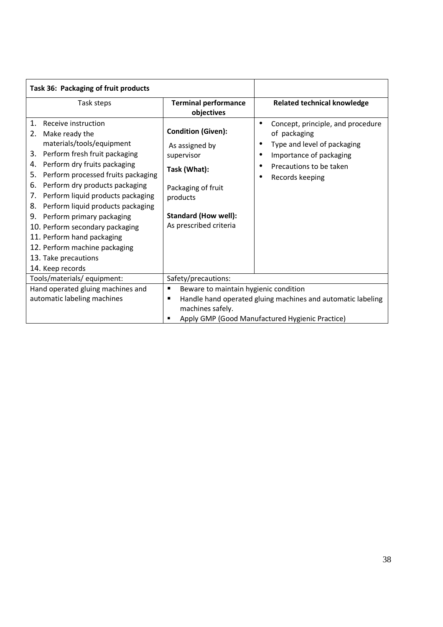| Task 36: Packaging of fruit products                                                                                                                                                                                                                                                                                                                                                                                                                                                                                |                                                                                                                                                                                            |                                                                                                                                                                                          |
|---------------------------------------------------------------------------------------------------------------------------------------------------------------------------------------------------------------------------------------------------------------------------------------------------------------------------------------------------------------------------------------------------------------------------------------------------------------------------------------------------------------------|--------------------------------------------------------------------------------------------------------------------------------------------------------------------------------------------|------------------------------------------------------------------------------------------------------------------------------------------------------------------------------------------|
| Task steps                                                                                                                                                                                                                                                                                                                                                                                                                                                                                                          | <b>Terminal performance</b><br>objectives                                                                                                                                                  | <b>Related technical knowledge</b>                                                                                                                                                       |
| 1.<br>Receive instruction<br>2. Make ready the<br>materials/tools/equipment<br>Perform fresh fruit packaging<br>3.<br>Perform dry fruits packaging<br>4.<br>Perform processed fruits packaging<br>5.<br>Perform dry products packaging<br>6.<br>Perform liquid products packaging<br>7.<br>Perform liquid products packaging<br>8.<br>Perform primary packaging<br>9.<br>10. Perform secondary packaging<br>11. Perform hand packaging<br>12. Perform machine packaging<br>13. Take precautions<br>14. Keep records | <b>Condition (Given):</b><br>As assigned by<br>supervisor<br>Task (What):<br>Packaging of fruit<br>products<br><b>Standard (How well):</b><br>As prescribed criteria                       | Concept, principle, and procedure<br>$\bullet$<br>of packaging<br>Type and level of packaging<br>Importance of packaging<br>٠<br>Precautions to be taken<br>$\bullet$<br>Records keeping |
| Tools/materials/equipment:                                                                                                                                                                                                                                                                                                                                                                                                                                                                                          | Safety/precautions:                                                                                                                                                                        |                                                                                                                                                                                          |
| Hand operated gluing machines and<br>automatic labeling machines                                                                                                                                                                                                                                                                                                                                                                                                                                                    | Beware to maintain hygienic condition<br>٠<br>Handle hand operated gluing machines and automatic labeling<br>п<br>machines safely.<br>Apply GMP (Good Manufactured Hygienic Practice)<br>п |                                                                                                                                                                                          |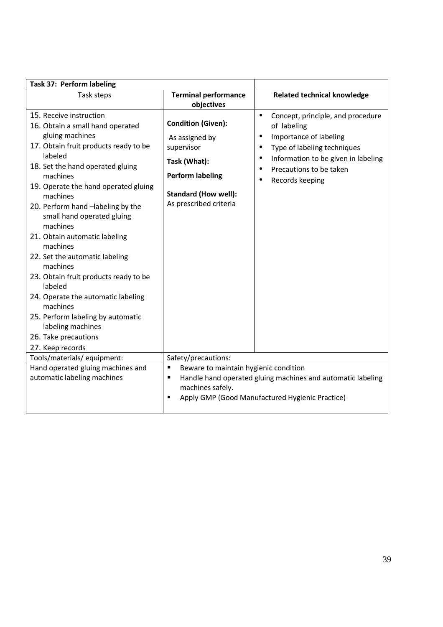| Task 37: Perform labeling                                                                                                                                                                                                                                                                                                                                                                                                                                                                                                                                                                                |                                                                                                                                                               |                                                                                                                                                                                                                                                 |
|----------------------------------------------------------------------------------------------------------------------------------------------------------------------------------------------------------------------------------------------------------------------------------------------------------------------------------------------------------------------------------------------------------------------------------------------------------------------------------------------------------------------------------------------------------------------------------------------------------|---------------------------------------------------------------------------------------------------------------------------------------------------------------|-------------------------------------------------------------------------------------------------------------------------------------------------------------------------------------------------------------------------------------------------|
| Task steps                                                                                                                                                                                                                                                                                                                                                                                                                                                                                                                                                                                               | <b>Terminal performance</b><br>objectives                                                                                                                     | <b>Related technical knowledge</b>                                                                                                                                                                                                              |
| 15. Receive instruction<br>16. Obtain a small hand operated<br>gluing machines<br>17. Obtain fruit products ready to be<br>labeled<br>18. Set the hand operated gluing<br>machines<br>19. Operate the hand operated gluing<br>machines<br>20. Perform hand -labeling by the<br>small hand operated gluing<br>machines<br>21. Obtain automatic labeling<br>machines<br>22. Set the automatic labeling<br>machines<br>23. Obtain fruit products ready to be<br>labeled<br>24. Operate the automatic labeling<br>machines<br>25. Perform labeling by automatic<br>labeling machines<br>26. Take precautions | <b>Condition (Given):</b><br>As assigned by<br>supervisor<br>Task (What):<br><b>Perform labeling</b><br><b>Standard (How well):</b><br>As prescribed criteria | Concept, principle, and procedure<br>$\bullet$<br>of labeling<br>Importance of labeling<br>٠<br>Type of labeling techniques<br>$\bullet$<br>Information to be given in labeling<br>$\bullet$<br>Precautions to be taken<br>٠<br>Records keeping |
| 27. Keep records<br>Tools/materials/ equipment:                                                                                                                                                                                                                                                                                                                                                                                                                                                                                                                                                          | Safety/precautions:                                                                                                                                           |                                                                                                                                                                                                                                                 |
| Hand operated gluing machines and                                                                                                                                                                                                                                                                                                                                                                                                                                                                                                                                                                        | Beware to maintain hygienic condition<br>п                                                                                                                    |                                                                                                                                                                                                                                                 |
| automatic labeling machines                                                                                                                                                                                                                                                                                                                                                                                                                                                                                                                                                                              | Handle hand operated gluing machines and automatic labeling<br>$\blacksquare$<br>machines safely.<br>Apply GMP (Good Manufactured Hygienic Practice)<br>٠     |                                                                                                                                                                                                                                                 |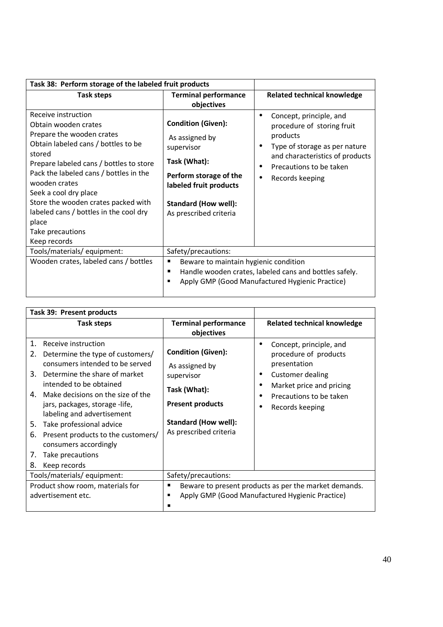| Task 38: Perform storage of the labeled fruit products                                                                                                                                                                                                                                                                                                                                 |                                                                                                                                                                                        |                                                                                                                                                                                                            |
|----------------------------------------------------------------------------------------------------------------------------------------------------------------------------------------------------------------------------------------------------------------------------------------------------------------------------------------------------------------------------------------|----------------------------------------------------------------------------------------------------------------------------------------------------------------------------------------|------------------------------------------------------------------------------------------------------------------------------------------------------------------------------------------------------------|
| Task steps                                                                                                                                                                                                                                                                                                                                                                             | <b>Terminal performance</b><br>objectives                                                                                                                                              | <b>Related technical knowledge</b>                                                                                                                                                                         |
| Receive instruction<br>Obtain wooden crates<br>Prepare the wooden crates<br>Obtain labeled cans / bottles to be<br>stored<br>Prepare labeled cans / bottles to store<br>Pack the labeled cans / bottles in the<br>wooden crates<br>Seek a cool dry place<br>Store the wooden crates packed with<br>labeled cans / bottles in the cool dry<br>place<br>Take precautions<br>Keep records | <b>Condition (Given):</b><br>As assigned by<br>supervisor<br>Task (What):<br>Perform storage of the<br>labeled fruit products<br><b>Standard (How well):</b><br>As prescribed criteria | Concept, principle, and<br>procedure of storing fruit<br>products<br>Type of storage as per nature<br>٠<br>and characteristics of products<br>Precautions to be taken<br>٠<br>Records keeping<br>$\bullet$ |
| Tools/materials/equipment:                                                                                                                                                                                                                                                                                                                                                             | Safety/precautions:                                                                                                                                                                    |                                                                                                                                                                                                            |
| Wooden crates, labeled cans / bottles                                                                                                                                                                                                                                                                                                                                                  | Beware to maintain hygienic condition<br>п<br>Handle wooden crates, labeled cans and bottles safely.<br>п<br>Apply GMP (Good Manufactured Hygienic Practice)<br>г                      |                                                                                                                                                                                                            |

| Task 39: Present products                                                                                                                                                                                                                                                                                                                                                                                                                  |                                                                                                                                                               |                                                                                                                                                                                                                        |
|--------------------------------------------------------------------------------------------------------------------------------------------------------------------------------------------------------------------------------------------------------------------------------------------------------------------------------------------------------------------------------------------------------------------------------------------|---------------------------------------------------------------------------------------------------------------------------------------------------------------|------------------------------------------------------------------------------------------------------------------------------------------------------------------------------------------------------------------------|
| Task steps                                                                                                                                                                                                                                                                                                                                                                                                                                 | <b>Terminal performance</b><br>objectives                                                                                                                     | <b>Related technical knowledge</b>                                                                                                                                                                                     |
| 1.<br>Receive instruction<br>Determine the type of customers/<br>2.<br>consumers intended to be served<br>Determine the share of market<br>3.<br>intended to be obtained<br>Make decisions on the size of the<br>4.<br>jars, packages, storage -life,<br>labeling and advertisement<br>Take professional advice<br>5.<br>6.<br>Present products to the customers/<br>consumers accordingly<br>Take precautions<br>7.<br>8.<br>Keep records | <b>Condition (Given):</b><br>As assigned by<br>supervisor<br>Task (What):<br><b>Present products</b><br><b>Standard (How well):</b><br>As prescribed criteria | Concept, principle, and<br>$\bullet$<br>procedure of products<br>presentation<br><b>Customer dealing</b><br>٠<br>Market price and pricing<br>$\bullet$<br>Precautions to be taken<br>$\bullet$<br>Records keeping<br>٠ |
| Tools/materials/ equipment:                                                                                                                                                                                                                                                                                                                                                                                                                | Safety/precautions:                                                                                                                                           |                                                                                                                                                                                                                        |
| Product show room, materials for<br>advertisement etc.                                                                                                                                                                                                                                                                                                                                                                                     | п                                                                                                                                                             | Beware to present products as per the market demands.<br>Apply GMP (Good Manufactured Hygienic Practice)                                                                                                               |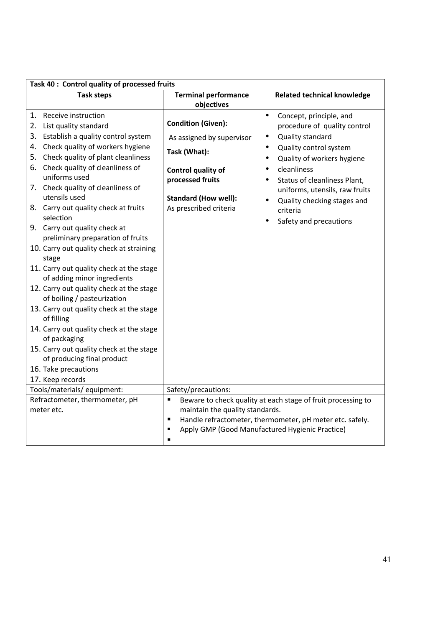| Task 40 : Control quality of processed fruits                                                                                                                                                                                                                                                                                                                                                                                                                                                                                                                                                                                                                                                                                                                                                                                                                                        |                                                                                                                                                                           |                                                                                                                                                                                                                                                                                                                                                                                           |
|--------------------------------------------------------------------------------------------------------------------------------------------------------------------------------------------------------------------------------------------------------------------------------------------------------------------------------------------------------------------------------------------------------------------------------------------------------------------------------------------------------------------------------------------------------------------------------------------------------------------------------------------------------------------------------------------------------------------------------------------------------------------------------------------------------------------------------------------------------------------------------------|---------------------------------------------------------------------------------------------------------------------------------------------------------------------------|-------------------------------------------------------------------------------------------------------------------------------------------------------------------------------------------------------------------------------------------------------------------------------------------------------------------------------------------------------------------------------------------|
| <b>Task steps</b>                                                                                                                                                                                                                                                                                                                                                                                                                                                                                                                                                                                                                                                                                                                                                                                                                                                                    | <b>Terminal performance</b><br>objectives                                                                                                                                 | <b>Related technical knowledge</b>                                                                                                                                                                                                                                                                                                                                                        |
| 1. Receive instruction<br>2. List quality standard<br>3. Establish a quality control system<br>Check quality of workers hygiene<br>4.<br>Check quality of plant cleanliness<br>5.<br>Check quality of cleanliness of<br>6.<br>uniforms used<br>7. Check quality of cleanliness of<br>utensils used<br>8. Carry out quality check at fruits<br>selection<br>9. Carry out quality check at<br>preliminary preparation of fruits<br>10. Carry out quality check at straining<br>stage<br>11. Carry out quality check at the stage<br>of adding minor ingredients<br>12. Carry out quality check at the stage<br>of boiling / pasteurization<br>13. Carry out quality check at the stage<br>of filling<br>14. Carry out quality check at the stage<br>of packaging<br>15. Carry out quality check at the stage<br>of producing final product<br>16. Take precautions<br>17. Keep records | <b>Condition (Given):</b><br>As assigned by supervisor<br>Task (What):<br>Control quality of<br>processed fruits<br><b>Standard (How well):</b><br>As prescribed criteria | Concept, principle, and<br>$\bullet$<br>procedure of quality control<br>Quality standard<br>$\bullet$<br>Quality control system<br>$\bullet$<br>Quality of workers hygiene<br>٠<br>cleanliness<br>$\bullet$<br>Status of cleanliness Plant,<br>$\bullet$<br>uniforms, utensils, raw fruits<br>Quality checking stages and<br>$\bullet$<br>criteria<br>Safety and precautions<br>$\bullet$ |
| Tools/materials/ equipment:                                                                                                                                                                                                                                                                                                                                                                                                                                                                                                                                                                                                                                                                                                                                                                                                                                                          | Safety/precautions:                                                                                                                                                       |                                                                                                                                                                                                                                                                                                                                                                                           |
| Refractometer, thermometer, pH<br>meter etc.                                                                                                                                                                                                                                                                                                                                                                                                                                                                                                                                                                                                                                                                                                                                                                                                                                         | $\blacksquare$<br>maintain the quality standards.<br>$\blacksquare$<br>п<br>$\blacksquare$                                                                                | Beware to check quality at each stage of fruit processing to<br>Handle refractometer, thermometer, pH meter etc. safely.<br>Apply GMP (Good Manufactured Hygienic Practice)                                                                                                                                                                                                               |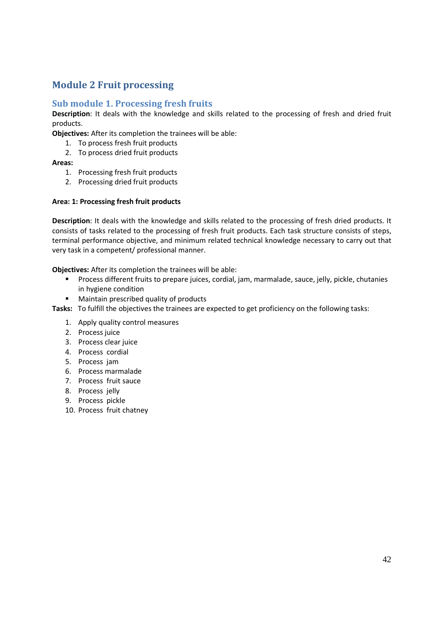### **Module 2 Fruit processing**

#### **Sub module 1. Processing fresh fruits**

**Description**: It deals with the knowledge and skills related to the processing of fresh and dried fruit products.

**Objectives:** After its completion the trainees will be able:

- 1. To process fresh fruit products
- 2. To process dried fruit products

#### **Areas:**

- 1. Processing fresh fruit products
- 2. Processing dried fruit products

#### **Area: 1: Processing fresh fruit products**

**Description**: It deals with the knowledge and skills related to the processing of fresh dried products. It consists of tasks related to the processing of fresh fruit products. Each task structure consists of steps, terminal performance objective, and minimum related technical knowledge necessary to carry out that very task in a competent/ professional manner.

**Objectives:** After its completion the trainees will be able:

- Process different fruits to prepare juices, cordial, jam, marmalade, sauce, jelly, pickle, chutanies in hygiene condition
- Maintain prescribed quality of products
- **Tasks:** To fulfill the objectives the trainees are expected to get proficiency on the following tasks:
	- 1. Apply quality control measures
	- 2. Process juice
	- 3. Process clear juice
	- 4. Process cordial
	- 5. Process jam
	- 6. Process marmalade
	- 7. Process fruit sauce
	- 8. Process jelly
	- 9. Process pickle
	- 10. Process fruit chatney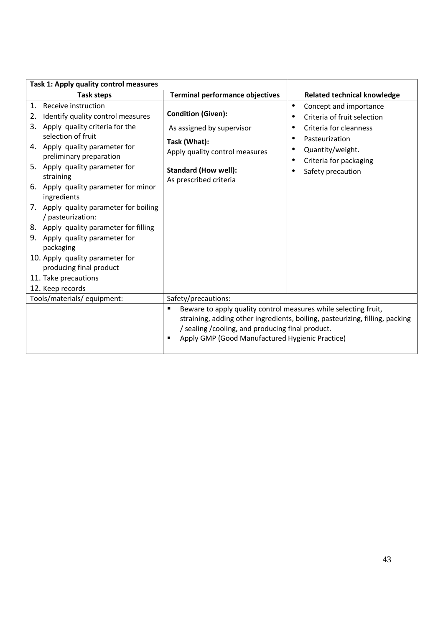| Task 1: Apply quality control measures                                                                                                                                                                                                                                                                                                                                                                                                                                                                                                                            |                                                                                                                                                                              |                                                                                                                                                                                                |
|-------------------------------------------------------------------------------------------------------------------------------------------------------------------------------------------------------------------------------------------------------------------------------------------------------------------------------------------------------------------------------------------------------------------------------------------------------------------------------------------------------------------------------------------------------------------|------------------------------------------------------------------------------------------------------------------------------------------------------------------------------|------------------------------------------------------------------------------------------------------------------------------------------------------------------------------------------------|
| Task steps                                                                                                                                                                                                                                                                                                                                                                                                                                                                                                                                                        | <b>Terminal performance objectives</b>                                                                                                                                       | <b>Related technical knowledge</b>                                                                                                                                                             |
| 1. Receive instruction<br>Identify quality control measures<br>2.<br>3. Apply quality criteria for the<br>selection of fruit<br>4. Apply quality parameter for<br>preliminary preparation<br>5. Apply quality parameter for<br>straining<br>6. Apply quality parameter for minor<br>ingredients<br>7. Apply quality parameter for boiling<br>/ pasteurization:<br>8. Apply quality parameter for filling<br>9. Apply quality parameter for<br>packaging<br>10. Apply quality parameter for<br>producing final product<br>11. Take precautions<br>12. Keep records | <b>Condition (Given):</b><br>As assigned by supervisor<br>Task (What):<br>Apply quality control measures<br><b>Standard (How well):</b><br>As prescribed criteria            | Concept and importance<br>$\bullet$<br>Criteria of fruit selection<br>Criteria for cleanness<br>Pasteurization<br>$\bullet$<br>Quantity/weight.<br>Criteria for packaging<br>Safety precaution |
| Tools/materials/equipment:                                                                                                                                                                                                                                                                                                                                                                                                                                                                                                                                        | Safety/precautions:                                                                                                                                                          |                                                                                                                                                                                                |
|                                                                                                                                                                                                                                                                                                                                                                                                                                                                                                                                                                   | Beware to apply quality control measures while selecting fruit,<br>п<br>/ sealing / cooling, and producing final product.<br>Apply GMP (Good Manufactured Hygienic Practice) | straining, adding other ingredients, boiling, pasteurizing, filling, packing                                                                                                                   |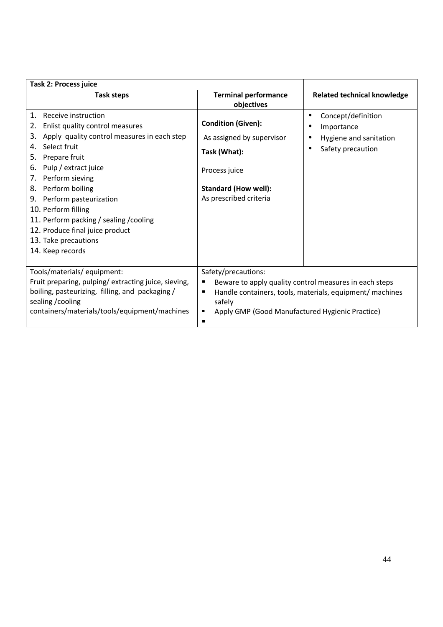| <b>Task 2: Process juice</b>                                                                                                                                                                                                                                                                                                                                                                                                    |                                                                                                                                                  |                                                                                      |
|---------------------------------------------------------------------------------------------------------------------------------------------------------------------------------------------------------------------------------------------------------------------------------------------------------------------------------------------------------------------------------------------------------------------------------|--------------------------------------------------------------------------------------------------------------------------------------------------|--------------------------------------------------------------------------------------|
| <b>Task steps</b>                                                                                                                                                                                                                                                                                                                                                                                                               | <b>Terminal performance</b><br>objectives                                                                                                        | <b>Related technical knowledge</b>                                                   |
| 1.<br>Receive instruction<br>Enlist quality control measures<br>2.<br>Apply quality control measures in each step<br>3.<br>Select fruit<br>4.<br>5.<br>Prepare fruit<br>Pulp / extract juice<br>6.<br>Perform sieving<br>7.<br>8. Perform boiling<br>9. Perform pasteurization<br>10. Perform filling<br>11. Perform packing / sealing / cooling<br>12. Produce final juice product<br>13. Take precautions<br>14. Keep records | <b>Condition (Given):</b><br>As assigned by supervisor<br>Task (What):<br>Process juice<br><b>Standard (How well):</b><br>As prescribed criteria | Concept/definition<br>Importance<br>٠<br>Hygiene and sanitation<br>Safety precaution |
| Tools/materials/equipment:<br>Fruit preparing, pulping/extracting juice, sieving,                                                                                                                                                                                                                                                                                                                                               | Safety/precautions:<br>٠                                                                                                                         | Beware to apply quality control measures in each steps                               |
| boiling, pasteurizing, filling, and packaging/<br>sealing / cooling<br>containers/materials/tools/equipment/machines                                                                                                                                                                                                                                                                                                            | ٠<br>safely<br>Apply GMP (Good Manufactured Hygienic Practice)<br>٠<br>٠                                                                         | Handle containers, tools, materials, equipment/ machines                             |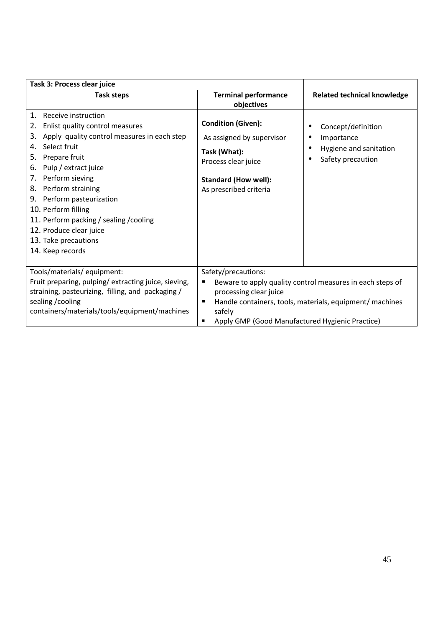| Task 3: Process clear juice                                                                                                                                                                                                                                                                                                                                                                                               |                                                                                                                                                        |                                                                                                                       |
|---------------------------------------------------------------------------------------------------------------------------------------------------------------------------------------------------------------------------------------------------------------------------------------------------------------------------------------------------------------------------------------------------------------------------|--------------------------------------------------------------------------------------------------------------------------------------------------------|-----------------------------------------------------------------------------------------------------------------------|
| <b>Task steps</b>                                                                                                                                                                                                                                                                                                                                                                                                         | <b>Terminal performance</b><br>objectives                                                                                                              | <b>Related technical knowledge</b>                                                                                    |
| Receive instruction<br>1.<br>Enlist quality control measures<br>2.<br>Apply quality control measures in each step<br>3.<br>Select fruit<br>4.<br>Prepare fruit<br>5.<br>Pulp / extract juice<br>6.<br>7. Perform sieving<br>Perform straining<br>8.<br>9. Perform pasteurization<br>10. Perform filling<br>11. Perform packing / sealing / cooling<br>12. Produce clear juice<br>13. Take precautions<br>14. Keep records | <b>Condition (Given):</b><br>As assigned by supervisor<br>Task (What):<br>Process clear juice<br><b>Standard (How well):</b><br>As prescribed criteria | Concept/definition<br>Importance<br>Hygiene and sanitation<br>$\bullet$<br>Safety precaution<br>$\bullet$             |
| Tools/materials/ equipment:                                                                                                                                                                                                                                                                                                                                                                                               | Safety/precautions:                                                                                                                                    |                                                                                                                       |
| Fruit preparing, pulping/ extracting juice, sieving,<br>straining, pasteurizing, filling, and packaging /<br>sealing / cooling<br>containers/materials/tools/equipment/machines                                                                                                                                                                                                                                           | ٠<br>processing clear juice<br>п<br>safely<br>Apply GMP (Good Manufactured Hygienic Practice)<br>п                                                     | Beware to apply quality control measures in each steps of<br>Handle containers, tools, materials, equipment/ machines |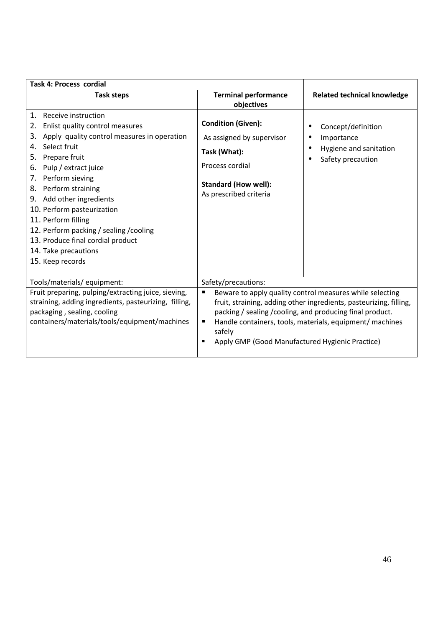| <b>Task 4: Process cordial</b>                                                                                                                                                                                                                                                                                                                                                                                                                                      |                                                                                                                                                    |                                                                                                                                                                                                                                                         |
|---------------------------------------------------------------------------------------------------------------------------------------------------------------------------------------------------------------------------------------------------------------------------------------------------------------------------------------------------------------------------------------------------------------------------------------------------------------------|----------------------------------------------------------------------------------------------------------------------------------------------------|---------------------------------------------------------------------------------------------------------------------------------------------------------------------------------------------------------------------------------------------------------|
| <b>Task steps</b>                                                                                                                                                                                                                                                                                                                                                                                                                                                   | <b>Terminal performance</b><br>objectives                                                                                                          | <b>Related technical knowledge</b>                                                                                                                                                                                                                      |
| 1.<br>Receive instruction<br>Enlist quality control measures<br>2.<br>Apply quality control measures in operation<br>3.<br>Select fruit<br>4.<br>Prepare fruit<br>5.<br>Pulp / extract juice<br>6.<br>Perform sieving<br>7.<br>Perform straining<br>8.<br>9. Add other ingredients<br>10. Perform pasteurization<br>11. Perform filling<br>12. Perform packing / sealing / cooling<br>13. Produce final cordial product<br>14. Take precautions<br>15. Keep records | <b>Condition (Given):</b><br>As assigned by supervisor<br>Task (What):<br>Process cordial<br><b>Standard (How well):</b><br>As prescribed criteria | Concept/definition<br>Importance<br>Hygiene and sanitation<br>$\bullet$<br>Safety precaution                                                                                                                                                            |
| Tools/materials/ equipment:<br>Fruit preparing, pulping/extracting juice, sieving,<br>straining, adding ingredients, pasteurizing, filling,<br>packaging, sealing, cooling<br>containers/materials/tools/equipment/machines                                                                                                                                                                                                                                         | Safety/precautions:<br>٠<br>٠<br>safely<br>Apply GMP (Good Manufactured Hygienic Practice)<br>п                                                    | Beware to apply quality control measures while selecting<br>fruit, straining, adding other ingredients, pasteurizing, filling,<br>packing / sealing / cooling, and producing final product.<br>Handle containers, tools, materials, equipment/ machines |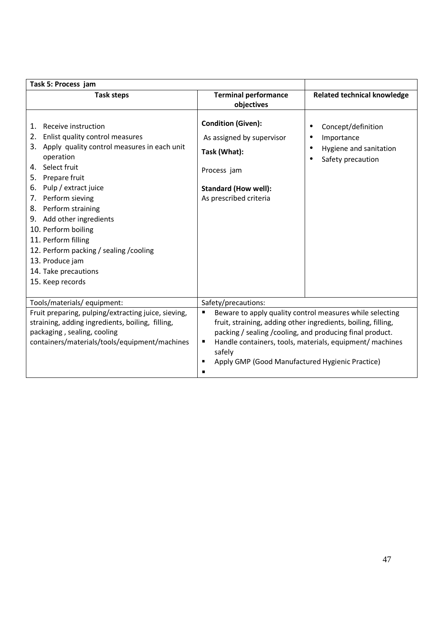| Task 5: Process jam                                                                                                                                                                                                                                                                                                                                                                                                                   |                                                                                                                                                                                                                                                                                                                                   |                                                                                              |
|---------------------------------------------------------------------------------------------------------------------------------------------------------------------------------------------------------------------------------------------------------------------------------------------------------------------------------------------------------------------------------------------------------------------------------------|-----------------------------------------------------------------------------------------------------------------------------------------------------------------------------------------------------------------------------------------------------------------------------------------------------------------------------------|----------------------------------------------------------------------------------------------|
| <b>Task steps</b>                                                                                                                                                                                                                                                                                                                                                                                                                     | <b>Terminal performance</b><br>objectives                                                                                                                                                                                                                                                                                         | <b>Related technical knowledge</b>                                                           |
| Receive instruction<br>1.<br>Enlist quality control measures<br>2.<br>3. Apply quality control measures in each unit<br>operation<br>4. Select fruit<br>5. Prepare fruit<br>6. Pulp / extract juice<br>7. Perform sieving<br>8. Perform straining<br>9. Add other ingredients<br>10. Perform boiling<br>11. Perform filling<br>12. Perform packing / sealing / cooling<br>13. Produce jam<br>14. Take precautions<br>15. Keep records | <b>Condition (Given):</b><br>As assigned by supervisor<br>Task (What):<br>Process jam<br><b>Standard (How well):</b><br>As prescribed criteria                                                                                                                                                                                    | Concept/definition<br>Importance<br>Hygiene and sanitation<br>$\bullet$<br>Safety precaution |
| Tools/materials/ equipment:                                                                                                                                                                                                                                                                                                                                                                                                           | Safety/precautions:                                                                                                                                                                                                                                                                                                               |                                                                                              |
| Fruit preparing, pulping/extracting juice, sieving,<br>straining, adding ingredients, boiling, filling,<br>packaging, sealing, cooling<br>containers/materials/tools/equipment/machines                                                                                                                                                                                                                                               | Beware to apply quality control measures while selecting<br>$\blacksquare$<br>fruit, straining, adding other ingredients, boiling, filling,<br>packing / sealing / cooling, and producing final product.<br>Handle containers, tools, materials, equipment/ machines<br>safely<br>Apply GMP (Good Manufactured Hygienic Practice) |                                                                                              |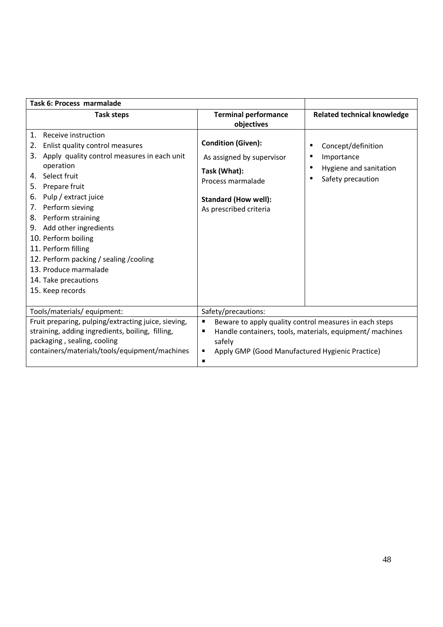| Task 6: Process marmalade                                                                                                                                                                                                                                                                                                                                                                                                                                        |                                                                                                                                                      |                                                                                      |
|------------------------------------------------------------------------------------------------------------------------------------------------------------------------------------------------------------------------------------------------------------------------------------------------------------------------------------------------------------------------------------------------------------------------------------------------------------------|------------------------------------------------------------------------------------------------------------------------------------------------------|--------------------------------------------------------------------------------------|
| <b>Task steps</b>                                                                                                                                                                                                                                                                                                                                                                                                                                                | <b>Terminal performance</b>                                                                                                                          | <b>Related technical knowledge</b>                                                   |
|                                                                                                                                                                                                                                                                                                                                                                                                                                                                  | objectives                                                                                                                                           |                                                                                      |
| Receive instruction<br>1.<br>Enlist quality control measures<br>2.<br>Apply quality control measures in each unit<br>3.<br>operation<br>Select fruit<br>4.<br>Prepare fruit<br>5.<br>Pulp / extract juice<br>6.<br>Perform sieving<br>7.<br>Perform straining<br>8.<br>Add other ingredients<br>9.<br>10. Perform boiling<br>11. Perform filling<br>12. Perform packing / sealing / cooling<br>13. Produce marmalade<br>14. Take precautions<br>15. Keep records | <b>Condition (Given):</b><br>As assigned by supervisor<br>Task (What):<br>Process marmalade<br><b>Standard (How well):</b><br>As prescribed criteria | Concept/definition<br>Importance<br>Hygiene and sanitation<br>٠<br>Safety precaution |
| Tools/materials/equipment:                                                                                                                                                                                                                                                                                                                                                                                                                                       | Safety/precautions:                                                                                                                                  |                                                                                      |
| Fruit preparing, pulping/extracting juice, sieving,<br>straining, adding ingredients, boiling, filling,<br>packaging, sealing, cooling<br>containers/materials/tools/equipment/machines                                                                                                                                                                                                                                                                          | Beware to apply quality control measures in each steps<br>٠<br>٠<br>safely<br>Apply GMP (Good Manufactured Hygienic Practice)<br>٠<br>$\blacksquare$ | Handle containers, tools, materials, equipment/ machines                             |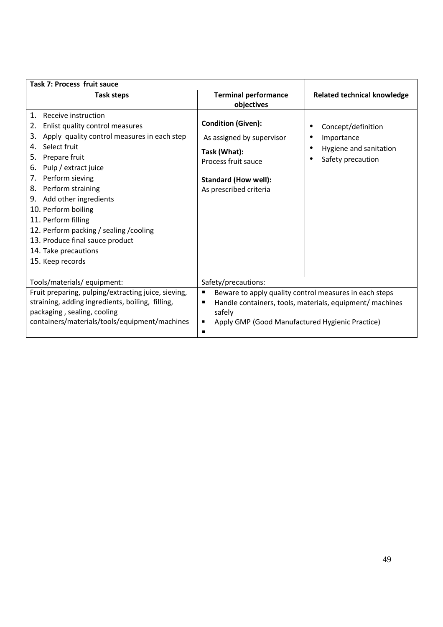| Task 7: Process fruit sauce                                                                                                                                                                                                                                                                                                                                                                                                                                            |                                                                                                                                                        |                                                                                                        |
|------------------------------------------------------------------------------------------------------------------------------------------------------------------------------------------------------------------------------------------------------------------------------------------------------------------------------------------------------------------------------------------------------------------------------------------------------------------------|--------------------------------------------------------------------------------------------------------------------------------------------------------|--------------------------------------------------------------------------------------------------------|
| <b>Task steps</b>                                                                                                                                                                                                                                                                                                                                                                                                                                                      | <b>Terminal performance</b><br>objectives                                                                                                              | <b>Related technical knowledge</b>                                                                     |
| $\mathbf{1}$ .<br>Receive instruction<br>Enlist quality control measures<br>2.<br>Apply quality control measures in each step<br>3.<br>Select fruit<br>4.<br>Prepare fruit<br>5.<br>Pulp / extract juice<br>6.<br>Perform sieving<br>7.<br>Perform straining<br>8.<br>9. Add other ingredients<br>10. Perform boiling<br>11. Perform filling<br>12. Perform packing / sealing / cooling<br>13. Produce final sauce product<br>14. Take precautions<br>15. Keep records | <b>Condition (Given):</b><br>As assigned by supervisor<br>Task (What):<br>Process fruit sauce<br><b>Standard (How well):</b><br>As prescribed criteria | Concept/definition<br>Importance<br>٠<br>Hygiene and sanitation<br>$\bullet$<br>Safety precaution<br>٠ |
| Tools/materials/ equipment:                                                                                                                                                                                                                                                                                                                                                                                                                                            | Safety/precautions:                                                                                                                                    |                                                                                                        |
| Fruit preparing, pulping/extracting juice, sieving,<br>straining, adding ingredients, boiling, filling,<br>packaging, sealing, cooling<br>containers/materials/tools/equipment/machines                                                                                                                                                                                                                                                                                | Beware to apply quality control measures in each steps<br>п<br>п<br>safely<br>Apply GMP (Good Manufactured Hygienic Practice)<br>п                     | Handle containers, tools, materials, equipment/ machines                                               |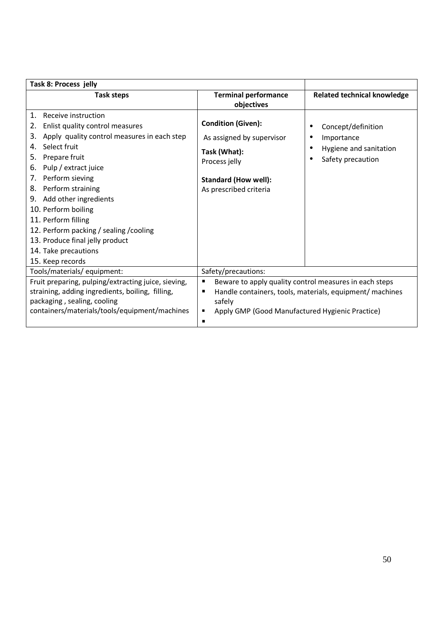| Task 8: Process jelly                                                                                                                                                                                                                                                                                                                                                                                                                                   |                                                                                                                                                  |                                                                                              |
|---------------------------------------------------------------------------------------------------------------------------------------------------------------------------------------------------------------------------------------------------------------------------------------------------------------------------------------------------------------------------------------------------------------------------------------------------------|--------------------------------------------------------------------------------------------------------------------------------------------------|----------------------------------------------------------------------------------------------|
| <b>Task steps</b>                                                                                                                                                                                                                                                                                                                                                                                                                                       | <b>Terminal performance</b><br>objectives                                                                                                        | <b>Related technical knowledge</b>                                                           |
| 1.<br>Receive instruction<br>Enlist quality control measures<br>2.<br>Apply quality control measures in each step<br>3.<br>Select fruit<br>4.<br>Prepare fruit<br>5.<br>Pulp / extract juice<br>6.<br>Perform sieving<br>7.<br>8. Perform straining<br>9. Add other ingredients<br>10. Perform boiling<br>11. Perform filling<br>12. Perform packing / sealing / cooling<br>13. Produce final jelly product<br>14. Take precautions<br>15. Keep records | <b>Condition (Given):</b><br>As assigned by supervisor<br>Task (What):<br>Process jelly<br><b>Standard (How well):</b><br>As prescribed criteria | Concept/definition<br>Importance<br>Hygiene and sanitation<br>$\bullet$<br>Safety precaution |
| Tools/materials/ equipment:                                                                                                                                                                                                                                                                                                                                                                                                                             | Safety/precautions:                                                                                                                              |                                                                                              |
| Fruit preparing, pulping/extracting juice, sieving,<br>straining, adding ingredients, boiling, filling,<br>packaging, sealing, cooling<br>containers/materials/tools/equipment/machines                                                                                                                                                                                                                                                                 | Beware to apply quality control measures in each steps<br>п<br>safely<br>Apply GMP (Good Manufactured Hygienic Practice)<br>п                    | Handle containers, tools, materials, equipment/ machines                                     |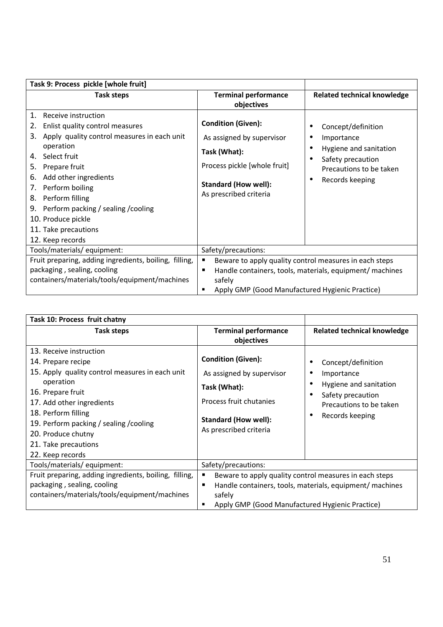| Task 9: Process pickle [whole fruit]                                                                                                                                                                                                                                                                                                                                              |                                                                                                                                                                 |                                                                                                                                            |
|-----------------------------------------------------------------------------------------------------------------------------------------------------------------------------------------------------------------------------------------------------------------------------------------------------------------------------------------------------------------------------------|-----------------------------------------------------------------------------------------------------------------------------------------------------------------|--------------------------------------------------------------------------------------------------------------------------------------------|
| <b>Task steps</b>                                                                                                                                                                                                                                                                                                                                                                 | <b>Terminal performance</b><br>objectives                                                                                                                       | <b>Related technical knowledge</b>                                                                                                         |
| 1.<br>Receive instruction<br>Enlist quality control measures<br>2.<br>Apply quality control measures in each unit<br>3.<br>operation<br>Select fruit<br>4.<br>Prepare fruit<br>5.<br>Add other ingredients<br>6.<br>Perform boiling<br>7.<br>Perform filling<br>8.<br>Perform packing / sealing / cooling<br>9.<br>10. Produce pickle<br>11. Take precautions<br>12. Keep records | <b>Condition (Given):</b><br>As assigned by supervisor<br>Task (What):<br>Process pickle [whole fruit]<br><b>Standard (How well):</b><br>As prescribed criteria | Concept/definition<br>Importance<br>Hygiene and sanitation<br>Safety precaution<br>Precautions to be taken<br>Records keeping<br>$\bullet$ |
| Tools/materials/ equipment:                                                                                                                                                                                                                                                                                                                                                       | Safety/precautions:                                                                                                                                             |                                                                                                                                            |
| Fruit preparing, adding ingredients, boiling, filling,                                                                                                                                                                                                                                                                                                                            | Beware to apply quality control measures in each steps<br>п                                                                                                     |                                                                                                                                            |
| packaging, sealing, cooling                                                                                                                                                                                                                                                                                                                                                       | п                                                                                                                                                               | Handle containers, tools, materials, equipment/ machines                                                                                   |
| containers/materials/tools/equipment/machines                                                                                                                                                                                                                                                                                                                                     | safely                                                                                                                                                          |                                                                                                                                            |
|                                                                                                                                                                                                                                                                                                                                                                                   | Apply GMP (Good Manufactured Hygienic Practice)                                                                                                                 |                                                                                                                                            |

| Task 10: Process fruit chatny                                                                                                                                                                                                                                                                       |                                                                                                                                                            |                                                                                                                               |
|-----------------------------------------------------------------------------------------------------------------------------------------------------------------------------------------------------------------------------------------------------------------------------------------------------|------------------------------------------------------------------------------------------------------------------------------------------------------------|-------------------------------------------------------------------------------------------------------------------------------|
| <b>Task steps</b>                                                                                                                                                                                                                                                                                   | <b>Terminal performance</b><br>objectives                                                                                                                  | <b>Related technical knowledge</b>                                                                                            |
| 13. Receive instruction<br>14. Prepare recipe<br>15. Apply quality control measures in each unit<br>operation<br>16. Prepare fruit<br>17. Add other ingredients<br>18. Perform filling<br>19. Perform packing / sealing / cooling<br>20. Produce chutny<br>21. Take precautions<br>22. Keep records | <b>Condition (Given):</b><br>As assigned by supervisor<br>Task (What):<br>Process fruit chutanies<br><b>Standard (How well):</b><br>As prescribed criteria | Concept/definition<br>Importance<br>Hygiene and sanitation<br>Safety precaution<br>Precautions to be taken<br>Records keeping |
| Tools/materials/ equipment:                                                                                                                                                                                                                                                                         | Safety/precautions:                                                                                                                                        |                                                                                                                               |
| Fruit preparing, adding ingredients, boiling, filling,<br>packaging, sealing, cooling<br>containers/materials/tools/equipment/machines                                                                                                                                                              | Beware to apply quality control measures in each steps<br>٠<br>٠<br>safely<br>Apply GMP (Good Manufactured Hygienic Practice)                              | Handle containers, tools, materials, equipment/ machines                                                                      |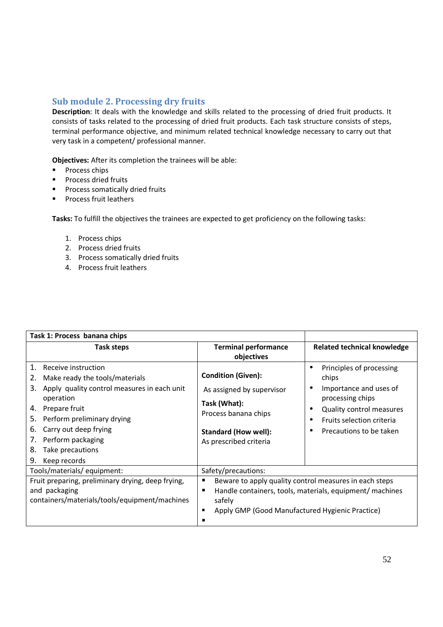### **Sub module 2. Processing dry fruits**

**Description**: It deals with the knowledge and skills related to the processing of dried fruit products. It consists of tasks related to the processing of dried fruit products. Each task structure consists of steps, terminal performance objective, and minimum related technical knowledge necessary to carry out that very task in a competent/ professional manner.

**Objectives:** After its completion the trainees will be able:

- **Process chips**
- **Process dried fruits**
- **Process somatically dried fruits**
- **Process fruit leathers**

- 1. Process chips
- 2. Process dried fruits
- 3. Process somatically dried fruits
- 4. Process fruit leathers

| Task 1: Process banana chips                                                                                                                                                                                                                                                                             |                                                                                                                                                         |                                                                                                                                                                                                                |
|----------------------------------------------------------------------------------------------------------------------------------------------------------------------------------------------------------------------------------------------------------------------------------------------------------|---------------------------------------------------------------------------------------------------------------------------------------------------------|----------------------------------------------------------------------------------------------------------------------------------------------------------------------------------------------------------------|
| Task steps                                                                                                                                                                                                                                                                                               | <b>Terminal performance</b>                                                                                                                             | <b>Related technical knowledge</b>                                                                                                                                                                             |
|                                                                                                                                                                                                                                                                                                          | objectives                                                                                                                                              |                                                                                                                                                                                                                |
| Receive instruction<br>1.<br>Make ready the tools/materials<br>2.<br>Apply quality control measures in each unit<br>3.<br>operation<br>Prepare fruit<br>4.<br>Perform preliminary drying<br>5.<br>Carry out deep frying<br>6.<br>Perform packaging<br>7.<br>Take precautions<br>8.<br>Keep records<br>9. | <b>Condition (Given):</b><br>As assigned by supervisor<br>Task (What):<br>Process banana chips<br><b>Standard (How well):</b><br>As prescribed criteria | Principles of processing<br>$\bullet$<br>chips<br>Importance and uses of<br>٠<br>processing chips<br><b>Quality control measures</b><br>$\bullet$<br>Fruits selection criteria<br>٠<br>Precautions to be taken |
| Tools/materials/equipment:                                                                                                                                                                                                                                                                               | Safety/precautions:                                                                                                                                     |                                                                                                                                                                                                                |
| Fruit preparing, preliminary drying, deep frying,<br>and packaging<br>containers/materials/tools/equipment/machines                                                                                                                                                                                      | Beware to apply quality control measures in each steps<br>п<br>safely<br>Apply GMP (Good Manufactured Hygienic Practice)<br>٠                           | Handle containers, tools, materials, equipment/ machines                                                                                                                                                       |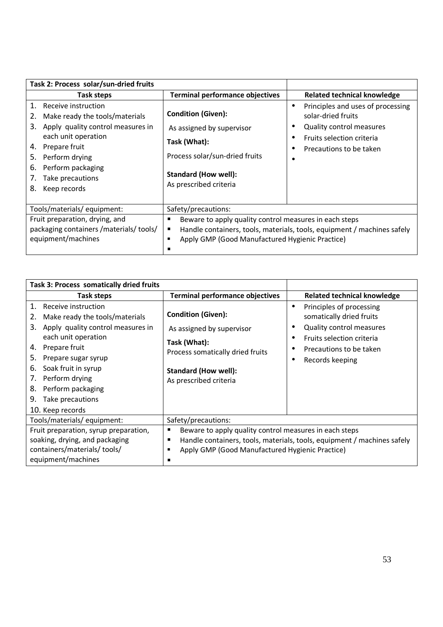| Task 2: Process solar/sun-dried fruits                                                                                                                                                                                                                                 |                                                                                                                                                                                                                       |                                                                                                                                                          |
|------------------------------------------------------------------------------------------------------------------------------------------------------------------------------------------------------------------------------------------------------------------------|-----------------------------------------------------------------------------------------------------------------------------------------------------------------------------------------------------------------------|----------------------------------------------------------------------------------------------------------------------------------------------------------|
| Task steps                                                                                                                                                                                                                                                             | <b>Terminal performance objectives</b>                                                                                                                                                                                | <b>Related technical knowledge</b>                                                                                                                       |
| $1_{\cdot}$<br>Receive instruction<br>Make ready the tools/materials<br>2.<br>Apply quality control measures in<br>3.<br>each unit operation<br>Prepare fruit<br>4.<br>5.<br>Perform drying<br>Perform packaging<br>6.<br>Take precautions<br>7.<br>8.<br>Keep records | <b>Condition (Given):</b><br>As assigned by supervisor<br>Task (What):<br>Process solar/sun-dried fruits<br><b>Standard (How well):</b><br>As prescribed criteria                                                     | Principles and uses of processing<br>$\bullet$<br>solar-dried fruits<br>Quality control measures<br>Fruits selection criteria<br>Precautions to be taken |
| Tools/materials/equipment:<br>Fruit preparation, drying, and<br>packaging containers /materials/ tools/<br>equipment/machines                                                                                                                                          | Safety/precautions:<br>Beware to apply quality control measures in each steps<br>Handle containers, tools, materials, tools, equipment / machines safely<br>п<br>Apply GMP (Good Manufactured Hygienic Practice)<br>п |                                                                                                                                                          |

| Task 3: Process somatically dried fruits                                                                                                                                                                                                                                                                              |                                                                                                                                                                                                          |                                                                                                                                                                          |
|-----------------------------------------------------------------------------------------------------------------------------------------------------------------------------------------------------------------------------------------------------------------------------------------------------------------------|----------------------------------------------------------------------------------------------------------------------------------------------------------------------------------------------------------|--------------------------------------------------------------------------------------------------------------------------------------------------------------------------|
| Task steps                                                                                                                                                                                                                                                                                                            | <b>Terminal performance objectives</b>                                                                                                                                                                   | <b>Related technical knowledge</b>                                                                                                                                       |
| 1.<br>Receive instruction<br>Make ready the tools/materials<br>2.<br>Apply quality control measures in<br>3.<br>each unit operation<br>Prepare fruit<br>4.<br>5.<br>Prepare sugar syrup<br>Soak fruit in syrup<br>6.<br>Perform drying<br>7.<br>Perform packaging<br>8.<br>Take precautions<br>9.<br>10. Keep records | <b>Condition (Given):</b><br>As assigned by supervisor<br>Task (What):<br>Process somatically dried fruits<br><b>Standard (How well):</b><br>As prescribed criteria                                      | Principles of processing<br>$\bullet$<br>somatically dried fruits<br>Quality control measures<br>Fruits selection criteria<br>Precautions to be taken<br>Records keeping |
| Tools/materials/equipment:                                                                                                                                                                                                                                                                                            | Safety/precautions:                                                                                                                                                                                      |                                                                                                                                                                          |
| Fruit preparation, syrup preparation,<br>soaking, drying, and packaging<br>containers/materials/ tools/<br>equipment/machines                                                                                                                                                                                         | Beware to apply quality control measures in each steps<br>п<br>Handle containers, tools, materials, tools, equipment / machines safely<br>п<br>Apply GMP (Good Manufactured Hygienic Practice)<br>п<br>п |                                                                                                                                                                          |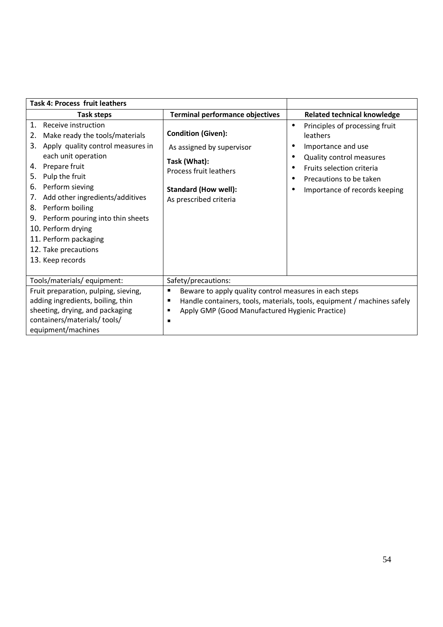| <b>Task 4: Process fruit leathers</b>                                                                                                                                                                                                                                                                                                                                                                              |                                                                                                                                                           |                                                                                                                                                                                                    |
|--------------------------------------------------------------------------------------------------------------------------------------------------------------------------------------------------------------------------------------------------------------------------------------------------------------------------------------------------------------------------------------------------------------------|-----------------------------------------------------------------------------------------------------------------------------------------------------------|----------------------------------------------------------------------------------------------------------------------------------------------------------------------------------------------------|
| Task steps                                                                                                                                                                                                                                                                                                                                                                                                         | <b>Terminal performance objectives</b>                                                                                                                    | <b>Related technical knowledge</b>                                                                                                                                                                 |
| 1.<br>Receive instruction<br>Make ready the tools/materials<br>2.<br>Apply quality control measures in<br>3.<br>each unit operation<br>Prepare fruit<br>4.<br>Pulp the fruit<br>5.<br>Perform sieving<br>6.<br>Add other ingredients/additives<br>7.<br>Perform boiling<br>8.<br>Perform pouring into thin sheets<br>9.<br>10. Perform drying<br>11. Perform packaging<br>12. Take precautions<br>13. Keep records | <b>Condition (Given):</b><br>As assigned by supervisor<br>Task (What):<br>Process fruit leathers<br><b>Standard (How well):</b><br>As prescribed criteria | Principles of processing fruit<br>$\bullet$<br>leathers<br>Importance and use<br>Quality control measures<br>Fruits selection criteria<br>Precautions to be taken<br>Importance of records keeping |
| Tools/materials/ equipment:                                                                                                                                                                                                                                                                                                                                                                                        | Safety/precautions:                                                                                                                                       |                                                                                                                                                                                                    |
| Fruit preparation, pulping, sieving,<br>adding ingredients, boiling, thin<br>sheeting, drying, and packaging<br>containers/materials/ tools/<br>equipment/machines                                                                                                                                                                                                                                                 | Beware to apply quality control measures in each steps<br>п<br>п<br>Apply GMP (Good Manufactured Hygienic Practice)<br>٠<br>п                             | Handle containers, tools, materials, tools, equipment / machines safely                                                                                                                            |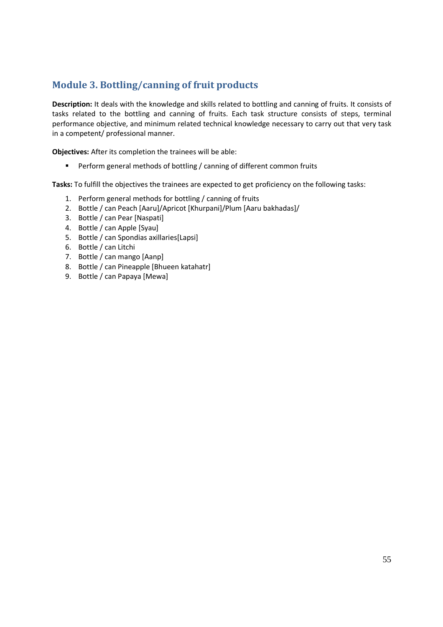# **Module 3. Bottling/canning of fruit products**

**Description:** It deals with the knowledge and skills related to bottling and canning of fruits. It consists of tasks related to the bottling and canning of fruits. Each task structure consists of steps, terminal performance objective, and minimum related technical knowledge necessary to carry out that very task in a competent/ professional manner.

**Objectives:** After its completion the trainees will be able:

**Perform general methods of bottling / canning of different common fruits** 

- 1. Perform general methods for bottling / canning of fruits
- 2. Bottle / can Peach [Aaru]/Apricot [Khurpani]/Plum [Aaru bakhadas]/
- 3. Bottle / can Pear [Naspati]
- 4. Bottle / can Apple [Syau]
- 5. Bottle / can Spondias axillaries[Lapsi]
- 6. Bottle / can Litchi
- 7. Bottle / can mango [Aanp]
- 8. Bottle / can Pineapple [Bhueen katahatr]
- 9. Bottle / can Papaya [Mewa]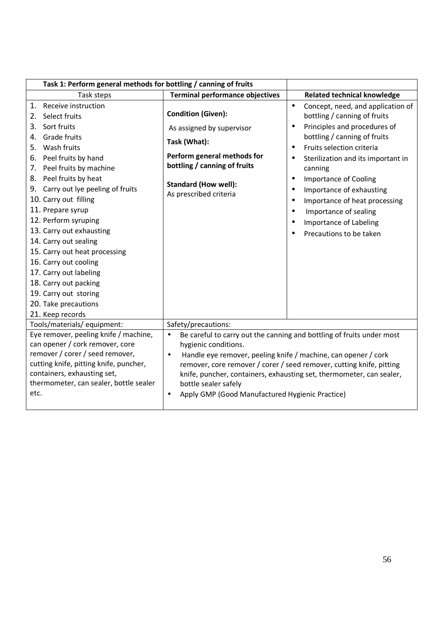| Task 1: Perform general methods for bottling / canning of fruits                                                                                                                                                                                                                                                                                                                                                                                                                              |                                                                                                                                                                                                                                                                                                                                                                                                                                   |                                                                                                                                                                                                                                                                                                                                          |
|-----------------------------------------------------------------------------------------------------------------------------------------------------------------------------------------------------------------------------------------------------------------------------------------------------------------------------------------------------------------------------------------------------------------------------------------------------------------------------------------------|-----------------------------------------------------------------------------------------------------------------------------------------------------------------------------------------------------------------------------------------------------------------------------------------------------------------------------------------------------------------------------------------------------------------------------------|------------------------------------------------------------------------------------------------------------------------------------------------------------------------------------------------------------------------------------------------------------------------------------------------------------------------------------------|
| Task steps                                                                                                                                                                                                                                                                                                                                                                                                                                                                                    | <b>Terminal performance objectives</b>                                                                                                                                                                                                                                                                                                                                                                                            | <b>Related technical knowledge</b>                                                                                                                                                                                                                                                                                                       |
| Receive instruction<br>1.<br>2. Select fruits                                                                                                                                                                                                                                                                                                                                                                                                                                                 | <b>Condition (Given):</b>                                                                                                                                                                                                                                                                                                                                                                                                         | Concept, need, and application of<br>$\bullet$<br>bottling / canning of fruits                                                                                                                                                                                                                                                           |
| Sort fruits<br>3.<br>Grade fruits<br>4.<br>5. Wash fruits<br>6. Peel fruits by hand<br>7. Peel fruits by machine<br>8. Peel fruits by heat<br>9. Carry out lye peeling of fruits<br>10. Carry out filling<br>11. Prepare syrup<br>12. Perform syruping<br>13. Carry out exhausting<br>14. Carry out sealing<br>15. Carry out heat processing<br>16. Carry out cooling<br>17. Carry out labeling<br>18. Carry out packing<br>19. Carry out storing<br>20. Take precautions<br>21. Keep records | As assigned by supervisor<br>Task (What):<br>Perform general methods for<br>bottling / canning of fruits<br><b>Standard (How well):</b><br>As prescribed criteria                                                                                                                                                                                                                                                                 | Principles and procedures of<br>bottling / canning of fruits<br>Fruits selection criteria<br>Sterilization and its important in<br>canning<br>Importance of Cooling<br>$\bullet$<br>Importance of exhausting<br>$\bullet$<br>Importance of heat processing<br>Importance of sealing<br>Importance of Labeling<br>Precautions to be taken |
| Tools/materials/ equipment:                                                                                                                                                                                                                                                                                                                                                                                                                                                                   | Safety/precautions:                                                                                                                                                                                                                                                                                                                                                                                                               |                                                                                                                                                                                                                                                                                                                                          |
| Eye remover, peeling knife / machine,<br>can opener / cork remover, core<br>remover / corer / seed remover,<br>cutting knife, pitting knife, puncher,<br>containers, exhausting set,<br>thermometer, can sealer, bottle sealer<br>etc.                                                                                                                                                                                                                                                        | Be careful to carry out the canning and bottling of fruits under most<br>$\bullet$<br>hygienic conditions.<br>Handle eye remover, peeling knife / machine, can opener / cork<br>$\bullet$<br>remover, core remover / corer / seed remover, cutting knife, pitting<br>knife, puncher, containers, exhausting set, thermometer, can sealer,<br>bottle sealer safely<br>Apply GMP (Good Manufactured Hygienic Practice)<br>$\bullet$ |                                                                                                                                                                                                                                                                                                                                          |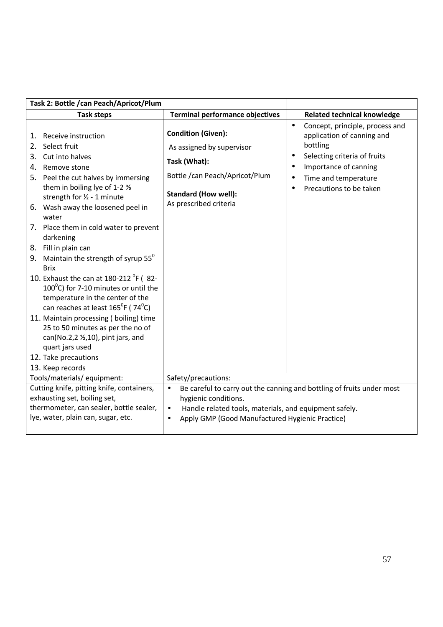| Task 2: Bottle / can Peach/Apricot/Plum                                                                                                                                                                                                                                                                                                                                                                                                                                                                                                                                                                                                                                                                                                                                                        |                                                                                                                                                                   |                                                                                                                                                                                                                 |
|------------------------------------------------------------------------------------------------------------------------------------------------------------------------------------------------------------------------------------------------------------------------------------------------------------------------------------------------------------------------------------------------------------------------------------------------------------------------------------------------------------------------------------------------------------------------------------------------------------------------------------------------------------------------------------------------------------------------------------------------------------------------------------------------|-------------------------------------------------------------------------------------------------------------------------------------------------------------------|-----------------------------------------------------------------------------------------------------------------------------------------------------------------------------------------------------------------|
| <b>Task steps</b>                                                                                                                                                                                                                                                                                                                                                                                                                                                                                                                                                                                                                                                                                                                                                                              | <b>Terminal performance objectives</b>                                                                                                                            | <b>Related technical knowledge</b>                                                                                                                                                                              |
| Receive instruction<br>1.<br>Select fruit<br>2.<br>Cut into halves<br>3.<br>Remove stone<br>4.<br>5. Peel the cut halves by immersing<br>them in boiling lye of 1-2 %<br>strength for 1/2 - 1 minute<br>6. Wash away the loosened peel in<br>water<br>7. Place them in cold water to prevent<br>darkening<br>8. Fill in plain can<br>9. Maintain the strength of syrup $55^{\circ}$<br><b>Brix</b><br>10. Exhaust the can at $180-212$ <sup>o</sup> F (82-<br>$100^{\circ}$ C) for 7-10 minutes or until the<br>temperature in the center of the<br>can reaches at least $165^{\circ}$ F (74 $^{\circ}$ C)<br>11. Maintain processing (boiling) time<br>25 to 50 minutes as per the no of<br>can(No.2,2 1/2,10), pint jars, and<br>quart jars used<br>12. Take precautions<br>13. Keep records | <b>Condition (Given):</b><br>As assigned by supervisor<br>Task (What):<br>Bottle /can Peach/Apricot/Plum<br><b>Standard (How well):</b><br>As prescribed criteria | Concept, principle, process and<br>$\bullet$<br>application of canning and<br>bottling<br>Selecting criteria of fruits<br>$\bullet$<br>Importance of canning<br>Time and temperature<br>Precautions to be taken |
| Tools/materials/ equipment:<br>Cutting knife, pitting knife, containers,                                                                                                                                                                                                                                                                                                                                                                                                                                                                                                                                                                                                                                                                                                                       | Safety/precautions:                                                                                                                                               |                                                                                                                                                                                                                 |
| exhausting set, boiling set,                                                                                                                                                                                                                                                                                                                                                                                                                                                                                                                                                                                                                                                                                                                                                                   | Be careful to carry out the canning and bottling of fruits under most<br>hygienic conditions.                                                                     |                                                                                                                                                                                                                 |
| thermometer, can sealer, bottle sealer,                                                                                                                                                                                                                                                                                                                                                                                                                                                                                                                                                                                                                                                                                                                                                        | Handle related tools, materials, and equipment safely.<br>$\bullet$                                                                                               |                                                                                                                                                                                                                 |
| lye, water, plain can, sugar, etc.                                                                                                                                                                                                                                                                                                                                                                                                                                                                                                                                                                                                                                                                                                                                                             | Apply GMP (Good Manufactured Hygienic Practice)<br>$\bullet$                                                                                                      |                                                                                                                                                                                                                 |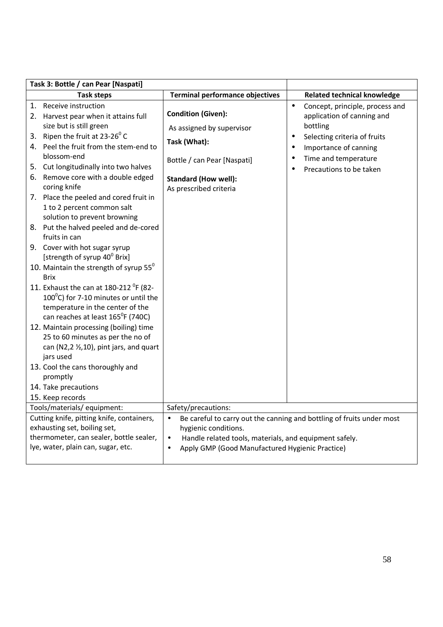| Task 3: Bottle / can Pear [Naspati]                                                                                                                                                                                                                                                                                                                                                                                                                                                                                                                                                                                                                                                                                                                                                                                                                                                                                                                                                                                                              |                                                                                                                                                                |                                                                                                                                                                                                                                                        |
|--------------------------------------------------------------------------------------------------------------------------------------------------------------------------------------------------------------------------------------------------------------------------------------------------------------------------------------------------------------------------------------------------------------------------------------------------------------------------------------------------------------------------------------------------------------------------------------------------------------------------------------------------------------------------------------------------------------------------------------------------------------------------------------------------------------------------------------------------------------------------------------------------------------------------------------------------------------------------------------------------------------------------------------------------|----------------------------------------------------------------------------------------------------------------------------------------------------------------|--------------------------------------------------------------------------------------------------------------------------------------------------------------------------------------------------------------------------------------------------------|
| <b>Task steps</b>                                                                                                                                                                                                                                                                                                                                                                                                                                                                                                                                                                                                                                                                                                                                                                                                                                                                                                                                                                                                                                | <b>Terminal performance objectives</b>                                                                                                                         | <b>Related technical knowledge</b>                                                                                                                                                                                                                     |
| 1. Receive instruction<br>2. Harvest pear when it attains full<br>size but is still green<br>3. Ripen the fruit at $23-26^{\circ}$ C<br>4. Peel the fruit from the stem-end to<br>blossom-end<br>Cut longitudinally into two halves<br>5.<br>6. Remove core with a double edged<br>coring knife<br>7. Place the peeled and cored fruit in<br>1 to 2 percent common salt<br>solution to prevent browning<br>8. Put the halved peeled and de-cored<br>fruits in can<br>9. Cover with hot sugar syrup<br>[strength of syrup 40 <sup>0</sup> Brix]<br>10. Maintain the strength of syrup $55^{\circ}$<br><b>Brix</b><br>11. Exhaust the can at 180-212 <sup>o</sup> F (82-<br>100 $^{\circ}$ C) for 7-10 minutes or until the<br>temperature in the center of the<br>can reaches at least 165°F (740C)<br>12. Maintain processing (boiling) time<br>25 to 60 minutes as per the no of<br>can (N2,2 $\frac{1}{2}$ ,10), pint jars, and quart<br>jars used<br>13. Cool the cans thoroughly and<br>promptly<br>14. Take precautions<br>15. Keep records | <b>Condition (Given):</b><br>As assigned by supervisor<br>Task (What):<br>Bottle / can Pear [Naspati]<br><b>Standard (How well):</b><br>As prescribed criteria | $\bullet$<br>Concept, principle, process and<br>application of canning and<br>bottling<br>Selecting criteria of fruits<br>$\bullet$<br>Importance of canning<br>$\bullet$<br>Time and temperature<br>$\bullet$<br>Precautions to be taken<br>$\bullet$ |
| Tools/materials/ equipment:                                                                                                                                                                                                                                                                                                                                                                                                                                                                                                                                                                                                                                                                                                                                                                                                                                                                                                                                                                                                                      | Safety/precautions:                                                                                                                                            |                                                                                                                                                                                                                                                        |
| Cutting knife, pitting knife, containers,<br>exhausting set, boiling set,<br>thermometer, can sealer, bottle sealer,<br>lye, water, plain can, sugar, etc.                                                                                                                                                                                                                                                                                                                                                                                                                                                                                                                                                                                                                                                                                                                                                                                                                                                                                       | hygienic conditions.<br>Handle related tools, materials, and equipment safely.<br>$\bullet$<br>Apply GMP (Good Manufactured Hygienic Practice)                 | Be careful to carry out the canning and bottling of fruits under most                                                                                                                                                                                  |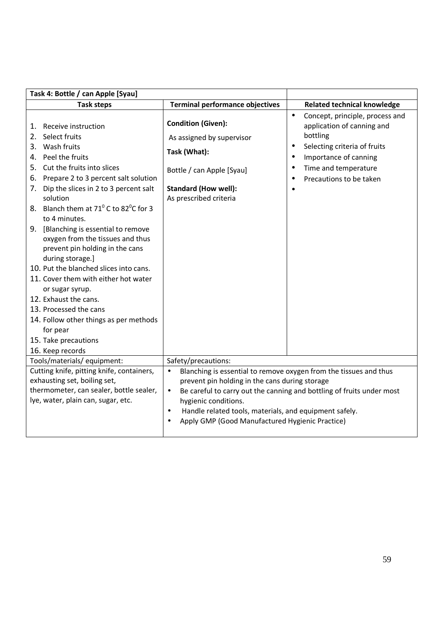| Task 4: Bottle / can Apple [Syau]                                                                                                                                                                                                                                                                                                                                                                                                                                                                                                                                                                                                                                                                                     |                                                                                                                                                                                                                                                                                                                                                                          |                                                                                                                                                                                                                      |
|-----------------------------------------------------------------------------------------------------------------------------------------------------------------------------------------------------------------------------------------------------------------------------------------------------------------------------------------------------------------------------------------------------------------------------------------------------------------------------------------------------------------------------------------------------------------------------------------------------------------------------------------------------------------------------------------------------------------------|--------------------------------------------------------------------------------------------------------------------------------------------------------------------------------------------------------------------------------------------------------------------------------------------------------------------------------------------------------------------------|----------------------------------------------------------------------------------------------------------------------------------------------------------------------------------------------------------------------|
| <b>Task steps</b>                                                                                                                                                                                                                                                                                                                                                                                                                                                                                                                                                                                                                                                                                                     | <b>Terminal performance objectives</b>                                                                                                                                                                                                                                                                                                                                   | <b>Related technical knowledge</b>                                                                                                                                                                                   |
| Receive instruction<br>1.<br>Select fruits<br>2.<br>Wash fruits<br>3.<br>4. Peel the fruits<br>Cut the fruits into slices<br>5.<br>Prepare 2 to 3 percent salt solution<br>6.<br>Dip the slices in 2 to 3 percent salt<br>7.<br>solution<br>8. Blanch them at $71^{\circ}$ C to 82 <sup>°</sup> C for 3<br>to 4 minutes.<br>9. [Blanching is essential to remove<br>oxygen from the tissues and thus<br>prevent pin holding in the cans<br>during storage.]<br>10. Put the blanched slices into cans.<br>11. Cover them with either hot water<br>or sugar syrup.<br>12. Exhaust the cans.<br>13. Processed the cans<br>14. Follow other things as per methods<br>for pear<br>15. Take precautions<br>16. Keep records | <b>Condition (Given):</b><br>As assigned by supervisor<br>Task (What):<br>Bottle / can Apple [Syau]<br><b>Standard (How well):</b><br>As prescribed criteria                                                                                                                                                                                                             | Concept, principle, process and<br>$\bullet$<br>application of canning and<br>bottling<br>Selecting criteria of fruits<br>$\bullet$<br>Importance of canning<br>Time and temperature<br>٠<br>Precautions to be taken |
| Tools/materials/ equipment:                                                                                                                                                                                                                                                                                                                                                                                                                                                                                                                                                                                                                                                                                           | Safety/precautions:                                                                                                                                                                                                                                                                                                                                                      |                                                                                                                                                                                                                      |
| Cutting knife, pitting knife, containers,<br>exhausting set, boiling set,<br>thermometer, can sealer, bottle sealer,<br>lye, water, plain can, sugar, etc.                                                                                                                                                                                                                                                                                                                                                                                                                                                                                                                                                            | Blanching is essential to remove oxygen from the tissues and thus<br>$\bullet$<br>prevent pin holding in the cans during storage<br>Be careful to carry out the canning and bottling of fruits under most<br>$\bullet$<br>hygienic conditions.<br>Handle related tools, materials, and equipment safely.<br>$\bullet$<br>Apply GMP (Good Manufactured Hygienic Practice) |                                                                                                                                                                                                                      |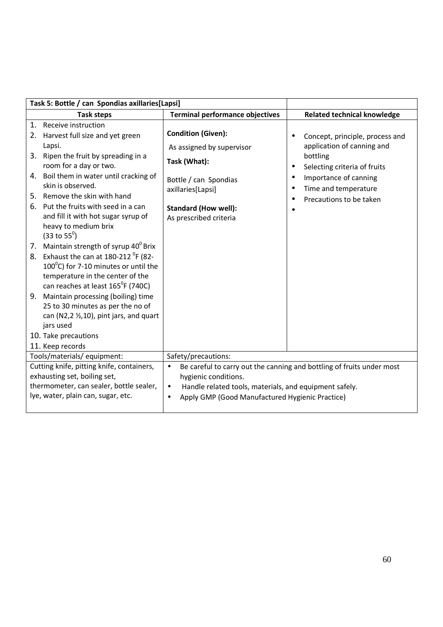| Task 5: Bottle / can Spondias axillaries[Lapsi] |                                                                                                                                                                                                                                                                                                                                                 |                                                                                                                                                                                                                                      |                                                                                                                                                                                                    |
|-------------------------------------------------|-------------------------------------------------------------------------------------------------------------------------------------------------------------------------------------------------------------------------------------------------------------------------------------------------------------------------------------------------|--------------------------------------------------------------------------------------------------------------------------------------------------------------------------------------------------------------------------------------|----------------------------------------------------------------------------------------------------------------------------------------------------------------------------------------------------|
|                                                 | <b>Task steps</b>                                                                                                                                                                                                                                                                                                                               | <b>Terminal performance objectives</b>                                                                                                                                                                                               | <b>Related technical knowledge</b>                                                                                                                                                                 |
| 1.                                              | Receive instruction<br>2. Harvest full size and yet green<br>Lapsi.<br>3. Ripen the fruit by spreading in a<br>room for a day or two.<br>4. Boil them in water until cracking of<br>skin is observed.<br>5. Remove the skin with hand<br>6. Put the fruits with seed in a can                                                                   | <b>Condition (Given):</b><br>As assigned by supervisor<br>Task (What):<br>Bottle / can Spondias<br>axillaries[Lapsi]<br><b>Standard (How well):</b>                                                                                  | Concept, principle, process and<br>application of canning and<br>bottling<br>Selecting criteria of fruits<br>$\bullet$<br>Importance of canning<br>Time and temperature<br>Precautions to be taken |
|                                                 | and fill it with hot sugar syrup of<br>heavy to medium brix<br>$(33 \text{ to } 55^{\circ})$<br>7. Maintain strength of syrup 40 <sup>0</sup> Brix<br>8. Exhaust the can at 180-212 <sup>o</sup> F (82-<br>$100^{\circ}$ C) for 7-10 minutes or until the<br>temperature in the center of the<br>can reaches at least 165 <sup>°</sup> F (740C) | As prescribed criteria                                                                                                                                                                                                               |                                                                                                                                                                                                    |
|                                                 | 9. Maintain processing (boiling) time<br>25 to 30 minutes as per the no of<br>can (N2,2 $\frac{1}{2}$ ,10), pint jars, and quart<br>jars used<br>10. Take precautions<br>11. Keep records                                                                                                                                                       |                                                                                                                                                                                                                                      |                                                                                                                                                                                                    |
|                                                 | Tools/materials/equipment:<br>Safety/precautions:                                                                                                                                                                                                                                                                                               |                                                                                                                                                                                                                                      |                                                                                                                                                                                                    |
|                                                 | Cutting knife, pitting knife, containers,<br>exhausting set, boiling set,<br>thermometer, can sealer, bottle sealer,<br>lye, water, plain can, sugar, etc.                                                                                                                                                                                      | Be careful to carry out the canning and bottling of fruits under most<br>hygienic conditions.<br>Handle related tools, materials, and equipment safely.<br>$\bullet$<br>Apply GMP (Good Manufactured Hygienic Practice)<br>$\bullet$ |                                                                                                                                                                                                    |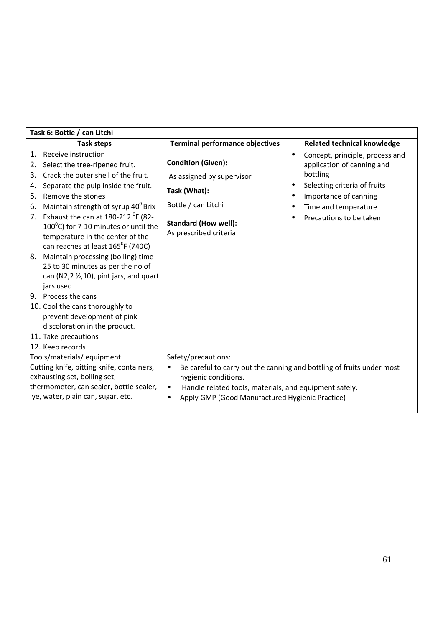| Task 6: Bottle / can Litchi                                                                                                                                                                                                                                                                                                                                                                                                                                                                                                                                                                                                                                                                                                                          |                                                                                                                                                                                                                                                   |                                                                                                                                                                                                         |
|------------------------------------------------------------------------------------------------------------------------------------------------------------------------------------------------------------------------------------------------------------------------------------------------------------------------------------------------------------------------------------------------------------------------------------------------------------------------------------------------------------------------------------------------------------------------------------------------------------------------------------------------------------------------------------------------------------------------------------------------------|---------------------------------------------------------------------------------------------------------------------------------------------------------------------------------------------------------------------------------------------------|---------------------------------------------------------------------------------------------------------------------------------------------------------------------------------------------------------|
| Task steps                                                                                                                                                                                                                                                                                                                                                                                                                                                                                                                                                                                                                                                                                                                                           | <b>Terminal performance objectives</b>                                                                                                                                                                                                            | <b>Related technical knowledge</b>                                                                                                                                                                      |
| 1.<br>Receive instruction<br>2.<br>Select the tree-ripened fruit.<br>Crack the outer shell of the fruit.<br>3.<br>Separate the pulp inside the fruit.<br>4.<br>Remove the stones<br>5.<br>Maintain strength of syrup 40 <sup>0</sup> Brix<br>6.<br>7. Exhaust the can at $180-212$ <sup>o</sup> F (82-<br>$100^{\circ}$ C) for 7-10 minutes or until the<br>temperature in the center of the<br>can reaches at least 165 <sup>°</sup> F (740C)<br>Maintain processing (boiling) time<br>8.<br>25 to 30 minutes as per the no of<br>can (N2,2 $\frac{1}{2}$ ,10), pint jars, and quart<br>jars used<br>9. Process the cans<br>10. Cool the cans thoroughly to<br>prevent development of pink<br>discoloration in the product.<br>11. Take precautions | <b>Condition (Given):</b><br>As assigned by supervisor<br>Task (What):<br>Bottle / can Litchi<br><b>Standard (How well):</b><br>As prescribed criteria                                                                                            | Concept, principle, process and<br>$\bullet$<br>application of canning and<br>bottling<br>Selecting criteria of fruits<br>Importance of canning<br>٠<br>Time and temperature<br>Precautions to be taken |
| 12. Keep records                                                                                                                                                                                                                                                                                                                                                                                                                                                                                                                                                                                                                                                                                                                                     |                                                                                                                                                                                                                                                   |                                                                                                                                                                                                         |
| Tools/materials/equipment:                                                                                                                                                                                                                                                                                                                                                                                                                                                                                                                                                                                                                                                                                                                           | Safety/precautions:                                                                                                                                                                                                                               |                                                                                                                                                                                                         |
| Cutting knife, pitting knife, containers,<br>exhausting set, boiling set,<br>thermometer, can sealer, bottle sealer,<br>lye, water, plain can, sugar, etc.                                                                                                                                                                                                                                                                                                                                                                                                                                                                                                                                                                                           | Be careful to carry out the canning and bottling of fruits under most<br>$\bullet$<br>hygienic conditions.<br>Handle related tools, materials, and equipment safely.<br>$\bullet$<br>Apply GMP (Good Manufactured Hygienic Practice)<br>$\bullet$ |                                                                                                                                                                                                         |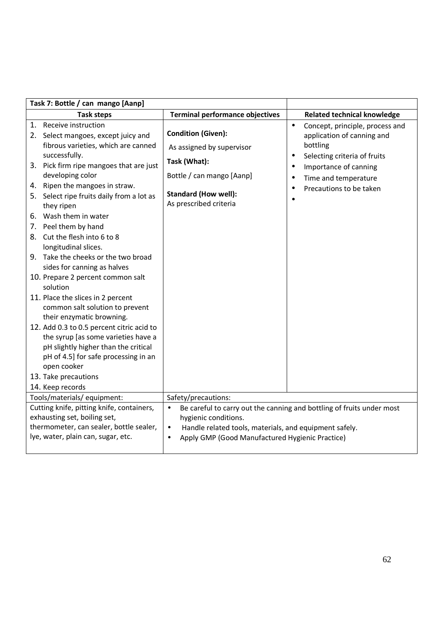| Task 7: Bottle / can mango [Aanp]                                                                                                                                                                                                                                                                                                                                                                                                                        |                                                        |                                                                                                         |
|----------------------------------------------------------------------------------------------------------------------------------------------------------------------------------------------------------------------------------------------------------------------------------------------------------------------------------------------------------------------------------------------------------------------------------------------------------|--------------------------------------------------------|---------------------------------------------------------------------------------------------------------|
| <b>Task steps</b>                                                                                                                                                                                                                                                                                                                                                                                                                                        | <b>Terminal performance objectives</b>                 | <b>Related technical knowledge</b>                                                                      |
| 1. Receive instruction<br>2. Select mangoes, except juicy and<br>fibrous varieties, which are canned                                                                                                                                                                                                                                                                                                                                                     | <b>Condition (Given):</b><br>As assigned by supervisor | Concept, principle, process and<br>$\bullet$<br>application of canning and<br>bottling                  |
| successfully.<br>3. Pick firm ripe mangoes that are just<br>developing color<br>4. Ripen the mangoes in straw.                                                                                                                                                                                                                                                                                                                                           | Task (What):<br>Bottle / can mango [Aanp]              | Selecting criteria of fruits<br>$\bullet$<br>Importance of canning<br>$\bullet$<br>Time and temperature |
| 5. Select ripe fruits daily from a lot as<br>they ripen                                                                                                                                                                                                                                                                                                                                                                                                  | <b>Standard (How well):</b><br>As prescribed criteria  | Precautions to be taken<br>$\bullet$                                                                    |
| 6. Wash them in water<br>7. Peel them by hand<br>8. Cut the flesh into 6 to 8<br>longitudinal slices.<br>9. Take the cheeks or the two broad<br>sides for canning as halves                                                                                                                                                                                                                                                                              |                                                        |                                                                                                         |
| 10. Prepare 2 percent common salt<br>solution<br>11. Place the slices in 2 percent<br>common salt solution to prevent<br>their enzymatic browning.                                                                                                                                                                                                                                                                                                       |                                                        |                                                                                                         |
| 12. Add 0.3 to 0.5 percent citric acid to<br>the syrup [as some varieties have a<br>pH slightly higher than the critical<br>pH of 4.5] for safe processing in an<br>open cooker<br>13. Take precautions                                                                                                                                                                                                                                                  |                                                        |                                                                                                         |
| 14. Keep records                                                                                                                                                                                                                                                                                                                                                                                                                                         |                                                        |                                                                                                         |
| Tools/materials/ equipment:<br>Safety/precautions:<br>Cutting knife, pitting knife, containers,<br>Be careful to carry out the canning and bottling of fruits under most<br>$\bullet$<br>exhausting set, boiling set,<br>hygienic conditions.<br>thermometer, can sealer, bottle sealer,<br>Handle related tools, materials, and equipment safely.<br>$\bullet$<br>lye, water, plain can, sugar, etc.<br>Apply GMP (Good Manufactured Hygienic Practice) |                                                        |                                                                                                         |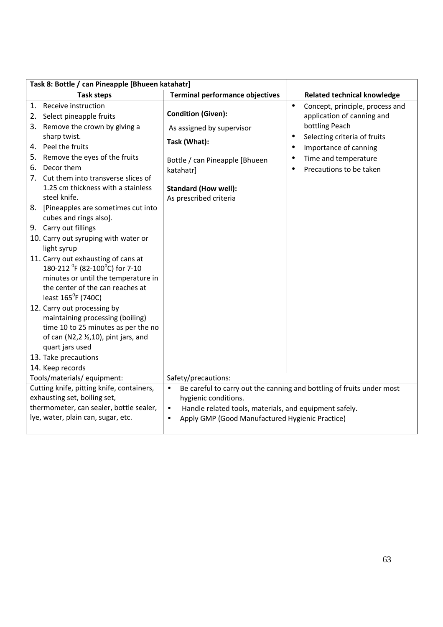| Task 8: Bottle / can Pineapple [Bhueen katahatr]                                                                                                                                                                                                                                                                                                                                          |                                                                                                                                                                                                                                      |                                                                                                                                                                                                                                    |
|-------------------------------------------------------------------------------------------------------------------------------------------------------------------------------------------------------------------------------------------------------------------------------------------------------------------------------------------------------------------------------------------|--------------------------------------------------------------------------------------------------------------------------------------------------------------------------------------------------------------------------------------|------------------------------------------------------------------------------------------------------------------------------------------------------------------------------------------------------------------------------------|
| <b>Task steps</b>                                                                                                                                                                                                                                                                                                                                                                         | <b>Terminal performance objectives</b>                                                                                                                                                                                               | <b>Related technical knowledge</b>                                                                                                                                                                                                 |
| 1. Receive instruction<br>Select pineapple fruits<br>2.<br>3. Remove the crown by giving a<br>sharp twist.<br>4. Peel the fruits<br>5. Remove the eyes of the fruits<br>Decor them<br>6.<br>7. Cut them into transverse slices of<br>1.25 cm thickness with a stainless<br>steel knife.<br>8. [Pineapples are sometimes cut into                                                          | <b>Condition (Given):</b><br>As assigned by supervisor<br>Task (What):<br>Bottle / can Pineapple [Bhueen<br>katahatr]<br><b>Standard (How well):</b><br>As prescribed criteria                                                       | Concept, principle, process and<br>$\bullet$<br>application of canning and<br>bottling Peach<br>Selecting criteria of fruits<br>$\bullet$<br>Importance of canning<br>$\bullet$<br>Time and temperature<br>Precautions to be taken |
| cubes and rings also].<br>9. Carry out fillings<br>10. Carry out syruping with water or<br>light syrup<br>11. Carry out exhausting of cans at<br>180-212 <sup>°</sup> F (82-100 <sup>°</sup> C) for 7-10<br>minutes or until the temperature in<br>the center of the can reaches at<br>least 165 <sup>°</sup> F (740C)<br>12. Carry out processing by<br>maintaining processing (boiling) |                                                                                                                                                                                                                                      |                                                                                                                                                                                                                                    |
| time 10 to 25 minutes as per the no<br>of can (N2,2 $\frac{1}{2}$ ,10), pint jars, and<br>quart jars used<br>13. Take precautions<br>14. Keep records<br>Tools/materials/ equipment:                                                                                                                                                                                                      | Safety/precautions:                                                                                                                                                                                                                  |                                                                                                                                                                                                                                    |
| Cutting knife, pitting knife, containers,<br>exhausting set, boiling set,<br>thermometer, can sealer, bottle sealer,<br>lye, water, plain can, sugar, etc.                                                                                                                                                                                                                                | Be careful to carry out the canning and bottling of fruits under most<br>$\bullet$<br>hygienic conditions.<br>Handle related tools, materials, and equipment safely.<br>$\bullet$<br>Apply GMP (Good Manufactured Hygienic Practice) |                                                                                                                                                                                                                                    |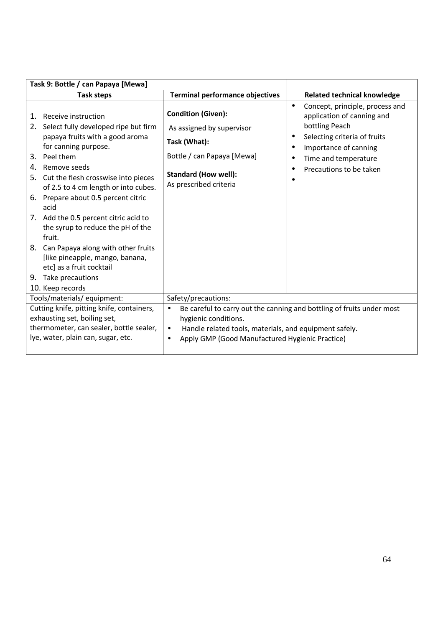| Task 9: Bottle / can Papaya [Mewa]                                                                                                                                                                                                                                                                                                                                                                                                                                                                                                                         |                                                                                                                                                                                                                         |                                                                                                                                                                                                          |
|------------------------------------------------------------------------------------------------------------------------------------------------------------------------------------------------------------------------------------------------------------------------------------------------------------------------------------------------------------------------------------------------------------------------------------------------------------------------------------------------------------------------------------------------------------|-------------------------------------------------------------------------------------------------------------------------------------------------------------------------------------------------------------------------|----------------------------------------------------------------------------------------------------------------------------------------------------------------------------------------------------------|
| <b>Task steps</b>                                                                                                                                                                                                                                                                                                                                                                                                                                                                                                                                          | <b>Terminal performance objectives</b>                                                                                                                                                                                  | <b>Related technical knowledge</b>                                                                                                                                                                       |
| Receive instruction<br>1.<br>Select fully developed ripe but firm<br>2.<br>papaya fruits with a good aroma<br>for canning purpose.<br>Peel them<br>3.<br>Remove seeds<br>4.<br>Cut the flesh crosswise into pieces<br>5.<br>of 2.5 to 4 cm length or into cubes.<br>6. Prepare about 0.5 percent citric<br>acid<br>7. Add the 0.5 percent citric acid to<br>the syrup to reduce the pH of the<br>fruit.<br>8. Can Papaya along with other fruits<br>[like pineapple, mango, banana,<br>etc] as a fruit cocktail<br>9. Take precautions<br>10. Keep records | <b>Condition (Given):</b><br>As assigned by supervisor<br>Task (What):<br>Bottle / can Papaya [Mewa]<br><b>Standard (How well):</b><br>As prescribed criteria                                                           | Concept, principle, process and<br>$\bullet$<br>application of canning and<br>bottling Peach<br>Selecting criteria of fruits<br>Importance of canning<br>Time and temperature<br>Precautions to be taken |
| Tools/materials/ equipment:                                                                                                                                                                                                                                                                                                                                                                                                                                                                                                                                | Safety/precautions:                                                                                                                                                                                                     |                                                                                                                                                                                                          |
| Cutting knife, pitting knife, containers,<br>exhausting set, boiling set,<br>thermometer, can sealer, bottle sealer,<br>lye, water, plain can, sugar, etc.                                                                                                                                                                                                                                                                                                                                                                                                 | Be careful to carry out the canning and bottling of fruits under most<br>hygienic conditions.<br>Handle related tools, materials, and equipment safely.<br>$\bullet$<br>Apply GMP (Good Manufactured Hygienic Practice) |                                                                                                                                                                                                          |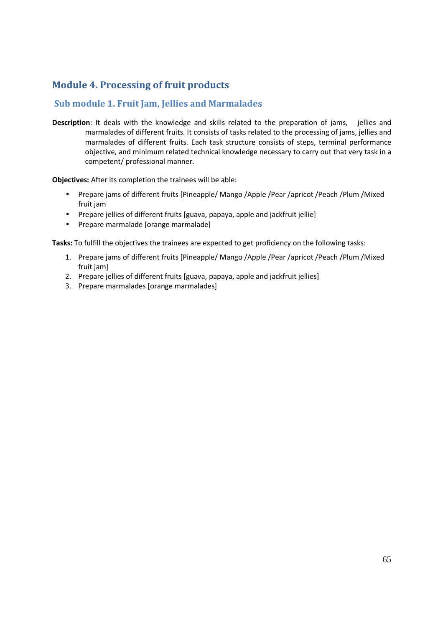## **Module 4. Processing of fruit products**

#### **Sub module 1. Fruit Jam, Jellies and Marmalades**

**Description**: It deals with the knowledge and skills related to the preparation of jams, jellies and marmalades of different fruits. It consists of tasks related to the processing of jams, jellies and marmalades of different fruits. Each task structure consists of steps, terminal performance objective, and minimum related technical knowledge necessary to carry out that very task in a competent/ professional manner.

**Objectives:** After its completion the trainees will be able:

- Prepare jams of different fruits [Pineapple/ Mango /Apple /Pear /apricot /Peach /Plum /Mixed fruit jam
- Prepare jellies of different fruits [guava, papaya, apple and jackfruit jellie]
- Prepare marmalade [orange marmalade]

- 1. Prepare jams of different fruits [Pineapple/ Mango /Apple /Pear /apricot /Peach /Plum /Mixed fruit jam]
- 2. Prepare jellies of different fruits [guava, papaya, apple and jackfruit jellies]
- 3. Prepare marmalades [orange marmalades]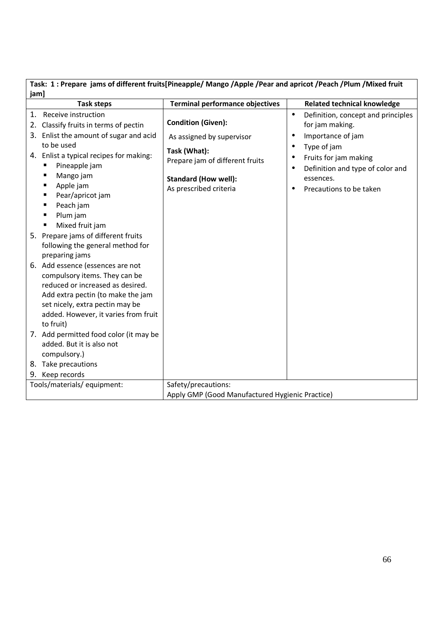| Task: 1: Prepare jams of different fruits[Pineapple/ Mango /Apple /Pear and apricot /Peach /Plum /Mixed fruit |
|---------------------------------------------------------------------------------------------------------------|
| jam]                                                                                                          |

 $\overline{1}$ 

|    | <b>Task steps</b>                                                                                                                                                                                                                       | <b>Terminal performance objectives</b>                | <b>Related technical knowledge</b>                                                  |
|----|-----------------------------------------------------------------------------------------------------------------------------------------------------------------------------------------------------------------------------------------|-------------------------------------------------------|-------------------------------------------------------------------------------------|
| 1. | Receive instruction<br>2. Classify fruits in terms of pectin                                                                                                                                                                            | <b>Condition (Given):</b>                             | Definition, concept and principles<br>$\bullet$<br>for jam making.                  |
| 3. | Enlist the amount of sugar and acid<br>to be used                                                                                                                                                                                       | As assigned by supervisor                             | Importance of jam<br>$\bullet$<br>Type of jam                                       |
|    | 4. Enlist a typical recipes for making:<br>Pineapple jam                                                                                                                                                                                | Task (What):<br>Prepare jam of different fruits       | Fruits for jam making<br>$\bullet$<br>Definition and type of color and<br>$\bullet$ |
|    | Mango jam<br>Apple jam<br>п                                                                                                                                                                                                             | <b>Standard (How well):</b><br>As prescribed criteria | essences.<br>Precautions to be taken                                                |
|    | Pear/apricot jam<br>п<br>Peach jam<br>п<br>Plum jam                                                                                                                                                                                     |                                                       |                                                                                     |
|    | Mixed fruit jam<br>п<br>5. Prepare jams of different fruits<br>following the general method for                                                                                                                                         |                                                       |                                                                                     |
|    | preparing jams<br>6. Add essence (essences are not<br>compulsory items. They can be<br>reduced or increased as desired.<br>Add extra pectin (to make the jam<br>set nicely, extra pectin may be<br>added. However, it varies from fruit |                                                       |                                                                                     |
|    | to fruit)                                                                                                                                                                                                                               |                                                       |                                                                                     |
|    | 7. Add permitted food color (it may be<br>added. But it is also not<br>compulsory.)                                                                                                                                                     |                                                       |                                                                                     |
|    | 8. Take precautions                                                                                                                                                                                                                     |                                                       |                                                                                     |
|    | 9. Keep records<br>Tools/materials/ equipment:                                                                                                                                                                                          | Safety/precautions:                                   |                                                                                     |
|    |                                                                                                                                                                                                                                         | Apply GMP (Good Manufactured Hygienic Practice)       |                                                                                     |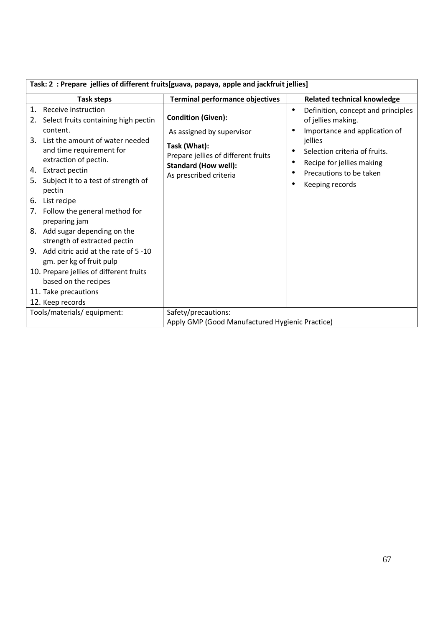| Task: 2 : Prepare jellies of different fruits[guava, papaya, apple and jackfruit jellies] |                                                                                    |                                                                                           |  |
|-------------------------------------------------------------------------------------------|------------------------------------------------------------------------------------|-------------------------------------------------------------------------------------------|--|
| <b>Task steps</b>                                                                         | <b>Terminal performance objectives</b>                                             | <b>Related technical knowledge</b>                                                        |  |
| 1. Receive instruction<br>2. Select fruits containing high pectin<br>content.             | <b>Condition (Given):</b><br>As assigned by supervisor                             | Definition, concept and principles<br>of jellies making.<br>Importance and application of |  |
| 3. List the amount of water needed<br>and time requirement for<br>extraction of pectin.   | Task (What):<br>Prepare jellies of different fruits<br><b>Standard (How well):</b> | jellies<br>Selection criteria of fruits.<br>Recipe for jellies making                     |  |
| 4. Extract pectin                                                                         |                                                                                    | Precautions to be taken                                                                   |  |
| 5. Subject it to a test of strength of<br>pectin                                          | As prescribed criteria                                                             | Keeping records                                                                           |  |
| 6.<br>List recipe                                                                         |                                                                                    |                                                                                           |  |
| 7. Follow the general method for<br>preparing jam                                         |                                                                                    |                                                                                           |  |
| 8. Add sugar depending on the<br>strength of extracted pectin                             |                                                                                    |                                                                                           |  |
| 9. Add citric acid at the rate of 5 -10<br>gm. per kg of fruit pulp                       |                                                                                    |                                                                                           |  |
| 10. Prepare jellies of different fruits<br>based on the recipes                           |                                                                                    |                                                                                           |  |
| 11. Take precautions                                                                      |                                                                                    |                                                                                           |  |
| 12. Keep records                                                                          |                                                                                    |                                                                                           |  |
| Tools/materials/equipment:                                                                | Safety/precautions:                                                                |                                                                                           |  |
| Apply GMP (Good Manufactured Hygienic Practice)                                           |                                                                                    |                                                                                           |  |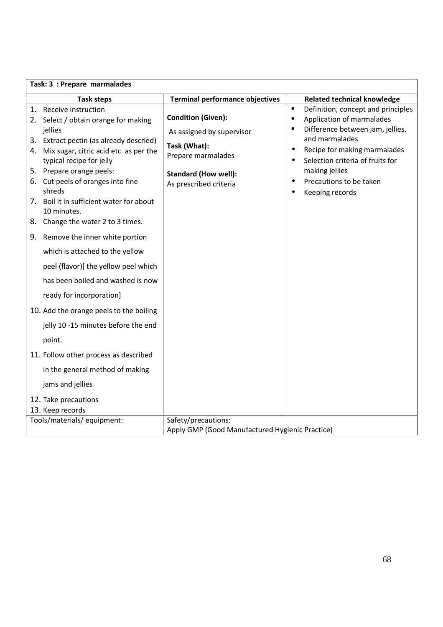| Task: 3 : Prepare marmalades |                                                                                                                                                                                                                                         |                                                                                                                          |                                                                                                                                                                                                |
|------------------------------|-----------------------------------------------------------------------------------------------------------------------------------------------------------------------------------------------------------------------------------------|--------------------------------------------------------------------------------------------------------------------------|------------------------------------------------------------------------------------------------------------------------------------------------------------------------------------------------|
|                              | <b>Task steps</b>                                                                                                                                                                                                                       | <b>Terminal performance objectives</b>                                                                                   | <b>Related technical knowledge</b>                                                                                                                                                             |
|                              | 1. Receive instruction<br>2. Select / obtain orange for making<br>jellies                                                                                                                                                               | <b>Condition (Given):</b>                                                                                                | Definition, concept and principles<br>$\blacksquare$<br>Application of marmalades<br>$\blacksquare$<br>Difference between jam, jellies,<br>$\blacksquare$                                      |
|                              | 3. Extract pectin (as already descried)<br>4. Mix sugar, citric acid etc. as per the<br>typical recipe for jelly<br>5. Prepare orange peels:<br>6. Cut peels of oranges into fine<br>shreds<br>7. Boil it in sufficient water for about | As assigned by supervisor<br>Task (What):<br>Prepare marmalades<br><b>Standard (How well):</b><br>As prescribed criteria | and marmalades<br>Recipe for making marmalades<br>$\bullet$<br>Selection criteria of fruits for<br>$\bullet$<br>making jellies<br>Precautions to be taken<br>$\bullet$<br>Keeping records<br>٠ |
|                              | 10 minutes.<br>8. Change the water 2 to 3 times.                                                                                                                                                                                        |                                                                                                                          |                                                                                                                                                                                                |
|                              | 9. Remove the inner white portion                                                                                                                                                                                                       |                                                                                                                          |                                                                                                                                                                                                |
|                              | which is attached to the yellow                                                                                                                                                                                                         |                                                                                                                          |                                                                                                                                                                                                |
|                              | peel (flavor)[ the yellow peel which                                                                                                                                                                                                    |                                                                                                                          |                                                                                                                                                                                                |
|                              | has been boiled and washed is now                                                                                                                                                                                                       |                                                                                                                          |                                                                                                                                                                                                |
|                              | ready for incorporation]                                                                                                                                                                                                                |                                                                                                                          |                                                                                                                                                                                                |
|                              | 10. Add the orange peels to the boiling                                                                                                                                                                                                 |                                                                                                                          |                                                                                                                                                                                                |
|                              | jelly 10 -15 minutes before the end                                                                                                                                                                                                     |                                                                                                                          |                                                                                                                                                                                                |
|                              | point.                                                                                                                                                                                                                                  |                                                                                                                          |                                                                                                                                                                                                |
|                              | 11. Follow other process as described                                                                                                                                                                                                   |                                                                                                                          |                                                                                                                                                                                                |
|                              | in the general method of making                                                                                                                                                                                                         |                                                                                                                          |                                                                                                                                                                                                |
|                              | jams and jellies                                                                                                                                                                                                                        |                                                                                                                          |                                                                                                                                                                                                |
|                              | 12. Take precautions<br>13. Keep records                                                                                                                                                                                                |                                                                                                                          |                                                                                                                                                                                                |
|                              | Tools/materials/ equipment:<br>Safety/precautions:                                                                                                                                                                                      |                                                                                                                          |                                                                                                                                                                                                |
|                              |                                                                                                                                                                                                                                         | Apply GMP (Good Manufactured Hygienic Practice)                                                                          |                                                                                                                                                                                                |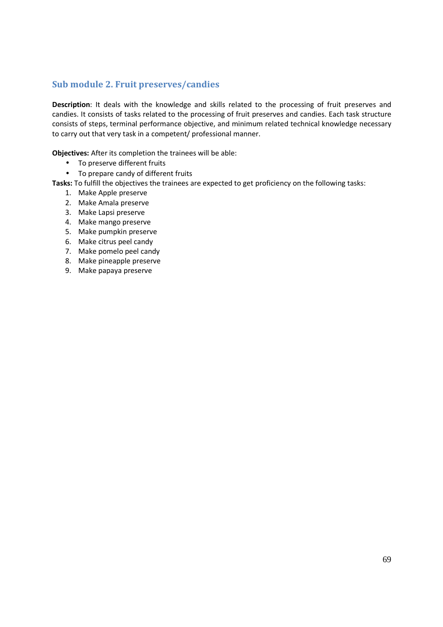#### **Sub module 2. Fruit preserves/candies**

**Description**: It deals with the knowledge and skills related to the processing of fruit preserves and candies. It consists of tasks related to the processing of fruit preserves and candies. Each task structure consists of steps, terminal performance objective, and minimum related technical knowledge necessary to carry out that very task in a competent/ professional manner.

**Objectives:** After its completion the trainees will be able:

- To preserve different fruits
- To prepare candy of different fruits

- 1. Make Apple preserve
- 2. Make Amala preserve
- 3. Make Lapsi preserve
- 4. Make mango preserve
- 5. Make pumpkin preserve
- 6. Make citrus peel candy
- 7. Make pomelo peel candy
- 8. Make pineapple preserve
- 9. Make papaya preserve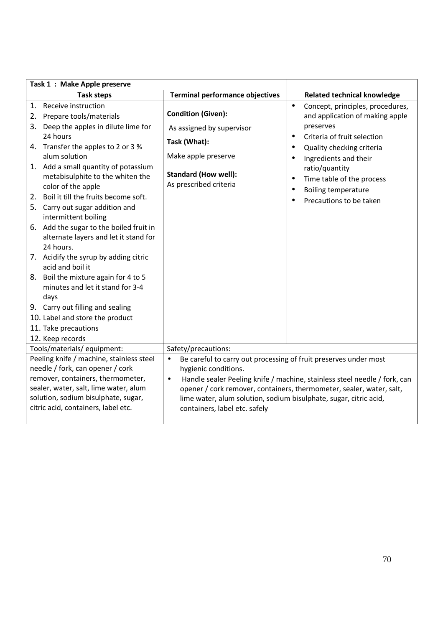| Task 1: Make Apple preserve                                                                                                                                                                                                                                                                                                                                              |                                                                                                                                                                                                                                                                                                                                                                                                      |                             |                                                                                                                                                                                                                                                                               |
|--------------------------------------------------------------------------------------------------------------------------------------------------------------------------------------------------------------------------------------------------------------------------------------------------------------------------------------------------------------------------|------------------------------------------------------------------------------------------------------------------------------------------------------------------------------------------------------------------------------------------------------------------------------------------------------------------------------------------------------------------------------------------------------|-----------------------------|-------------------------------------------------------------------------------------------------------------------------------------------------------------------------------------------------------------------------------------------------------------------------------|
| <b>Task steps</b>                                                                                                                                                                                                                                                                                                                                                        | <b>Terminal performance objectives</b>                                                                                                                                                                                                                                                                                                                                                               |                             | <b>Related technical knowledge</b>                                                                                                                                                                                                                                            |
| 1. Receive instruction<br>2. Prepare tools/materials<br>3. Deep the apples in dilute lime for<br>24 hours<br>4. Transfer the apples to 2 or 3 %<br>alum solution<br>1. Add a small quantity of potassium<br>metabisulphite to the whiten the<br>color of the apple<br>2. Boil it till the fruits become soft.<br>5. Carry out sugar addition and<br>intermittent boiling | <b>Condition (Given):</b><br>As assigned by supervisor<br>Task (What):<br>Make apple preserve<br><b>Standard (How well):</b><br>As prescribed criteria                                                                                                                                                                                                                                               | $\bullet$<br>$\bullet$<br>٠ | Concept, principles, procedures,<br>and application of making apple<br>preserves<br>Criteria of fruit selection<br>Quality checking criteria<br>Ingredients and their<br>ratio/quantity<br>Time table of the process<br><b>Boiling temperature</b><br>Precautions to be taken |
| 6. Add the sugar to the boiled fruit in<br>alternate layers and let it stand for<br>24 hours.<br>7. Acidify the syrup by adding citric<br>acid and boil it<br>8. Boil the mixture again for 4 to 5<br>minutes and let it stand for 3-4<br>days<br>9. Carry out filling and sealing<br>10. Label and store the product<br>11. Take precautions                            |                                                                                                                                                                                                                                                                                                                                                                                                      |                             |                                                                                                                                                                                                                                                                               |
| 12. Keep records<br>Tools/materials/ equipment:                                                                                                                                                                                                                                                                                                                          |                                                                                                                                                                                                                                                                                                                                                                                                      |                             |                                                                                                                                                                                                                                                                               |
| Peeling knife / machine, stainless steel<br>needle / fork, can opener / cork<br>remover, containers, thermometer,<br>sealer, water, salt, lime water, alum<br>solution, sodium bisulphate, sugar,<br>citric acid, containers, label etc.                                                                                                                                 | Safety/precautions:<br>Be careful to carry out processing of fruit preserves under most<br>$\bullet$<br>hygienic conditions.<br>Handle sealer Peeling knife / machine, stainless steel needle / fork, can<br>$\bullet$<br>opener / cork remover, containers, thermometer, sealer, water, salt,<br>lime water, alum solution, sodium bisulphate, sugar, citric acid,<br>containers, label etc. safely |                             |                                                                                                                                                                                                                                                                               |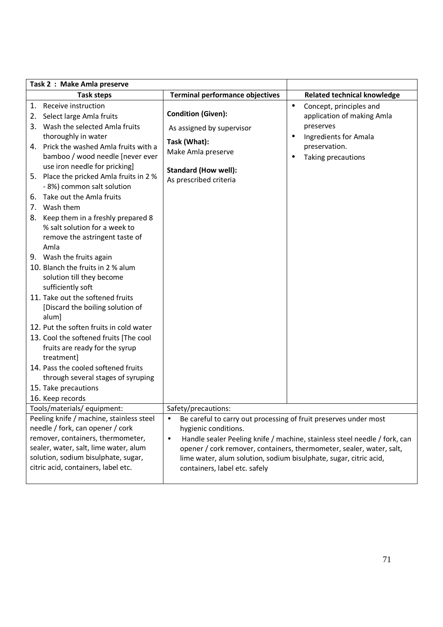|          | Task 2 : Make Amla preserve                                                                                                                                                                                                              |                                                                                                                                                                                                                                                                                                                                                                               |                                                                    |
|----------|------------------------------------------------------------------------------------------------------------------------------------------------------------------------------------------------------------------------------------------|-------------------------------------------------------------------------------------------------------------------------------------------------------------------------------------------------------------------------------------------------------------------------------------------------------------------------------------------------------------------------------|--------------------------------------------------------------------|
|          | <b>Task steps</b>                                                                                                                                                                                                                        | <b>Terminal performance objectives</b>                                                                                                                                                                                                                                                                                                                                        | <b>Related technical knowledge</b>                                 |
| 1.<br>2. | Receive instruction<br>Select large Amla fruits                                                                                                                                                                                          | <b>Condition (Given):</b>                                                                                                                                                                                                                                                                                                                                                     | Concept, principles and<br>$\bullet$<br>application of making Amla |
| 4.       | 3. Wash the selected Amla fruits<br>thoroughly in water<br>Prick the washed Amla fruits with a                                                                                                                                           | As assigned by supervisor<br>Task (What):<br>Make Amla preserve                                                                                                                                                                                                                                                                                                               | preserves<br>Ingredients for Amala<br>$\bullet$<br>preservation.   |
| 5.       | bamboo / wood needle [never ever<br>use iron needle for pricking]<br>Place the pricked Amla fruits in 2 %                                                                                                                                | <b>Standard (How well):</b><br>As prescribed criteria                                                                                                                                                                                                                                                                                                                         | Taking precautions<br>$\bullet$                                    |
| 6.       | - 8%) common salt solution<br>Take out the Amla fruits                                                                                                                                                                                   |                                                                                                                                                                                                                                                                                                                                                                               |                                                                    |
| 7.<br>8. | Wash them<br>Keep them in a freshly prepared 8<br>% salt solution for a week to<br>remove the astringent taste of<br>Amla                                                                                                                |                                                                                                                                                                                                                                                                                                                                                                               |                                                                    |
|          | 9. Wash the fruits again<br>10. Blanch the fruits in 2 % alum<br>solution till they become<br>sufficiently soft                                                                                                                          |                                                                                                                                                                                                                                                                                                                                                                               |                                                                    |
|          | 11. Take out the softened fruits<br>[Discard the boiling solution of<br>alum]                                                                                                                                                            |                                                                                                                                                                                                                                                                                                                                                                               |                                                                    |
|          | 12. Put the soften fruits in cold water<br>13. Cool the softened fruits [The cool                                                                                                                                                        |                                                                                                                                                                                                                                                                                                                                                                               |                                                                    |
|          | fruits are ready for the syrup<br>treatment]                                                                                                                                                                                             |                                                                                                                                                                                                                                                                                                                                                                               |                                                                    |
|          | 14. Pass the cooled softened fruits<br>through several stages of syruping                                                                                                                                                                |                                                                                                                                                                                                                                                                                                                                                                               |                                                                    |
|          | 15. Take precautions<br>16. Keep records                                                                                                                                                                                                 |                                                                                                                                                                                                                                                                                                                                                                               |                                                                    |
|          | Tools/materials/equipment:                                                                                                                                                                                                               | Safety/precautions:                                                                                                                                                                                                                                                                                                                                                           |                                                                    |
|          | Peeling knife / machine, stainless steel<br>needle / fork, can opener / cork<br>remover, containers, thermometer,<br>sealer, water, salt, lime water, alum<br>solution, sodium bisulphate, sugar,<br>citric acid, containers, label etc. | Be careful to carry out processing of fruit preserves under most<br>$\bullet$<br>hygienic conditions.<br>Handle sealer Peeling knife / machine, stainless steel needle / fork, can<br>$\bullet$<br>opener / cork remover, containers, thermometer, sealer, water, salt,<br>lime water, alum solution, sodium bisulphate, sugar, citric acid,<br>containers, label etc. safely |                                                                    |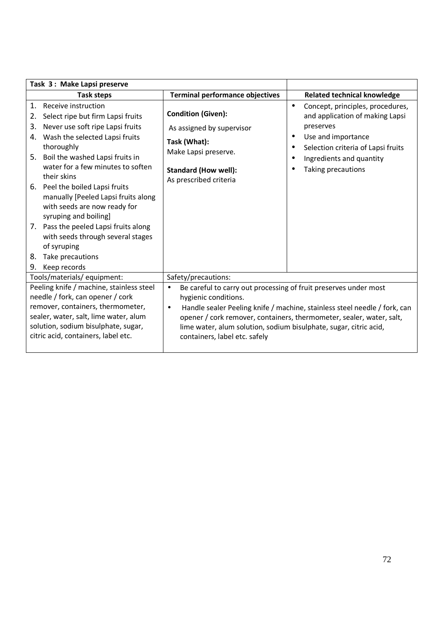| Task 3: Make Lapsi preserve                                                                                                                                                                                                              |                                                                                                                                                                                                                                                                                 |                                                                                                                                                                                                                                                                                                                                                                               |           |                                                                                                                                                                                                |
|------------------------------------------------------------------------------------------------------------------------------------------------------------------------------------------------------------------------------------------|---------------------------------------------------------------------------------------------------------------------------------------------------------------------------------------------------------------------------------------------------------------------------------|-------------------------------------------------------------------------------------------------------------------------------------------------------------------------------------------------------------------------------------------------------------------------------------------------------------------------------------------------------------------------------|-----------|------------------------------------------------------------------------------------------------------------------------------------------------------------------------------------------------|
|                                                                                                                                                                                                                                          | <b>Task steps</b>                                                                                                                                                                                                                                                               | <b>Terminal performance objectives</b>                                                                                                                                                                                                                                                                                                                                        |           | <b>Related technical knowledge</b>                                                                                                                                                             |
| 2.<br>3.                                                                                                                                                                                                                                 | 1. Receive instruction<br>Select ripe but firm Lapsi fruits<br>Never use soft ripe Lapsi fruits<br>4. Wash the selected Lapsi fruits<br>thoroughly<br>5. Boil the washed Lapsi fruits in<br>water for a few minutes to soften<br>their skins<br>6. Peel the boiled Lapsi fruits | <b>Condition (Given):</b><br>As assigned by supervisor<br>Task (What):<br>Make Lapsi preserve.<br><b>Standard (How well):</b><br>As prescribed criteria                                                                                                                                                                                                                       | $\bullet$ | Concept, principles, procedures,<br>and application of making Lapsi<br>preserves<br>Use and importance<br>Selection criteria of Lapsi fruits<br>Ingredients and quantity<br>Taking precautions |
| 8.                                                                                                                                                                                                                                       | manually [Peeled Lapsi fruits along<br>with seeds are now ready for<br>syruping and boiling]<br>7. Pass the peeled Lapsi fruits along<br>with seeds through several stages<br>of syruping<br>Take precautions<br>9. Keep records                                                |                                                                                                                                                                                                                                                                                                                                                                               |           |                                                                                                                                                                                                |
| Tools/materials/equipment:                                                                                                                                                                                                               |                                                                                                                                                                                                                                                                                 | Safety/precautions:                                                                                                                                                                                                                                                                                                                                                           |           |                                                                                                                                                                                                |
| Peeling knife / machine, stainless steel<br>needle / fork, can opener / cork<br>remover, containers, thermometer,<br>sealer, water, salt, lime water, alum<br>solution, sodium bisulphate, sugar,<br>citric acid, containers, label etc. |                                                                                                                                                                                                                                                                                 | Be careful to carry out processing of fruit preserves under most<br>$\bullet$<br>hygienic conditions.<br>Handle sealer Peeling knife / machine, stainless steel needle / fork, can<br>$\bullet$<br>opener / cork remover, containers, thermometer, sealer, water, salt,<br>lime water, alum solution, sodium bisulphate, sugar, citric acid,<br>containers, label etc. safely |           |                                                                                                                                                                                                |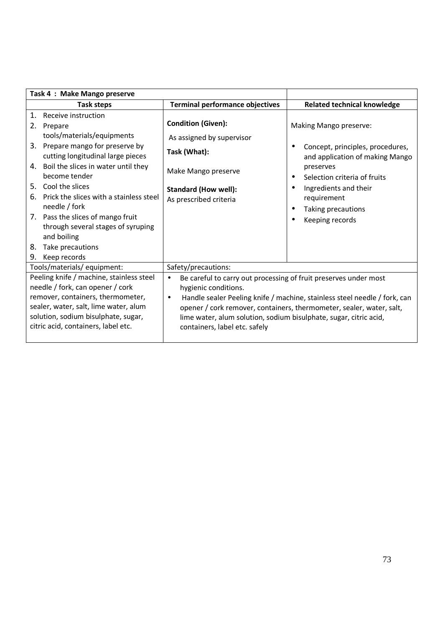| Task 4 : Make Mango preserve                                                                                                                                                                                                                                                                                                                                                                                                                            |                                                                                                                                                        |                                                                                                                                                                                                                                                                                            |  |
|---------------------------------------------------------------------------------------------------------------------------------------------------------------------------------------------------------------------------------------------------------------------------------------------------------------------------------------------------------------------------------------------------------------------------------------------------------|--------------------------------------------------------------------------------------------------------------------------------------------------------|--------------------------------------------------------------------------------------------------------------------------------------------------------------------------------------------------------------------------------------------------------------------------------------------|--|
| <b>Task steps</b>                                                                                                                                                                                                                                                                                                                                                                                                                                       | <b>Terminal performance objectives</b>                                                                                                                 | <b>Related technical knowledge</b>                                                                                                                                                                                                                                                         |  |
| Receive instruction<br>1.<br>2.<br>Prepare<br>tools/materials/equipments<br>Prepare mango for preserve by<br>3.<br>cutting longitudinal large pieces<br>Boil the slices in water until they<br>4.<br>become tender<br>Cool the slices<br>5.<br>Prick the slices with a stainless steel<br>6.<br>needle / fork<br>7. Pass the slices of mango fruit<br>through several stages of syruping<br>and boiling<br>Take precautions<br>8.<br>9.<br>Keep records | <b>Condition (Given):</b><br>As assigned by supervisor<br>Task (What):<br>Make Mango preserve<br><b>Standard (How well):</b><br>As prescribed criteria | Making Mango preserve:<br>Concept, principles, procedures,<br>and application of making Mango<br>preserves<br>Selection criteria of fruits<br>$\bullet$<br>Ingredients and their<br>requirement<br>Taking precautions<br>Keeping records                                                   |  |
| Tools/materials/ equipment:                                                                                                                                                                                                                                                                                                                                                                                                                             | Safety/precautions:                                                                                                                                    |                                                                                                                                                                                                                                                                                            |  |
| Peeling knife / machine, stainless steel<br>needle / fork, can opener / cork<br>remover, containers, thermometer,<br>sealer, water, salt, lime water, alum<br>solution, sodium bisulphate, sugar,<br>citric acid, containers, label etc.                                                                                                                                                                                                                | $\bullet$<br>hygienic conditions.<br>$\bullet$<br>containers, label etc. safely                                                                        | Be careful to carry out processing of fruit preserves under most<br>Handle sealer Peeling knife / machine, stainless steel needle / fork, can<br>opener / cork remover, containers, thermometer, sealer, water, salt,<br>lime water, alum solution, sodium bisulphate, sugar, citric acid, |  |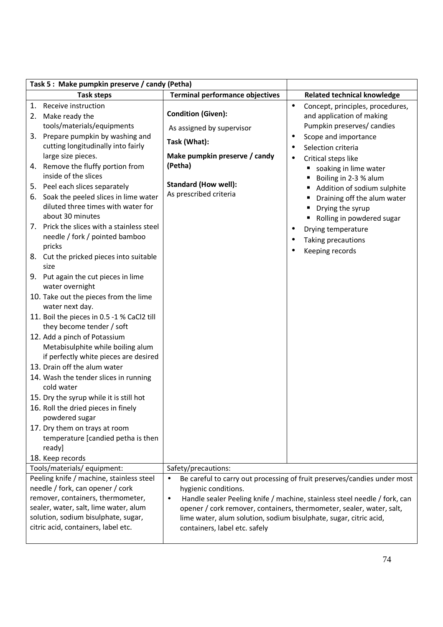|          | Task 5: Make pumpkin preserve / candy (Petha)                                                                                                                                                                                            |                                                                                                                                                                                                                              |                        |                                                                                                                                                       |
|----------|------------------------------------------------------------------------------------------------------------------------------------------------------------------------------------------------------------------------------------------|------------------------------------------------------------------------------------------------------------------------------------------------------------------------------------------------------------------------------|------------------------|-------------------------------------------------------------------------------------------------------------------------------------------------------|
|          | <b>Task steps</b>                                                                                                                                                                                                                        | <b>Terminal performance objectives</b>                                                                                                                                                                                       |                        | <b>Related technical knowledge</b>                                                                                                                    |
| 1.       | Receive instruction<br>2. Make ready the<br>tools/materials/equipments<br>3. Prepare pumpkin by washing and<br>cutting longitudinally into fairly<br>large size pieces.                                                                  | <b>Condition (Given):</b><br>As assigned by supervisor<br>Task (What):<br>Make pumpkin preserve / candy                                                                                                                      | $\bullet$<br>$\bullet$ | Concept, principles, procedures,<br>and application of making<br>Pumpkin preserves/ candies<br>Scope and importance<br>Selection criteria             |
|          | 4. Remove the fluffy portion from<br>inside of the slices                                                                                                                                                                                | (Petha)<br><b>Standard (How well):</b>                                                                                                                                                                                       |                        | Critical steps like<br>soaking in lime water<br>Boiling in 2-3 % alum                                                                                 |
| 5.<br>6. | Peel each slices separately<br>Soak the peeled slices in lime water<br>diluted three times with water for<br>about 30 minutes                                                                                                            | As prescribed criteria                                                                                                                                                                                                       |                        | Addition of sodium sulphite<br>Draining off the alum water<br>Drying the syrup<br>Rolling in powdered sugar                                           |
| 7.       | Prick the slices with a stainless steel<br>needle / fork / pointed bamboo<br>pricks                                                                                                                                                      |                                                                                                                                                                                                                              |                        | Drying temperature<br>Taking precautions<br>Keeping records                                                                                           |
|          | 8. Cut the pricked pieces into suitable<br>size                                                                                                                                                                                          |                                                                                                                                                                                                                              |                        |                                                                                                                                                       |
|          | 9. Put again the cut pieces in lime<br>water overnight                                                                                                                                                                                   |                                                                                                                                                                                                                              |                        |                                                                                                                                                       |
|          | 10. Take out the pieces from the lime<br>water next day.                                                                                                                                                                                 |                                                                                                                                                                                                                              |                        |                                                                                                                                                       |
|          | 11. Boil the pieces in 0.5 -1 % CaCl2 till<br>they become tender / soft                                                                                                                                                                  |                                                                                                                                                                                                                              |                        |                                                                                                                                                       |
|          | 12. Add a pinch of Potassium<br>Metabisulphite while boiling alum<br>if perfectly white pieces are desired                                                                                                                               |                                                                                                                                                                                                                              |                        |                                                                                                                                                       |
|          | 13. Drain off the alum water                                                                                                                                                                                                             |                                                                                                                                                                                                                              |                        |                                                                                                                                                       |
|          | 14. Wash the tender slices in running<br>cold water                                                                                                                                                                                      |                                                                                                                                                                                                                              |                        |                                                                                                                                                       |
|          | 15. Dry the syrup while it is still hot<br>16. Roll the dried pieces in finely<br>powdered sugar<br>17. Dry them on trays at room<br>temperature [candied petha is then<br>ready]<br>18. Keep records                                    |                                                                                                                                                                                                                              |                        |                                                                                                                                                       |
|          | Tools/materials/ equipment:                                                                                                                                                                                                              | Safety/precautions:                                                                                                                                                                                                          |                        |                                                                                                                                                       |
|          | Peeling knife / machine, stainless steel<br>needle / fork, can opener / cork<br>remover, containers, thermometer,<br>sealer, water, salt, lime water, alum<br>solution, sodium bisulphate, sugar,<br>citric acid, containers, label etc. | $\bullet$<br>hygienic conditions.<br>$\bullet$<br>opener / cork remover, containers, thermometer, sealer, water, salt,<br>lime water, alum solution, sodium bisulphate, sugar, citric acid,<br>containers, label etc. safely |                        | Be careful to carry out processing of fruit preserves/candies under most<br>Handle sealer Peeling knife / machine, stainless steel needle / fork, can |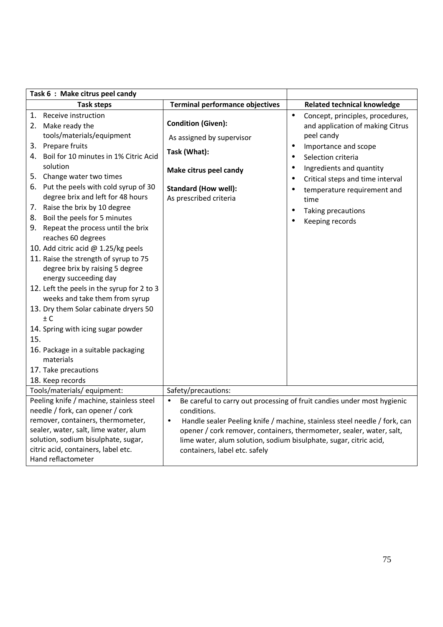| Task 6: Make citrus peel candy                                                                                                                                                                                                                                                                                                                                                                                                                                                                                                                                                                                                                                                                                                                                                                                                    |                                                                                                                                                                                                                                                                                                                                                                             |                                                                                                                                                                                                                                                                                                                                                                                  |  |
|-----------------------------------------------------------------------------------------------------------------------------------------------------------------------------------------------------------------------------------------------------------------------------------------------------------------------------------------------------------------------------------------------------------------------------------------------------------------------------------------------------------------------------------------------------------------------------------------------------------------------------------------------------------------------------------------------------------------------------------------------------------------------------------------------------------------------------------|-----------------------------------------------------------------------------------------------------------------------------------------------------------------------------------------------------------------------------------------------------------------------------------------------------------------------------------------------------------------------------|----------------------------------------------------------------------------------------------------------------------------------------------------------------------------------------------------------------------------------------------------------------------------------------------------------------------------------------------------------------------------------|--|
| <b>Task steps</b>                                                                                                                                                                                                                                                                                                                                                                                                                                                                                                                                                                                                                                                                                                                                                                                                                 | <b>Terminal performance objectives</b>                                                                                                                                                                                                                                                                                                                                      | <b>Related technical knowledge</b>                                                                                                                                                                                                                                                                                                                                               |  |
| 1. Receive instruction<br>2. Make ready the<br>tools/materials/equipment<br>3. Prepare fruits<br>4. Boil for 10 minutes in 1% Citric Acid<br>solution<br>5. Change water two times<br>6. Put the peels with cold syrup of 30<br>degree brix and left for 48 hours<br>7. Raise the brix by 10 degree<br>8. Boil the peels for 5 minutes<br>9. Repeat the process until the brix<br>reaches 60 degrees<br>10. Add citric acid @ 1.25/kg peels<br>11. Raise the strength of syrup to 75<br>degree brix by raising 5 degree<br>energy succeeding day<br>12. Left the peels in the syrup for 2 to 3<br>weeks and take them from syrup<br>13. Dry them Solar cabinate dryers 50<br>$\pm$ C<br>14. Spring with icing sugar powder<br>15.<br>16. Package in a suitable packaging<br>materials<br>17. Take precautions<br>18. Keep records | <b>Condition (Given):</b><br>As assigned by supervisor<br>Task (What):<br>Make citrus peel candy<br><b>Standard (How well):</b><br>As prescribed criteria                                                                                                                                                                                                                   | Concept, principles, procedures,<br>$\bullet$<br>and application of making Citrus<br>peel candy<br>Importance and scope<br>$\bullet$<br>Selection criteria<br>$\bullet$<br>Ingredients and quantity<br>$\bullet$<br>Critical steps and time interval<br>$\bullet$<br>temperature requirement and<br>٠<br>time<br>Taking precautions<br>$\bullet$<br>Keeping records<br>$\bullet$ |  |
| Tools/materials/ equipment:                                                                                                                                                                                                                                                                                                                                                                                                                                                                                                                                                                                                                                                                                                                                                                                                       | Safety/precautions:                                                                                                                                                                                                                                                                                                                                                         |                                                                                                                                                                                                                                                                                                                                                                                  |  |
| Peeling knife / machine, stainless steel<br>needle / fork, can opener / cork<br>remover, containers, thermometer,<br>sealer, water, salt, lime water, alum<br>solution, sodium bisulphate, sugar,<br>citric acid, containers, label etc.<br>Hand reflactometer                                                                                                                                                                                                                                                                                                                                                                                                                                                                                                                                                                    | Be careful to carry out processing of fruit candies under most hygienic<br>$\bullet$<br>conditions.<br>Handle sealer Peeling knife / machine, stainless steel needle / fork, can<br>$\bullet$<br>opener / cork remover, containers, thermometer, sealer, water, salt,<br>lime water, alum solution, sodium bisulphate, sugar, citric acid,<br>containers, label etc. safely |                                                                                                                                                                                                                                                                                                                                                                                  |  |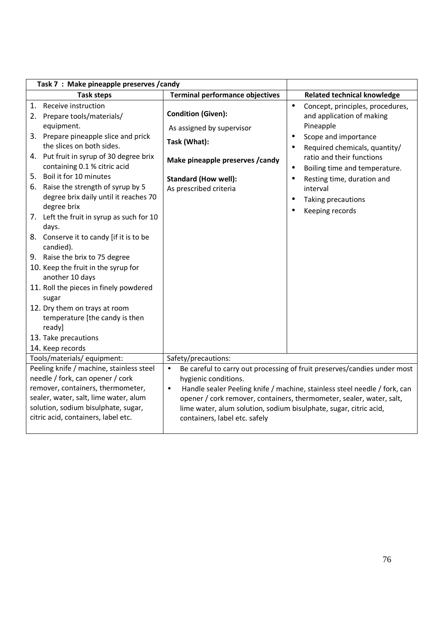| Task 7 : Make pineapple preserves / candy                                                                                                                                                                                                                                                                                                                                                                                                                                                                                                                                                                                                                                                                                                   |                                                                                                                                                                                                                                                                                                                                                                                       |                                                                                                                                                                                                                                                                                                                                                                    |  |
|---------------------------------------------------------------------------------------------------------------------------------------------------------------------------------------------------------------------------------------------------------------------------------------------------------------------------------------------------------------------------------------------------------------------------------------------------------------------------------------------------------------------------------------------------------------------------------------------------------------------------------------------------------------------------------------------------------------------------------------------|---------------------------------------------------------------------------------------------------------------------------------------------------------------------------------------------------------------------------------------------------------------------------------------------------------------------------------------------------------------------------------------|--------------------------------------------------------------------------------------------------------------------------------------------------------------------------------------------------------------------------------------------------------------------------------------------------------------------------------------------------------------------|--|
| <b>Task steps</b>                                                                                                                                                                                                                                                                                                                                                                                                                                                                                                                                                                                                                                                                                                                           | <b>Terminal performance objectives</b>                                                                                                                                                                                                                                                                                                                                                | <b>Related technical knowledge</b>                                                                                                                                                                                                                                                                                                                                 |  |
| 1. Receive instruction<br>Prepare tools/materials/<br>2.<br>equipment.<br>3. Prepare pineapple slice and prick<br>the slices on both sides.<br>4. Put fruit in syrup of 30 degree brix<br>containing 0.1 % citric acid<br>5. Boil it for 10 minutes<br>Raise the strength of syrup by 5<br>6.<br>degree brix daily until it reaches 70<br>degree brix<br>7. Left the fruit in syrup as such for 10<br>days.<br>8. Conserve it to candy [if it is to be<br>candied).<br>9. Raise the brix to 75 degree<br>10. Keep the fruit in the syrup for<br>another 10 days<br>11. Roll the pieces in finely powdered<br>sugar<br>12. Dry them on trays at room<br>temperature [the candy is then<br>ready]<br>13. Take precautions<br>14. Keep records | <b>Condition (Given):</b><br>As assigned by supervisor<br>Task (What):<br>Make pineapple preserves / candy<br><b>Standard (How well):</b><br>As prescribed criteria                                                                                                                                                                                                                   | Concept, principles, procedures,<br>$\bullet$<br>and application of making<br>Pineapple<br>Scope and importance<br>$\bullet$<br>Required chemicals, quantity/<br>$\bullet$<br>ratio and their functions<br>Boiling time and temperature.<br>$\bullet$<br>Resting time, duration and<br>$\bullet$<br>interval<br>Taking precautions<br>$\bullet$<br>Keeping records |  |
| Tools/materials/ equipment:                                                                                                                                                                                                                                                                                                                                                                                                                                                                                                                                                                                                                                                                                                                 | Safety/precautions:                                                                                                                                                                                                                                                                                                                                                                   |                                                                                                                                                                                                                                                                                                                                                                    |  |
| Peeling knife / machine, stainless steel<br>needle / fork, can opener / cork<br>remover, containers, thermometer,<br>sealer, water, salt, lime water, alum<br>solution, sodium bisulphate, sugar,<br>citric acid, containers, label etc.                                                                                                                                                                                                                                                                                                                                                                                                                                                                                                    | Be careful to carry out processing of fruit preserves/candies under most<br>$\bullet$<br>hygienic conditions.<br>Handle sealer Peeling knife / machine, stainless steel needle / fork, can<br>$\bullet$<br>opener / cork remover, containers, thermometer, sealer, water, salt,<br>lime water, alum solution, sodium bisulphate, sugar, citric acid,<br>containers, label etc. safely |                                                                                                                                                                                                                                                                                                                                                                    |  |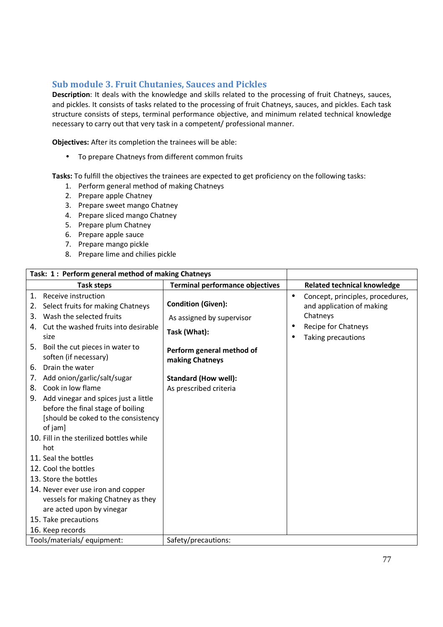## **Sub module 3. Fruit Chutanies, Sauces and Pickles**

**Description**: It deals with the knowledge and skills related to the processing of fruit Chatneys, sauces, and pickles. It consists of tasks related to the processing of fruit Chatneys, sauces, and pickles. Each task structure consists of steps, terminal performance objective, and minimum related technical knowledge necessary to carry out that very task in a competent/ professional manner.

**Objectives:** After its completion the trainees will be able:

• To prepare Chatneys from different common fruits

- 1. Perform general method of making Chatneys
- 2. Prepare apple Chatney
- 3. Prepare sweet mango Chatney
- 4. Prepare sliced mango Chatney
- 5. Prepare plum Chatney
- 6. Prepare apple sauce
- 7. Prepare mango pickle
- 8. Prepare lime and chilies pickle

| Task: 1: Perform general method of making Chatneys                                                                                |                                              |                                                                            |
|-----------------------------------------------------------------------------------------------------------------------------------|----------------------------------------------|----------------------------------------------------------------------------|
| Task steps                                                                                                                        | <b>Terminal performance objectives</b>       | <b>Related technical knowledge</b>                                         |
| Receive instruction<br>$\mathbf{1}$ .<br>Select fruits for making Chatneys<br>2.                                                  | <b>Condition (Given):</b>                    | Concept, principles, procedures,<br>$\bullet$<br>and application of making |
| Wash the selected fruits<br>3.                                                                                                    | As assigned by supervisor                    | Chatneys                                                                   |
| Cut the washed fruits into desirable<br>4.<br>size                                                                                | Task (What):                                 | Recipe for Chatneys<br>Taking precautions                                  |
| Boil the cut pieces in water to<br>5.<br>soften (if necessary)<br>Drain the water<br>6.                                           | Perform general method of<br>making Chatneys |                                                                            |
| Add onion/garlic/salt/sugar<br>7.                                                                                                 | <b>Standard (How well):</b>                  |                                                                            |
| Cook in low flame<br>8.                                                                                                           | As prescribed criteria                       |                                                                            |
| Add vinegar and spices just a little<br>9.<br>before the final stage of boiling<br>[should be coked to the consistency<br>of jam] |                                              |                                                                            |
| 10. Fill in the sterilized bottles while                                                                                          |                                              |                                                                            |
| hot                                                                                                                               |                                              |                                                                            |
| 11. Seal the bottles                                                                                                              |                                              |                                                                            |
| 12. Cool the bottles                                                                                                              |                                              |                                                                            |
| 13. Store the bottles                                                                                                             |                                              |                                                                            |
| 14. Never ever use iron and copper<br>vessels for making Chatney as they<br>are acted upon by vinegar                             |                                              |                                                                            |
| 15. Take precautions                                                                                                              |                                              |                                                                            |
| 16. Keep records                                                                                                                  |                                              |                                                                            |
| Tools/materials/equipment:                                                                                                        | Safety/precautions:                          |                                                                            |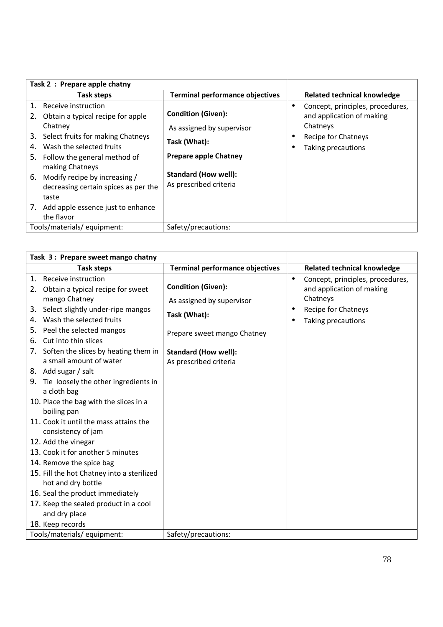|                                  | Task 2: Prepare apple chatny                                                                                                                                                                                                                                                                                      |                                                                                                                                                                 |                                                                                                                                     |
|----------------------------------|-------------------------------------------------------------------------------------------------------------------------------------------------------------------------------------------------------------------------------------------------------------------------------------------------------------------|-----------------------------------------------------------------------------------------------------------------------------------------------------------------|-------------------------------------------------------------------------------------------------------------------------------------|
|                                  | Task steps                                                                                                                                                                                                                                                                                                        | <b>Terminal performance objectives</b>                                                                                                                          | <b>Related technical knowledge</b>                                                                                                  |
| 1.<br>2.<br>3.<br>4.<br>5.<br>6. | Receive instruction<br>Obtain a typical recipe for apple<br>Chatney<br>Select fruits for making Chatneys<br>Wash the selected fruits<br>Follow the general method of<br>making Chatneys<br>Modify recipe by increasing /<br>decreasing certain spices as per the<br>taste<br>7. Add apple essence just to enhance | <b>Condition (Given):</b><br>As assigned by supervisor<br>Task (What):<br><b>Prepare apple Chatney</b><br><b>Standard (How well):</b><br>As prescribed criteria | Concept, principles, procedures,<br>$\bullet$<br>and application of making<br>Chatneys<br>Recipe for Chatneys<br>Taking precautions |
|                                  | the flavor                                                                                                                                                                                                                                                                                                        |                                                                                                                                                                 |                                                                                                                                     |
|                                  | Tools/materials/equipment:                                                                                                                                                                                                                                                                                        | Safety/precautions:                                                                                                                                             |                                                                                                                                     |

| Task 3: Prepare sweet mango chatny                                                                                                                                                                             |                                                        |                                                                                        |
|----------------------------------------------------------------------------------------------------------------------------------------------------------------------------------------------------------------|--------------------------------------------------------|----------------------------------------------------------------------------------------|
| <b>Task steps</b>                                                                                                                                                                                              | <b>Terminal performance objectives</b>                 | <b>Related technical knowledge</b>                                                     |
| Receive instruction<br>1.<br>Obtain a typical recipe for sweet<br>2.<br>mango Chatney                                                                                                                          | <b>Condition (Given):</b><br>As assigned by supervisor | Concept, principles, procedures,<br>$\bullet$<br>and application of making<br>Chatneys |
| Select slightly under-ripe mangos<br>3.<br>Wash the selected fruits<br>4.<br>Peel the selected mangos<br>5.                                                                                                    | Task (What):<br>Prepare sweet mango Chatney            | Recipe for Chatneys<br>Taking precautions                                              |
| Cut into thin slices<br>6.<br>Soften the slices by heating them in<br>7.<br>a small amount of water<br>8. Add sugar / salt<br>9. Tie loosely the other ingredients in                                          | <b>Standard (How well):</b><br>As prescribed criteria  |                                                                                        |
| a cloth bag<br>10. Place the bag with the slices in a<br>boiling pan                                                                                                                                           |                                                        |                                                                                        |
| 11. Cook it until the mass attains the<br>consistency of jam<br>12. Add the vinegar                                                                                                                            |                                                        |                                                                                        |
| 13. Cook it for another 5 minutes<br>14. Remove the spice bag<br>15. Fill the hot Chatney into a sterilized<br>hot and dry bottle<br>16. Seal the product immediately<br>17. Keep the sealed product in a cool |                                                        |                                                                                        |
| and dry place<br>18. Keep records<br>Tools/materials/equipment:                                                                                                                                                | Safety/precautions:                                    |                                                                                        |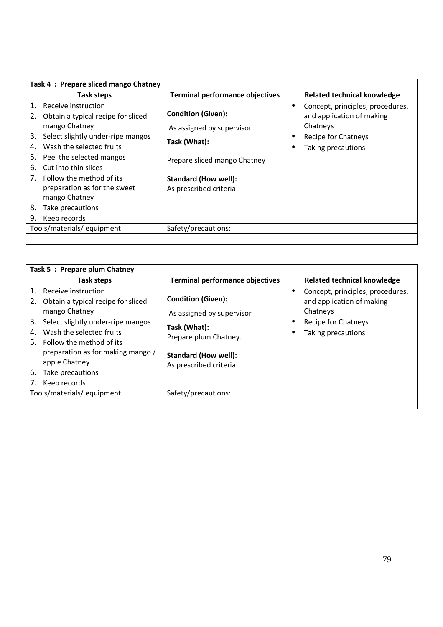| Task 4: Prepare sliced mango Chatney                                                                                                                                                                                                                                                                                                                                   |                                                                                                                                                                 |                                                                                                                        |
|------------------------------------------------------------------------------------------------------------------------------------------------------------------------------------------------------------------------------------------------------------------------------------------------------------------------------------------------------------------------|-----------------------------------------------------------------------------------------------------------------------------------------------------------------|------------------------------------------------------------------------------------------------------------------------|
| Task steps                                                                                                                                                                                                                                                                                                                                                             | <b>Terminal performance objectives</b>                                                                                                                          | <b>Related technical knowledge</b>                                                                                     |
| Receive instruction<br>1.<br>Obtain a typical recipe for sliced<br>2.<br>mango Chatney<br>Select slightly under-ripe mangos<br>3.<br>Wash the selected fruits<br>4.<br>Peel the selected mangos<br>5.<br>Cut into thin slices<br>6.<br>Follow the method of its<br>7.<br>preparation as for the sweet<br>mango Chatney<br>8.<br>Take precautions<br>9.<br>Keep records | <b>Condition (Given):</b><br>As assigned by supervisor<br>Task (What):<br>Prepare sliced mango Chatney<br><b>Standard (How well):</b><br>As prescribed criteria | Concept, principles, procedures,<br>and application of making<br>Chatneys<br>Recipe for Chatneys<br>Taking precautions |
| Tools/materials/equipment:                                                                                                                                                                                                                                                                                                                                             | Safety/precautions:                                                                                                                                             |                                                                                                                        |
|                                                                                                                                                                                                                                                                                                                                                                        |                                                                                                                                                                 |                                                                                                                        |

| Task 5: Prepare plum Chatney                                                                                                                                                                                                                                                                          |                                                                                                                                                          |                                                                                                                        |
|-------------------------------------------------------------------------------------------------------------------------------------------------------------------------------------------------------------------------------------------------------------------------------------------------------|----------------------------------------------------------------------------------------------------------------------------------------------------------|------------------------------------------------------------------------------------------------------------------------|
| Task steps                                                                                                                                                                                                                                                                                            | <b>Terminal performance objectives</b>                                                                                                                   | Related technical knowledge                                                                                            |
| 1. Receive instruction<br>Obtain a typical recipe for sliced<br>2.<br>mango Chatney<br>Select slightly under-ripe mangos<br>3.<br>Wash the selected fruits<br>4.<br>5. Follow the method of its<br>preparation as for making mango /<br>apple Chatney<br>6.<br>Take precautions<br>Keep records<br>7. | <b>Condition (Given):</b><br>As assigned by supervisor<br>Task (What):<br>Prepare plum Chatney.<br><b>Standard (How well):</b><br>As prescribed criteria | Concept, principles, procedures,<br>and application of making<br>Chatneys<br>Recipe for Chatneys<br>Taking precautions |
| Tools/materials/equipment:                                                                                                                                                                                                                                                                            | Safety/precautions:                                                                                                                                      |                                                                                                                        |
|                                                                                                                                                                                                                                                                                                       |                                                                                                                                                          |                                                                                                                        |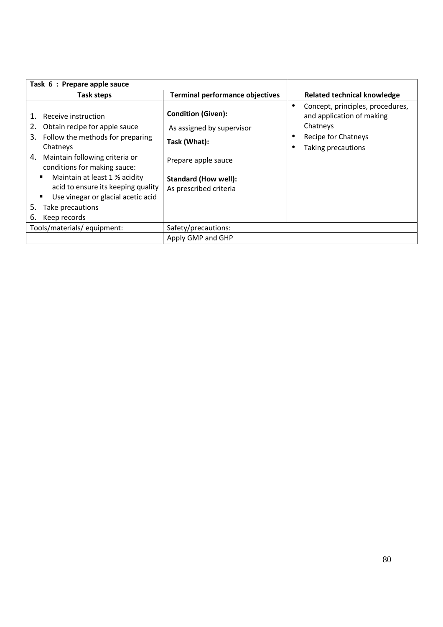| Task 6 : Prepare apple sauce                                                                                                                                                                                                                                                                                                                                     |                                                                                                                                                        |                                                                                                                        |
|------------------------------------------------------------------------------------------------------------------------------------------------------------------------------------------------------------------------------------------------------------------------------------------------------------------------------------------------------------------|--------------------------------------------------------------------------------------------------------------------------------------------------------|------------------------------------------------------------------------------------------------------------------------|
| Task steps                                                                                                                                                                                                                                                                                                                                                       | <b>Terminal performance objectives</b>                                                                                                                 | <b>Related technical knowledge</b>                                                                                     |
| Receive instruction<br>1.<br>Obtain recipe for apple sauce<br>2.<br>3.<br>Follow the methods for preparing<br>Chatneys<br>Maintain following criteria or<br>4.<br>conditions for making sauce:<br>Maintain at least 1 % acidity<br>acid to ensure its keeping quality<br>Use vinegar or glacial acetic acid<br>п<br>5.<br>Take precautions<br>Keep records<br>6. | <b>Condition (Given):</b><br>As assigned by supervisor<br>Task (What):<br>Prepare apple sauce<br><b>Standard (How well):</b><br>As prescribed criteria | Concept, principles, procedures,<br>and application of making<br>Chatneys<br>Recipe for Chatneys<br>Taking precautions |
| Tools/materials/equipment:                                                                                                                                                                                                                                                                                                                                       | Safety/precautions:                                                                                                                                    |                                                                                                                        |
|                                                                                                                                                                                                                                                                                                                                                                  | Apply GMP and GHP                                                                                                                                      |                                                                                                                        |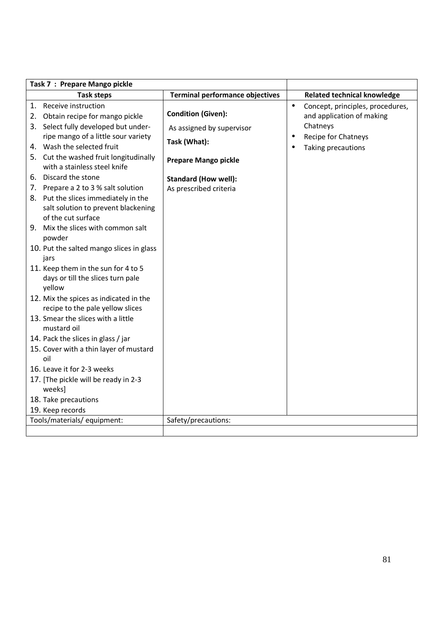| Task 7 : Prepare Mango pickle                                                                                                                                                                                                                                                                                                                                                                                                                                                                                                                                                                          |                                                                                                                                                                |                                                                                                                                               |
|--------------------------------------------------------------------------------------------------------------------------------------------------------------------------------------------------------------------------------------------------------------------------------------------------------------------------------------------------------------------------------------------------------------------------------------------------------------------------------------------------------------------------------------------------------------------------------------------------------|----------------------------------------------------------------------------------------------------------------------------------------------------------------|-----------------------------------------------------------------------------------------------------------------------------------------------|
| <b>Task steps</b>                                                                                                                                                                                                                                                                                                                                                                                                                                                                                                                                                                                      | <b>Terminal performance objectives</b>                                                                                                                         | <b>Related technical knowledge</b>                                                                                                            |
| 1. Receive instruction<br>2. Obtain recipe for mango pickle<br>3. Select fully developed but under-<br>ripe mango of a little sour variety<br>4. Wash the selected fruit<br>5. Cut the washed fruit longitudinally<br>with a stainless steel knife<br>6. Discard the stone<br>7. Prepare a 2 to 3 % salt solution<br>8. Put the slices immediately in the<br>salt solution to prevent blackening<br>of the cut surface<br>9. Mix the slices with common salt<br>powder<br>10. Put the salted mango slices in glass<br>jars<br>11. Keep them in the sun for 4 to 5<br>days or till the slices turn pale | <b>Condition (Given):</b><br>As assigned by supervisor<br>Task (What):<br><b>Prepare Mango pickle</b><br><b>Standard (How well):</b><br>As prescribed criteria | Concept, principles, procedures,<br>$\bullet$<br>and application of making<br>Chatneys<br>Recipe for Chatneys<br>٠<br>Taking precautions<br>٠ |
| yellow<br>12. Mix the spices as indicated in the<br>recipe to the pale yellow slices<br>13. Smear the slices with a little<br>mustard oil<br>14. Pack the slices in glass / jar<br>15. Cover with a thin layer of mustard<br>oil<br>16. Leave it for 2-3 weeks<br>17. [The pickle will be ready in 2-3<br>weeks]<br>18. Take precautions<br>19. Keep records                                                                                                                                                                                                                                           |                                                                                                                                                                |                                                                                                                                               |
| Tools/materials/ equipment:                                                                                                                                                                                                                                                                                                                                                                                                                                                                                                                                                                            | Safety/precautions:                                                                                                                                            |                                                                                                                                               |
|                                                                                                                                                                                                                                                                                                                                                                                                                                                                                                                                                                                                        |                                                                                                                                                                |                                                                                                                                               |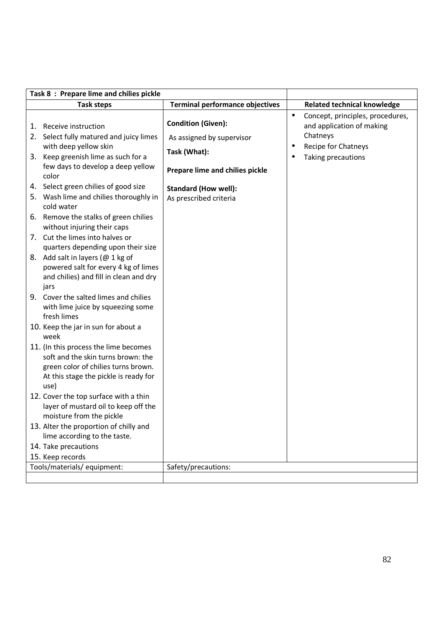| Task 8: Prepare lime and chilies pickle                                                                                                                                         |                                                                                                           |           |                                                                                                                        |
|---------------------------------------------------------------------------------------------------------------------------------------------------------------------------------|-----------------------------------------------------------------------------------------------------------|-----------|------------------------------------------------------------------------------------------------------------------------|
| <b>Task steps</b>                                                                                                                                                               | <b>Terminal performance objectives</b>                                                                    |           | <b>Related technical knowledge</b>                                                                                     |
| 1. Receive instruction<br>2. Select fully matured and juicy limes<br>with deep yellow skin<br>3. Keep greenish lime as such for a<br>few days to develop a deep yellow<br>color | <b>Condition (Given):</b><br>As assigned by supervisor<br>Task (What):<br>Prepare lime and chilies pickle | $\bullet$ | Concept, principles, procedures,<br>and application of making<br>Chatneys<br>Recipe for Chatneys<br>Taking precautions |
| 4. Select green chilies of good size<br>5. Wash lime and chilies thoroughly in<br>cold water                                                                                    | <b>Standard (How well):</b><br>As prescribed criteria                                                     |           |                                                                                                                        |
| 6. Remove the stalks of green chilies<br>without injuring their caps                                                                                                            |                                                                                                           |           |                                                                                                                        |
| 7. Cut the limes into halves or<br>quarters depending upon their size                                                                                                           |                                                                                                           |           |                                                                                                                        |
| 8. Add salt in layers (@ 1 kg of<br>powered salt for every 4 kg of limes<br>and chilies) and fill in clean and dry<br>jars                                                      |                                                                                                           |           |                                                                                                                        |
| 9. Cover the salted limes and chilies<br>with lime juice by squeezing some<br>fresh limes                                                                                       |                                                                                                           |           |                                                                                                                        |
| 10. Keep the jar in sun for about a<br>week                                                                                                                                     |                                                                                                           |           |                                                                                                                        |
| 11. (In this process the lime becomes<br>soft and the skin turns brown: the<br>green color of chilies turns brown.<br>At this stage the pickle is ready for<br>use)             |                                                                                                           |           |                                                                                                                        |
| 12. Cover the top surface with a thin<br>layer of mustard oil to keep off the<br>moisture from the pickle                                                                       |                                                                                                           |           |                                                                                                                        |
| 13. Alter the proportion of chilly and<br>lime according to the taste.<br>14. Take precautions                                                                                  |                                                                                                           |           |                                                                                                                        |
| 15. Keep records                                                                                                                                                                |                                                                                                           |           |                                                                                                                        |
| Tools/materials/ equipment:                                                                                                                                                     | Safety/precautions:                                                                                       |           |                                                                                                                        |
|                                                                                                                                                                                 |                                                                                                           |           |                                                                                                                        |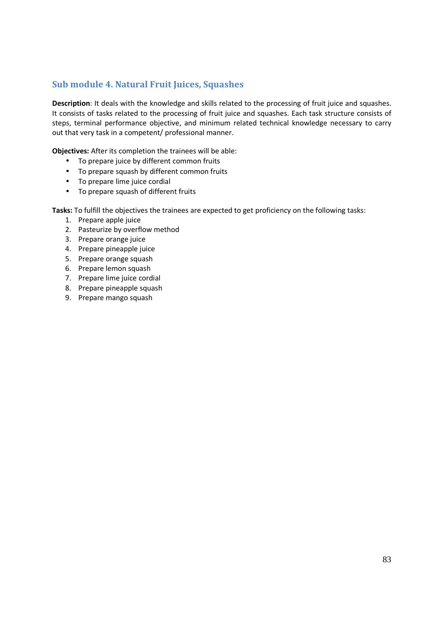## **Sub module 4. Natural Fruit Juices, Squashes**

**Description**: It deals with the knowledge and skills related to the processing of fruit juice and squashes. It consists of tasks related to the processing of fruit juice and squashes. Each task structure consists of steps, terminal performance objective, and minimum related technical knowledge necessary to carry out that very task in a competent/ professional manner.

**Objectives:** After its completion the trainees will be able:

- To prepare juice by different common fruits
- To prepare squash by different common fruits
- To prepare lime juice cordial
- To prepare squash of different fruits

- 1. Prepare apple juice
- 2. Pasteurize by overflow method
- 3. Prepare orange juice
- 4. Prepare pineapple juice
- 5. Prepare orange squash
- 6. Prepare lemon squash
- 7. Prepare lime juice cordial
- 8. Prepare pineapple squash
- 9. Prepare mango squash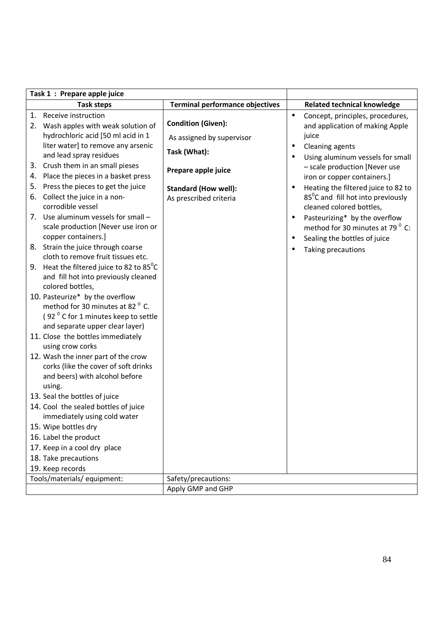| Task 1 : Prepare apple juice                                         |                                        |                                                  |
|----------------------------------------------------------------------|----------------------------------------|--------------------------------------------------|
| <b>Task steps</b>                                                    | <b>Terminal performance objectives</b> | <b>Related technical knowledge</b>               |
| Receive instruction<br>1.                                            |                                        | Concept, principles, procedures,<br>$\bullet$    |
| 2. Wash apples with weak solution of                                 | <b>Condition (Given):</b>              | and application of making Apple                  |
| hydrochloric acid [50 ml acid in 1                                   | As assigned by supervisor              | juice                                            |
| liter water] to remove any arsenic                                   |                                        | Cleaning agents<br>٠                             |
| and lead spray residues                                              | Task (What):                           | Using aluminum vessels for small<br>$\bullet$    |
| Crush them in an small pieses<br>3.                                  | Prepare apple juice                    | - scale production [Never use                    |
| Place the pieces in a basket press<br>4.                             |                                        | iron or copper containers.]                      |
| Press the pieces to get the juice<br>5.                              | <b>Standard (How well):</b>            | Heating the filtered juice to 82 to<br>$\bullet$ |
| Collect the juice in a non-<br>6.                                    | As prescribed criteria                 | 85°C and fill hot into previously                |
| corrodible vessel                                                    |                                        | cleaned colored bottles,                         |
| 7. Use aluminum vessels for small -                                  |                                        | Pasteurizing* by the overflow<br>$\bullet$       |
| scale production [Never use iron or                                  |                                        | method for 30 minutes at 79 <sup>°</sup> C:      |
| copper containers.]                                                  |                                        | Sealing the bottles of juice<br>$\bullet$        |
| 8. Strain the juice through coarse                                   |                                        | Taking precautions<br>٠                          |
| cloth to remove fruit tissues etc.                                   |                                        |                                                  |
| 9. Heat the filtered juice to 82 to $85^{\circ}$ C                   |                                        |                                                  |
| and fill hot into previously cleaned                                 |                                        |                                                  |
| colored bottles,                                                     |                                        |                                                  |
| 10. Pasteurize* by the overflow                                      |                                        |                                                  |
| method for 30 minutes at 82 <sup>°</sup> C.                          |                                        |                                                  |
| (92 <sup>°</sup> C for 1 minutes keep to settle                      |                                        |                                                  |
| and separate upper clear layer)                                      |                                        |                                                  |
| 11. Close the bottles immediately                                    |                                        |                                                  |
| using crow corks                                                     |                                        |                                                  |
| 12. Wash the inner part of the crow                                  |                                        |                                                  |
| corks (like the cover of soft drinks                                 |                                        |                                                  |
| and beers) with alcohol before                                       |                                        |                                                  |
| using.                                                               |                                        |                                                  |
| 13. Seal the bottles of juice                                        |                                        |                                                  |
| 14. Cool the sealed bottles of juice<br>immediately using cold water |                                        |                                                  |
| 15. Wipe bottles dry                                                 |                                        |                                                  |
|                                                                      |                                        |                                                  |
| 16. Label the product                                                |                                        |                                                  |
| 17. Keep in a cool dry place                                         |                                        |                                                  |
| 18. Take precautions                                                 |                                        |                                                  |
| 19. Keep records                                                     |                                        |                                                  |
| Tools/materials/ equipment:                                          | Safety/precautions:                    |                                                  |
|                                                                      | Apply GMP and GHP                      |                                                  |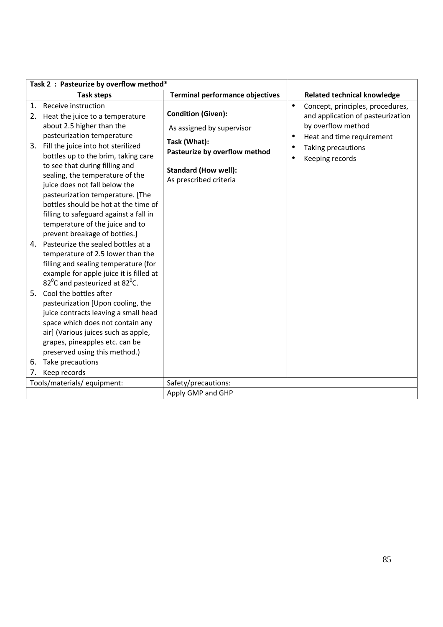|          | Task 2 : Pasteurize by overflow method*                                                                                                                                                                                                                               |                                                                                                        |                                                                                                                                                    |
|----------|-----------------------------------------------------------------------------------------------------------------------------------------------------------------------------------------------------------------------------------------------------------------------|--------------------------------------------------------------------------------------------------------|----------------------------------------------------------------------------------------------------------------------------------------------------|
|          | <b>Task steps</b>                                                                                                                                                                                                                                                     | <b>Terminal performance objectives</b>                                                                 | <b>Related technical knowledge</b>                                                                                                                 |
| 1.<br>2. | Receive instruction<br>Heat the juice to a temperature<br>about 2.5 higher than the<br>pasteurization temperature                                                                                                                                                     | <b>Condition (Given):</b><br>As assigned by supervisor                                                 | Concept, principles, procedures,<br>$\bullet$<br>and application of pasteurization<br>by overflow method<br>Heat and time requirement<br>$\bullet$ |
|          | 3. Fill the juice into hot sterilized<br>bottles up to the brim, taking care<br>to see that during filling and<br>sealing, the temperature of the<br>juice does not fall below the<br>pasteurization temperature. [The                                                | Task (What):<br>Pasteurize by overflow method<br><b>Standard (How well):</b><br>As prescribed criteria | Taking precautions<br>Keeping records                                                                                                              |
|          | bottles should be hot at the time of<br>filling to safeguard against a fall in<br>temperature of the juice and to<br>prevent breakage of bottles.]                                                                                                                    |                                                                                                        |                                                                                                                                                    |
| 4.       | Pasteurize the sealed bottles at a<br>temperature of 2.5 lower than the<br>filling and sealing temperature (for<br>example for apple juice it is filled at<br>82 $^0$ C and pasteurized at 82 $^0$ C.                                                                 |                                                                                                        |                                                                                                                                                    |
| 5.<br>6. | Cool the bottles after<br>pasteurization [Upon cooling, the<br>juice contracts leaving a small head<br>space which does not contain any<br>air] (Various juices such as apple,<br>grapes, pineapples etc. can be<br>preserved using this method.)<br>Take precautions |                                                                                                        |                                                                                                                                                    |
| 7.       | Keep records<br>Tools/materials/ equipment:                                                                                                                                                                                                                           | Safety/precautions:                                                                                    |                                                                                                                                                    |
|          |                                                                                                                                                                                                                                                                       | Apply GMP and GHP                                                                                      |                                                                                                                                                    |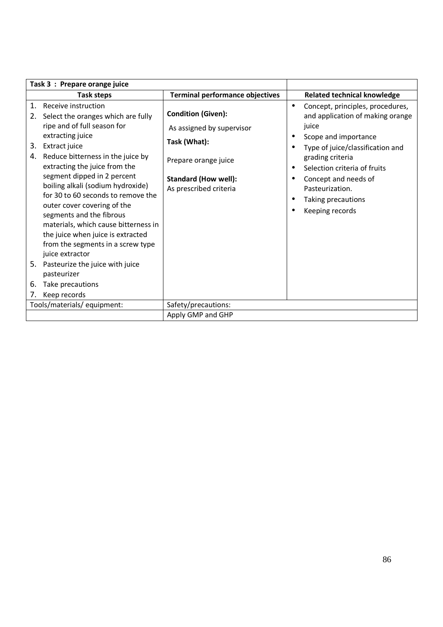| Task 3 : Prepare orange juice |                                                                                                                                                                                                                                                                                                                                                                                                                                                                                                                                                                                        |                                                                                                                                                         |                                                                                                                                                                                                                                                                                                |
|-------------------------------|----------------------------------------------------------------------------------------------------------------------------------------------------------------------------------------------------------------------------------------------------------------------------------------------------------------------------------------------------------------------------------------------------------------------------------------------------------------------------------------------------------------------------------------------------------------------------------------|---------------------------------------------------------------------------------------------------------------------------------------------------------|------------------------------------------------------------------------------------------------------------------------------------------------------------------------------------------------------------------------------------------------------------------------------------------------|
|                               | <b>Task steps</b>                                                                                                                                                                                                                                                                                                                                                                                                                                                                                                                                                                      | <b>Terminal performance objectives</b>                                                                                                                  | <b>Related technical knowledge</b>                                                                                                                                                                                                                                                             |
| 1.<br>2.<br>3.<br>4.<br>6.    | Receive instruction<br>Select the oranges which are fully<br>ripe and of full season for<br>extracting juice<br>Extract juice<br>Reduce bitterness in the juice by<br>extracting the juice from the<br>segment dipped in 2 percent<br>boiling alkali (sodium hydroxide)<br>for 30 to 60 seconds to remove the<br>outer cover covering of the<br>segments and the fibrous<br>materials, which cause bitterness in<br>the juice when juice is extracted<br>from the segments in a screw type<br>juice extractor<br>5. Pasteurize the juice with juice<br>pasteurizer<br>Take precautions | <b>Condition (Given):</b><br>As assigned by supervisor<br>Task (What):<br>Prepare orange juice<br><b>Standard (How well):</b><br>As prescribed criteria | Concept, principles, procedures,<br>$\bullet$<br>and application of making orange<br>juice<br>Scope and importance<br>Type of juice/classification and<br>grading criteria<br>Selection criteria of fruits<br>Concept and needs of<br>Pasteurization.<br>Taking precautions<br>Keeping records |
| 7.                            | Keep records                                                                                                                                                                                                                                                                                                                                                                                                                                                                                                                                                                           |                                                                                                                                                         |                                                                                                                                                                                                                                                                                                |
|                               | Tools/materials/equipment:                                                                                                                                                                                                                                                                                                                                                                                                                                                                                                                                                             | Safety/precautions:                                                                                                                                     |                                                                                                                                                                                                                                                                                                |
|                               |                                                                                                                                                                                                                                                                                                                                                                                                                                                                                                                                                                                        | Apply GMP and GHP                                                                                                                                       |                                                                                                                                                                                                                                                                                                |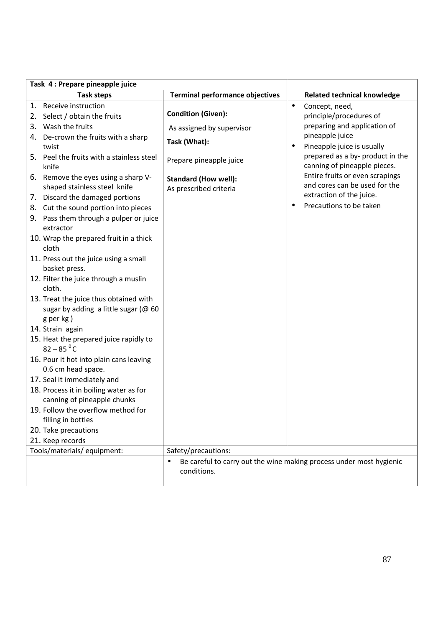| Task 4 : Prepare pineapple juice                                                                                                                                                                      |                                                                                                   |                                                                                                                                                                                                                          |
|-------------------------------------------------------------------------------------------------------------------------------------------------------------------------------------------------------|---------------------------------------------------------------------------------------------------|--------------------------------------------------------------------------------------------------------------------------------------------------------------------------------------------------------------------------|
| <b>Task steps</b>                                                                                                                                                                                     | <b>Terminal performance objectives</b>                                                            | <b>Related technical knowledge</b>                                                                                                                                                                                       |
| 1. Receive instruction<br>2. Select / obtain the fruits<br>3. Wash the fruits<br>4. De-crown the fruits with a sharp<br>twist<br>5. Peel the fruits with a stainless steel<br>knife                   | <b>Condition (Given):</b><br>As assigned by supervisor<br>Task (What):<br>Prepare pineapple juice | Concept, need,<br>$\bullet$<br>principle/procedures of<br>preparing and application of<br>pineapple juice<br>Pineapple juice is usually<br>$\bullet$<br>prepared as a by- product in the<br>canning of pineapple pieces. |
| 6. Remove the eyes using a sharp V-<br>shaped stainless steel knife<br>7. Discard the damaged portions<br>8. Cut the sound portion into pieces<br>9. Pass them through a pulper or juice<br>extractor | <b>Standard (How well):</b><br>As prescribed criteria                                             | Entire fruits or even scrapings<br>and cores can be used for the<br>extraction of the juice.<br>Precautions to be taken<br>$\bullet$                                                                                     |
| 10. Wrap the prepared fruit in a thick<br>cloth                                                                                                                                                       |                                                                                                   |                                                                                                                                                                                                                          |
| 11. Press out the juice using a small<br>basket press.                                                                                                                                                |                                                                                                   |                                                                                                                                                                                                                          |
| 12. Filter the juice through a muslin<br>cloth.                                                                                                                                                       |                                                                                                   |                                                                                                                                                                                                                          |
| 13. Treat the juice thus obtained with<br>sugar by adding a little sugar (@ 60<br>g per kg)                                                                                                           |                                                                                                   |                                                                                                                                                                                                                          |
| 14. Strain again                                                                                                                                                                                      |                                                                                                   |                                                                                                                                                                                                                          |
| 15. Heat the prepared juice rapidly to<br>$82 - 85$ <sup>o</sup> C                                                                                                                                    |                                                                                                   |                                                                                                                                                                                                                          |
| 16. Pour it hot into plain cans leaving<br>0.6 cm head space.                                                                                                                                         |                                                                                                   |                                                                                                                                                                                                                          |
| 17. Seal it immediately and                                                                                                                                                                           |                                                                                                   |                                                                                                                                                                                                                          |
| 18. Process it in boiling water as for<br>canning of pineapple chunks                                                                                                                                 |                                                                                                   |                                                                                                                                                                                                                          |
| 19. Follow the overflow method for<br>filling in bottles                                                                                                                                              |                                                                                                   |                                                                                                                                                                                                                          |
| 20. Take precautions                                                                                                                                                                                  |                                                                                                   |                                                                                                                                                                                                                          |
| 21. Keep records                                                                                                                                                                                      |                                                                                                   |                                                                                                                                                                                                                          |
| Tools/materials/ equipment:                                                                                                                                                                           | Safety/precautions:                                                                               |                                                                                                                                                                                                                          |
|                                                                                                                                                                                                       | conditions.                                                                                       | Be careful to carry out the wine making process under most hygienic                                                                                                                                                      |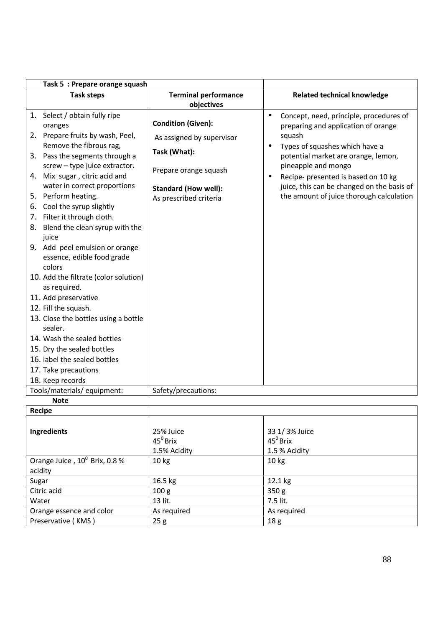| Task 5 : Prepare orange squash                                                                                                                                                                                                                                                                                                                                                                                                                                                                                                                                                                                                                                          |                                                                                                                             |                                                                                                                                                                                                                                                                   |
|-------------------------------------------------------------------------------------------------------------------------------------------------------------------------------------------------------------------------------------------------------------------------------------------------------------------------------------------------------------------------------------------------------------------------------------------------------------------------------------------------------------------------------------------------------------------------------------------------------------------------------------------------------------------------|-----------------------------------------------------------------------------------------------------------------------------|-------------------------------------------------------------------------------------------------------------------------------------------------------------------------------------------------------------------------------------------------------------------|
| <b>Task steps</b>                                                                                                                                                                                                                                                                                                                                                                                                                                                                                                                                                                                                                                                       | <b>Terminal performance</b><br>objectives                                                                                   | <b>Related technical knowledge</b>                                                                                                                                                                                                                                |
| 1. Select / obtain fully ripe<br>oranges                                                                                                                                                                                                                                                                                                                                                                                                                                                                                                                                                                                                                                | <b>Condition (Given):</b>                                                                                                   | Concept, need, principle, procedures of<br>$\bullet$<br>preparing and application of orange                                                                                                                                                                       |
| 2. Prepare fruits by wash, Peel,<br>Remove the fibrous rag,<br>3. Pass the segments through a<br>screw - type juice extractor.<br>4. Mix sugar, citric acid and<br>water in correct proportions<br>5. Perform heating.<br>Cool the syrup slightly<br>6.<br>7. Filter it through cloth.<br>8. Blend the clean syrup with the<br>juice<br>9. Add peel emulsion or orange<br>essence, edible food grade<br>colors<br>10. Add the filtrate (color solution)<br>as required.<br>11. Add preservative<br>12. Fill the squash.<br>13. Close the bottles using a bottle<br>sealer.<br>14. Wash the sealed bottles<br>15. Dry the sealed bottles<br>16. label the sealed bottles | As assigned by supervisor<br>Task (What):<br>Prepare orange squash<br><b>Standard (How well):</b><br>As prescribed criteria | squash<br>Types of squashes which have a<br>$\bullet$<br>potential market are orange, lemon,<br>pineapple and mongo<br>Recipe- presented is based on 10 kg<br>$\bullet$<br>juice, this can be changed on the basis of<br>the amount of juice thorough calculation |
| 17. Take precautions                                                                                                                                                                                                                                                                                                                                                                                                                                                                                                                                                                                                                                                    |                                                                                                                             |                                                                                                                                                                                                                                                                   |
| 18. Keep records                                                                                                                                                                                                                                                                                                                                                                                                                                                                                                                                                                                                                                                        |                                                                                                                             |                                                                                                                                                                                                                                                                   |
| Tools/materials/ equipment:<br><b>Note</b>                                                                                                                                                                                                                                                                                                                                                                                                                                                                                                                                                                                                                              | Safety/precautions:                                                                                                         |                                                                                                                                                                                                                                                                   |
| Recipe                                                                                                                                                                                                                                                                                                                                                                                                                                                                                                                                                                                                                                                                  |                                                                                                                             |                                                                                                                                                                                                                                                                   |
|                                                                                                                                                                                                                                                                                                                                                                                                                                                                                                                                                                                                                                                                         |                                                                                                                             |                                                                                                                                                                                                                                                                   |

| <b>Recipe</b>                             |                  |                   |
|-------------------------------------------|------------------|-------------------|
|                                           |                  |                   |
| Ingredients                               | 25% Juice        | 33 1/3% Juice     |
|                                           | $45^0$ Brix      | $45^{\circ}$ Brix |
|                                           | 1.5% Acidity     | 1.5 % Acidity     |
| Orange Juice, 10 <sup>°</sup> Brix, 0.8 % | 10 kg            | 10 <sub>kg</sub>  |
| acidity                                   |                  |                   |
| Sugar                                     | 16.5 kg          | 12.1 kg           |
| Citric acid                               | 100 <sub>g</sub> | 350 <sub>g</sub>  |
| Water                                     | 13 lit.          | 7.5 lit.          |
| Orange essence and color                  | As required      | As required       |
| Preservative (KMS)                        | 25g              | 18 <sub>g</sub>   |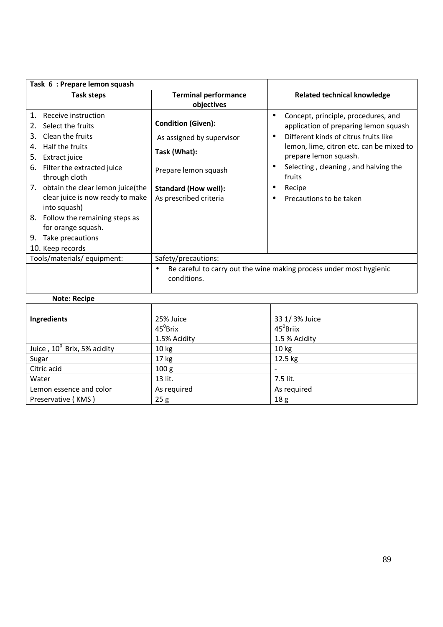| Task 6 : Prepare lemon squash                                                                                                                                                                                                                                                                                                                                                                   |                                                                                                                                                         |                                                                                                                                                                                                                                                                                                |
|-------------------------------------------------------------------------------------------------------------------------------------------------------------------------------------------------------------------------------------------------------------------------------------------------------------------------------------------------------------------------------------------------|---------------------------------------------------------------------------------------------------------------------------------------------------------|------------------------------------------------------------------------------------------------------------------------------------------------------------------------------------------------------------------------------------------------------------------------------------------------|
| <b>Task steps</b>                                                                                                                                                                                                                                                                                                                                                                               | <b>Terminal performance</b><br>objectives                                                                                                               | <b>Related technical knowledge</b>                                                                                                                                                                                                                                                             |
| Receive instruction<br>$\mathbf{1}$ .<br>Select the fruits<br>2.<br>Clean the fruits<br>3.<br>Half the fruits<br>4.<br>Extract juice<br>5.<br>Filter the extracted juice<br>6.<br>through cloth<br>7. obtain the clear lemon juice(the<br>clear juice is now ready to make<br>into squash)<br>8. Follow the remaining steps as<br>for orange squash.<br>9. Take precautions<br>10. Keep records | <b>Condition (Given):</b><br>As assigned by supervisor<br>Task (What):<br>Prepare lemon squash<br><b>Standard (How well):</b><br>As prescribed criteria | Concept, principle, procedures, and<br>$\bullet$<br>application of preparing lemon squash<br>Different kinds of citrus fruits like<br>lemon, lime, citron etc. can be mixed to<br>prepare lemon squash.<br>Selecting, cleaning, and halving the<br>fruits<br>Recipe<br>Precautions to be taken |
| Tools/materials/ equipment:                                                                                                                                                                                                                                                                                                                                                                     | Safety/precautions:                                                                                                                                     |                                                                                                                                                                                                                                                                                                |
|                                                                                                                                                                                                                                                                                                                                                                                                 | $\bullet$<br>conditions.                                                                                                                                | Be careful to carry out the wine making process under most hygienic                                                                                                                                                                                                                            |
| <b>Note: Recipe</b>                                                                                                                                                                                                                                                                                                                                                                             |                                                                                                                                                         |                                                                                                                                                                                                                                                                                                |
| Ingredients                                                                                                                                                                                                                                                                                                                                                                                     | 25% Juice<br>$45^{\circ}$ Brix<br>1.5% Acidity                                                                                                          | 33 1/3% Juice<br>$45^0$ Briix<br>1.5 % Acidity                                                                                                                                                                                                                                                 |
| Juice, 10 <sup>0</sup> Brix, 5% acidity                                                                                                                                                                                                                                                                                                                                                         | 10 kg                                                                                                                                                   | 10 kg                                                                                                                                                                                                                                                                                          |
| Sugar                                                                                                                                                                                                                                                                                                                                                                                           | 17 kg                                                                                                                                                   | 12.5 kg                                                                                                                                                                                                                                                                                        |

Citric acid  $100 g$   $-$ Water 2.5 lit.

Preservative (KMS)

Lemon essence and color As required<br>
Preservative (KMS) 25 g<br>
25 g<br>
25 g<br>
25 g<br>
25 g<br>
25 g<br>
25 g<br>
25 g<br>
25 g<br>
25 g<br>
25 g<br>
25 g<br>
25 g<br>
25 g<br>
25 g<br>
25 g<br>
25 g<br>
26 cm = 2.0 g<br>
25 g<br>
26 cm = 2.0 g<br>
26 g<br>
26 g<br>
26 g<br>
26 g<br>
20 g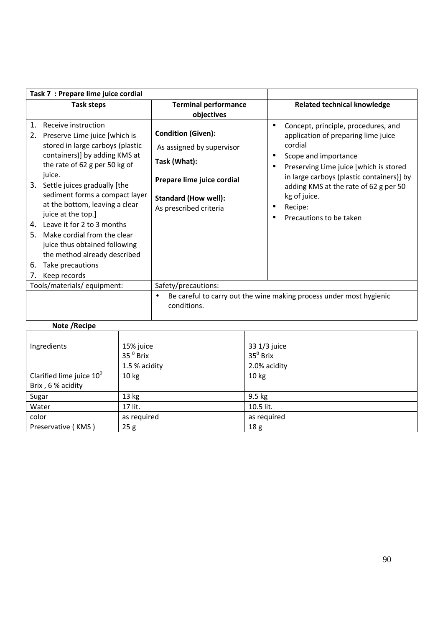| Task 7 : Prepare lime juice cordial                                                                                                                                                                                                                                                                                                                                                                                                                                                                  |                                                                                                                                                               |                                                                                                                                                                                                                                                                                                          |
|------------------------------------------------------------------------------------------------------------------------------------------------------------------------------------------------------------------------------------------------------------------------------------------------------------------------------------------------------------------------------------------------------------------------------------------------------------------------------------------------------|---------------------------------------------------------------------------------------------------------------------------------------------------------------|----------------------------------------------------------------------------------------------------------------------------------------------------------------------------------------------------------------------------------------------------------------------------------------------------------|
| <b>Task steps</b>                                                                                                                                                                                                                                                                                                                                                                                                                                                                                    | <b>Terminal performance</b><br>objectives                                                                                                                     | <b>Related technical knowledge</b>                                                                                                                                                                                                                                                                       |
| Receive instruction<br>1.<br>2.<br>Preserve Lime juice [which is<br>stored in large carboys (plastic<br>containers)] by adding KMS at<br>the rate of 62 g per 50 kg of<br>juice.<br>3. Settle juices gradually [the<br>sediment forms a compact layer<br>at the bottom, leaving a clear<br>juice at the top.]<br>4. Leave it for 2 to 3 months<br>Make cordial from the clear<br>5.<br>juice thus obtained following<br>the method already described<br>Take precautions<br>6.<br>Keep records<br>7. | <b>Condition (Given):</b><br>As assigned by supervisor<br>Task (What):<br>Prepare lime juice cordial<br><b>Standard (How well):</b><br>As prescribed criteria | Concept, principle, procedures, and<br>٠<br>application of preparing lime juice<br>cordial<br>Scope and importance<br>Preserving Lime juice [which is stored<br>in large carboys (plastic containers)] by<br>adding KMS at the rate of 62 g per 50<br>kg of juice.<br>Recipe:<br>Precautions to be taken |
| Tools/materials/equipment:                                                                                                                                                                                                                                                                                                                                                                                                                                                                           | Safety/precautions:                                                                                                                                           |                                                                                                                                                                                                                                                                                                          |
|                                                                                                                                                                                                                                                                                                                                                                                                                                                                                                      | $\bullet$<br>conditions.                                                                                                                                      | Be careful to carry out the wine making process under most hygienic                                                                                                                                                                                                                                      |
| Note / Recipe                                                                                                                                                                                                                                                                                                                                                                                                                                                                                        |                                                                                                                                                               |                                                                                                                                                                                                                                                                                                          |

| Ingredients                 | 15% juice          | 33 1/3 juice     |
|-----------------------------|--------------------|------------------|
|                             | 35 $^{\circ}$ Brix | $35^0$ Brix      |
|                             | 1.5 % acidity      | 2.0% acidity     |
| Clarified lime juice $10^0$ | 10 <sub>kg</sub>   | 10 <sub>kg</sub> |
| Brix, 6 % acidity           |                    |                  |
| Sugar                       | 13 kg              | 9.5 kg           |
| Water                       | 17 lit.            | 10.5 lit.        |
| color                       | as required        | as required      |
| Preservative (KMS)          | 25g                | 18 <sub>g</sub>  |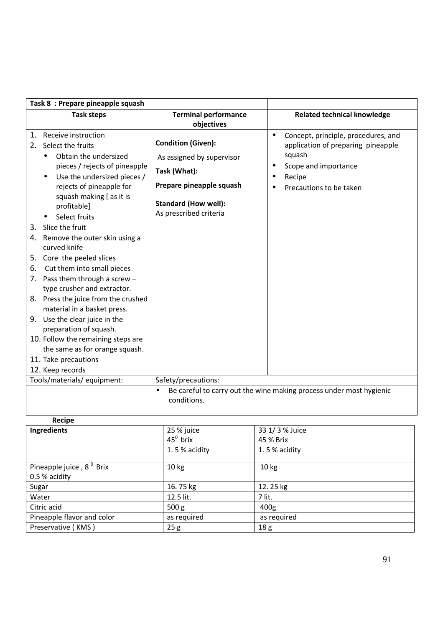| Task 8 : Prepare pineapple squash                                                                                                                                                                                                                                                                                                                                                                          |                                                                                                                                                             |                                                                                                                                                               |
|------------------------------------------------------------------------------------------------------------------------------------------------------------------------------------------------------------------------------------------------------------------------------------------------------------------------------------------------------------------------------------------------------------|-------------------------------------------------------------------------------------------------------------------------------------------------------------|---------------------------------------------------------------------------------------------------------------------------------------------------------------|
| <b>Task steps</b>                                                                                                                                                                                                                                                                                                                                                                                          | <b>Terminal performance</b><br>objectives                                                                                                                   | <b>Related technical knowledge</b>                                                                                                                            |
| Receive instruction<br>1.<br>Select the fruits<br>2.<br>Obtain the undersized<br>$\bullet$<br>pieces / rejects of pineapple<br>Use the undersized pieces /<br>$\bullet$<br>rejects of pineapple for<br>squash making [ as it is<br>profitable]<br>Select fruits<br>3. Slice the fruit<br>4. Remove the outer skin using a<br>curved knife<br>5. Core the peeled slices<br>Cut them into small pieces<br>6. | <b>Condition (Given):</b><br>As assigned by supervisor<br>Task (What):<br>Prepare pineapple squash<br><b>Standard (How well):</b><br>As prescribed criteria | Concept, principle, procedures, and<br>$\bullet$<br>application of preparing pineapple<br>squash<br>Scope and importance<br>Recipe<br>Precautions to be taken |
| 7. Pass them through a screw $-$<br>type crusher and extractor.<br>8. Press the juice from the crushed<br>material in a basket press.<br>9. Use the clear juice in the<br>preparation of squash.<br>10. Follow the remaining steps are<br>the same as for orange squash.<br>11. Take precautions<br>12. Keep records<br>Tools/materials/ equipment:                                                        | Safety/precautions:                                                                                                                                         |                                                                                                                                                               |
|                                                                                                                                                                                                                                                                                                                                                                                                            | $\bullet$<br>conditions.                                                                                                                                    | Be careful to carry out the wine making process under most hygienic                                                                                           |

| Recipe                               |                   |                  |
|--------------------------------------|-------------------|------------------|
| Ingredients                          | 25 % juice        | 33 1/ 3 % Juice  |
|                                      | $45^{\circ}$ brix | 45 % Brix        |
|                                      | 1.5% acidity      | 1.5% acidity     |
| Pineapple juice, 8 <sup>°</sup> Brix | 10 <sub>kg</sub>  | 10 <sub>kg</sub> |
| 0.5 % acidity                        |                   |                  |
| Sugar                                | 16.75 kg          | 12.25 kg         |
| Water                                | 12.5 lit.         | 7 lit.           |
| Citric acid                          | 500 <sub>g</sub>  | 400g             |
| Pineapple flavor and color           | as required       | as required      |
| Preservative (KMS)                   | 25g               | 18 <sub>g</sub>  |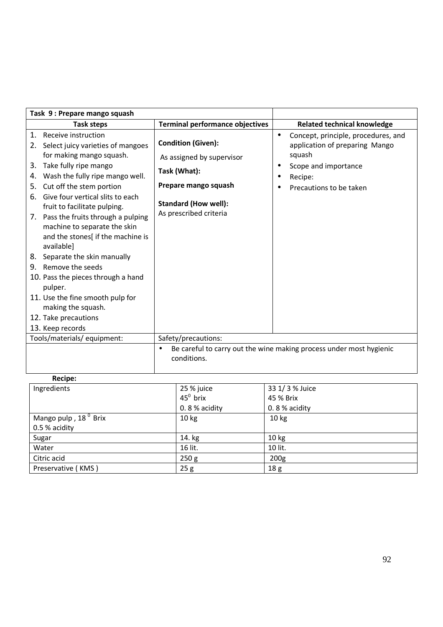|                                                    | Task 9: Prepare mango squash                                                                                                                                                                                                                                                                                                                                                                              |                                                                                                                                                         |                        |                                                                                                                                               |
|----------------------------------------------------|-----------------------------------------------------------------------------------------------------------------------------------------------------------------------------------------------------------------------------------------------------------------------------------------------------------------------------------------------------------------------------------------------------------|---------------------------------------------------------------------------------------------------------------------------------------------------------|------------------------|-----------------------------------------------------------------------------------------------------------------------------------------------|
|                                                    | <b>Task steps</b>                                                                                                                                                                                                                                                                                                                                                                                         | <b>Terminal performance objectives</b>                                                                                                                  |                        | <b>Related technical knowledge</b>                                                                                                            |
| $\mathbf{1}$ .<br>2.<br>3.<br>4.<br>5.<br>6.<br>7. | Receive instruction<br>Select juicy varieties of mangoes<br>for making mango squash.<br>Take fully ripe mango<br>Wash the fully ripe mango well.<br>Cut off the stem portion<br>Give four vertical slits to each<br>fruit to facilitate pulping.<br>Pass the fruits through a pulping<br>machine to separate the skin<br>and the stones[ if the machine is<br>available]<br>8. Separate the skin manually | <b>Condition (Given):</b><br>As assigned by supervisor<br>Task (What):<br>Prepare mango squash<br><b>Standard (How well):</b><br>As prescribed criteria | $\bullet$<br>$\bullet$ | Concept, principle, procedures, and<br>application of preparing Mango<br>squash<br>Scope and importance<br>Recipe:<br>Precautions to be taken |
|                                                    | 9. Remove the seeds<br>10. Pass the pieces through a hand<br>pulper.<br>11. Use the fine smooth pulp for<br>making the squash.<br>12. Take precautions<br>13. Keep records                                                                                                                                                                                                                                |                                                                                                                                                         |                        |                                                                                                                                               |
|                                                    | Tools/materials/ equipment:                                                                                                                                                                                                                                                                                                                                                                               | Safety/precautions:<br>$\bullet$<br>conditions.                                                                                                         |                        | Be careful to carry out the wine making process under most hygienic                                                                           |

| Recipe:                          |                   |                  |
|----------------------------------|-------------------|------------------|
| Ingredients                      | 25 % juice        | 33 1/ 3 % Juice  |
|                                  | $45^{\circ}$ brix | 45 % Brix        |
|                                  | 0.8% acidity      | 0.8% acidity     |
| Mango pulp, 18 <sup>°</sup> Brix | 10 <sub>kg</sub>  | 10 <sub>kg</sub> |
| 0.5 % acidity                    |                   |                  |
| Sugar                            | 14. kg            | 10 <sub>kg</sub> |
| Water                            | 16 lit.           | 10 lit.          |
| Citric acid                      | 250 g             | 200 <sub>g</sub> |
| Preservative (KMS)               | 25g               | 18 g             |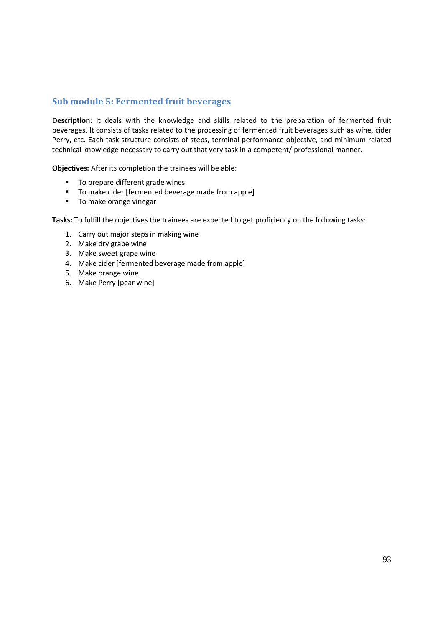#### **Sub module 5: Fermented fruit beverages**

**Description**: It deals with the knowledge and skills related to the preparation of fermented fruit beverages. It consists of tasks related to the processing of fermented fruit beverages such as wine, cider Perry, etc. Each task structure consists of steps, terminal performance objective, and minimum related technical knowledge necessary to carry out that very task in a competent/ professional manner.

**Objectives:** After its completion the trainees will be able:

- To prepare different grade wines
- To make cider [fermented beverage made from apple]
- **To make orange vinegar**

- 1. Carry out major steps in making wine
- 2. Make dry grape wine
- 3. Make sweet grape wine
- 4. Make cider [fermented beverage made from apple]
- 5. Make orange wine
- 6. Make Perry [pear wine]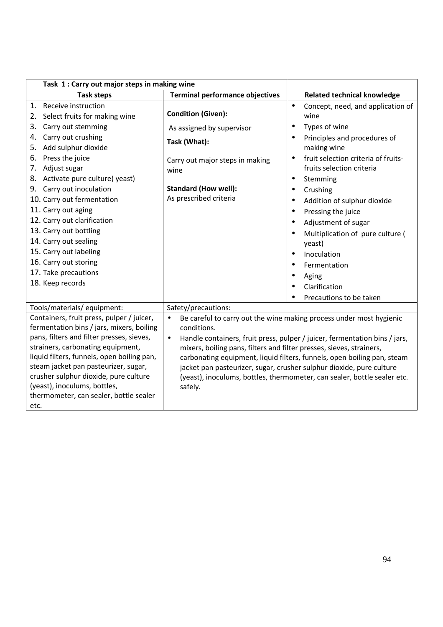| Task 1: Carry out major steps in making wine                                                                                                                                                                                                                                                                                                                                                                                       |                                                                                                                                                 |                                                                                                                                                                                                                                                                                                                                                                                                                                |
|------------------------------------------------------------------------------------------------------------------------------------------------------------------------------------------------------------------------------------------------------------------------------------------------------------------------------------------------------------------------------------------------------------------------------------|-------------------------------------------------------------------------------------------------------------------------------------------------|--------------------------------------------------------------------------------------------------------------------------------------------------------------------------------------------------------------------------------------------------------------------------------------------------------------------------------------------------------------------------------------------------------------------------------|
| <b>Task steps</b>                                                                                                                                                                                                                                                                                                                                                                                                                  | <b>Terminal performance objectives</b>                                                                                                          | <b>Related technical knowledge</b>                                                                                                                                                                                                                                                                                                                                                                                             |
| Receive instruction<br>1.<br>2. Select fruits for making wine                                                                                                                                                                                                                                                                                                                                                                      | <b>Condition (Given):</b>                                                                                                                       | Concept, need, and application of<br>$\bullet$<br>wine                                                                                                                                                                                                                                                                                                                                                                         |
| Carry out stemming<br>3.<br>Carry out crushing<br>4.<br>Add sulphur dioxide<br>5.<br>Press the juice<br>6.<br>7. Adjust sugar<br>8. Activate pure culture(yeast)<br>9. Carry out inoculation<br>10. Carry out fermentation<br>11. Carry out aging<br>12. Carry out clarification<br>13. Carry out bottling<br>14. Carry out sealing<br>15. Carry out labeling<br>16. Carry out storing<br>17. Take precautions<br>18. Keep records | As assigned by supervisor<br>Task (What):<br>Carry out major steps in making<br>wine<br><b>Standard (How well):</b><br>As prescribed criteria   | Types of wine<br>٠<br>Principles and procedures of<br>$\bullet$<br>making wine<br>fruit selection criteria of fruits-<br>fruits selection criteria<br>Stemming<br>$\bullet$<br>Crushing<br>Addition of sulphur dioxide<br>$\bullet$<br>Pressing the juice<br>$\bullet$<br>Adjustment of sugar<br>Multiplication of pure culture (<br>yeast)<br>Inoculation<br>$\bullet$<br>Fermentation<br>$\bullet$<br>Aging<br>Clarification |
|                                                                                                                                                                                                                                                                                                                                                                                                                                    |                                                                                                                                                 | Precautions to be taken                                                                                                                                                                                                                                                                                                                                                                                                        |
| Tools/materials/ equipment:<br>Containers, fruit press, pulper / juicer,<br>fermentation bins / jars, mixers, boiling<br>pans, filters and filter presses, sieves,<br>strainers, carbonating equipment,<br>liquid filters, funnels, open boiling pan,<br>steam jacket pan pasteurizer, sugar,<br>crusher sulphur dioxide, pure culture<br>(yeast), inoculums, bottles,<br>thermometer, can sealer, bottle sealer<br>etc.           | Safety/precautions:<br>$\bullet$<br>conditions.<br>$\bullet$<br>mixers, boiling pans, filters and filter presses, sieves, strainers,<br>safely. | Be careful to carry out the wine making process under most hygienic<br>Handle containers, fruit press, pulper / juicer, fermentation bins / jars,<br>carbonating equipment, liquid filters, funnels, open boiling pan, steam<br>jacket pan pasteurizer, sugar, crusher sulphur dioxide, pure culture<br>(yeast), inoculums, bottles, thermometer, can sealer, bottle sealer etc.                                               |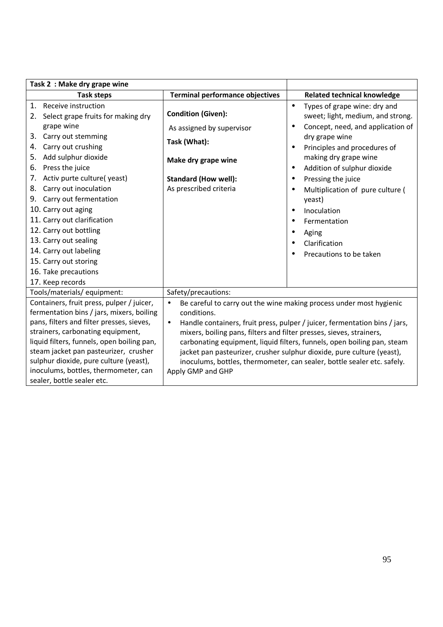| Task 2: Make dry grape wine                                                                                                                                                                                                                                                                                                                                                                                                                                                        |                                                                                                                                                                                                                                                                                                                                                                                                                                                                                                                         |                                                                                                                                                                                                                                                                                                                                                                                                                                                |
|------------------------------------------------------------------------------------------------------------------------------------------------------------------------------------------------------------------------------------------------------------------------------------------------------------------------------------------------------------------------------------------------------------------------------------------------------------------------------------|-------------------------------------------------------------------------------------------------------------------------------------------------------------------------------------------------------------------------------------------------------------------------------------------------------------------------------------------------------------------------------------------------------------------------------------------------------------------------------------------------------------------------|------------------------------------------------------------------------------------------------------------------------------------------------------------------------------------------------------------------------------------------------------------------------------------------------------------------------------------------------------------------------------------------------------------------------------------------------|
| <b>Task steps</b>                                                                                                                                                                                                                                                                                                                                                                                                                                                                  | <b>Terminal performance objectives</b>                                                                                                                                                                                                                                                                                                                                                                                                                                                                                  | <b>Related technical knowledge</b>                                                                                                                                                                                                                                                                                                                                                                                                             |
| 1. Receive instruction<br>Select grape fruits for making dry<br>2.<br>grape wine<br>Carry out stemming<br>3.<br>Carry out crushing<br>4.<br>Add sulphur dioxide<br>5.<br>Press the juice<br>6.<br>Activ purte culture(yeast)<br>7.<br>Carry out inoculation<br>8.<br>9. Carry out fermentation<br>10. Carry out aging<br>11. Carry out clarification<br>12. Carry out bottling<br>13. Carry out sealing<br>14. Carry out labeling<br>15. Carry out storing<br>16. Take precautions | <b>Condition (Given):</b><br>As assigned by supervisor<br>Task (What):<br>Make dry grape wine<br><b>Standard (How well):</b><br>As prescribed criteria                                                                                                                                                                                                                                                                                                                                                                  | Types of grape wine: dry and<br>$\bullet$<br>sweet; light, medium, and strong.<br>Concept, need, and application of<br>$\bullet$<br>dry grape wine<br>Principles and procedures of<br>$\bullet$<br>making dry grape wine<br>Addition of sulphur dioxide<br>$\bullet$<br>Pressing the juice<br>Multiplication of pure culture (<br>yeast)<br>Inoculation<br>$\bullet$<br>Fermentation<br>٠<br>Aging<br>Clarification<br>Precautions to be taken |
| 17. Keep records                                                                                                                                                                                                                                                                                                                                                                                                                                                                   | Safety/precautions:                                                                                                                                                                                                                                                                                                                                                                                                                                                                                                     |                                                                                                                                                                                                                                                                                                                                                                                                                                                |
| Tools/materials/equipment:<br>Containers, fruit press, pulper / juicer,<br>fermentation bins / jars, mixers, boiling<br>pans, filters and filter presses, sieves,<br>strainers, carbonating equipment,<br>liquid filters, funnels, open boiling pan,<br>steam jacket pan pasteurizer, crusher<br>sulphur dioxide, pure culture (yeast),<br>inoculums, bottles, thermometer, can<br>sealer, bottle sealer etc.                                                                      | Be careful to carry out the wine making process under most hygienic<br>$\bullet$<br>conditions.<br>Handle containers, fruit press, pulper / juicer, fermentation bins / jars,<br>$\bullet$<br>mixers, boiling pans, filters and filter presses, sieves, strainers,<br>carbonating equipment, liquid filters, funnels, open boiling pan, steam<br>jacket pan pasteurizer, crusher sulphur dioxide, pure culture (yeast),<br>inoculums, bottles, thermometer, can sealer, bottle sealer etc. safely.<br>Apply GMP and GHP |                                                                                                                                                                                                                                                                                                                                                                                                                                                |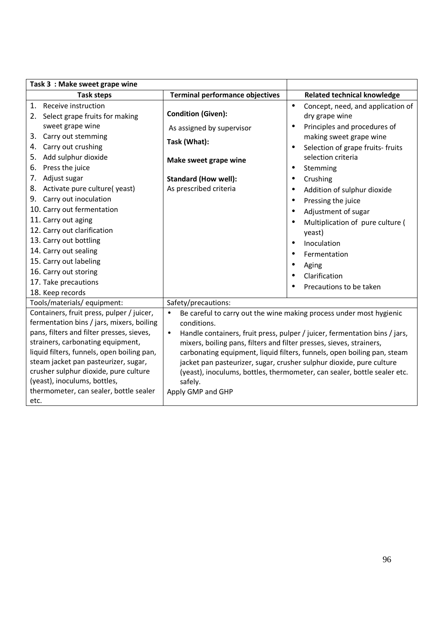| Task 3 : Make sweet grape wine                                                                                                                                                                                                                                                                                                                                                                                                                      |                                                                                                                                                                                                                                                                                                                                                                                                                                                                                                                                   |                                                                                                                                                                                                                                                                                                                                                                                    |
|-----------------------------------------------------------------------------------------------------------------------------------------------------------------------------------------------------------------------------------------------------------------------------------------------------------------------------------------------------------------------------------------------------------------------------------------------------|-----------------------------------------------------------------------------------------------------------------------------------------------------------------------------------------------------------------------------------------------------------------------------------------------------------------------------------------------------------------------------------------------------------------------------------------------------------------------------------------------------------------------------------|------------------------------------------------------------------------------------------------------------------------------------------------------------------------------------------------------------------------------------------------------------------------------------------------------------------------------------------------------------------------------------|
| <b>Task steps</b>                                                                                                                                                                                                                                                                                                                                                                                                                                   | <b>Terminal performance objectives</b>                                                                                                                                                                                                                                                                                                                                                                                                                                                                                            | <b>Related technical knowledge</b>                                                                                                                                                                                                                                                                                                                                                 |
| 1. Receive instruction<br>2. Select grape fruits for making                                                                                                                                                                                                                                                                                                                                                                                         | <b>Condition (Given):</b>                                                                                                                                                                                                                                                                                                                                                                                                                                                                                                         | Concept, need, and application of<br>$\bullet$<br>dry grape wine                                                                                                                                                                                                                                                                                                                   |
| sweet grape wine<br>3. Carry out stemming<br>Carry out crushing<br>4.<br>Add sulphur dioxide<br>5.<br>Press the juice<br>6.<br>7. Adjust sugar<br>8. Activate pure culture(yeast)<br>9. Carry out inoculation<br>10. Carry out fermentation<br>11. Carry out aging<br>12. Carry out clarification<br>13. Carry out bottling<br>14. Carry out sealing<br>15. Carry out labeling<br>16. Carry out storing<br>17. Take precautions<br>18. Keep records | As assigned by supervisor<br>Task (What):<br>Make sweet grape wine<br><b>Standard (How well):</b><br>As prescribed criteria                                                                                                                                                                                                                                                                                                                                                                                                       | Principles and procedures of<br>making sweet grape wine<br>Selection of grape fruits- fruits<br>$\bullet$<br>selection criteria<br>Stemming<br>$\bullet$<br>Crushing<br>Addition of sulphur dioxide<br>Pressing the juice<br>Adjustment of sugar<br>Multiplication of pure culture (<br>yeast)<br>Inoculation<br>Fermentation<br>Aging<br>Clarification<br>Precautions to be taken |
| Tools/materials/ equipment:                                                                                                                                                                                                                                                                                                                                                                                                                         | Safety/precautions:                                                                                                                                                                                                                                                                                                                                                                                                                                                                                                               |                                                                                                                                                                                                                                                                                                                                                                                    |
| Containers, fruit press, pulper / juicer,<br>fermentation bins / jars, mixers, boiling<br>pans, filters and filter presses, sieves,<br>strainers, carbonating equipment,<br>liquid filters, funnels, open boiling pan,<br>steam jacket pan pasteurizer, sugar,<br>crusher sulphur dioxide, pure culture<br>(yeast), inoculums, bottles,<br>thermometer, can sealer, bottle sealer<br>etc.                                                           | Be careful to carry out the wine making process under most hygienic<br>$\bullet$<br>conditions.<br>Handle containers, fruit press, pulper / juicer, fermentation bins / jars,<br>$\bullet$<br>mixers, boiling pans, filters and filter presses, sieves, strainers,<br>carbonating equipment, liquid filters, funnels, open boiling pan, steam<br>jacket pan pasteurizer, sugar, crusher sulphur dioxide, pure culture<br>(yeast), inoculums, bottles, thermometer, can sealer, bottle sealer etc.<br>safely.<br>Apply GMP and GHP |                                                                                                                                                                                                                                                                                                                                                                                    |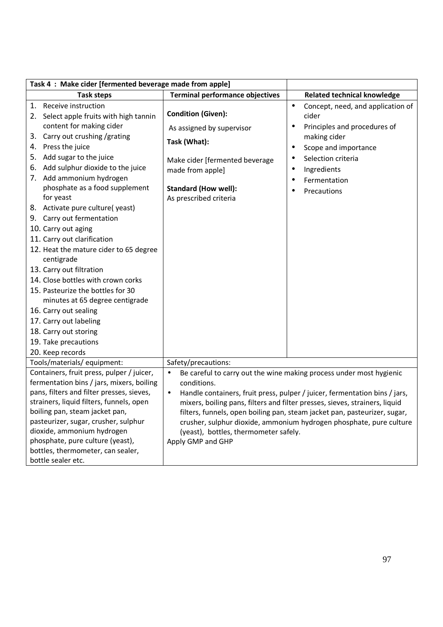|                                        | Task 4 : Make cider [fermented beverage made from apple]                                                                                                                                                                                                                                                                                                                                                                                                  |                                                                                                                                                             |                                                                                                                                                                                                                                                                                                                                                                                      |
|----------------------------------------|-----------------------------------------------------------------------------------------------------------------------------------------------------------------------------------------------------------------------------------------------------------------------------------------------------------------------------------------------------------------------------------------------------------------------------------------------------------|-------------------------------------------------------------------------------------------------------------------------------------------------------------|--------------------------------------------------------------------------------------------------------------------------------------------------------------------------------------------------------------------------------------------------------------------------------------------------------------------------------------------------------------------------------------|
|                                        | <b>Task steps</b>                                                                                                                                                                                                                                                                                                                                                                                                                                         | <b>Terminal performance objectives</b>                                                                                                                      | <b>Related technical knowledge</b>                                                                                                                                                                                                                                                                                                                                                   |
| 1.<br>2.<br>3.<br>4.<br>5.<br>6.<br>7. | Receive instruction<br>Select apple fruits with high tannin<br>content for making cider<br>Carry out crushing /grating<br>Press the juice<br>Add sugar to the juice<br>Add sulphur dioxide to the juice<br>Add ammonium hydrogen<br>phosphate as a food supplement                                                                                                                                                                                        | <b>Condition (Given):</b><br>As assigned by supervisor<br>Task (What):<br>Make cider [fermented beverage<br>made from apple]<br><b>Standard (How well):</b> | Concept, need, and application of<br>$\bullet$<br>cider<br>Principles and procedures of<br>$\bullet$<br>making cider<br>Scope and importance<br>$\bullet$<br>Selection criteria<br>Ingredients<br>$\bullet$<br>Fermentation<br>$\bullet$<br>Precautions<br>$\bullet$                                                                                                                 |
|                                        | for yeast<br>8. Activate pure culture(yeast)<br>9. Carry out fermentation<br>10. Carry out aging<br>11. Carry out clarification<br>12. Heat the mature cider to 65 degree<br>centigrade<br>13. Carry out filtration<br>14. Close bottles with crown corks<br>15. Pasteurize the bottles for 30<br>minutes at 65 degree centigrade<br>16. Carry out sealing<br>17. Carry out labeling<br>18. Carry out storing<br>19. Take precautions<br>20. Keep records | As prescribed criteria                                                                                                                                      |                                                                                                                                                                                                                                                                                                                                                                                      |
|                                        | Tools/materials/ equipment:                                                                                                                                                                                                                                                                                                                                                                                                                               | Safety/precautions:                                                                                                                                         |                                                                                                                                                                                                                                                                                                                                                                                      |
|                                        | Containers, fruit press, pulper / juicer,<br>fermentation bins / jars, mixers, boiling<br>pans, filters and filter presses, sieves,<br>strainers, liquid filters, funnels, open<br>boiling pan, steam jacket pan,<br>pasteurizer, sugar, crusher, sulphur<br>dioxide, ammonium hydrogen<br>phosphate, pure culture (yeast),<br>bottles, thermometer, can sealer,<br>bottle sealer etc.                                                                    | $\bullet$<br>conditions.<br>$\bullet$<br>(yeast), bottles, thermometer safely.<br>Apply GMP and GHP                                                         | Be careful to carry out the wine making process under most hygienic<br>Handle containers, fruit press, pulper / juicer, fermentation bins / jars,<br>mixers, boiling pans, filters and filter presses, sieves, strainers, liquid<br>filters, funnels, open boiling pan, steam jacket pan, pasteurizer, sugar,<br>crusher, sulphur dioxide, ammonium hydrogen phosphate, pure culture |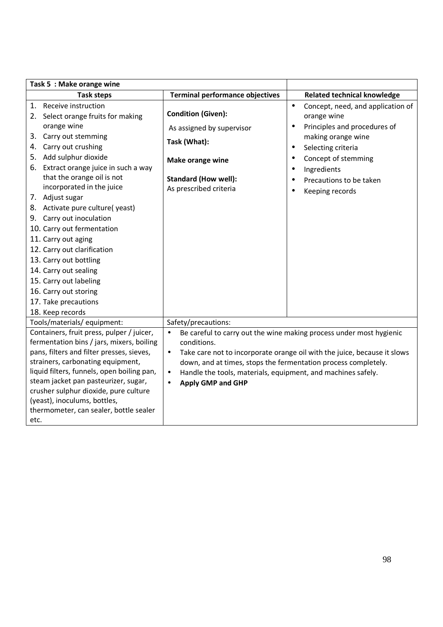| Task 5 : Make orange wine                                                                                                                                                                                                                                                                                                                                                                                                                                                                                                                                                   |                                                                                                                                                                                                                                                                                                                                                                                            |                                                                                                                                                                                                                                                                                        |
|-----------------------------------------------------------------------------------------------------------------------------------------------------------------------------------------------------------------------------------------------------------------------------------------------------------------------------------------------------------------------------------------------------------------------------------------------------------------------------------------------------------------------------------------------------------------------------|--------------------------------------------------------------------------------------------------------------------------------------------------------------------------------------------------------------------------------------------------------------------------------------------------------------------------------------------------------------------------------------------|----------------------------------------------------------------------------------------------------------------------------------------------------------------------------------------------------------------------------------------------------------------------------------------|
| <b>Task steps</b>                                                                                                                                                                                                                                                                                                                                                                                                                                                                                                                                                           | <b>Terminal performance objectives</b>                                                                                                                                                                                                                                                                                                                                                     | <b>Related technical knowledge</b>                                                                                                                                                                                                                                                     |
| Receive instruction<br>1.<br>Select orange fruits for making<br>2.<br>orange wine<br>Carry out stemming<br>3.<br>Carry out crushing<br>4.<br>5. Add sulphur dioxide<br>6. Extract orange juice in such a way<br>that the orange oil is not<br>incorporated in the juice<br>7. Adjust sugar<br>8. Activate pure culture(yeast)<br>9. Carry out inoculation<br>10. Carry out fermentation<br>11. Carry out aging<br>12. Carry out clarification<br>13. Carry out bottling<br>14. Carry out sealing<br>15. Carry out labeling<br>16. Carry out storing<br>17. Take precautions | <b>Condition (Given):</b><br>As assigned by supervisor<br>Task (What):<br>Make orange wine<br><b>Standard (How well):</b><br>As prescribed criteria                                                                                                                                                                                                                                        | Concept, need, and application of<br>$\bullet$<br>orange wine<br>Principles and procedures of<br>$\bullet$<br>making orange wine<br>Selecting criteria<br>$\bullet$<br>Concept of stemming<br>$\bullet$<br>Ingredients<br>٠<br>Precautions to be taken<br>Keeping records<br>$\bullet$ |
| 18. Keep records                                                                                                                                                                                                                                                                                                                                                                                                                                                                                                                                                            |                                                                                                                                                                                                                                                                                                                                                                                            |                                                                                                                                                                                                                                                                                        |
| Tools/materials/ equipment:<br>Containers, fruit press, pulper / juicer,<br>fermentation bins / jars, mixers, boiling<br>pans, filters and filter presses, sieves,<br>strainers, carbonating equipment,<br>liquid filters, funnels, open boiling pan,<br>steam jacket pan pasteurizer, sugar,<br>crusher sulphur dioxide, pure culture<br>(yeast), inoculums, bottles,<br>thermometer, can sealer, bottle sealer<br>etc.                                                                                                                                                    | Safety/precautions:<br>Be careful to carry out the wine making process under most hygienic<br>$\bullet$<br>conditions.<br>Take care not to incorporate orange oil with the juice, because it slows<br>$\bullet$<br>down, and at times, stops the fermentation process completely.<br>Handle the tools, materials, equipment, and machines safely.<br>$\bullet$<br><b>Apply GMP and GHP</b> |                                                                                                                                                                                                                                                                                        |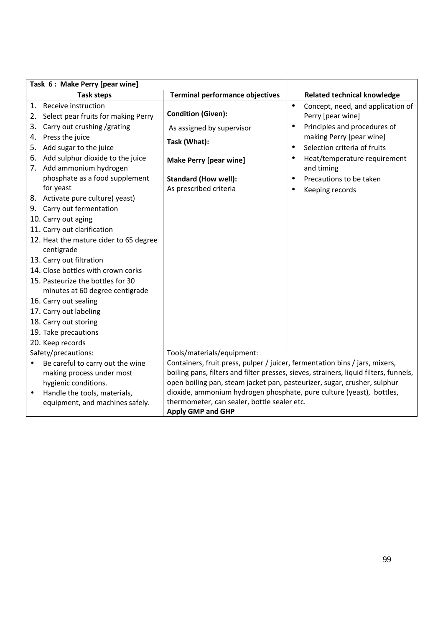|           | Task 6: Make Perry [pear wine]         |                                                                                       |           |                                    |
|-----------|----------------------------------------|---------------------------------------------------------------------------------------|-----------|------------------------------------|
|           | <b>Task steps</b>                      | <b>Terminal performance objectives</b>                                                |           | <b>Related technical knowledge</b> |
|           | 1. Receive instruction                 |                                                                                       | $\bullet$ | Concept, need, and application of  |
| 2.        | Select pear fruits for making Perry    | <b>Condition (Given):</b>                                                             |           | Perry [pear wine]                  |
| 3.        | Carry out crushing /grating            | As assigned by supervisor                                                             | $\bullet$ | Principles and procedures of       |
|           | 4. Press the juice                     | Task (What):                                                                          |           | making Perry [pear wine]           |
|           | 5. Add sugar to the juice              |                                                                                       | $\bullet$ | Selection criteria of fruits       |
|           | 6. Add sulphur dioxide to the juice    | <b>Make Perry [pear wine]</b>                                                         |           | Heat/temperature requirement       |
|           | 7. Add ammonium hydrogen               |                                                                                       |           | and timing                         |
|           | phosphate as a food supplement         | <b>Standard (How well):</b>                                                           | $\bullet$ | Precautions to be taken            |
|           | for yeast                              | As prescribed criteria                                                                | $\bullet$ | Keeping records                    |
|           | 8. Activate pure culture(yeast)        |                                                                                       |           |                                    |
|           | 9. Carry out fermentation              |                                                                                       |           |                                    |
|           | 10. Carry out aging                    |                                                                                       |           |                                    |
|           | 11. Carry out clarification            |                                                                                       |           |                                    |
|           | 12. Heat the mature cider to 65 degree |                                                                                       |           |                                    |
|           | centigrade                             |                                                                                       |           |                                    |
|           | 13. Carry out filtration               |                                                                                       |           |                                    |
|           | 14. Close bottles with crown corks     |                                                                                       |           |                                    |
|           | 15. Pasteurize the bottles for 30      |                                                                                       |           |                                    |
|           | minutes at 60 degree centigrade        |                                                                                       |           |                                    |
|           | 16. Carry out sealing                  |                                                                                       |           |                                    |
|           | 17. Carry out labeling                 |                                                                                       |           |                                    |
|           | 18. Carry out storing                  |                                                                                       |           |                                    |
|           | 19. Take precautions                   |                                                                                       |           |                                    |
|           | 20. Keep records                       |                                                                                       |           |                                    |
|           | Safety/precautions:                    | Tools/materials/equipment:                                                            |           |                                    |
| $\bullet$ | Be careful to carry out the wine       | Containers, fruit press, pulper / juicer, fermentation bins / jars, mixers,           |           |                                    |
|           | making process under most              | boiling pans, filters and filter presses, sieves, strainers, liquid filters, funnels, |           |                                    |
|           | hygienic conditions.                   | open boiling pan, steam jacket pan, pasteurizer, sugar, crusher, sulphur              |           |                                    |
| $\bullet$ | Handle the tools, materials,           | dioxide, ammonium hydrogen phosphate, pure culture (yeast), bottles,                  |           |                                    |
|           | equipment, and machines safely.        | thermometer, can sealer, bottle sealer etc.                                           |           |                                    |
|           |                                        | <b>Apply GMP and GHP</b>                                                              |           |                                    |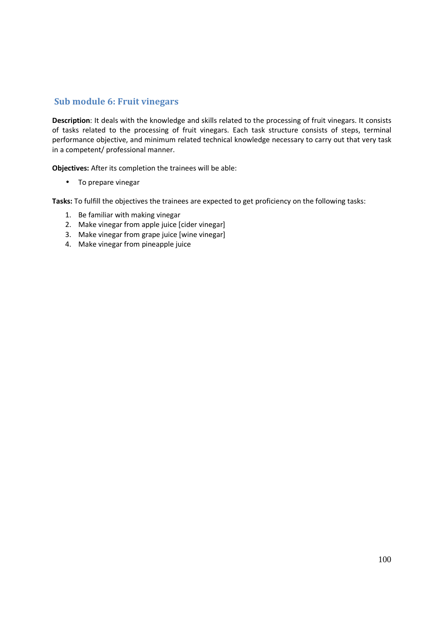## **Sub module 6: Fruit vinegars**

**Description**: It deals with the knowledge and skills related to the processing of fruit vinegars. It consists of tasks related to the processing of fruit vinegars. Each task structure consists of steps, terminal performance objective, and minimum related technical knowledge necessary to carry out that very task in a competent/ professional manner.

**Objectives:** After its completion the trainees will be able:

• To prepare vinegar

- 1. Be familiar with making vinegar
- 2. Make vinegar from apple juice [cider vinegar]
- 3. Make vinegar from grape juice [wine vinegar]
- 4. Make vinegar from pineapple juice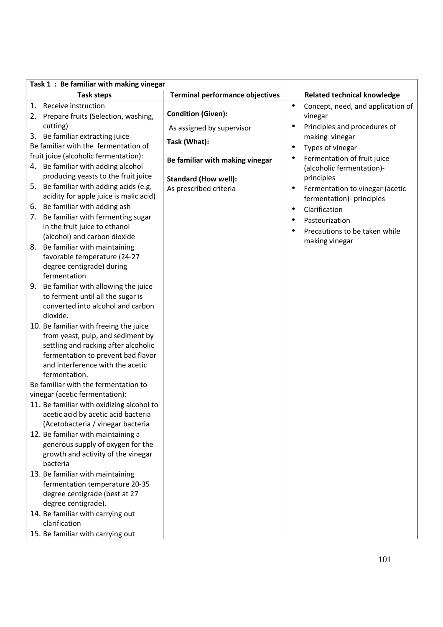| Task 1: Be familiar with making vinegar                                                                                                                                                                                           |                                        |                                                                           |
|-----------------------------------------------------------------------------------------------------------------------------------------------------------------------------------------------------------------------------------|----------------------------------------|---------------------------------------------------------------------------|
| <b>Task steps</b>                                                                                                                                                                                                                 | <b>Terminal performance objectives</b> | <b>Related technical knowledge</b>                                        |
| Receive instruction<br>1.                                                                                                                                                                                                         |                                        | Concept, need, and application of<br>$\bullet$                            |
| Prepare fruits (Selection, washing,<br>2.                                                                                                                                                                                         | <b>Condition (Given):</b>              | vinegar                                                                   |
| cutting)                                                                                                                                                                                                                          | As assigned by supervisor              | Principles and procedures of<br>$\bullet$                                 |
| 3. Be familiar extracting juice                                                                                                                                                                                                   | Task (What):                           | making vinegar                                                            |
| Be familiar with the fermentation of                                                                                                                                                                                              |                                        | Types of vinegar<br>$\bullet$                                             |
| fruit juice (alcoholic fermentation):<br>4. Be familiar with adding alcohol                                                                                                                                                       | Be familiar with making vinegar        | Fermentation of fruit juice<br>$\bullet$<br>(alcoholic fermentation)-     |
| producing yeasts to the fruit juice                                                                                                                                                                                               | <b>Standard (How well):</b>            | principles                                                                |
| Be familiar with adding acids (e.g.<br>5.<br>acidity for apple juice is malic acid)                                                                                                                                               | As prescribed criteria                 | Fermentation to vinegar (acetic<br>$\bullet$<br>fermentation)- principles |
| Be familiar with adding ash<br>6.                                                                                                                                                                                                 |                                        | Clarification<br>$\bullet$                                                |
| Be familiar with fermenting sugar<br>7.                                                                                                                                                                                           |                                        | Pasteurization<br>$\bullet$                                               |
| in the fruit juice to ethanol                                                                                                                                                                                                     |                                        | Precautions to be taken while                                             |
| (alcohol) and carbon dioxide                                                                                                                                                                                                      |                                        | making vinegar                                                            |
| Be familiar with maintaining<br>8.<br>favorable temperature (24-27                                                                                                                                                                |                                        |                                                                           |
| degree centigrade) during                                                                                                                                                                                                         |                                        |                                                                           |
| fermentation                                                                                                                                                                                                                      |                                        |                                                                           |
| Be familiar with allowing the juice<br>9.                                                                                                                                                                                         |                                        |                                                                           |
| to ferment until all the sugar is                                                                                                                                                                                                 |                                        |                                                                           |
| converted into alcohol and carbon                                                                                                                                                                                                 |                                        |                                                                           |
| dioxide.                                                                                                                                                                                                                          |                                        |                                                                           |
| 10. Be familiar with freeing the juice                                                                                                                                                                                            |                                        |                                                                           |
| from yeast, pulp, and sediment by                                                                                                                                                                                                 |                                        |                                                                           |
| settling and racking after alcoholic                                                                                                                                                                                              |                                        |                                                                           |
| fermentation to prevent bad flavor                                                                                                                                                                                                |                                        |                                                                           |
| and interference with the acetic<br>fermentation.                                                                                                                                                                                 |                                        |                                                                           |
| Be familiar with the fermentation to                                                                                                                                                                                              |                                        |                                                                           |
| vinegar (acetic fermentation):                                                                                                                                                                                                    |                                        |                                                                           |
| 11. Be familiar with oxidizing alcohol to                                                                                                                                                                                         |                                        |                                                                           |
| acetic acid by acetic acid bacteria                                                                                                                                                                                               |                                        |                                                                           |
| (Acetobacteria / vinegar bacteria                                                                                                                                                                                                 |                                        |                                                                           |
| 12. Be familiar with maintaining a                                                                                                                                                                                                |                                        |                                                                           |
| generous supply of oxygen for the                                                                                                                                                                                                 |                                        |                                                                           |
| growth and activity of the vinegar                                                                                                                                                                                                |                                        |                                                                           |
|                                                                                                                                                                                                                                   |                                        |                                                                           |
|                                                                                                                                                                                                                                   |                                        |                                                                           |
|                                                                                                                                                                                                                                   |                                        |                                                                           |
|                                                                                                                                                                                                                                   |                                        |                                                                           |
|                                                                                                                                                                                                                                   |                                        |                                                                           |
|                                                                                                                                                                                                                                   |                                        |                                                                           |
|                                                                                                                                                                                                                                   |                                        |                                                                           |
| bacteria<br>13. Be familiar with maintaining<br>fermentation temperature 20-35<br>degree centigrade (best at 27<br>degree centigrade).<br>14. Be familiar with carrying out<br>clarification<br>15. Be familiar with carrying out |                                        |                                                                           |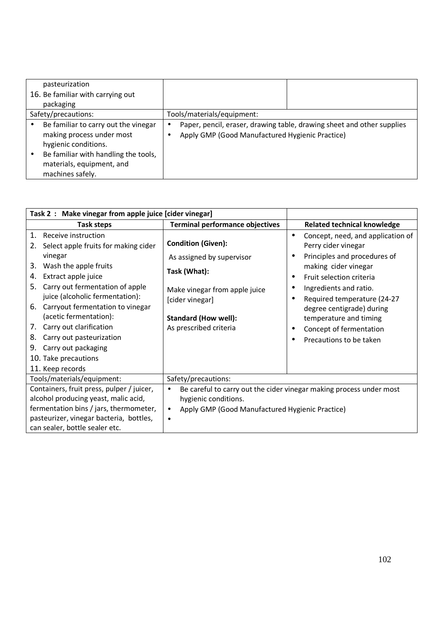| pasteurization                                                                                                                                                                     |   |                                                                                                                           |
|------------------------------------------------------------------------------------------------------------------------------------------------------------------------------------|---|---------------------------------------------------------------------------------------------------------------------------|
| 16. Be familiar with carrying out                                                                                                                                                  |   |                                                                                                                           |
| packaging                                                                                                                                                                          |   |                                                                                                                           |
| Safety/precautions:                                                                                                                                                                |   | Tools/materials/equipment:                                                                                                |
| Be familiar to carry out the vinegar<br>making process under most<br>hygienic conditions.<br>Be familiar with handling the tools,<br>materials, equipment, and<br>machines safely. | ٠ | Paper, pencil, eraser, drawing table, drawing sheet and other supplies<br>Apply GMP (Good Manufactured Hygienic Practice) |

| Task 2: Make vinegar from apple juice [cider vinegar] |                                                                                                                                                                                                          |                                                                                                                                                                          |                                                                                                       |
|-------------------------------------------------------|----------------------------------------------------------------------------------------------------------------------------------------------------------------------------------------------------------|--------------------------------------------------------------------------------------------------------------------------------------------------------------------------|-------------------------------------------------------------------------------------------------------|
|                                                       | Task steps                                                                                                                                                                                               | <b>Terminal performance objectives</b>                                                                                                                                   | <b>Related technical knowledge</b>                                                                    |
| $\mathbf{1}$ .<br>2.                                  | Receive instruction<br>Select apple fruits for making cider<br>vinegar                                                                                                                                   | <b>Condition (Given):</b><br>As assigned by supervisor                                                                                                                   | Concept, need, and application of<br>$\bullet$<br>Perry cider vinegar<br>Principles and procedures of |
| 3.<br>4.<br>5.                                        | Wash the apple fruits<br>Extract apple juice                                                                                                                                                             | Task (What):                                                                                                                                                             | making cider vinegar<br>Fruit selection criteria<br>$\bullet$                                         |
| 6.                                                    | Carry out fermentation of apple<br>juice (alcoholic fermentation):<br>Carryout fermentation to vinegar                                                                                                   | Make vinegar from apple juice<br>[cider vinegar]                                                                                                                         | Ingredients and ratio.<br>Required temperature (24-27                                                 |
| 7.                                                    | (acetic fermentation):<br>Carry out clarification                                                                                                                                                        | <b>Standard (How well):</b><br>As prescribed criteria                                                                                                                    | degree centigrade) during<br>temperature and timing                                                   |
| 8.<br>9.                                              | Carry out pasteurization<br>Carry out packaging                                                                                                                                                          |                                                                                                                                                                          | Concept of fermentation<br>Precautions to be taken                                                    |
|                                                       | 10. Take precautions<br>11. Keep records                                                                                                                                                                 |                                                                                                                                                                          |                                                                                                       |
|                                                       | Tools/materials/equipment:                                                                                                                                                                               | Safety/precautions:                                                                                                                                                      |                                                                                                       |
|                                                       | Containers, fruit press, pulper / juicer,<br>alcohol producing yeast, malic acid,<br>fermentation bins / jars, thermometer,<br>pasteurizer, vinegar bacteria, bottles,<br>can sealer, bottle sealer etc. | Be careful to carry out the cider vinegar making process under most<br>$\bullet$<br>hygienic conditions.<br>Apply GMP (Good Manufactured Hygienic Practice)<br>$\bullet$ |                                                                                                       |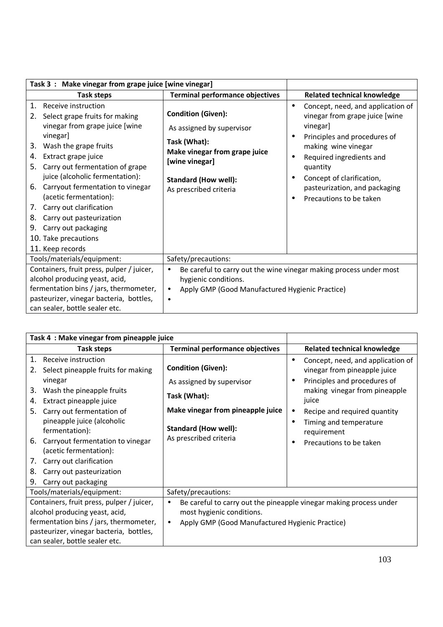| Task 3: Make vinegar from grape juice [wine vinegar]                                                                                                                                                                                                                                                                                                                                                                                                                    |                                                                                                                                                                                    |                                                                                                                                                                                                                                                                                      |
|-------------------------------------------------------------------------------------------------------------------------------------------------------------------------------------------------------------------------------------------------------------------------------------------------------------------------------------------------------------------------------------------------------------------------------------------------------------------------|------------------------------------------------------------------------------------------------------------------------------------------------------------------------------------|--------------------------------------------------------------------------------------------------------------------------------------------------------------------------------------------------------------------------------------------------------------------------------------|
| Task steps                                                                                                                                                                                                                                                                                                                                                                                                                                                              | <b>Terminal performance objectives</b>                                                                                                                                             | <b>Related technical knowledge</b>                                                                                                                                                                                                                                                   |
| Receive instruction<br>1.<br>Select grape fruits for making<br>2.<br>vinegar from grape juice [wine<br>vinegar]<br>Wash the grape fruits<br>3.<br>Extract grape juice<br>4.<br>Carry out fermentation of grape<br>5.<br>juice (alcoholic fermentation):<br>Carryout fermentation to vinegar<br>6.<br>(acetic fermentation):<br>Carry out clarification<br>7.<br>Carry out pasteurization<br>8.<br>Carry out packaging<br>9.<br>10. Take precautions<br>11. Keep records | <b>Condition (Given):</b><br>As assigned by supervisor<br>Task (What):<br>Make vinegar from grape juice<br>[wine vinegar]<br><b>Standard (How well):</b><br>As prescribed criteria | Concept, need, and application of<br>$\bullet$<br>vinegar from grape juice [wine<br>vinegar]<br>Principles and procedures of<br>making wine vinegar<br>Required ingredients and<br>quantity<br>Concept of clarification,<br>pasteurization, and packaging<br>Precautions to be taken |
| Tools/materials/equipment:                                                                                                                                                                                                                                                                                                                                                                                                                                              | Safety/precautions:                                                                                                                                                                |                                                                                                                                                                                                                                                                                      |
| Containers, fruit press, pulper / juicer,<br>alcohol producing yeast, acid,<br>hygienic conditions.<br>fermentation bins / jars, thermometer,<br>Apply GMP (Good Manufactured Hygienic Practice)<br>$\bullet$<br>pasteurizer, vinegar bacteria, bottles,<br>can sealer, bottle sealer etc.                                                                                                                                                                              |                                                                                                                                                                                    | Be careful to carry out the wine vinegar making process under most                                                                                                                                                                                                                   |

| Task 4: Make vinegar from pineapple juice                                                                                                                                                                                                                                                                                                                                                          |                                                                                                                                                                      |                                                                                                                                                                                                                                                              |
|----------------------------------------------------------------------------------------------------------------------------------------------------------------------------------------------------------------------------------------------------------------------------------------------------------------------------------------------------------------------------------------------------|----------------------------------------------------------------------------------------------------------------------------------------------------------------------|--------------------------------------------------------------------------------------------------------------------------------------------------------------------------------------------------------------------------------------------------------------|
| Task steps                                                                                                                                                                                                                                                                                                                                                                                         | <b>Terminal performance objectives</b>                                                                                                                               | <b>Related technical knowledge</b>                                                                                                                                                                                                                           |
| 1.<br>Receive instruction<br>Select pineapple fruits for making<br>vinegar<br>Wash the pineapple fruits<br>3.<br>Extract pineapple juice<br>4.<br>5.<br>Carry out fermentation of<br>pineapple juice (alcoholic<br>fermentation):<br>6. Carryout fermentation to vinegar<br>(acetic fermentation):<br>Carry out clarification<br>7.<br>Carry out pasteurization<br>8.<br>Carry out packaging<br>9. | <b>Condition (Given):</b><br>As assigned by supervisor<br>Task (What):<br>Make vinegar from pineapple juice<br><b>Standard (How well):</b><br>As prescribed criteria | Concept, need, and application of<br>$\bullet$<br>vinegar from pineapple juice<br>Principles and procedures of<br>making vinegar from pineapple<br>juice<br>Recipe and required quantity<br>Timing and temperature<br>requirement<br>Precautions to be taken |
| Tools/materials/equipment:                                                                                                                                                                                                                                                                                                                                                                         | Safety/precautions:                                                                                                                                                  |                                                                                                                                                                                                                                                              |
| Containers, fruit press, pulper / juicer,<br>$\bullet$<br>alcohol producing yeast, acid,<br>most hygienic conditions.<br>fermentation bins / jars, thermometer,<br>Apply GMP (Good Manufactured Hygienic Practice)<br>$\bullet$<br>pasteurizer, vinegar bacteria, bottles,<br>can sealer, bottle sealer etc.                                                                                       |                                                                                                                                                                      | Be careful to carry out the pineapple vinegar making process under                                                                                                                                                                                           |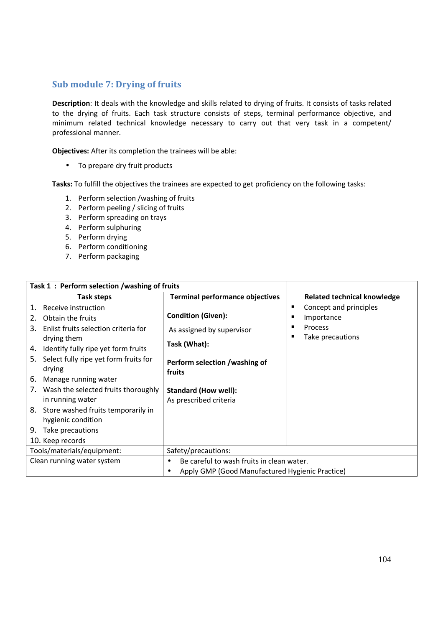#### **Sub module 7: Drying of fruits**

**Description**: It deals with the knowledge and skills related to drying of fruits. It consists of tasks related to the drying of fruits. Each task structure consists of steps, terminal performance objective, and minimum related technical knowledge necessary to carry out that very task in a competent/ professional manner.

**Objectives:** After its completion the trainees will be able:

• To prepare dry fruit products

- 1. Perform selection /washing of fruits
- 2. Perform peeling / slicing of fruits
- 3. Perform spreading on trays
- 4. Perform sulphuring
- 5. Perform drying
- 6. Perform conditioning
- 7. Perform packaging

| Task 1: Perform selection /washing of fruits                                                                                                                                                                                                                                                                                                                                                                                        |                                                                                                                                                                            |                                                                          |
|-------------------------------------------------------------------------------------------------------------------------------------------------------------------------------------------------------------------------------------------------------------------------------------------------------------------------------------------------------------------------------------------------------------------------------------|----------------------------------------------------------------------------------------------------------------------------------------------------------------------------|--------------------------------------------------------------------------|
| Task steps                                                                                                                                                                                                                                                                                                                                                                                                                          | <b>Terminal performance objectives</b>                                                                                                                                     | <b>Related technical knowledge</b>                                       |
| Receive instruction<br>1.<br>Obtain the fruits<br>2.<br>Enlist fruits selection criteria for<br>3.<br>drying them<br>Identify fully ripe yet form fruits<br>4.<br>Select fully ripe yet form fruits for<br>5.<br>drying<br>Manage running water<br>6.<br>Wash the selected fruits thoroughly<br>7.<br>in running water<br>8. Store washed fruits temporarily in<br>hygienic condition<br>Take precautions<br>9.<br>10. Keep records | <b>Condition (Given):</b><br>As assigned by supervisor<br>Task (What):<br>Perform selection /washing of<br>fruits<br><b>Standard (How well):</b><br>As prescribed criteria | Concept and principles<br>п<br>Importance<br>Process<br>Take precautions |
| Tools/materials/equipment:                                                                                                                                                                                                                                                                                                                                                                                                          | Safety/precautions:                                                                                                                                                        |                                                                          |
| Clean running water system                                                                                                                                                                                                                                                                                                                                                                                                          | Be careful to wash fruits in clean water.                                                                                                                                  |                                                                          |
|                                                                                                                                                                                                                                                                                                                                                                                                                                     | Apply GMP (Good Manufactured Hygienic Practice)                                                                                                                            |                                                                          |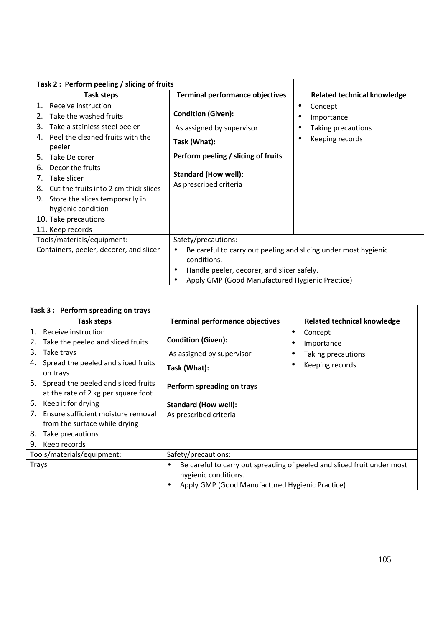| Task 2: Perform peeling / slicing of fruits                                                                                                                                                                                                                                                                                                                                    |                                                                                                                                                                                              |                                                                |
|--------------------------------------------------------------------------------------------------------------------------------------------------------------------------------------------------------------------------------------------------------------------------------------------------------------------------------------------------------------------------------|----------------------------------------------------------------------------------------------------------------------------------------------------------------------------------------------|----------------------------------------------------------------|
| <b>Task steps</b>                                                                                                                                                                                                                                                                                                                                                              | <b>Terminal performance objectives</b>                                                                                                                                                       | <b>Related technical knowledge</b>                             |
| Receive instruction<br>1.<br>Take the washed fruits<br>2.<br>Take a stainless steel peeler<br>3.<br>Peel the cleaned fruits with the<br>peeler<br>Take De corer<br>5.<br>Decor the fruits<br>6.<br>Take slicer<br>7.<br>Cut the fruits into 2 cm thick slices<br>8.<br>Store the slices temporarily in<br>9.<br>hygienic condition<br>10. Take precautions<br>11. Keep records | <b>Condition (Given):</b><br>As assigned by supervisor<br>Task (What):<br>Perform peeling / slicing of fruits<br><b>Standard (How well):</b><br>As prescribed criteria                       | Concept<br>Importance<br>Taking precautions<br>Keeping records |
| Tools/materials/equipment:                                                                                                                                                                                                                                                                                                                                                     | Safety/precautions:                                                                                                                                                                          |                                                                |
| Containers, peeler, decorer, and slicer                                                                                                                                                                                                                                                                                                                                        | Be careful to carry out peeling and slicing under most hygienic<br>$\bullet$<br>conditions.<br>Handle peeler, decorer, and slicer safely.<br>Apply GMP (Good Manufactured Hygienic Practice) |                                                                |

| Task 3: Perform spreading on trays                                            |                                                                                                      |                                    |
|-------------------------------------------------------------------------------|------------------------------------------------------------------------------------------------------|------------------------------------|
| Task steps                                                                    | <b>Terminal performance objectives</b>                                                               | <b>Related technical knowledge</b> |
| $1_{\cdot}$<br>Receive instruction                                            | <b>Condition (Given):</b>                                                                            | Concept<br>$\bullet$               |
| Take the peeled and sliced fruits                                             |                                                                                                      | Importance                         |
| 3.<br>Take trays                                                              | As assigned by supervisor                                                                            | Taking precautions                 |
| Spread the peeled and sliced fruits<br>4.<br>on trays                         | Task (What):                                                                                         | Keeping records                    |
| 5. Spread the peeled and sliced fruits<br>at the rate of 2 kg per square foot | Perform spreading on trays                                                                           |                                    |
| Keep it for drying<br>6.                                                      | <b>Standard (How well):</b>                                                                          |                                    |
| Ensure sufficient moisture removal<br>7.                                      | As prescribed criteria                                                                               |                                    |
| from the surface while drying                                                 |                                                                                                      |                                    |
| Take precautions<br>8.                                                        |                                                                                                      |                                    |
| Keep records<br>9.                                                            |                                                                                                      |                                    |
| Tools/materials/equipment:                                                    | Safety/precautions:                                                                                  |                                    |
| Trays                                                                         | Be careful to carry out spreading of peeled and sliced fruit under most<br>٠<br>hygienic conditions. |                                    |
|                                                                               | Apply GMP (Good Manufactured Hygienic Practice)                                                      |                                    |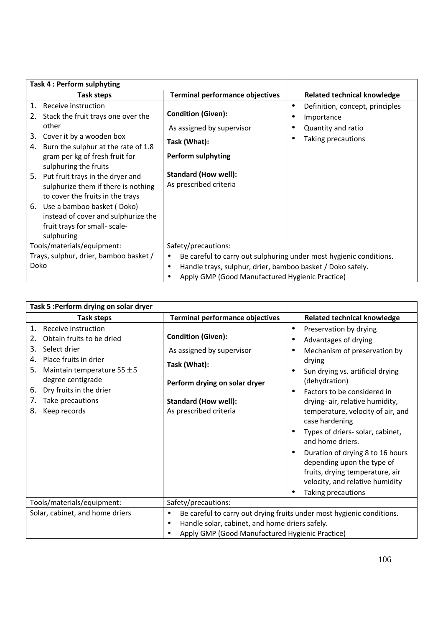| Task 4: Perform sulphyting                                                                                                                                                                                                                                                                                                                                                                                                                                           |                                                                                                                                                              |                                                                                                |
|----------------------------------------------------------------------------------------------------------------------------------------------------------------------------------------------------------------------------------------------------------------------------------------------------------------------------------------------------------------------------------------------------------------------------------------------------------------------|--------------------------------------------------------------------------------------------------------------------------------------------------------------|------------------------------------------------------------------------------------------------|
| Task steps                                                                                                                                                                                                                                                                                                                                                                                                                                                           | <b>Terminal performance objectives</b>                                                                                                                       | <b>Related technical knowledge</b>                                                             |
| Receive instruction<br>1.<br>Stack the fruit trays one over the<br>2.<br>other<br>Cover it by a wooden box<br>3.<br>Burn the sulphur at the rate of 1.8<br>4.<br>gram per kg of fresh fruit for<br>sulphuring the fruits<br>Put fruit trays in the dryer and<br>5.<br>sulphurize them if there is nothing<br>to cover the fruits in the trays<br>6. Use a bamboo basket (Doko)<br>instead of cover and sulphurize the<br>fruit trays for small- scale-<br>sulphuring | <b>Condition (Given):</b><br>As assigned by supervisor<br>Task (What):<br><b>Perform sulphyting</b><br><b>Standard (How well):</b><br>As prescribed criteria | Definition, concept, principles<br>٠<br>Importance<br>Quantity and ratio<br>Taking precautions |
| Tools/materials/equipment:                                                                                                                                                                                                                                                                                                                                                                                                                                           | Safety/precautions:                                                                                                                                          |                                                                                                |
| Trays, sulphur, drier, bamboo basket /<br>Doko                                                                                                                                                                                                                                                                                                                                                                                                                       | $\bullet$<br>Handle trays, sulphur, drier, bamboo basket / Doko safely.<br>٠<br>Apply GMP (Good Manufactured Hygienic Practice)                              | Be careful to carry out sulphuring under most hygienic conditions.                             |

| Task 5 : Perform drying on solar dryer                                                                                                                                                                                                                                       |                                                                                                                                                                  |                                                                                                                                                                                                                                                                                                                                                                                                                                                                                     |
|------------------------------------------------------------------------------------------------------------------------------------------------------------------------------------------------------------------------------------------------------------------------------|------------------------------------------------------------------------------------------------------------------------------------------------------------------|-------------------------------------------------------------------------------------------------------------------------------------------------------------------------------------------------------------------------------------------------------------------------------------------------------------------------------------------------------------------------------------------------------------------------------------------------------------------------------------|
| Task steps                                                                                                                                                                                                                                                                   | <b>Terminal performance objectives</b>                                                                                                                           | <b>Related technical knowledge</b>                                                                                                                                                                                                                                                                                                                                                                                                                                                  |
| Receive instruction<br>$\mathbf{1}$ .<br>Obtain fruits to be dried<br>2.<br>Select drier<br>3.<br>Place fruits in drier<br>4.<br>5.<br>Maintain temperature 55 $\pm$ 5<br>degree centigrade<br>Dry fruits in the drier<br>6.<br>Take precautions<br>7.<br>8.<br>Keep records | <b>Condition (Given):</b><br>As assigned by supervisor<br>Task (What):<br>Perform drying on solar dryer<br><b>Standard (How well):</b><br>As prescribed criteria | Preservation by drying<br>$\bullet$<br>Advantages of drying<br>Mechanism of preservation by<br>drying<br>Sun drying vs. artificial drying<br>(dehydration)<br>Factors to be considered in<br>drying- air, relative humidity,<br>temperature, velocity of air, and<br>case hardening<br>Types of driers- solar, cabinet,<br>and home driers.<br>Duration of drying 8 to 16 hours<br>depending upon the type of<br>fruits, drying temperature, air<br>velocity, and relative humidity |
| Tools/materials/equipment:                                                                                                                                                                                                                                                   | Safety/precautions:                                                                                                                                              | Taking precautions                                                                                                                                                                                                                                                                                                                                                                                                                                                                  |
| Solar, cabinet, and home driers                                                                                                                                                                                                                                              | Be careful to carry out drying fruits under most hygienic conditions.<br>$\bullet$                                                                               |                                                                                                                                                                                                                                                                                                                                                                                                                                                                                     |
|                                                                                                                                                                                                                                                                              | Handle solar, cabinet, and home driers safely.<br>$\bullet$                                                                                                      |                                                                                                                                                                                                                                                                                                                                                                                                                                                                                     |
|                                                                                                                                                                                                                                                                              | Apply GMP (Good Manufactured Hygienic Practice)                                                                                                                  |                                                                                                                                                                                                                                                                                                                                                                                                                                                                                     |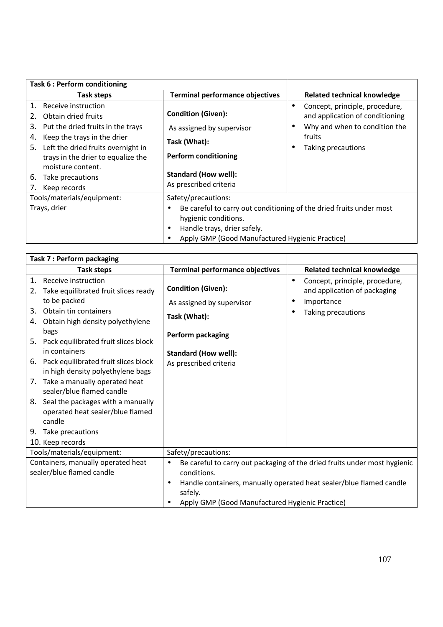| Task 6 : Perform conditioning                                                                                                                                                                                                                                                                 |                                                                                                                                                                                    |                                                                                                                                                 |
|-----------------------------------------------------------------------------------------------------------------------------------------------------------------------------------------------------------------------------------------------------------------------------------------------|------------------------------------------------------------------------------------------------------------------------------------------------------------------------------------|-------------------------------------------------------------------------------------------------------------------------------------------------|
| <b>Task steps</b>                                                                                                                                                                                                                                                                             | <b>Terminal performance objectives</b>                                                                                                                                             | <b>Related technical knowledge</b>                                                                                                              |
| Receive instruction<br>1.<br>Obtain dried fruits<br>2.<br>Put the dried fruits in the trays<br>3.<br>Keep the trays in the drier<br>4.<br>Left the dried fruits overnight in<br>5.<br>trays in the drier to equalize the<br>moisture content.<br>6.<br>Take precautions<br>Keep records<br>7. | <b>Condition (Given):</b><br>As assigned by supervisor<br>Task (What):<br><b>Perform conditioning</b><br><b>Standard (How well):</b><br>As prescribed criteria                     | Concept, principle, procedure,<br>$\bullet$<br>and application of conditioning<br>Why and when to condition the<br>fruits<br>Taking precautions |
| Tools/materials/equipment:                                                                                                                                                                                                                                                                    | Safety/precautions:                                                                                                                                                                |                                                                                                                                                 |
| Trays, drier                                                                                                                                                                                                                                                                                  | Be careful to carry out conditioning of the dried fruits under most<br>٠<br>hygienic conditions.<br>Handle trays, drier safely.<br>Apply GMP (Good Manufactured Hygienic Practice) |                                                                                                                                                 |

| Task 7 : Perform packaging                                                                          |                                                                                                       |                                                                                           |
|-----------------------------------------------------------------------------------------------------|-------------------------------------------------------------------------------------------------------|-------------------------------------------------------------------------------------------|
| <b>Task steps</b>                                                                                   | <b>Terminal performance objectives</b>                                                                | <b>Related technical knowledge</b>                                                        |
| Receive instruction<br>$\mathbf{1}$ .<br>Take equilibrated fruit slices ready<br>2.<br>to be packed | <b>Condition (Given):</b><br>As assigned by supervisor                                                | Concept, principle, procedure,<br>$\bullet$<br>and application of packaging<br>Importance |
| Obtain tin containers<br>3.<br>Obtain high density polyethylene<br>4.<br>bags                       | Task (What):                                                                                          | Taking precautions                                                                        |
| 5. Pack equilibrated fruit slices block<br>in containers                                            | Perform packaging<br><b>Standard (How well):</b>                                                      |                                                                                           |
| 6. Pack equilibrated fruit slices block<br>in high density polyethylene bags                        | As prescribed criteria                                                                                |                                                                                           |
| 7. Take a manually operated heat<br>sealer/blue flamed candle                                       |                                                                                                       |                                                                                           |
| 8. Seal the packages with a manually<br>operated heat sealer/blue flamed<br>candle                  |                                                                                                       |                                                                                           |
| Take precautions<br>9.                                                                              |                                                                                                       |                                                                                           |
| 10. Keep records                                                                                    |                                                                                                       |                                                                                           |
| Tools/materials/equipment:                                                                          | Safety/precautions:                                                                                   |                                                                                           |
| Containers, manually operated heat<br>sealer/blue flamed candle                                     | Be careful to carry out packaging of the dried fruits under most hygienic<br>$\bullet$<br>conditions. |                                                                                           |
|                                                                                                     | ٠<br>safely.                                                                                          | Handle containers, manually operated heat sealer/blue flamed candle                       |
|                                                                                                     | Apply GMP (Good Manufactured Hygienic Practice)                                                       |                                                                                           |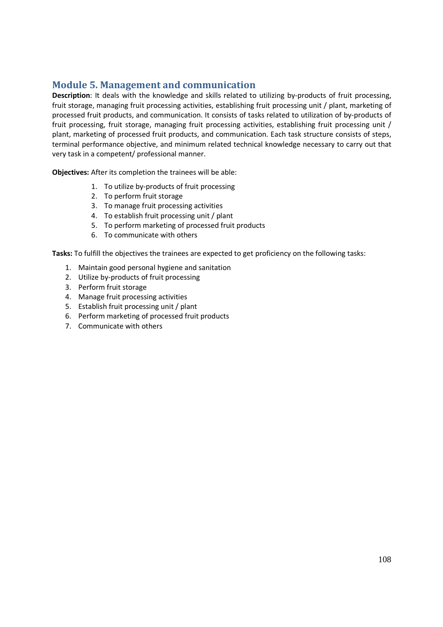# **Module 5. Management and communication**

**Description**: It deals with the knowledge and skills related to utilizing by-products of fruit processing, fruit storage, managing fruit processing activities, establishing fruit processing unit / plant, marketing of processed fruit products, and communication. It consists of tasks related to utilization of by-products of fruit processing, fruit storage, managing fruit processing activities, establishing fruit processing unit / plant, marketing of processed fruit products, and communication. Each task structure consists of steps, terminal performance objective, and minimum related technical knowledge necessary to carry out that very task in a competent/ professional manner.

**Objectives:** After its completion the trainees will be able:

- 1. To utilize by-products of fruit processing
- 2. To perform fruit storage
- 3. To manage fruit processing activities
- 4. To establish fruit processing unit / plant
- 5. To perform marketing of processed fruit products
- 6. To communicate with others

- 1. Maintain good personal hygiene and sanitation
- 2. Utilize by-products of fruit processing
- 3. Perform fruit storage
- 4. Manage fruit processing activities
- 5. Establish fruit processing unit / plant
- 6. Perform marketing of processed fruit products
- 7. Communicate with others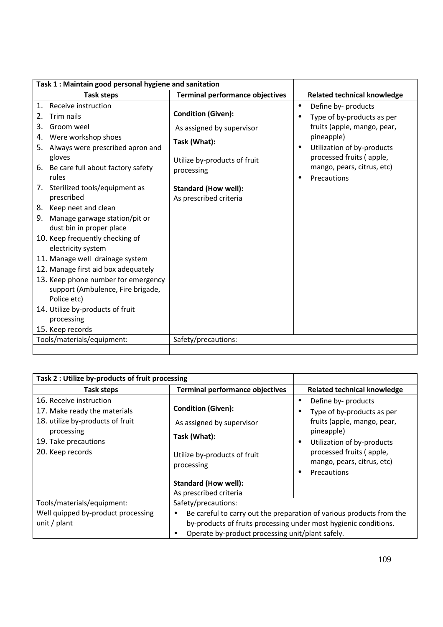| <b>Task steps</b>                             | <b>Terminal performance objectives</b> | <b>Related technical knowledge</b>        |
|-----------------------------------------------|----------------------------------------|-------------------------------------------|
| Receive instruction<br>1.                     |                                        | Define by- products<br>$\bullet$          |
| Trim nails<br>2.                              | <b>Condition (Given):</b>              | Type of by-products as per                |
| Groom weel<br>3.                              | As assigned by supervisor              | fruits (apple, mango, pear,               |
| Were workshop shoes<br>4.                     | Task (What):                           | pineapple)                                |
| 5. Always were prescribed apron and           |                                        | Utilization of by-products                |
| gloves                                        | Utilize by-products of fruit           | processed fruits (apple,                  |
| 6. Be care full about factory safety<br>rules | processing                             | mango, pears, citrus, etc)<br>Precautions |
| 7. Sterilized tools/equipment as              | <b>Standard (How well):</b>            |                                           |
| prescribed                                    | As prescribed criteria                 |                                           |
| 8. Keep neet and clean                        |                                        |                                           |
| 9. Manage garwage station/pit or              |                                        |                                           |
| dust bin in proper place                      |                                        |                                           |
| 10. Keep frequently checking of               |                                        |                                           |
| electricity system                            |                                        |                                           |
| 11. Manage well drainage system               |                                        |                                           |
| 12. Manage first aid box adequately           |                                        |                                           |
| 13. Keep phone number for emergency           |                                        |                                           |
| support (Ambulence, Fire brigade,             |                                        |                                           |
| Police etc)                                   |                                        |                                           |
| 14. Utilize by-products of fruit              |                                        |                                           |
| processing                                    |                                        |                                           |
| 15. Keep records                              |                                        |                                           |
| Tools/materials/equipment:                    | Safety/precautions:                    |                                           |

| Task 2 : Utilize by-products of fruit processing                                                                                                      |                                                                                                                      |                                                                                                                                                                                                                                           |  |  |
|-------------------------------------------------------------------------------------------------------------------------------------------------------|----------------------------------------------------------------------------------------------------------------------|-------------------------------------------------------------------------------------------------------------------------------------------------------------------------------------------------------------------------------------------|--|--|
| Task steps                                                                                                                                            | <b>Terminal performance objectives</b>                                                                               | <b>Related technical knowledge</b>                                                                                                                                                                                                        |  |  |
| 16. Receive instruction<br>17. Make ready the materials<br>18. utilize by-products of fruit<br>processing<br>19. Take precautions<br>20. Keep records | <b>Condition (Given):</b><br>As assigned by supervisor<br>Task (What):<br>Utilize by-products of fruit<br>processing | Define by- products<br>٠<br>Type of by-products as per<br>٠<br>fruits (apple, mango, pear,<br>pineapple)<br>Utilization of by-products<br>$\bullet$<br>processed fruits (apple,<br>mango, pears, citrus, etc)<br>Precautions<br>$\bullet$ |  |  |
|                                                                                                                                                       | <b>Standard (How well):</b>                                                                                          |                                                                                                                                                                                                                                           |  |  |
|                                                                                                                                                       | As prescribed criteria                                                                                               |                                                                                                                                                                                                                                           |  |  |
| Tools/materials/equipment:                                                                                                                            | Safety/precautions:                                                                                                  |                                                                                                                                                                                                                                           |  |  |
| Well quipped by-product processing<br>unit / plant                                                                                                    | $\bullet$<br>Operate by-product processing unit/plant safely.                                                        | Be careful to carry out the preparation of various products from the<br>by-products of fruits processing under most hygienic conditions.                                                                                                  |  |  |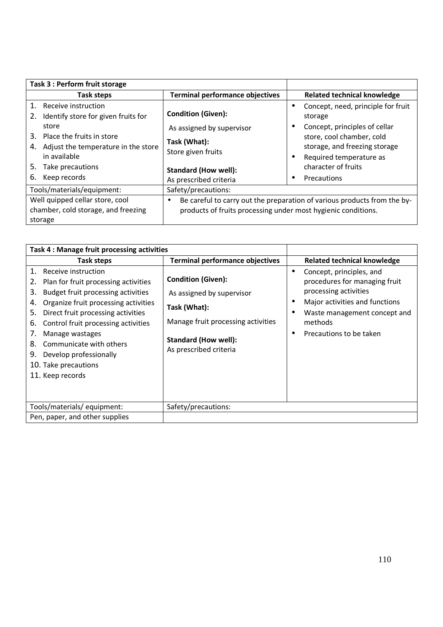| Task 3 : Perform fruit storage                                                                                                                                                                                                              |                                                                                                                                                       |                                                                                                                                                                                                               |
|---------------------------------------------------------------------------------------------------------------------------------------------------------------------------------------------------------------------------------------------|-------------------------------------------------------------------------------------------------------------------------------------------------------|---------------------------------------------------------------------------------------------------------------------------------------------------------------------------------------------------------------|
| Task steps                                                                                                                                                                                                                                  | <b>Terminal performance objectives</b>                                                                                                                | <b>Related technical knowledge</b>                                                                                                                                                                            |
| $\mathbf{1}$ .<br>Receive instruction<br>Identify store for given fruits for<br>2.<br>store<br>Place the fruits in store<br>3.<br>Adjust the temperature in the store<br>4.<br>in available<br>5.<br>Take precautions<br>6.<br>Keep records | <b>Condition (Given):</b><br>As assigned by supervisor<br>Task (What):<br>Store given fruits<br><b>Standard (How well):</b><br>As prescribed criteria | Concept, need, principle for fruit<br>storage<br>Concept, principles of cellar<br>store, cool chamber, cold<br>storage, and freezing storage<br>Required temperature as<br>character of fruits<br>Precautions |
| Tools/materials/equipment:                                                                                                                                                                                                                  | Safety/precautions:                                                                                                                                   |                                                                                                                                                                                                               |
| Well quipped cellar store, cool<br>chamber, cold storage, and freezing<br>storage                                                                                                                                                           | $\bullet$<br>products of fruits processing under most hygienic conditions.                                                                            | Be careful to carry out the preparation of various products from the by-                                                                                                                                      |

| Task 4 : Manage fruit processing activities                                                                                                                                                                                                                                                                                                                                                      |                                                                                                                                                                       |                                                                                                                                                                                                         |
|--------------------------------------------------------------------------------------------------------------------------------------------------------------------------------------------------------------------------------------------------------------------------------------------------------------------------------------------------------------------------------------------------|-----------------------------------------------------------------------------------------------------------------------------------------------------------------------|---------------------------------------------------------------------------------------------------------------------------------------------------------------------------------------------------------|
| Task steps                                                                                                                                                                                                                                                                                                                                                                                       | <b>Terminal performance objectives</b>                                                                                                                                | <b>Related technical knowledge</b>                                                                                                                                                                      |
| 1.<br>Receive instruction<br>Plan for fruit processing activities<br>2.<br>Budget fruit processing activities<br>3.<br>Organize fruit processing activities<br>4.<br>Direct fruit processing activities<br>5.<br>Control fruit processing activities<br>6.<br>7.<br>Manage wastages<br>Communicate with others<br>8.<br>Develop professionally<br>9.<br>10. Take precautions<br>11. Keep records | <b>Condition (Given):</b><br>As assigned by supervisor<br>Task (What):<br>Manage fruit processing activities<br><b>Standard (How well):</b><br>As prescribed criteria | Concept, principles, and<br>$\bullet$<br>procedures for managing fruit<br>processing activities<br>Major activities and functions<br>Waste management concept and<br>methods<br>Precautions to be taken |
| Tools/materials/ equipment:                                                                                                                                                                                                                                                                                                                                                                      | Safety/precautions:                                                                                                                                                   |                                                                                                                                                                                                         |
| Pen, paper, and other supplies                                                                                                                                                                                                                                                                                                                                                                   |                                                                                                                                                                       |                                                                                                                                                                                                         |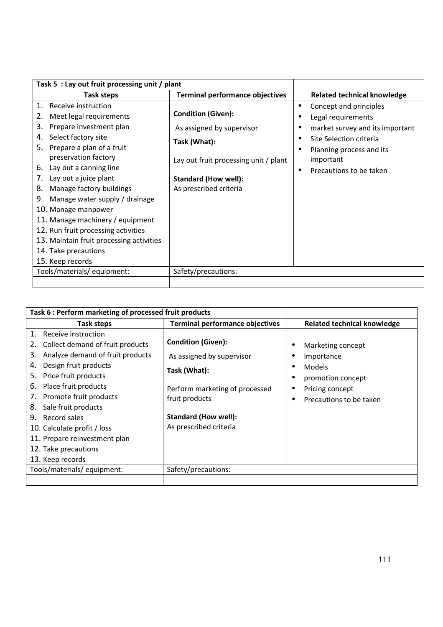| Task 5 : Lay out fruit processing unit / plant                                                                                                                                                                                                                                                                                                                                                                                                                                                                         |                                                                                                                                                                          |                                                                                                                                                                                                          |
|------------------------------------------------------------------------------------------------------------------------------------------------------------------------------------------------------------------------------------------------------------------------------------------------------------------------------------------------------------------------------------------------------------------------------------------------------------------------------------------------------------------------|--------------------------------------------------------------------------------------------------------------------------------------------------------------------------|----------------------------------------------------------------------------------------------------------------------------------------------------------------------------------------------------------|
| Task steps                                                                                                                                                                                                                                                                                                                                                                                                                                                                                                             | <b>Terminal performance objectives</b>                                                                                                                                   | <b>Related technical knowledge</b>                                                                                                                                                                       |
| Receive instruction<br>1.<br>Meet legal requirements<br>2.<br>Prepare investment plan<br>3.<br>Select factory site<br>4.<br>Prepare a plan of a fruit<br>5.<br>preservation factory<br>Lay out a canning line<br>6.<br>Lay out a juice plant<br>7.<br>Manage factory buildings<br>8.<br>Manage water supply / drainage<br>9.<br>10. Manage manpower<br>11. Manage machinery / equipment<br>12. Run fruit processing activities<br>13. Maintain fruit processing activities<br>14. Take precautions<br>15. Keep records | <b>Condition (Given):</b><br>As assigned by supervisor<br>Task (What):<br>Lay out fruit processing unit / plant<br><b>Standard (How well):</b><br>As prescribed criteria | Concept and principles<br>$\bullet$<br>Legal requirements<br>market survey and its important<br>Site Selection criteria<br>Planning process and its<br>important<br>Precautions to be taken<br>$\bullet$ |
| Tools/materials/equipment:                                                                                                                                                                                                                                                                                                                                                                                                                                                                                             | Safety/precautions:                                                                                                                                                      |                                                                                                                                                                                                          |
|                                                                                                                                                                                                                                                                                                                                                                                                                                                                                                                        |                                                                                                                                                                          |                                                                                                                                                                                                          |

| Task 6 : Perform marketing of processed fruit products                                                                                                                                                                                                                                                                                                                                            |                                                                                                                                                                                     |                                                                                                                     |
|---------------------------------------------------------------------------------------------------------------------------------------------------------------------------------------------------------------------------------------------------------------------------------------------------------------------------------------------------------------------------------------------------|-------------------------------------------------------------------------------------------------------------------------------------------------------------------------------------|---------------------------------------------------------------------------------------------------------------------|
| Task steps                                                                                                                                                                                                                                                                                                                                                                                        | <b>Terminal performance objectives</b>                                                                                                                                              | <b>Related technical knowledge</b>                                                                                  |
| 1.<br>Receive instruction<br>Collect demand of fruit products<br>Analyze demand of fruit products<br>3.<br>Design fruit products<br>4.<br>Price fruit products<br>5.<br>Place fruit products<br>6.<br>Promote fruit products<br>7.<br>Sale fruit products<br>8.<br>Record sales<br>9.<br>10. Calculate profit / loss<br>11. Prepare reinvestment plan<br>12. Take precautions<br>13. Keep records | <b>Condition (Given):</b><br>As assigned by supervisor<br>Task (What):<br>Perform marketing of processed<br>fruit products<br><b>Standard (How well):</b><br>As prescribed criteria | Marketing concept<br>Importance<br><b>Models</b><br>promotion concept<br>Pricing concept<br>Precautions to be taken |
| Tools/materials/equipment:                                                                                                                                                                                                                                                                                                                                                                        | Safety/precautions:                                                                                                                                                                 |                                                                                                                     |
|                                                                                                                                                                                                                                                                                                                                                                                                   |                                                                                                                                                                                     |                                                                                                                     |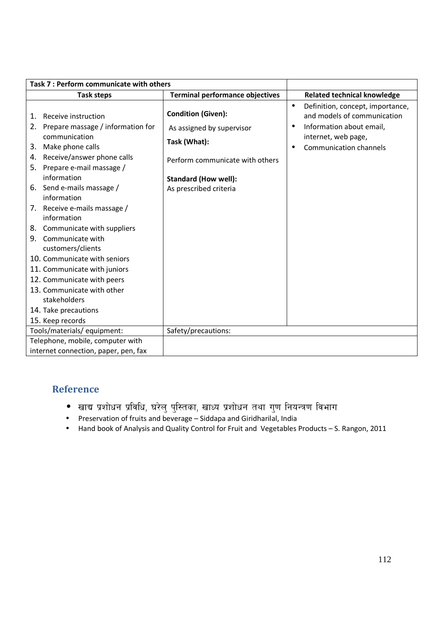| Task 7 : Perform communicate with others                                                                                                                                                                                                                                                                                                                                                                                                                                                                                                                          |                                                                                                                                                                    |                                                                                                                                                                               |
|-------------------------------------------------------------------------------------------------------------------------------------------------------------------------------------------------------------------------------------------------------------------------------------------------------------------------------------------------------------------------------------------------------------------------------------------------------------------------------------------------------------------------------------------------------------------|--------------------------------------------------------------------------------------------------------------------------------------------------------------------|-------------------------------------------------------------------------------------------------------------------------------------------------------------------------------|
| <b>Task steps</b>                                                                                                                                                                                                                                                                                                                                                                                                                                                                                                                                                 | <b>Terminal performance objectives</b>                                                                                                                             | <b>Related technical knowledge</b>                                                                                                                                            |
| Receive instruction<br>1.<br>2. Prepare massage / information for<br>communication<br>Make phone calls<br>3.<br>Receive/answer phone calls<br>4.<br>5. Prepare e-mail massage /<br>information<br>6. Send e-mails massage /<br>information<br>7. Receive e-mails massage /<br>information<br>8. Communicate with suppliers<br>Communicate with<br>9.<br>customers/clients<br>10. Communicate with seniors<br>11. Communicate with juniors<br>12. Communicate with peers<br>13. Communicate with other<br>stakeholders<br>14. Take precautions<br>15. Keep records | <b>Condition (Given):</b><br>As assigned by supervisor<br>Task (What):<br>Perform communicate with others<br><b>Standard (How well):</b><br>As prescribed criteria | Definition, concept, importance,<br>$\bullet$<br>and models of communication<br>Information about email,<br>$\bullet$<br>internet, web page,<br><b>Communication channels</b> |
| Tools/materials/equipment:                                                                                                                                                                                                                                                                                                                                                                                                                                                                                                                                        | Safety/precautions:                                                                                                                                                |                                                                                                                                                                               |
| Telephone, mobile, computer with                                                                                                                                                                                                                                                                                                                                                                                                                                                                                                                                  |                                                                                                                                                                    |                                                                                                                                                                               |
| internet connection, paper, pen, fax                                                                                                                                                                                                                                                                                                                                                                                                                                                                                                                              |                                                                                                                                                                    |                                                                                                                                                                               |

## **Reference**

- $\bullet$  खाद्य प्रशोधन प्रविधि, घरेलु पुस्तिका, खाध्य प्रशोधन तथा गुण नियन्त्रण विभाग
- Preservation of fruits and beverage Siddapa and Giridharilal, India
- Hand book of Analysis and Quality Control for Fruit and Vegetables Products S. Rangon, 2011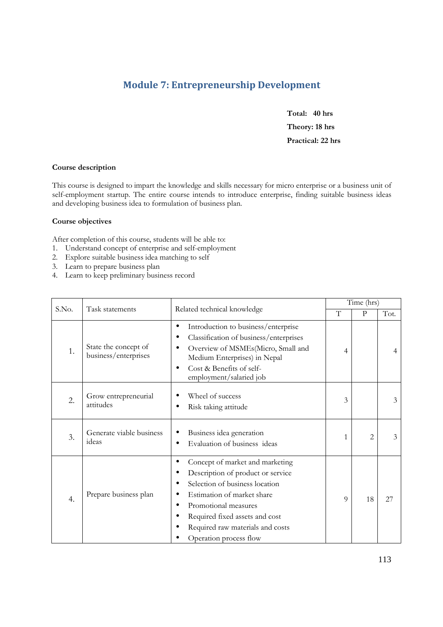## **Module 7: Entrepreneurship Development**

**Total: 40 hrs Theory: 18 hrs Practical: 22 hrs** 

#### **Course description**

This course is designed to impart the knowledge and skills necessary for micro enterprise or a business unit of self-employment startup. The entire course intends to introduce enterprise, finding suitable business ideas and developing business idea to formulation of business plan.

#### **Course objectives**

After completion of this course, students will be able to:

- 1. Understand concept of enterprise and self-employment
- 2. Explore suitable business idea matching to self
- 3. Learn to prepare business plan
- 4. Learn to keep preliminary business record

| S.No. |                                              |                                                                                                                                                                                                                                                              | Time (hrs)     |                |      |
|-------|----------------------------------------------|--------------------------------------------------------------------------------------------------------------------------------------------------------------------------------------------------------------------------------------------------------------|----------------|----------------|------|
|       | Task statements                              | Related technical knowledge                                                                                                                                                                                                                                  |                | $\mathbf{P}$   | Tot. |
| 1.    | State the concept of<br>business/enterprises | Introduction to business/enterprise<br>$\bullet$<br>Classification of business/enterprises<br>Overview of MSMEs(Micro, Small and<br>Medium Enterprises) in Nepal<br>Cost & Benefits of self-<br>employment/salaried job                                      | $\overline{4}$ |                | 4    |
| 2.    | Grow entrepreneurial<br>attitudes            | Wheel of success<br>Risk taking attitude                                                                                                                                                                                                                     | 3              |                | 3    |
| 3.    | Generate viable business<br>ideas            | Business idea generation<br>Evaluation of business ideas                                                                                                                                                                                                     | $\mathbf{1}$   | $\overline{2}$ | 3    |
| 4.    | Prepare business plan                        | Concept of market and marketing<br>Description of product or service<br>Selection of business location<br>Estimation of market share<br>Promotional measures<br>Required fixed assets and cost<br>Required raw materials and costs<br>Operation process flow | $\Omega$       | 18             | 27   |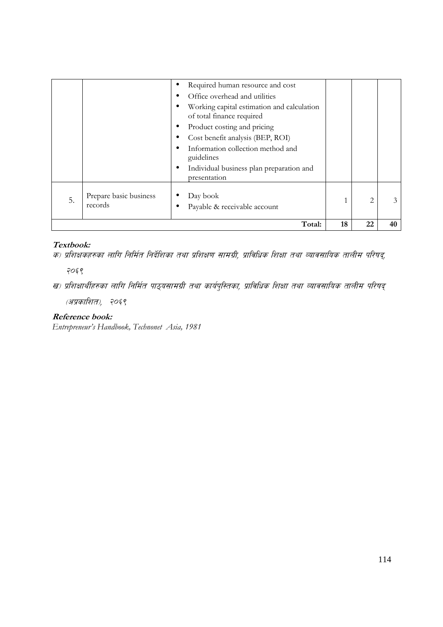|    |                                   | Required human resource and cost<br>٠<br>Office overhead and utilities<br>Working capital estimation and calculation<br>of total finance required<br>Product costing and pricing<br>Cost benefit analysis (BEP, ROI)<br>Information collection method and<br>guidelines<br>Individual business plan preparation and<br>presentation |    |                |    |
|----|-----------------------------------|-------------------------------------------------------------------------------------------------------------------------------------------------------------------------------------------------------------------------------------------------------------------------------------------------------------------------------------|----|----------------|----|
| 5. | Prepare basic business<br>records | Day book<br>Payable & receivable account                                                                                                                                                                                                                                                                                            |    | $\overline{2}$ | 3  |
|    |                                   | Total:                                                                                                                                                                                                                                                                                                                              | 18 | 22             | 40 |

## **Textbook:**

क) प्रशिक्षकहरुका लागि निर्मित निर्देशिका तथा प्रशिक्षण सामग्री, प्राविधिक शिक्षा तथा व्यावसायिक तालीम परिषद्,

 $7059$ 

(अप्रकाशित), २०६९

### **Reference book:**

*Entrepreneur's Handbook, Technonet Asia, 1981* 

ख) प्रशिक्षार्थीहरुका लागि निर्मित पाठ्यसामग्री तथा कार्यपुस्तिका, प्राविधिक शिक्षा तथा व्यावसायिक तालीम परिषद्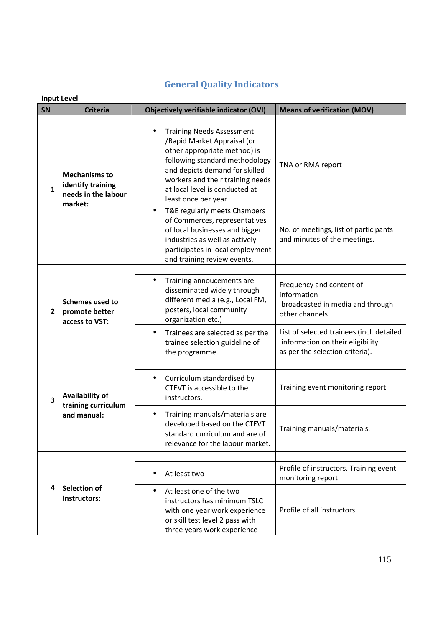|                         | <b>Input Level</b>                                                          |                                                                                                                                                                                                                                                                                |                                                                                                                  |  |
|-------------------------|-----------------------------------------------------------------------------|--------------------------------------------------------------------------------------------------------------------------------------------------------------------------------------------------------------------------------------------------------------------------------|------------------------------------------------------------------------------------------------------------------|--|
| <b>SN</b>               | <b>Criteria</b>                                                             | <b>Objectively verifiable indicator (OVI)</b>                                                                                                                                                                                                                                  | <b>Means of verification (MOV)</b>                                                                               |  |
| $\mathbf{1}$            | <b>Mechanisms to</b><br>identify training<br>needs in the labour<br>market: | <b>Training Needs Assessment</b><br>$\bullet$<br>/Rapid Market Appraisal (or<br>other appropriate method) is<br>following standard methodology<br>and depicts demand for skilled<br>workers and their training needs<br>at local level is conducted at<br>least once per year. | TNA or RMA report                                                                                                |  |
|                         |                                                                             | T&E regularly meets Chambers<br>of Commerces, representatives<br>of local businesses and bigger<br>industries as well as actively<br>participates in local employment<br>and training review events.                                                                           | No. of meetings, list of participants<br>and minutes of the meetings.                                            |  |
|                         |                                                                             |                                                                                                                                                                                                                                                                                |                                                                                                                  |  |
| $\overline{2}$          | <b>Schemes used to</b><br>promote better<br>access to VST:                  | Training annoucements are<br>$\bullet$<br>disseminated widely through<br>different media (e.g., Local FM,<br>posters, local community<br>organization etc.)                                                                                                                    | Frequency and content of<br>information<br>broadcasted in media and through<br>other channels                    |  |
|                         |                                                                             | Trainees are selected as per the<br>$\bullet$<br>trainee selection guideline of<br>the programme.                                                                                                                                                                              | List of selected trainees (incl. detailed<br>information on their eligibility<br>as per the selection criteria). |  |
|                         |                                                                             |                                                                                                                                                                                                                                                                                |                                                                                                                  |  |
| $\overline{\mathbf{3}}$ | Availability of<br>training curriculum                                      | Curriculum standardised by<br>CTEVT is accessible to the<br>instructors.                                                                                                                                                                                                       | Training event monitoring report                                                                                 |  |
|                         | and manual:                                                                 | Training manuals/materials are<br>developed based on the CTEVT<br>standard curriculum and are of<br>relevance for the labour market.                                                                                                                                           | Training manuals/materials.                                                                                      |  |
|                         |                                                                             |                                                                                                                                                                                                                                                                                |                                                                                                                  |  |
|                         |                                                                             | At least two                                                                                                                                                                                                                                                                   | Profile of instructors. Training event<br>monitoring report                                                      |  |
| 4                       | Selection of<br>Instructors:                                                | At least one of the two<br>instructors has minimum TSLC<br>with one year work experience<br>or skill test level 2 pass with<br>three years work experience                                                                                                                     | Profile of all instructors                                                                                       |  |

# **General Quality Indicators**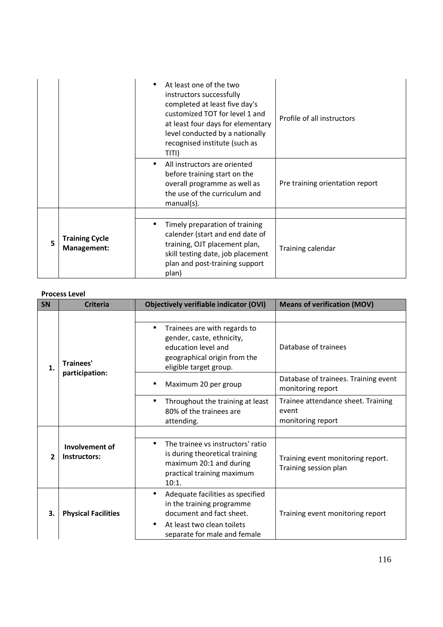|    |                                      | At least one of the two<br>instructors successfully<br>completed at least five day's<br>customized TOT for level 1 and<br>at least four days for elementary<br>level conducted by a nationally<br>recognised institute (such as<br>TITI) | Profile of all instructors      |
|----|--------------------------------------|------------------------------------------------------------------------------------------------------------------------------------------------------------------------------------------------------------------------------------------|---------------------------------|
|    |                                      | All instructors are oriented<br>$\bullet$<br>before training start on the<br>overall programme as well as<br>the use of the curriculum and<br>$manual(s)$ .                                                                              | Pre training orientation report |
|    |                                      |                                                                                                                                                                                                                                          |                                 |
| 5. | <b>Training Cycle</b><br>Management: | Timely preparation of training<br>$\bullet$<br>calender (start and end date of<br>training, OJT placement plan,<br>skill testing date, job placement<br>plan and post-training support<br>plan)                                          | Training calendar               |

#### **Process Level**

| <b>SN</b>    | <b>Criteria</b>                | <b>Objectively verifiable indicator (OVI)</b>                                                                                                                                     | <b>Means of verification (MOV)</b>                               |
|--------------|--------------------------------|-----------------------------------------------------------------------------------------------------------------------------------------------------------------------------------|------------------------------------------------------------------|
|              |                                |                                                                                                                                                                                   |                                                                  |
| $\mathbf{1}$ | Trainees'<br>participation:    | Trainees are with regards to<br>$\bullet$<br>gender, caste, ethnicity,<br>education level and<br>geographical origin from the<br>eligible target group.                           | Database of trainees                                             |
|              |                                | Maximum 20 per group                                                                                                                                                              | Database of trainees. Training event<br>monitoring report        |
|              |                                | Throughout the training at least<br>$\bullet$<br>80% of the trainees are<br>attending.                                                                                            | Trainee attendance sheet. Training<br>event<br>monitoring report |
|              |                                |                                                                                                                                                                                   |                                                                  |
| $\mathbf{z}$ | Involvement of<br>Instructors: | The trainee vs instructors' ratio<br>$\bullet$<br>is during theoretical training<br>maximum 20:1 and during<br>practical training maximum<br>10:1.                                | Training event monitoring report.<br>Training session plan       |
| 3.           | <b>Physical Facilities</b>     | Adequate facilities as specified<br>$\bullet$<br>in the training programme<br>document and fact sheet.<br>At least two clean toilets<br>$\bullet$<br>separate for male and female | Training event monitoring report                                 |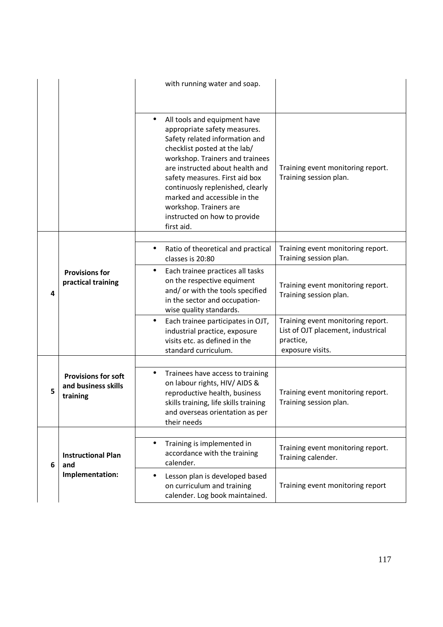|   |                                                               | with running water and soap.                                                                                                                                                                                                                                                                                                                                                       |                                                                                                          |
|---|---------------------------------------------------------------|------------------------------------------------------------------------------------------------------------------------------------------------------------------------------------------------------------------------------------------------------------------------------------------------------------------------------------------------------------------------------------|----------------------------------------------------------------------------------------------------------|
|   |                                                               | All tools and equipment have<br>appropriate safety measures.<br>Safety related information and<br>checklist posted at the lab/<br>workshop. Trainers and trainees<br>are instructed about health and<br>safety measures. First aid box<br>continuosly replenished, clearly<br>marked and accessible in the<br>workshop. Trainers are<br>instructed on how to provide<br>first aid. | Training event monitoring report.<br>Training session plan.                                              |
|   |                                                               | Ratio of theoretical and practical<br>$\bullet$                                                                                                                                                                                                                                                                                                                                    | Training event monitoring report.                                                                        |
| 4 |                                                               | classes is 20:80                                                                                                                                                                                                                                                                                                                                                                   | Training session plan.                                                                                   |
|   | <b>Provisions for</b><br>practical training                   | Each trainee practices all tasks<br>$\bullet$<br>on the respective equiment<br>and/ or with the tools specified<br>in the sector and occupation-<br>wise quality standards.                                                                                                                                                                                                        | Training event monitoring report.<br>Training session plan.                                              |
|   |                                                               | Each trainee participates in OJT,<br>$\bullet$<br>industrial practice, exposure<br>visits etc. as defined in the<br>standard curriculum.                                                                                                                                                                                                                                           | Training event monitoring report.<br>List of OJT placement, industrical<br>practice,<br>exposure visits. |
|   |                                                               |                                                                                                                                                                                                                                                                                                                                                                                    |                                                                                                          |
| 5 | <b>Provisions for soft</b><br>and business skills<br>training | Trainees have access to training<br>$\bullet$<br>on labour rights, HIV/ AIDS &<br>reproductive health, business<br>skills training, life skills training<br>and overseas orientation as per<br>their needs                                                                                                                                                                         | Training event monitoring report.<br>Training session plan.                                              |
|   |                                                               |                                                                                                                                                                                                                                                                                                                                                                                    |                                                                                                          |
| 6 | <b>Instructional Plan</b><br>and                              | Training is implemented in<br>$\bullet$<br>accordance with the training<br>calender.                                                                                                                                                                                                                                                                                               | Training event monitoring report.<br>Training calender.                                                  |
|   | Implementation:                                               | Lesson plan is developed based<br>$\bullet$<br>on curriculum and training<br>calender. Log book maintained.                                                                                                                                                                                                                                                                        | Training event monitoring report                                                                         |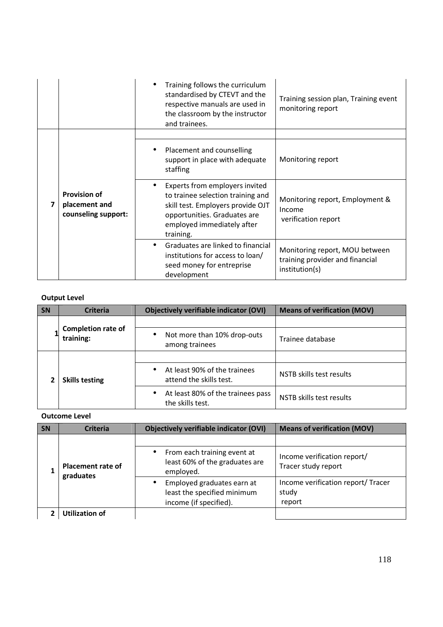|                                                             | Training follows the curriculum<br>standardised by CTEVT and the<br>respective manuals are used in<br>the classroom by the instructor<br>and trainees.                                          | Training session plan, Training event<br>monitoring report                          |
|-------------------------------------------------------------|-------------------------------------------------------------------------------------------------------------------------------------------------------------------------------------------------|-------------------------------------------------------------------------------------|
| <b>Provision of</b><br>placement and<br>counseling support: | Placement and counselling<br>$\bullet$<br>support in place with adequate                                                                                                                        | Monitoring report                                                                   |
|                                                             | staffing<br>Experts from employers invited<br>to trainee selection training and<br>skill test. Employers provide OJT<br>opportunities. Graduates are<br>employed immediately after<br>training. | Monitoring report, Employment &<br>Income<br>verification report                    |
|                                                             | Graduates are linked to financial<br>$\bullet$<br>institutions for access to loan/<br>seed money for entreprise<br>development                                                                  | Monitoring report, MOU between<br>training provider and financial<br>institution(s) |

### **Output Level**

| <b>SN</b> | <b>Criteria</b>                        | <b>Objectively verifiable indicator (OVI)</b>                        | <b>Means of verification (MOV)</b> |
|-----------|----------------------------------------|----------------------------------------------------------------------|------------------------------------|
|           | <b>Completion rate of</b><br>training: |                                                                      |                                    |
|           |                                        | Not more than 10% drop-outs<br>$\bullet$<br>among trainees           | Trainee database                   |
|           | <b>Skills testing</b>                  |                                                                      |                                    |
|           |                                        | At least 90% of the trainees<br>$\bullet$<br>attend the skills test. | NSTB skills test results           |
|           |                                        | At least 80% of the trainees pass<br>$\bullet$<br>the skills test.   | NSTB skills test results           |

**Outcome Level**

| SN | <b>Criteria</b>                       | Objectively verifiable indicator (OVI)                                                           | <b>Means of verification (MOV)</b>                    |
|----|---------------------------------------|--------------------------------------------------------------------------------------------------|-------------------------------------------------------|
|    |                                       |                                                                                                  |                                                       |
|    | <b>Placement rate of</b><br>graduates | From each training event at<br>$\bullet$<br>least 60% of the graduates are<br>employed.          | Income verification report/<br>Tracer study report    |
|    |                                       | Employed graduates earn at<br>$\bullet$<br>least the specified minimum<br>income (if specified). | Income verification report/ Tracer<br>study<br>report |
|    | <b>Utilization of</b>                 |                                                                                                  |                                                       |